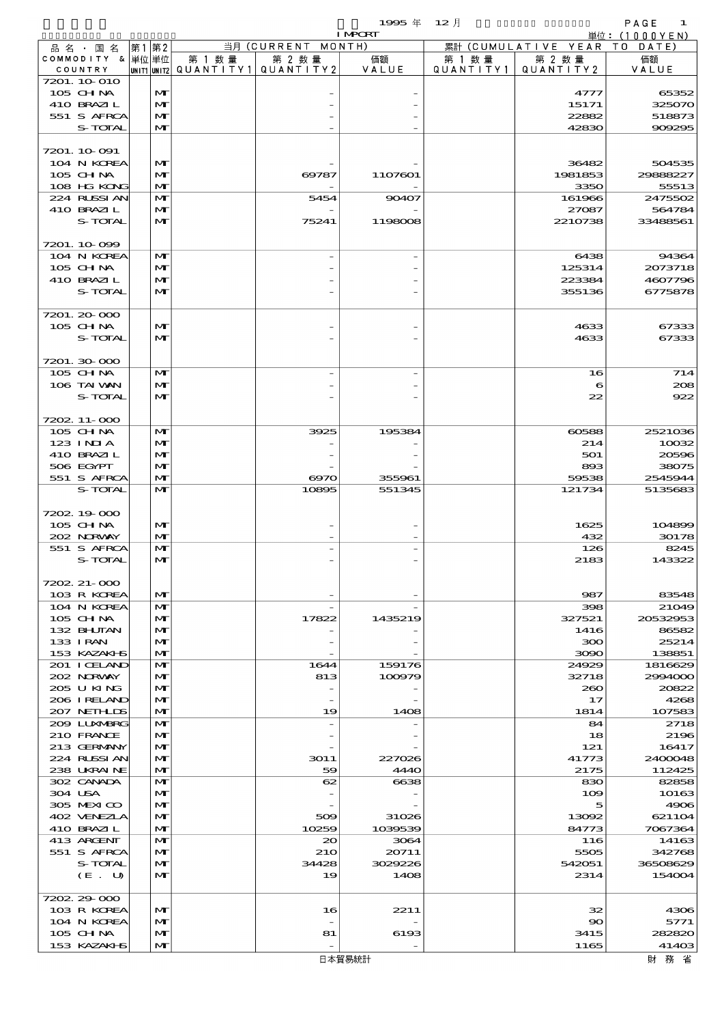$1995 \nsubseteq 12 \nexists$ 

|                            | <b>I MPORT</b> |                              |                                       |                    |                          |           |                              | 単位: (1000YEN)      |
|----------------------------|----------------|------------------------------|---------------------------------------|--------------------|--------------------------|-----------|------------------------------|--------------------|
| 品名・国名                      | 第1 第2          |                              |                                       | 当月 (CURRENT MONTH) |                          |           | 累計 (CUMULATIVE YEAR TO DATE) |                    |
| COMMODITY & 単位単位           |                |                              | 第 1 数量                                | 第 2 数量             | 価額                       | 第 1 数 量   | 第 2 数量                       | 価額                 |
| COUNTRY                    |                |                              | UNIT1 UNIT2  QUANT I TY1  QUANT I TY2 |                    | VALUE                    | QUANTITY1 | QUANT   T Y 2                | VALUE              |
| 7201. 10 010               |                |                              |                                       |                    |                          |           |                              |                    |
| 105 CH NA<br>410 BRAZIL    |                | M<br>$\mathbf{M}$            |                                       |                    |                          |           | 4777<br>15171                | 65352<br>325070    |
| 551 S AFRCA                |                | M                            |                                       |                    |                          |           | 22882                        | 518873             |
| S-TOTAL                    |                | M                            |                                       |                    |                          |           | 42830                        | 909295             |
|                            |                |                              |                                       |                    |                          |           |                              |                    |
| 7201. 10-091               |                |                              |                                       |                    |                          |           |                              |                    |
| 104 N KOREA                |                | $\mathbf{M}$                 |                                       |                    |                          |           | 36482                        | 504535             |
| $105$ CHNA                 |                | M                            |                                       | 69787              | 1107601                  |           | 1981853                      | 20888227           |
| 108 HG KONG                |                | $\mathbf{M}$                 |                                       |                    |                          |           | 3350                         | 55513              |
| 224 RUSSI AN<br>410 BRAZIL |                | M<br>M                       |                                       | 5454               | 90407                    |           | 161966<br>27087              | 2475502<br>564784  |
| S-TOTAL                    |                | $\mathbf{M}$                 |                                       | 75241              | 1198008                  |           | 2210738                      | 33488561           |
|                            |                |                              |                                       |                    |                          |           |                              |                    |
| 7201.10.099                |                |                              |                                       |                    |                          |           |                              |                    |
| 104 N KOREA                |                | $\mathbf{M}$                 |                                       |                    |                          |           | 6438                         | 94364              |
| 105 CH NA                  |                | M                            |                                       |                    |                          |           | 125314                       | 2073718            |
| 410 BRAZIL                 |                | M                            |                                       |                    |                          |           | 223384                       | 4607796            |
| S-TOTAL                    |                | M                            |                                       |                    |                          |           | 355136                       | 6775878            |
|                            |                |                              |                                       |                    |                          |           |                              |                    |
| 7201.20-000<br>105 CH NA   |                | $\mathbf{M}$                 |                                       |                    |                          |           | 4633                         | 67333              |
| S-TOTAL                    |                | $\mathbf{M}$                 |                                       |                    |                          |           | 4633                         | 67333              |
|                            |                |                              |                                       |                    |                          |           |                              |                    |
| 7201.30-000                |                |                              |                                       |                    |                          |           |                              |                    |
| 105 CHNA                   |                | $\mathbf{M}$                 |                                       |                    | $\overline{\phantom{0}}$ |           | 16                           | 714                |
| 106 TAI VAN                |                | M                            |                                       |                    |                          |           | 6                            | 208                |
| S-TOTAL                    |                | $\mathbf{M}$                 |                                       |                    |                          |           | 22                           | 922                |
|                            |                |                              |                                       |                    |                          |           |                              |                    |
| 7202. 11-000               |                | $\mathbf{M}$                 |                                       |                    |                          |           |                              |                    |
| 105 CHNA<br>123 INIA       |                | M                            |                                       | 3925               | 195384                   |           | 60588<br>214                 | 2521036<br>10032   |
| 410 BRAZIL                 |                | M                            |                                       |                    |                          |           | 501                          | 20596              |
| 506 EGYPT                  |                | M                            |                                       |                    |                          |           | 893                          | 38075              |
| 551 S AFRCA                |                | M                            |                                       | 6970               | 355961                   |           | 59538                        | 2545944            |
| S-TOTAL                    |                | $\mathbf{M}$                 |                                       | 10895              | 551345                   |           | 121734                       | 5135683            |
|                            |                |                              |                                       |                    |                          |           |                              |                    |
| 7202.19000                 |                |                              |                                       |                    |                          |           |                              |                    |
| 105 CH NA                  |                | M                            |                                       |                    |                          |           | 1625                         | 104899             |
| 202 NORWAY<br>551 S AFRCA  |                | $\mathbf{M}$<br>$\mathbf{M}$ |                                       |                    |                          |           | 432<br>126                   | 30178<br>8245      |
| S-TOTAL                    |                | $\mathbf{M}$                 |                                       |                    |                          |           | 2183                         | 143322             |
|                            |                |                              |                                       |                    |                          |           |                              |                    |
| 7202. 21-000               |                |                              |                                       |                    |                          |           |                              |                    |
| 103 R KOREA                |                | M                            |                                       |                    |                          |           | 987                          | 83548              |
| 104 N KOREA                |                | M                            |                                       |                    |                          |           | 398                          | 21049              |
| $105$ CHNA                 |                | $\mathbf{M}$                 |                                       | 17822              | 1435219                  |           | 327521                       | 20532953           |
| 132 BHJIAN                 |                | M                            |                                       |                    |                          |           | 1416                         | 86582              |
| 133 I RAN<br>153 KAZAKI S  |                | M<br>M                       |                                       |                    |                          |           | ဆာ                           | 25214<br>138851    |
| 201 I CELAND               |                | M                            |                                       | 1644               | 159176                   |           | 3090<br>24929                | 1816629            |
| 202 NORWAY                 |                | M                            |                                       | 813                | 100979                   |           | 32718                        | 2994000            |
| 205 U KING                 |                | M                            |                                       |                    |                          |           | 260                          | 20822              |
| 206 IRELAND                |                | M                            |                                       | -                  |                          |           | 17                           | 4268               |
| 207 NETH IDS               |                | M                            |                                       | 19                 | 1408                     |           | 1814                         | 107583             |
| 2009 LUNARRG               |                | M                            |                                       |                    |                          |           | 84                           | 2718               |
| 210 FRANCE                 |                | M                            |                                       |                    |                          |           | 18                           | 2196               |
| 213 GERMANY<br>224 RUSSIAN |                | M<br>M                       |                                       | 3011               | 227026                   |           | 121<br>41773                 | 16417<br>2400048   |
| 238 UKRAINE                |                | M                            |                                       | 59                 | 4440                     |           | 2175                         | 112425             |
| 302 CANADA                 |                | M                            |                                       | 62                 | 6638                     |           | 830                          | 82858              |
| 304 USA                    |                | M                            |                                       |                    |                          |           | 109                          | 10163              |
| 305 MEXICO                 |                | M                            |                                       |                    |                          |           | 5                            | 4906               |
| 402 VENEZIA                |                | M                            |                                       | 509                | 31026                    |           | 13092                        | 621104             |
| 410 BRAZIL                 |                | M                            |                                       | 10259              | 1039539                  |           | 84773                        | 7067364            |
| 413 ARCENT                 |                | M                            |                                       | 20                 | 3064                     |           | 116                          | 14163              |
| 551 S AFRCA                |                | M                            |                                       | 21O                | 20711                    |           | 5505                         | 342768             |
| S-TOTAL<br>(E. U)          |                | M<br>M                       |                                       | 34428<br>19        | 3029226<br>1408          |           | 542051<br>2314               | 36508629<br>154004 |
|                            |                |                              |                                       |                    |                          |           |                              |                    |
| 7202.29-000                |                |                              |                                       |                    |                          |           |                              |                    |
| 103 R KOREA                |                | M                            |                                       | 16                 | 2211                     |           | 32                           | 4306               |
| 104 N KOREA                |                | M                            |                                       |                    |                          |           | 90                           | 5771               |
| 105 CHNA                   |                | M                            |                                       | 81                 | 6193                     |           | 3415                         | 282820             |

 $105 \text{ GHM}$   $\boxed{\text{m}}$   $\boxed{\text{m}}$   $\boxed{\text{81}}$   $\boxed{6193}$   $\boxed{3415}$   $\boxed{282830}$ 153 KAZAKHS MT - - 1165 41403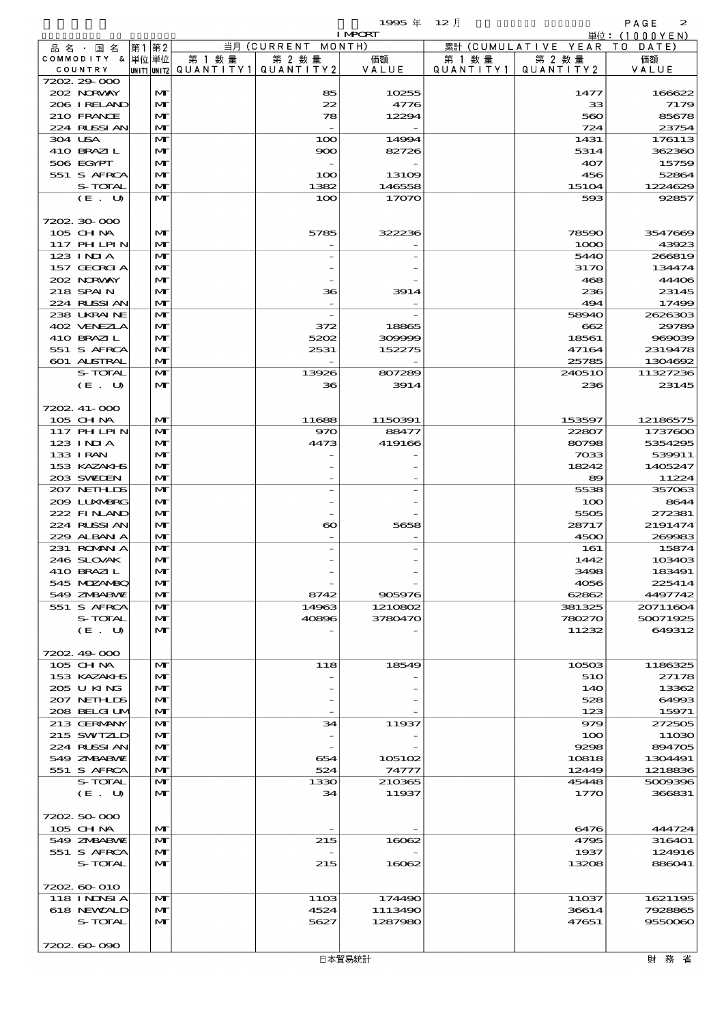|                  |    |              |                     |                       | <b>I MPCRT</b> |           |                        | 単位: (1000YEN) |
|------------------|----|--------------|---------------------|-----------------------|----------------|-----------|------------------------|---------------|
| 品名・国名            | 第1 | 第2           |                     | 当月 (CURRENT MONTH)    |                |           | 累計 (CUMULATIVE YEAR TO | DATE)         |
| COMMODITY & 単位単位 |    |              | 第 1 数量              | 第 2 数量                | 価額             | 第 1 数 量   | 第 2 数量                 | 価額            |
| COUNTRY          |    | UNIT1 UNIT2  | QUANTITY1 QUANTITY2 |                       | VALUE          | QUANTITY1 | QUANTITY 2             | VALUE         |
| 7202 29 000      |    |              |                     |                       |                |           |                        |               |
| 202 NORWAY       |    | M            |                     | 85                    | 10255          |           | 1477                   | 166622        |
| 206 I RELAND     |    | $\mathbf{M}$ |                     | 22                    | 4776           |           | 33                     | 7179          |
| 210 FRANCE       |    | M            |                     | 78                    | 12294          |           | 560                    | 85678         |
| 224 RUSSI AN     |    | $\mathbf{M}$ |                     |                       |                |           | 724                    | 23754         |
| 304 USA          |    | M            |                     | 100                   | 14994          |           | 1431                   | 176113        |
| 410 BRAZIL       |    | M            |                     | 900                   | 82726          |           | 5314                   | 362360        |
| 506 EGYPT        |    | M            |                     |                       |                |           | 407                    | 15759         |
| 551 S AFRCA      |    | M            |                     | 100                   | 13109          |           | 456                    | 52864         |
| S-TOTAL          |    | M            |                     | 1382                  | 146558         |           | 15104                  | 1224629       |
| (E. U)           |    | M            |                     | 100                   | 17070          |           | 593                    | 92857         |
|                  |    |              |                     |                       |                |           |                        |               |
| 7202 30 000      |    |              |                     |                       |                |           |                        |               |
| 105 CHNA         |    | M            |                     | 5785                  | 322236         |           | 78590                  | 3547669       |
| 117 PHLPIN       |    | M            |                     |                       |                |           | 1000                   | 43923         |
| $123$ INIA       |    | M            |                     |                       |                |           | 5440                   | 266819        |
| 157 GEORGIA      |    | M            |                     |                       |                |           | 3170                   | 134474        |
| 202 NORWAY       |    | M            |                     |                       |                |           | 468                    | 44406         |
| 218 SPAIN        |    | M            |                     | 36                    | 3914           |           | 236                    | 23145         |
| 224 RUSSIAN      |    | M            |                     |                       |                |           | 494                    | 17499         |
| 238 UKRAINE      |    | M            |                     |                       |                |           | 58940                  | 2626303       |
| 402 VENEZIA      |    | M            |                     | 372                   | 18865          |           | 662                    | 29789         |
| 410 BRAZIL       |    | M            |                     | 5202                  | 309999         |           | 18561                  | 969039        |
| 551 S AFRCA      |    | M            |                     | 2531                  | 152275         |           | 47164                  | 2319478       |
| 601 ALSTRAL      |    | M            |                     |                       |                |           | 25785                  | 1304692       |
| S-TOTAL          |    | M            |                     | 13926                 | 807289         |           | 240510                 | 11327236      |
| (E. U)           |    | M            |                     | 36                    | 3914           |           | 236                    | 23145         |
|                  |    |              |                     |                       |                |           |                        |               |
| 7202. 41-000     |    |              |                     |                       |                |           |                        |               |
| 105 CHNA         |    | M            |                     | 11688                 | 1150391        |           | 153597                 | 12186575      |
| 117 PHLPIN       |    | M            |                     | 970                   | 88477          |           | 22807                  | 1737600       |
| $123$ INIA       |    | M            |                     | 4473                  | 419166         |           | 80798                  | 5354295       |
| 133 I RAN        |    | M            |                     |                       |                |           | 7033                   | 539911        |
| 153 KAZAKI B     |    | M            |                     |                       |                |           | 18242                  | 1405247       |
| 203 SWIDEN       |    | M            |                     |                       |                |           | 89                     | 11224         |
| 207 NETHLIS      |    | M            |                     |                       |                |           | 5538                   | 357063        |
| 200 LUNABRG      |    | M            |                     |                       |                |           | 100                    | 8644          |
| 222 FINAND       |    | M            |                     |                       |                |           | 5505                   | 272381        |
| 224 RUSSI AN     |    | M            |                     | $\boldsymbol{\infty}$ | 5658           |           | 28717                  | 2191474       |
| 229 ALBAN A      |    | M            |                     |                       |                |           | 4500                   | 269983        |
| 231 ROMANIA      |    | M            |                     |                       |                |           | 161                    | 15874         |
| 246 SLOVAK       |    | M            |                     |                       |                |           | 1442                   | 103403        |
| 410 BRAZIL       |    | $\mathbf{M}$ |                     |                       |                |           | 3498                   | 183491        |
| 545 MDZANBQ      |    | M            |                     |                       |                |           | 4056                   | 225414        |
| 549 ZNBABVE      |    | M            |                     | 8742                  | 905976         |           | 62862                  | 4497742       |
| 551 S AFRCA      |    | M            |                     | 14963                 | 1210802        |           | 381325                 | 20711604      |
| S-TOTAL          |    | M            |                     | 40896                 | 3780470        |           | 780270                 | 50071925      |
| (E. U)           |    | M            |                     |                       |                |           | 11232                  | 649312        |
|                  |    |              |                     |                       |                |           |                        |               |
| 7202 49 000      |    |              |                     |                       |                |           |                        |               |
| 105 CH NA        |    | M            |                     | 118                   | 18549          |           | 10503                  | 1186325       |
| 153 KAZAKI B     |    | M            |                     |                       |                |           | 510                    | 27178         |
| 205 U KING       |    | M            |                     |                       |                |           | 140                    | 13362         |
| 207 NETHLIDS     |    | M            |                     |                       |                |           | 528                    | 64993         |
| 208 BELGI UM     |    | M            |                     |                       |                |           | 123                    | 15971         |
| 213 GERMANY      |    | M            |                     | 34                    | 11937          |           | 979                    | 272505        |
| 215 SWIZLD       |    | M            |                     |                       |                |           | 100                    | 11030         |
| 224 RUSSIAN      |    | M            |                     |                       |                |           | 9298                   | 894705        |
| 549 ZMBABMZ      |    | M            |                     | 654                   | 105102         |           | 10818                  | 1304491       |
| 551 S AFRCA      |    | M            |                     | 524                   | 74777          |           | 12449                  | 1218836       |
| S-TOTAL          |    | M            |                     | 1330                  | 210365         |           | 45448                  | 5009396       |
| (E. U)           |    | $\mathbf{M}$ |                     | 34                    | 11937          |           | 1770                   | 366831        |
|                  |    |              |                     |                       |                |           |                        |               |
| 7202 50 000      |    |              |                     |                       |                |           |                        |               |
| 105 CH NA        |    | M            |                     |                       |                |           | 6476                   | 444724        |
| 549 ZMBABMZ      |    | M            |                     | 215                   | 16062          |           | 4795                   | 316401        |
| 551 S AFRCA      |    | M            |                     |                       |                |           | 1937                   | 124916        |
| <b>S-TOTAL</b>   |    | M            |                     | 215                   | 16062          |           | 13208                  | 886041        |
|                  |    |              |                     |                       |                |           |                        |               |
| 7202 60 010      |    |              |                     |                       |                |           |                        |               |
| 118 I NDSI A     |    | M            |                     | 1103                  | 174490         |           | 11037                  | 1621195       |
| 618 NEWALD       |    | M            |                     | 4524                  | 1113490        |           | 36614                  | 7928865       |
| S-TOTAL          |    | M            |                     | 5627                  | 1287980        |           | 47651                  | 9550060       |
|                  |    |              |                     |                       |                |           |                        |               |

7202.60-090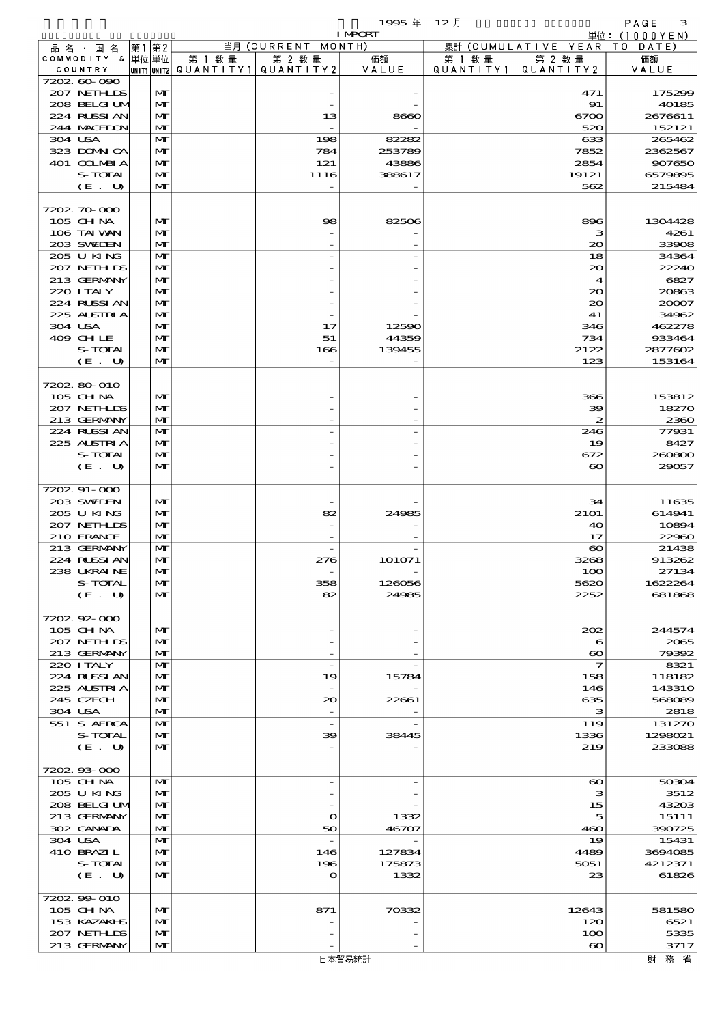|                               |      |                              |                                       |                          | $19905 \text{ } \#$ | $12$ 月    |                                                  | PAGE<br>з                 |
|-------------------------------|------|------------------------------|---------------------------------------|--------------------------|---------------------|-----------|--------------------------------------------------|---------------------------|
|                               |      |                              |                                       | 当月 (CURRENT MONTH)       | <b>I MPORT</b>      |           | 累計 (CUMULATIVE YEAR)                             | 単位: (1000YEN)<br>TO DATE) |
| 品 名 ・ 国 名<br>COMMODITY & 単位単位 | 第1第2 |                              | 第 1 数量                                | 第 2 数量                   | 価額                  | 第 1 数 量   | 第 2 数量                                           | 価額                        |
| COUNTRY                       |      |                              | unit1 unit2  QUANT   TY1  QUANT   TY2 |                          | VALUE               | QUANTITY1 | QUANTITY 2                                       | VALUE                     |
| 7202.60-090                   |      |                              |                                       |                          |                     |           |                                                  |                           |
| 207 NETHLIS                   |      | M                            |                                       |                          |                     |           | 471                                              | 175299                    |
| 208 BELGI UM<br>224 RUSSIAN   |      | $\mathbf{M}$<br>$\mathbf{M}$ |                                       |                          |                     |           | 91                                               | 40185                     |
| 244 MACHION                   |      | $\mathbf{M}$                 |                                       | 13                       | 8660                |           | 6700<br>520                                      | 2676611<br>152121         |
| 304 USA                       |      | M                            |                                       | 198                      | 82282               |           | 633                                              | 265462                    |
| 323 DOMNICA                   |      | M                            |                                       | 784                      | 253789              |           | 7852                                             | 2362567                   |
| 401 COLMBIA                   |      | $\mathbf{M}$                 |                                       | 121                      | 43886               |           | 2854                                             | 907650                    |
| S-TOTAL                       |      | M                            |                                       | 1116                     | 388617              |           | 19121                                            | 6579895                   |
| (E. U)                        |      | $\mathbf{M}$                 |                                       |                          |                     |           | 562                                              | 215484                    |
|                               |      |                              |                                       |                          |                     |           |                                                  |                           |
| 7202.70-000                   |      |                              |                                       |                          |                     |           |                                                  |                           |
| 105 CH NA<br>106 TAI WAN      |      | M<br>M                       |                                       | 98                       | 82506               |           | 896<br>з                                         | 1304428<br>4261           |
| 203 SWIEN                     |      | M                            |                                       |                          |                     |           | $\infty$                                         | 33908                     |
| 205 U KING                    |      | M                            |                                       |                          |                     |           | 18                                               | 34364                     |
| 207 NETHLIS                   |      | M                            |                                       |                          |                     |           | $\infty$                                         | 22240                     |
| 213 GERMANY                   |      | $\mathbf{M}$                 |                                       |                          |                     |           | $\boldsymbol{\mathcal{A}}$                       | 6827                      |
| 220 I TALY                    |      | M                            |                                       |                          |                     |           | $\infty$                                         | 20863                     |
| 224 RUSSIAN                   |      | M                            |                                       |                          |                     |           | $\infty$                                         | 20007                     |
| 225 ALSTRIA                   |      | M                            |                                       |                          |                     |           | 41                                               | 34962                     |
| 304 USA                       |      | M                            |                                       | 17                       | 12590               |           | 346                                              | 462278                    |
| 409 CHLE<br>S-TOTAL           |      | $\mathbf{M}$<br>M            |                                       | 51<br>166                | 44359<br>139455     |           | 734<br>2122                                      | 933464<br>2877602         |
| (E. U)                        |      | $\mathbf{M}$                 |                                       |                          |                     |           | 123                                              | 153164                    |
|                               |      |                              |                                       |                          |                     |           |                                                  |                           |
| 7202 80 010                   |      |                              |                                       |                          |                     |           |                                                  |                           |
| 105 CHNA                      |      | M                            |                                       |                          |                     |           | 366                                              | 153812                    |
| 207 NETHLIS                   |      | M                            |                                       |                          |                     |           | 39                                               | 18270                     |
| 213 GERMANY                   |      | M                            |                                       |                          |                     |           | $\boldsymbol{z}$                                 | 2360                      |
| 224 RUSSIAN                   |      | M                            |                                       |                          |                     |           | 246                                              | 77931                     |
| 225 ALSTRIA                   |      | M<br>$\mathbf{M}$            |                                       |                          |                     |           | 19                                               | 8427                      |
| S-TOTAL<br>(E. U)             |      | M                            |                                       |                          |                     |           | 672<br>$\boldsymbol{\infty}$                     | 260800<br>29057           |
|                               |      |                              |                                       |                          |                     |           |                                                  |                           |
| 7202.91-000                   |      |                              |                                       |                          |                     |           |                                                  |                           |
| 203 SWIEN                     |      | M                            |                                       |                          |                     |           | 34                                               | 11635                     |
| 205 U KING                    |      | $\mathbf{M}$                 |                                       | 82                       | 24985               |           | 2101                                             | 614941                    |
| 207 NEIHLIS                   |      | M                            |                                       |                          |                     |           | 40                                               | 10894                     |
| 210 FRANCE                    |      | M                            |                                       |                          |                     |           | 17                                               | 22960                     |
| 213 GERMANY<br>224 RUSSIAN    |      | M<br>M                       |                                       |                          | 101071              |           | $\boldsymbol{\infty}$                            | 21438                     |
| 238 UKRAINE                   |      | M                            |                                       |                          |                     |           | 3268<br>100                                      | 913262<br>27134           |
| S-TOTAL                       |      | M                            |                                       | 358                      | 126056              |           | 5620                                             | 1622264                   |
| (E. U)                        |      | M                            |                                       | 82                       | 24985               |           | 2252                                             | 681868                    |
|                               |      |                              |                                       |                          |                     |           |                                                  |                           |
| 7202.92-000                   |      |                              |                                       |                          |                     |           |                                                  |                           |
| 105 CH NA                     |      | M                            |                                       |                          |                     |           | 202                                              | 244574                    |
| 207 NETHLIS                   |      | M                            |                                       |                          |                     |           | 6                                                | 2065                      |
| 213 GERMANY<br>220 I TALY     |      | M<br>M                       |                                       |                          |                     |           | $\boldsymbol{\infty}$<br>$\overline{\mathbf{z}}$ | 79392<br>8321             |
| 224 RUSSI AN                  |      | M                            |                                       | 19                       | 15784               |           | 158                                              | 118182                    |
| 225 ALSTRIA                   |      | M                            |                                       |                          |                     |           | 146                                              | <b>143310</b>             |
| 245 CZECH                     |      | M                            |                                       | 20                       | 22661               |           | 635                                              | 568089                    |
| 304 USA                       |      | M                            |                                       | $\overline{\phantom{a}}$ |                     |           | з                                                | 2818                      |
| 551 S AFRCA                   |      | M                            |                                       |                          |                     |           | 119                                              | 131270                    |
| S-TOTAL                       |      | M                            |                                       | 39                       | 38445               |           | 1336                                             | 1298021                   |
| (E. U)                        |      | $\mathbf{M}$                 |                                       |                          |                     |           | 219                                              | 233088                    |
| 7202.93-000                   |      |                              |                                       |                          |                     |           |                                                  |                           |
| 105 CH NA                     |      | M                            |                                       |                          |                     |           | $\boldsymbol{\infty}$                            | 50304                     |
| 205 U KING                    |      | M                            |                                       |                          |                     |           | з                                                | 3512                      |
| 208 BELGI UM                  |      | M                            |                                       |                          |                     |           | 15                                               | 43203                     |
| 213 GERMANY                   |      | M                            |                                       | O                        | 1332                |           | 5                                                | 15111                     |
| 302 CANADA                    |      | M                            |                                       | 50                       | 46707               |           | 460                                              | 390725                    |
| 304 USA                       |      | M                            |                                       |                          |                     |           | 19                                               | 15431                     |
| 410 BRAZIL                    |      | M                            |                                       | 146                      | 127834              |           | 4489                                             | 3694085                   |
| S-TOTAL                       |      | M<br>M                       |                                       | 196                      | 175873              |           | 5051<br>23                                       | 4212371<br>61826          |
| (E. U)                        |      |                              |                                       | O                        | 1332                |           |                                                  |                           |
| 7202.99-010                   |      |                              |                                       |                          |                     |           |                                                  |                           |
| 105 CHNA                      |      | M                            |                                       | 871                      | 70332               |           | 12643                                            | 581580                    |
| 153 KAZAKI B                  |      | M                            |                                       |                          |                     |           | 120                                              | 6521                      |
| 207 NETHLIS                   |      | M                            |                                       |                          |                     |           | 100                                              | 5335                      |
| 213 GERMANY                   |      | M                            |                                       |                          |                     |           | $\boldsymbol{\infty}$                            | 3717                      |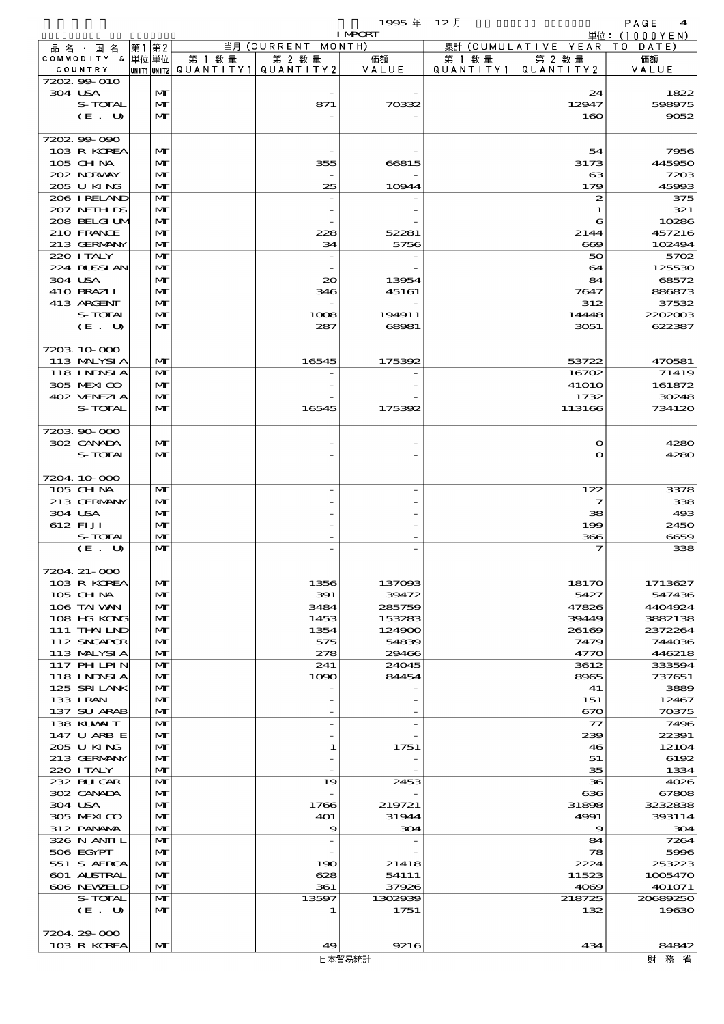$1995 \# 12$   $\frac{1}{2}$ 

|  |                        |              |        |                                       | <b>I MPORT</b>  |           |                              | 単位: $(1000YEN)$   |
|--|------------------------|--------------|--------|---------------------------------------|-----------------|-----------|------------------------------|-------------------|
|  | 品名・国名                  | 第1第2         |        | 当月 (CURRENT MONTH)                    |                 |           | 累計 (CUMULATIVE YEAR TO DATE) |                   |
|  | COMMODITY & 単位単位       |              | 第 1 数量 | 第 2 数量                                | 価額              | 第 1 数 量   | 第 2 数量                       | 価額                |
|  | COUNTRY                |              |        | UNIT1 UNIT2  QUANT   TY1  QUANT   TY2 | VALUE           | QUANTITY1 | QUANTITY 2                   | VALUE             |
|  | 7202.99-010<br>304 USA | $\mathbf{M}$ |        |                                       |                 |           | 24                           | 1822              |
|  | S-TOTAL                | $\mathbf{M}$ |        | 871                                   | 70332           |           | 12947                        | 598975            |
|  | (E. U)                 | $\mathbf{M}$ |        |                                       |                 |           | 160                          | 9052              |
|  |                        |              |        |                                       |                 |           |                              |                   |
|  | 7202.99-090            |              |        |                                       |                 |           |                              |                   |
|  | 103 R KOREA            | M            |        |                                       |                 |           | 54                           | 7956              |
|  | 105 CHNA               | $\mathbf{M}$ |        | 355                                   | 66815           |           | 3173                         | 445950            |
|  | 202 NRWAY              | $\mathbf{M}$ |        | $\overline{\phantom{a}}$              |                 |           | 63                           | 7203              |
|  | 205 U KING             | $\mathbf{M}$ |        | 25                                    | 10944           |           | 179                          | 45993             |
|  | 206 IRELAND            | $\mathbf{M}$ |        |                                       |                 |           | 2                            | 375               |
|  | 207 NETHLIS            | M            |        |                                       |                 |           | 1                            | 321               |
|  | 208 BELGI UM           | $\mathbf{M}$ |        |                                       |                 |           | 6                            | 10286             |
|  | 210 FRANCE             | $\mathbf{M}$ |        | 228                                   | 52281           |           | 2144                         | 457216            |
|  | 213 GERMANY            | $\mathbf{M}$ |        | 34                                    | 5756            |           | 669                          | 102494            |
|  | 220 I TALY             | $\mathbf{M}$ |        |                                       |                 |           | 50                           | 5702              |
|  | 224 RUSSIAN            | $\mathbf{M}$ |        |                                       |                 |           | 64                           | 125530            |
|  | 304 USA                | $\mathbf{M}$ |        | 20                                    | 13954           |           | 84                           | 68572             |
|  | 410 BRAZIL             | $\mathbf{M}$ |        | 346                                   | 45161           |           | 7647                         | 886873            |
|  | 413 ARCENT             | $\mathbf{M}$ |        |                                       |                 |           | 312                          | 37532             |
|  | S-TOTAL                | $\mathbf{M}$ |        | 1008                                  | 194911          |           | 14448                        | 2202003           |
|  | (E. U)                 | $\mathbf{M}$ |        | 287                                   | 68981           |           | 3051                         | 622387            |
|  |                        |              |        |                                       |                 |           |                              |                   |
|  | 7203 10 000            |              |        |                                       |                 |           |                              |                   |
|  | 113 MALYSIA            | $\mathbf{M}$ |        | 16545                                 | 175392          |           | 53722                        | 470581            |
|  | 118 I NJNSI A          | $\mathbf{M}$ |        |                                       |                 |           | 16702                        | 71419             |
|  | 305 MEXICO             | $\mathbf{M}$ |        |                                       |                 |           | <b>41010</b>                 | 161872            |
|  | 402 VENEZLA            | $\mathbf{M}$ |        |                                       |                 |           | 1732                         | 30248             |
|  | S-TOTAL                | $\mathbf{M}$ |        | 16545                                 | 175392          |           | 113166                       | 734120            |
|  |                        |              |        |                                       |                 |           |                              |                   |
|  | 720390-000             |              |        |                                       |                 |           |                              |                   |
|  | 302 CANADA             | $\mathbf{M}$ |        |                                       |                 |           | $\mathbf o$                  | 4280              |
|  | S-TOTAL                | $\mathbf{M}$ |        |                                       |                 |           | $\bullet$                    | 4280              |
|  |                        |              |        |                                       |                 |           |                              |                   |
|  | 7204 10 000            |              |        |                                       |                 |           |                              |                   |
|  | 105 CHNA               | $\mathbf{M}$ |        |                                       |                 |           | 122                          | 3378              |
|  | 213 GERMANY            | $\mathbf{M}$ |        |                                       |                 |           | 7                            | 338               |
|  | 304 USA                | $\mathbf{M}$ |        |                                       |                 |           | 38                           | 493               |
|  | 612 FIJI               | $\mathbf{M}$ |        |                                       |                 |           | 199                          | 2450              |
|  | S-TOTAL                | $\mathbf{M}$ |        |                                       |                 |           | 366                          | 6659              |
|  | (E. U)                 | $\mathbf{M}$ |        |                                       |                 |           | 7                            | 338               |
|  |                        |              |        |                                       |                 |           |                              |                   |
|  | 7204 21-000            |              |        |                                       |                 |           |                              |                   |
|  | 103 R KOREA            | M            |        | 1356                                  | 137093          |           | 18170                        | 1713627           |
|  | 105 CH NA              | $\mathbf{M}$ |        | 391                                   | 39472           |           | 5427                         | 547436            |
|  | 106 TAI VAN            | $\mathbf{M}$ |        | 3484                                  | 285759          |           | 47826                        | 4404924           |
|  | 108 HG KONG            | $\mathbf{M}$ |        | 1453                                  | 153283          |           | 39449                        | 3882138           |
|  | 111 THAILND            | $\mathbf{M}$ |        | 1354                                  | 124900          |           | 26169                        | 2372264           |
|  | 112 SNGAPOR            | M            |        | 575                                   | 54839           |           | 7479                         | 744036            |
|  | 113 MALYSIA            | $\mathbf{M}$ |        | 278                                   | 29466           |           | 4770                         | 446218            |
|  | 117 PHLPIN             | M            |        | 241                                   | 24045           |           | 3612                         | 333594            |
|  | <b>118 INNSIA</b>      | $\mathbf{M}$ |        | 1090                                  | 84454           |           | 8965                         | 737651            |
|  | 125 SRILANK            | $\mathbf{M}$ |        |                                       |                 |           | 41                           | 3889              |
|  | 133 I RAN              | M            |        |                                       |                 |           | 151                          | 12467             |
|  | 137 SU ARAB            | $\mathbf{M}$ |        |                                       |                 |           | 670                          | 70375             |
|  | 138 KUWAIT             | M            |        |                                       |                 |           | 77                           | 7496              |
|  | 147 U ARB E            | M            |        |                                       |                 |           | 239                          | 22391             |
|  | 205 U KING             | $\mathbf{M}$ |        | 1                                     | 1751            |           | 46                           | 12104             |
|  | 213 GERMANY            | M            |        |                                       |                 |           | 51                           | 6192              |
|  | 220 I TALY             | $\mathbf{M}$ |        |                                       |                 |           | 35                           | 1334              |
|  | 232 BULGAR             | M            |        | 19                                    | 2453            |           | 36                           | 4026              |
|  | 302 CANADA             | $\mathbf{M}$ |        |                                       |                 |           | 636                          | 67808             |
|  | 304 USA                | $\mathbf{M}$ |        | 1766                                  | 219721          |           | 31898                        | 3232838           |
|  | 305 MEXICO             | $\mathbf{M}$ |        | 401                                   | 31944           |           | 4991                         | 393114            |
|  | 312 PANAMA             | $\mathbf{M}$ |        | 9                                     | 304             |           | $\boldsymbol{\Theta}$        | 304               |
|  | 326 N ANII L           | M            |        | $\overline{a}$                        |                 |           | 84                           | 7264              |
|  | 506 EGYPT              | $\mathbf{M}$ |        |                                       |                 |           | 78                           | 5996              |
|  | 551 S AFRCA            | $\mathbf{M}$ |        | 190                                   | 21418           |           | 2224                         | 253223            |
|  | 601 ALSTRAL            | M            |        | 628                                   | 54111           |           | 11523                        | 1005470           |
|  | 606 NEWELD<br>S-TOTAL  | $\mathbf{M}$ |        | 361                                   | 37926           |           | 4069                         | 401071            |
|  |                        | M            |        | 13597<br>-1                           | 1302939<br>1751 |           | 218725<br>132                | 20689250<br>19630 |
|  | (E. U)                 | M            |        |                                       |                 |           |                              |                   |
|  | 7204.29-000            |              |        |                                       |                 |           |                              |                   |
|  | 103 R KOREA            | $\mathbf{M}$ |        | 49                                    | 9216            |           | 434                          | 84842             |
|  |                        |              |        |                                       |                 |           |                              |                   |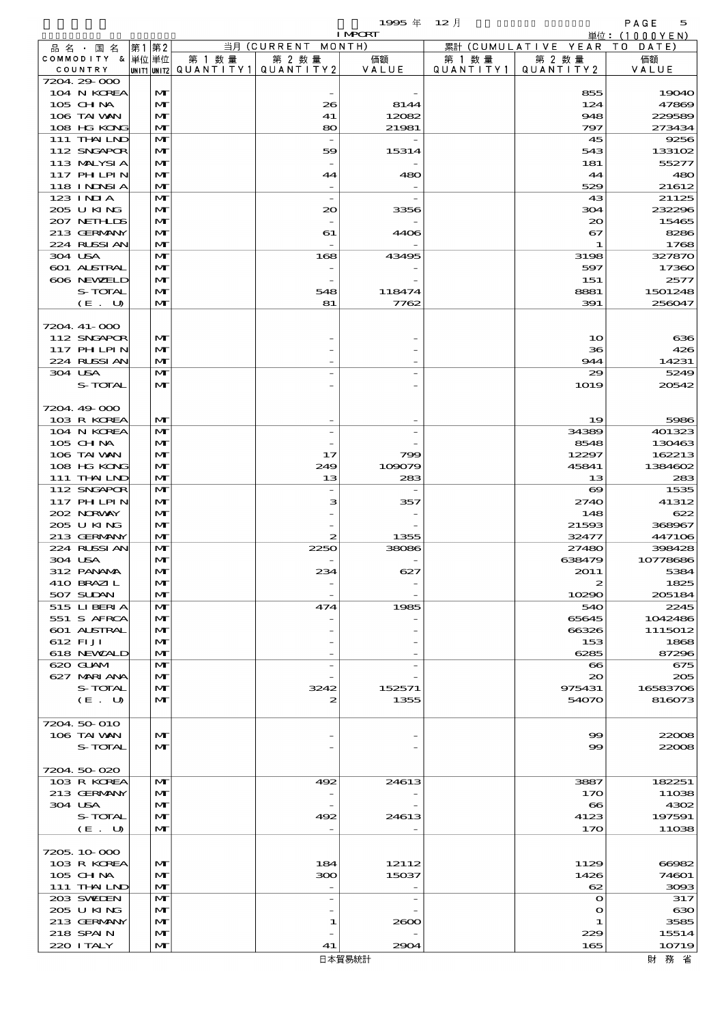$1995$  年  $12$  月 5 5

|                                  |      |                   |        |                                       | <b>I MPCRT</b> |           |                               | 単位: (1000YEN)   |
|----------------------------------|------|-------------------|--------|---------------------------------------|----------------|-----------|-------------------------------|-----------------|
| 品 名 ・ 国 名                        | 第1第2 |                   |        | 当月 (CURRENT MONTH)                    |                |           | 累計 (CUMULATIVE YEAR TO DATE)  |                 |
| COMMODITY & 単位単位                 |      |                   | 第 1 数量 | 第 2 数量                                | 価額             | 第 1 数 量   | 第 2 数量                        | 価額              |
| COUNTRY<br>7204.29-000           |      |                   |        | UNIT1 UNIT2  QUANT   TY1  QUANT   TY2 | VALUE          | QUANTITY1 | QUANTITY 2                    | VALUE           |
| 104 N KOREA                      |      | M                 |        |                                       |                |           | 855                           | 19040           |
| 105 CHNA                         |      | $\mathbf{M}$      |        | 26                                    | 8144           |           | 124                           | 47869           |
| 106 TAI VAN                      |      | $\mathbf{M}$      |        | 41                                    | 12082          |           | 948                           | 229589          |
| 108 HG KONG                      |      | $\mathbf{M}$      |        | 80                                    | 21981          |           | 797                           | 273434          |
| 111 THAILND                      |      | $\mathbf{M}$      |        |                                       |                |           | 45                            | 9256            |
| 112 SNGAPOR                      |      | M                 |        | 59                                    | 15314          |           | 543                           | 133102          |
| 113 MALYSIA                      |      | $\mathbf{M}$      |        |                                       |                |           | 181                           | 55277           |
| 117 PHLPIN                       |      | $\mathbf{M}$      |        | 44                                    | 480            |           | 44                            | 480             |
| 118 I NDSI A                     |      | $\mathbf{M}$      |        |                                       |                |           | 529                           | 21612           |
| 123 INIA<br>205 U KING           |      | $\mathbf{M}$<br>M |        | $\overline{\phantom{a}}$<br>20        |                |           | 43<br>304                     | 21125<br>232296 |
| 207 NETHLIS                      |      | M                 |        |                                       | 3356           |           | $\infty$                      | 15465           |
| 213 GERMANY                      |      | $\mathbf{M}$      |        | 61                                    | 4406           |           | 67                            | 8286            |
| 224 RUSSI AN                     |      | $\mathbf{M}$      |        |                                       |                |           | 1                             | 1768            |
| 304 USA                          |      | $\mathbf{M}$      |        | 168                                   | 43495          |           | 3198                          | 327870          |
| 601 ALSTRAL                      |      | M                 |        |                                       |                |           | 597                           | 17360           |
| 606 NEWELD                       |      | $\mathbf{M}$      |        |                                       |                |           | 151                           | 2577            |
| S-TOTAL                          |      | $\mathbf{M}$      |        | 548                                   | 118474         |           | 8881                          | 1501248         |
| (E. U)                           |      | $\mathbf{M}$      |        | 81                                    | 7762           |           | 391                           | 256047          |
|                                  |      |                   |        |                                       |                |           |                               |                 |
| 7204. 41-000                     |      |                   |        |                                       |                |           |                               |                 |
| 112 SNGAPOR<br><b>117 PHLPIN</b> |      | M<br>$\mathbf{M}$ |        |                                       |                |           | 10<br>36                      | 636<br>426      |
| 224 RUSSI AN                     |      | $\mathbf{M}$      |        |                                       |                |           | 944                           | 14231           |
| 304 USA                          |      | $\mathbf{M}$      |        |                                       |                |           | 29                            | 5249            |
| S-TOTAL                          |      | M                 |        |                                       |                |           | 1019                          | 20542           |
|                                  |      |                   |        |                                       |                |           |                               |                 |
| 7204.49-000                      |      |                   |        |                                       |                |           |                               |                 |
| 103 R KOREA                      |      | M                 |        |                                       |                |           | 19                            | 5986            |
| 104 N KOREA                      |      | $\mathbf{M}$      |        |                                       |                |           | 34389                         | 401323          |
| 105 CH NA                        |      | M                 |        |                                       |                |           | 8548                          | 130463          |
| 106 TAI VAN                      |      | $\mathbf{M}$      |        | 17                                    | 799            |           | 12297                         | 162213          |
| 108 HG KONG                      |      | $\mathbf{M}$      |        | 249                                   | 109079         |           | 45841                         | 1384602         |
| 111 THAILND                      |      | $\mathbf{M}$      |        | 13                                    | 283            |           | 13                            | 283             |
| 112 SNGAPOR                      |      | $\mathbf{M}$      |        |                                       |                |           | $\boldsymbol{\infty}$         | 1535            |
| <b>117 PHLPIN</b><br>202 NORWAY  |      | M<br>$\mathbf{M}$ |        | з                                     | 357            |           | 2740<br>148                   | 41312<br>622    |
| 205 U KING                       |      | $\mathbf{M}$      |        |                                       |                |           | 21593                         | 368967          |
| 213 GERMANY                      |      | $\mathbf{M}$      |        | 2                                     | 1355           |           | 32477                         | 447106          |
| 224 RUSSI AN                     |      | $\mathbf{M}$      |        | 2250                                  | 38086          |           | 27480                         | 398428          |
| 304 USA                          |      | M                 |        |                                       |                |           | 638479                        | 10778686        |
| 312 PANAMA                       |      | $\mathbf{M}$      |        |                                       | ణా             |           | 2011                          | 5384            |
| 410 BRAZIL                       |      | M                 |        |                                       |                |           | 2                             | 1825            |
| 507 SUDAN                        |      | M                 |        |                                       |                |           | 10290                         | 205184          |
| 515 LIBERIA                      |      | $\mathbf{M}$      |        | 474                                   | 1985           |           | 540                           | 2245            |
| 551 S AFRCA                      |      | M                 |        |                                       |                |           | 65645                         | 1042486         |
| 601 ALSTRAL                      |      | M                 |        |                                       |                |           | 66326                         | 1115012         |
| 612 FIJI<br>618 NEWALD           |      | M<br>M            |        |                                       |                |           | 153<br>6285                   | 1868<br>87296   |
| 620 GLAM                         |      | $\mathbf{M}$      |        |                                       |                |           | $\bf{e}\bf{s}$                | 675             |
| 627 MARIANA                      |      | M                 |        |                                       |                |           | $\infty$                      | 205             |
| S-TOTAL                          |      | M                 |        | 3242                                  | 152571         |           | 975431                        | 16583706        |
| (E. U)                           |      | $\mathbf{M}$      |        | 2                                     | 1355           |           | 54070                         | 816073          |
|                                  |      |                   |        |                                       |                |           |                               |                 |
| 7204 50 010                      |      |                   |        |                                       |                |           |                               |                 |
| 106 TAI VAN                      |      | M                 |        |                                       |                |           | $\boldsymbol{\infty}$         | 22008           |
| S-TOTAL                          |      | M                 |        |                                       |                |           | $\infty$                      | 22008           |
|                                  |      |                   |        |                                       |                |           |                               |                 |
| 7204.50-020                      |      |                   |        |                                       |                |           |                               |                 |
| 103 R KOREA                      |      | M                 |        | 492                                   | 24613          |           | 3887                          | 182251          |
| 213 GERMANY<br>304 USA           |      | M<br>M            |        |                                       |                |           | 170                           | 11038<br>4302   |
| S-TOTAL                          |      | $\mathbf{M}$      |        | 492                                   | 24613          |           | $\boldsymbol{\infty}$<br>4123 | 197591          |
| (E U)                            |      | $\mathbf{M}$      |        |                                       |                |           | 170                           | 11038           |
|                                  |      |                   |        |                                       |                |           |                               |                 |
| 7205.10.000                      |      |                   |        |                                       |                |           |                               |                 |
| 103 R KOREA                      |      | M                 |        | 184                                   | 12112          |           | 1129                          | 66982           |
| 105 CH NA                        |      | M                 |        | ဆာ                                    | 15037          |           | 1426                          | 74601           |
| 111 THAILND                      |      | M                 |        |                                       |                |           | 62                            | 3093            |
| 203 SWIDEN                       |      | $\mathbf{M}$      |        | $\overline{a}$                        |                |           | $\mathbf o$                   | 317             |
| 205 U KING                       |      | M                 |        |                                       |                |           | $\mathbf o$                   | 630             |
| 213 GERMANY                      |      | M                 |        | 1                                     | 2600           |           | 1                             | 3585            |
| 218 SPAIN                        |      | M                 |        |                                       |                |           | 229                           | 15514           |
| 220 I TALY                       |      | $\mathbf{M}$      |        | 41                                    | 2904           |           | 165                           | 10719           |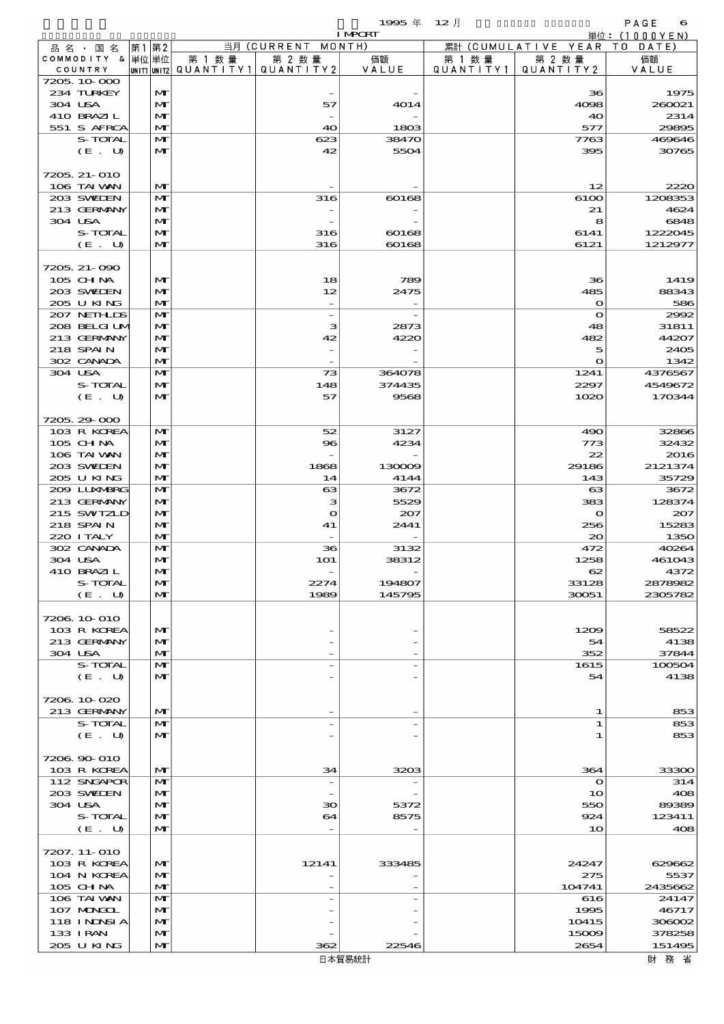$1995 \nsubseteq 12 \nexists$ 

| <b>I MPORT</b>            |      |                              |                                          |                          |                                                      |         | 単位: (1000YEN)                |                   |
|---------------------------|------|------------------------------|------------------------------------------|--------------------------|------------------------------------------------------|---------|------------------------------|-------------------|
| 品名・国名                     | 第1第2 |                              |                                          | 当月 (CURRENT MONTH)       |                                                      |         | 累計 (CUMULATIVE YEAR TO DATE) |                   |
| COMMODITY & 単位単位          |      |                              | 第 1 数量                                   | 第 2 数量                   | 価額                                                   | 第 1 数 量 | 第 2 数量                       | 価額                |
| COUNTRY<br>7205.10.000    |      |                              | UNIT1  UNIT2   QUANT I TY1   QUANT I TY2 |                          | VALUE                                                |         | QUANTITY1   QUANTITY2        | VALUE             |
| 234 TURKEY                |      | M                            |                                          |                          |                                                      |         | 36                           | 1975              |
| 304 USA                   |      | $\mathbf{M}$                 |                                          | 57                       | 4014                                                 |         | 4098                         | 260021            |
| 410 BRAZIL                |      | M                            |                                          |                          |                                                      |         | 40                           | 2314              |
| 551 S AFRCA               |      | M                            |                                          | 40                       | 1803                                                 |         | 577                          | 29895             |
| S-TOTAL                   |      | $\mathbf{M}$                 |                                          | 623                      | 38470                                                |         | 7763                         | 469646            |
| (E. U)                    |      | M                            |                                          | 42                       | 5504                                                 |         | 395                          | 30765             |
| 7205, 21-010              |      |                              |                                          |                          |                                                      |         |                              |                   |
| 106 TAI VAN               |      | M                            |                                          |                          |                                                      |         | 12                           | 2220              |
| 203 SWIEN                 |      | $\mathbf{M}$                 |                                          | 316                      | 60168                                                |         | 6100                         | 1208353           |
| 213 GERMANY               |      | M                            |                                          |                          |                                                      |         | 21                           | 4624              |
| 304 USA                   |      | M                            |                                          |                          |                                                      |         | 8                            | 6848              |
| S-TOTAL                   |      | M                            |                                          | 316                      | $\omega$ <sub>168</sub>                              |         | 6141                         | 1222045           |
| (E. U)                    |      | M                            |                                          | 316                      | 60168                                                |         | 6121                         | 1212977           |
|                           |      |                              |                                          |                          |                                                      |         |                              |                   |
| 7205, 21-090<br>105 CH NA |      | $\mathbf{M}$                 |                                          | 18                       | 789                                                  |         | 36                           | 1419              |
| 203 SWIEN                 |      | M                            |                                          | 12                       | 2475                                                 |         | 485                          | 88343             |
| 205 U KING                |      | M                            |                                          |                          |                                                      |         | $\circ$                      | 586               |
| 207 NETHLIS               |      | $\mathbf{M}$                 |                                          | $\overline{\phantom{a}}$ | $\overline{\phantom{m}}$                             |         | $\mathbf o$                  | 2992              |
| 208 BELGI UM              |      | M                            |                                          | з                        | 2873                                                 |         | 48                           | 31811             |
| 213 GERMANY               |      | $\mathbf{M}$                 |                                          | 42                       | 4220                                                 |         | 482                          | 44207             |
| 218 SPAIN                 |      | M                            |                                          |                          |                                                      |         | 5                            | 2405              |
| 302 CANADA                |      | M                            |                                          |                          |                                                      |         | $\bullet$                    | 1342              |
| 304 USA                   |      | $\mathbf{M}$                 |                                          | 73                       | 364078                                               |         | 1241                         | 4376567           |
| S-TOTAL<br>(E. U)         |      | M<br>$\mathbf{M}$            |                                          | 148<br>57                | 374435<br>9568                                       |         | 2297<br>1020                 | 4549672<br>170344 |
|                           |      |                              |                                          |                          |                                                      |         |                              |                   |
| 7205.29-000               |      |                              |                                          |                          |                                                      |         |                              |                   |
| 103 R KOREA               |      | $\mathbf{M}$                 |                                          | 52                       | 3127                                                 |         | 490                          | 32866             |
| 105 CH NA                 |      | $\mathbf{M}$                 |                                          | $\bf{8}$                 | 4234                                                 |         | 773                          | 32432             |
| 106 TAI VAN               |      | $\mathbf{M}$                 |                                          |                          |                                                      |         | 22                           | 2016              |
| 203 SWIDEN                |      | M                            |                                          | 1868                     | 130009                                               |         | 29186                        | 2121374           |
| 205 U KING                |      | $\mathbf{M}$                 |                                          | 14                       | 4144                                                 |         | 143                          | 35729             |
| 2009 LUXMBRG              |      | $\mathbf{M}$                 |                                          | 63                       | 3672                                                 |         | $_{\rm \alpha}$              | 3672              |
| 213 GERMANY<br>215 SWIZLD |      | $\mathbf{M}$<br>$\mathbf{M}$ |                                          | з<br>$\bullet$           | 5529<br>207                                          |         | 383<br>$\bullet$             | 128374<br>207     |
| 218 SPAIN                 |      | M                            |                                          | 41                       | 2441                                                 |         | 256                          | 15283             |
| 220 I TALY                |      | M                            |                                          |                          |                                                      |         | 20                           | 1350              |
| 302 CANADA                |      | $\mathbf{M}$                 |                                          | 36                       | 3132                                                 |         | 472                          | 40264             |
| 304 USA                   |      | M                            |                                          | <b>1O1</b>               | 38312                                                |         | 1258                         | 461043            |
| 410 BRAZIL                |      | M                            |                                          |                          |                                                      |         | $\infty$                     | 4372              |
| S-TOTAL                   |      | M                            |                                          | 2274                     | 194807                                               |         | 33128                        | 2878982           |
| (E. U)                    |      | $\mathbf{M}$                 |                                          | 1989                     | 145795                                               |         | 30051                        | 2305782           |
| 7206 10 010               |      |                              |                                          |                          |                                                      |         |                              |                   |
| 103 R KOREA               |      | $\mathbf{M}$                 |                                          |                          |                                                      |         | 1209                         | 58522             |
| 213 GERMANY               |      | M                            |                                          |                          |                                                      |         | 54                           | 4138              |
| 304 USA                   |      | M                            |                                          |                          |                                                      |         | 352                          | 37844             |
| S-TOTAL                   |      | M                            |                                          |                          | $\overline{\phantom{0}}$                             |         | 1615                         | 100504            |
| (E. U)                    |      | $\mathbf{M}$                 |                                          |                          |                                                      |         | 54                           | 4138              |
|                           |      |                              |                                          |                          |                                                      |         |                              |                   |
| 7206.10-020               |      |                              |                                          |                          |                                                      |         |                              |                   |
| 213 GERMANY<br>S-TOTAL    |      | $\mathbf{M}$<br>M            |                                          |                          | $\overline{\phantom{0}}$<br>$\overline{\phantom{0}}$ |         | 1<br>1                       | 853<br>853        |
| (E. U)                    |      | $\mathbf{M}$                 |                                          |                          |                                                      |         | 1                            | 853               |
|                           |      |                              |                                          |                          |                                                      |         |                              |                   |
| 7206 90 010               |      |                              |                                          |                          |                                                      |         |                              |                   |
| 103 R KOREA               |      | $\mathbf{M}$                 |                                          | 34                       | 3203                                                 |         | 364                          | 33300             |
| 112 SNGAPOR               |      | M                            |                                          |                          |                                                      |         | $\mathbf{\Omega}$            | 314               |
| 203 SWIDEN                |      | M                            |                                          |                          |                                                      |         | 10                           | 408               |
| 304 USA                   |      | M                            |                                          | 30                       | 5372                                                 |         | 550                          | 89389             |
| S-TOTAL<br>(E. U)         |      | M<br>M                       |                                          | 64                       | 8575                                                 |         | 924<br>10                    | 123411<br>408     |
|                           |      |                              |                                          |                          |                                                      |         |                              |                   |
| 7207. 11-010              |      |                              |                                          |                          |                                                      |         |                              |                   |
| 103 R KOREA               |      | $\mathbf{M}$                 |                                          | 12141                    | 333485                                               |         | 24247                        | 629662            |
| 104 N KOREA               |      | M                            |                                          |                          |                                                      |         | 275                          | 5537              |
| 105 CH NA                 |      | $\mathbf{M}$                 |                                          |                          |                                                      |         | 104741                       | 2435662           |
| 106 TAI VAN               |      | M                            |                                          |                          | $\overline{a}$                                       |         | 616                          | 24147             |
| 107 MONGOL                |      | M                            |                                          |                          |                                                      |         | 1995                         | 46717             |
| 118 INNSI A               |      | $\mathbf{M}$                 |                                          |                          |                                                      |         | 10415                        | 308002            |

 $133 \text{ IRAN}$   $\boxed{|\mathbf{M}|}$  -  $\boxed{|\mathbf{M}|}$  15009 378258 205 U KING  $\begin{array}{|c|c|c|c|c|c|}\n\hline\n & \text{MT} & \text{MT} & \text{26} & \text{22} & \text{22} & \text{22} & \text{22} \\
\hline\n & \text{26} & \text{22} & \text{22} & \text{22} & \text{22} & \text{22} \\
\hline\n & \text{26} & \text{22} & \text{22} & \text{22} & \text{22} & \text{22} \\
\hline\n & \text{26} & \text{22} & \text{22} & \text{22} & \text{22} & \text{$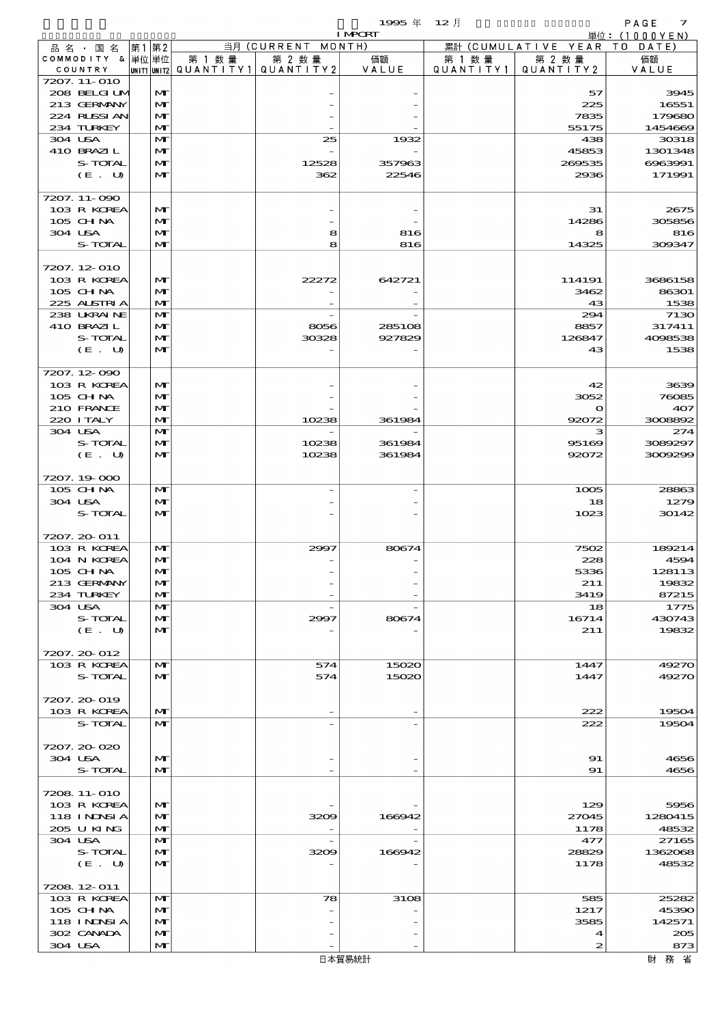$1995 \& 12 \rightarrow$ 

|         |                                 |      |                              |        |                                       | <b>I MPORT</b>   |           |                              | 単位: (1000YEN)    |
|---------|---------------------------------|------|------------------------------|--------|---------------------------------------|------------------|-----------|------------------------------|------------------|
|         | 品名・国名                           | 第1第2 |                              |        | 当月 (CURRENT MONTH)                    |                  |           | 累計 (CUMULATIVE YEAR TO DATE) |                  |
|         | COMMODITY & 単位単位                |      |                              | 第 1 数量 | 第 2 数量                                | 価額               | 第 1 数 量   | 第 2 数量                       | 価額               |
|         | COUNTRY                         |      |                              |        | UNIT1 UNIT2  QUANT I TY1  QUANT I TY2 | VALUE            | QUANTITY1 | QUANTITY 2                   | VALUE            |
|         | 7207. 11-010<br>208 BELGI UM    |      | $\mathbf{M}$                 |        |                                       |                  |           | 57                           | 3945             |
|         | 213 GERMANY                     |      | $\mathbf{M}$                 |        |                                       |                  |           | 225                          | 16551            |
|         | 224 RLSSIAN                     |      | $\mathbf{M}$                 |        |                                       |                  |           | 7835                         | 179680           |
|         | 234 TURKEY                      |      | $\mathbf{M}$                 |        |                                       |                  |           | 55175                        | 1454669          |
| 304 USA |                                 |      | $\mathbf{M}$                 |        | 25                                    | 1932             |           | 438                          | 30318            |
|         | 410 BRAZIL                      |      | M                            |        |                                       |                  |           | 45853                        | 1301348          |
|         | S-TOTAL                         |      | $\mathbf{M}$                 |        | 12528                                 | 357963           |           | 269535                       | 6963991          |
|         | (E. U)                          |      | $\mathbf{M}$                 |        | 362                                   | 22546            |           | 2936                         | 171991           |
|         |                                 |      |                              |        |                                       |                  |           |                              |                  |
|         | 7207. 11-090<br>103 R KOREA     |      | $\mathbf{M}$                 |        |                                       |                  |           | 31                           | 2675             |
|         | 105 CHNA                        |      | M                            |        |                                       |                  |           | 14286                        | 305856           |
| 304 USA |                                 |      | M                            |        | 8                                     | 816              |           | 8                            | 816              |
|         | S-TOTAL                         |      | $\mathbf{M}$                 |        | 8                                     | 816              |           | 14325                        | 309347           |
|         |                                 |      |                              |        |                                       |                  |           |                              |                  |
|         | 7207. 12-010                    |      |                              |        |                                       |                  |           |                              |                  |
|         | 103 R KOREA                     |      | $\mathbf{M}$                 |        | 22272                                 | 642721           |           | 114191                       | 3686158          |
|         | 105 CHNA                        |      | M                            |        |                                       |                  |           | 3462                         | 86301            |
|         | 225 ALSTRIA                     |      | $\mathbf{M}$                 |        |                                       |                  |           | 43                           | 1538             |
|         | 238 UKRAINE<br>410 BRAZIL       |      | $\mathbf{M}$<br>M            |        |                                       |                  |           | 294                          | 7130<br>317411   |
|         | S-TOTAL                         |      | $\mathbf{M}$                 |        | 8056<br>30328                         | 285108<br>927829 |           | 8857<br>126847               | 4098538          |
|         | (E. U)                          |      | $\mathbf{M}$                 |        |                                       |                  |           | 43                           | 1538             |
|         |                                 |      |                              |        |                                       |                  |           |                              |                  |
|         | 7207.12-090                     |      |                              |        |                                       |                  |           |                              |                  |
|         | 103 R KOREA                     |      | $\mathbf{M}$                 |        |                                       |                  |           | 42                           | 3639             |
|         | 105 CHNA                        |      | M                            |        |                                       |                  |           | 3052                         | 76085            |
|         | 210 FRANCE                      |      | $\mathbf{M}$                 |        |                                       |                  |           | $\mathbf o$                  | 407              |
|         | 220 I TALY                      |      | $\mathbf{M}$                 |        | 10238                                 | 361984           |           | 92072                        | 3008892          |
| 304 USA |                                 |      | M                            |        |                                       |                  |           | з                            | 274              |
|         | S-TOTAL                         |      | $\mathbf{M}$<br>$\mathbf{M}$ |        | 10238                                 | 361984<br>361984 |           | 95169                        | 3089297          |
|         | (E. U)                          |      |                              |        | 10238                                 |                  |           | 92072                        | 3009299          |
|         | 7207.19-000                     |      |                              |        |                                       |                  |           |                              |                  |
|         | 105 CHNA                        |      | $\mathbf{M}$                 |        |                                       |                  |           | 1005                         | 28863            |
| 304 USA |                                 |      | $\mathbf{M}$                 |        |                                       |                  |           | 18                           | 1279             |
|         | S-TOTAL                         |      | $\mathbf{M}$                 |        |                                       |                  |           | 1023                         | 30142            |
|         |                                 |      |                              |        |                                       |                  |           |                              |                  |
|         | 7207. 20-011                    |      |                              |        |                                       |                  |           |                              |                  |
|         | 103 R KOREA                     |      | $\mathbf{M}$                 |        | 2997                                  | 80674            |           | 7502                         | 189214           |
|         | 104 N KOREA                     |      | $\mathbf{M}$                 |        |                                       |                  |           | 228                          | 4594             |
|         | 105 CHNA<br>213 GERMANY         |      | M<br>M                       |        |                                       |                  |           | 5336<br>211                  | 128113<br>19832  |
|         | 234 TURKEY                      |      | $\mathbf{M}$                 |        |                                       |                  |           | 3419                         | 87215            |
| 304 USA |                                 |      | M                            |        |                                       |                  |           | 18                           | 1775             |
|         | S-TOTAL                         |      | $\mathbf{M}$                 |        | 2997                                  | 80674            |           | 16714                        | 430743           |
|         | (E. U)                          |      | $\mathbf{M}$                 |        |                                       |                  |           | 211                          | 19832            |
|         |                                 |      |                              |        |                                       |                  |           |                              |                  |
|         | 7207. 20-012                    |      |                              |        |                                       |                  |           |                              |                  |
|         | 103 R KOREA                     |      | $\mathbf{M}$                 |        | 574                                   | 15020            |           | 1447                         | 49270            |
|         | S-TOTAL                         |      | $\mathbf{M}$                 |        | 574                                   | 15020            |           | 1447                         | 49270            |
|         | 7207. 20-019                    |      |                              |        |                                       |                  |           |                              |                  |
|         | 103 R KOREA                     |      | $\mathbf{M}$                 |        |                                       |                  |           | 222                          | 19504            |
|         | S-TOTAL                         |      | $\mathbf{M}$                 |        |                                       |                  |           | 222                          | 19504            |
|         |                                 |      |                              |        |                                       |                  |           |                              |                  |
|         | 7207.20-020                     |      |                              |        |                                       |                  |           |                              |                  |
| 304 USA |                                 |      | M                            |        |                                       |                  |           | 91                           | 4656             |
|         | S-TOTAL                         |      | $\mathbf{M}$                 |        |                                       |                  |           | 91                           | 4656             |
|         |                                 |      |                              |        |                                       |                  |           |                              |                  |
|         | 7208 11-010                     |      |                              |        |                                       |                  |           |                              |                  |
|         | 103 R KOREA                     |      | M                            |        |                                       |                  |           | 129                          | 5956             |
|         | <b>118 INNSIA</b><br>205 U KING |      | M<br>$\mathbf{M}$            |        | 3209                                  | 166942           |           | 27045<br>1178                | 1280415<br>48532 |
| 304 USA |                                 |      | M                            |        | $\overline{\phantom{a}}$              |                  |           | 477                          | 27165            |
|         | S-TOTAL                         |      | M                            |        | 3209                                  | 166942           |           | 28829                        | 1362068          |
|         | (E. U)                          |      | M                            |        |                                       |                  |           | 1178                         | 48532            |
|         |                                 |      |                              |        |                                       |                  |           |                              |                  |
|         | 7208 12 011                     |      |                              |        |                                       |                  |           |                              |                  |
|         | 103 R KOREA                     |      | M                            |        | 78                                    | 3108             |           | 585                          | 25282            |
|         | 105 CHNA                        |      | $\mathbf{M}$                 |        |                                       |                  |           | 1217                         | 45390            |
|         | <b>118 INNSIA</b>               |      | $\mathbf{M}$                 |        |                                       |                  |           | 3585                         | 142571           |
|         | 302 CANADA                      |      | $\mathbf{M}$                 |        |                                       |                  |           | $\blacktriangleleft$         | 205              |

304 USA  $\left|\begin{array}{ccc} \sqrt{2} & \sqrt{2} & \sqrt{2} \\ \sqrt{2} & \sqrt{2} & \sqrt{2} \end{array}\right|$  2 873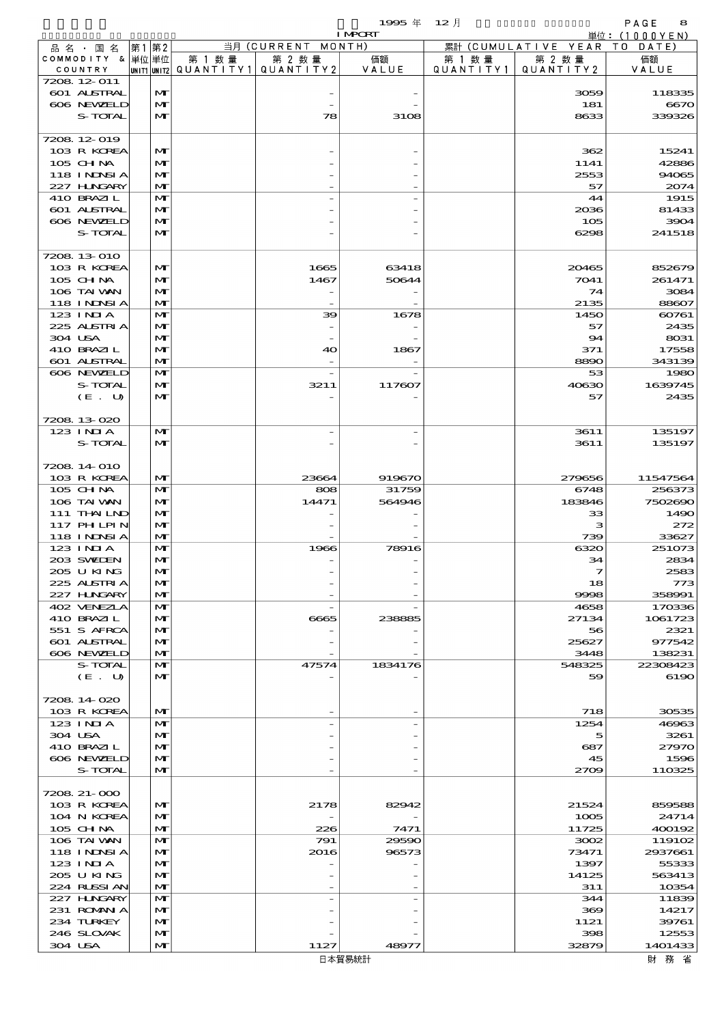$1995 \nleftrightarrow 12 \nparallel$  PAGE 8

|                                  |                              |        |                                          | <b>I MPORT</b> |           |                              | 単位: (1000YEN)     |
|----------------------------------|------------------------------|--------|------------------------------------------|----------------|-----------|------------------------------|-------------------|
| 品名・国名                            | 第1第2                         |        | 当月 (CURRENT MONTH)                       |                |           | 累計 (CUMULATIVE YEAR TO DATE) |                   |
| COMMODITY & 単位単位                 |                              | 第 1 数量 | 第 2 数量                                   | 価額             | 第 1 数量    | 第 2 数量                       | 価額                |
| COUNTRY                          |                              |        | UNIT1  UNIT2   QUANT I TY1   QUANT I TY2 | VALUE          | QUANTITY1 | QUANTITY 2                   | VALUE             |
| 7208 12-011<br>601 ALSTRAL       | $\mathbf{M}$                 |        |                                          |                |           | 3059                         | 118335            |
| 606 NEWELD                       | $\mathbf{M}$                 |        |                                          |                |           | 181                          | 6670              |
| S-TOTAL                          | $\mathbf{M}$                 |        | 78                                       | 3108           |           | 8633                         | 339326            |
|                                  |                              |        |                                          |                |           |                              |                   |
| 7208 12 019                      |                              |        |                                          |                |           |                              |                   |
| 103 R KOREA                      | $\mathbf{M}$                 |        |                                          |                |           | 362                          | 15241             |
| 105 CHNA                         | M                            |        |                                          |                |           | 1141                         | 42886             |
| 118 INNSI A                      | M<br>$\mathbf{M}$            |        |                                          |                |           | 2553                         | 94065             |
| 227 H.NGARY<br>410 BRAZIL        | $\mathbf{M}$                 |        |                                          |                |           | 57<br>44                     | 2074<br>1915      |
| 601 ALSTRAL                      | M                            |        |                                          |                |           | 2036                         | 81433             |
| 606 NEWELD                       | $\mathbf{M}$                 |        |                                          |                |           | 105                          | 3904              |
| S-TOTAL                          | $\mathbf{M}$                 |        |                                          |                |           | 6298                         | 241518            |
|                                  |                              |        |                                          |                |           |                              |                   |
| 7208 13 010                      |                              |        |                                          |                |           |                              |                   |
| 103 R KOREA                      | $\mathbf{M}$                 |        | 1665                                     | 63418          |           | 20465                        | 852679            |
| 105 CHNA                         | M                            |        | 1467                                     | 50644          |           | 7041                         | 261471            |
| 106 TAI VAN<br><b>118 INNSIA</b> | M<br>$\mathbf{M}$            |        |                                          |                |           | 74<br>2135                   | 3084<br>88607     |
| 123 INIA                         | $\mathbf{M}$                 |        | 39                                       | 1678           |           | 1450                         | 60761             |
| 225 ALSTRIA                      | M                            |        |                                          |                |           | 57                           | 2435              |
| 304 USA                          | $\mathbf{M}$                 |        |                                          |                |           | 94                           | 8031              |
| 410 BRAZIL                       | M                            |        | 40                                       | 1867           |           | 371                          | 17558             |
| 601 ALSTRAL                      | $\mathbf{M}$                 |        |                                          |                |           | 8890                         | 343139            |
| 606 NEWELD                       | $\mathbf{M}$                 |        |                                          |                |           | 53                           | 1980              |
| S-TOTAL                          | M                            |        | 3211                                     | 117607         |           | 40630                        | 1639745           |
| (E. U)                           | $\mathbf{M}$                 |        |                                          |                |           | 57                           | 2435              |
| 7208 13 020                      |                              |        |                                          |                |           |                              |                   |
| 123 INIA                         | $\mathbf{M}$                 |        |                                          |                |           | 3611                         | 135197            |
| S-TOTAL                          | $\mathbf{M}$                 |        |                                          |                |           | 3611                         | 135197            |
|                                  |                              |        |                                          |                |           |                              |                   |
| 7208 14 010                      |                              |        |                                          |                |           |                              |                   |
| 103 R KOREA                      | $\mathbf{M}$                 |        | 23664                                    | 919670         |           | 279656                       | 11547564          |
| 105 CHNA                         | $\mathbf{M}$                 |        | 808                                      | 31759          |           | 6748                         | 256373            |
| 106 TAI VAN                      | $\mathbf{M}$                 |        | 14471                                    | 564946         |           | 183846                       | 7502690           |
| 111 THAILND<br>117 PH LPIN       | $\mathbf{M}$<br>$\mathbf{M}$ |        |                                          |                |           | 33<br>з                      | 1490<br>272       |
| <b>118 INNSIA</b>                | $\mathbf{M}$                 |        |                                          |                |           | 739                          | 33627             |
| 123 INIA                         | $\mathbf{M}$                 |        | 1966                                     | 78916          |           | 6320                         | 251073            |
| 203 SWIEN                        | $\mathbf{M}$                 |        |                                          |                |           | 34                           | 2834              |
| 205 U KING                       | $\mathbf{M}$                 |        |                                          |                |           | $\mathcal{I}$                | 2583              |
| 225 ALSTRIA                      | M                            |        |                                          |                |           | 18                           | 773               |
| 227 HNGARY                       | M                            |        |                                          |                |           | 9998                         | 358991            |
| 402 VENEZIA                      | M                            |        |                                          |                |           | 4658                         | 170336            |
| 410 BRAZIL<br>551 S AFRCA        | $\mathbf{M}$<br>M            |        | 6665                                     | 238885         |           | 27134<br>56                  | 1061723<br>2321   |
| 601 ALSTRAL                      | M                            |        |                                          |                |           | 25627                        | 977542            |
| 606 NEWELD                       | $\mathbf{M}$                 |        |                                          |                |           | 3448                         | 138231            |
| S-TOTAL                          | M                            |        | 47574                                    | 1834176        |           | 548325                       | 22308423          |
| (E. U)                           | M                            |        |                                          |                |           | 59                           | 6190              |
|                                  |                              |        |                                          |                |           |                              |                   |
| 7208 14 020                      |                              |        |                                          |                |           |                              |                   |
| 103 R KOREA                      | M                            |        |                                          |                |           | 718                          | 30535             |
| $123$ INIA<br>304 USA            | M<br>$\mathbf{M}$            |        |                                          |                |           | 1254                         | 46963<br>3261     |
| 410 BRAZIL                       | M                            |        |                                          |                |           | 5<br>687                     | 27970             |
| 606 NEWELD                       | M                            |        |                                          |                |           | 45                           | 1596              |
| S-TOTAL                          | $\mathbf{M}$                 |        |                                          |                |           | 2709                         | 110325            |
|                                  |                              |        |                                          |                |           |                              |                   |
| 7208 21-000                      |                              |        |                                          |                |           |                              |                   |
| 103 R KOREA                      | M                            |        | 2178                                     | 82942          |           | 21524                        | 859588            |
| 104 N KOREA                      | $\mathbf{M}$                 |        |                                          |                |           | 1005                         | 24714             |
| 105 CH NA                        | M                            |        | 226                                      | 7471           |           | 11725                        | 400192            |
| 106 TAI VAN<br>118 I NINSI A     | M<br>$\mathbf{M}$            |        | 791<br>2016                              | 29590<br>96573 |           | 3002<br>73471                | 119102<br>2937661 |
| 123 INIA                         | M                            |        |                                          |                |           | 1397                         | 55333             |
| 2005 U KING                      | M                            |        |                                          |                |           | 14125                        | 563413            |
| 224 RLSSI AN                     | M                            |        |                                          |                |           | 311                          | 10354             |
| 227 HNGARY                       | M                            |        |                                          |                |           | 344                          | 11839             |
| 231 ROMANIA                      | $\mathbf{M}$                 |        |                                          |                |           | 369                          | 14217             |
| 234 TURKEY                       | M                            |        |                                          |                |           | 1121                         | 39761             |
| 246 SLOVAK                       | M                            |        |                                          |                |           | 398                          | 12553             |
| 304 USA                          | M                            |        | 1127                                     | 48977          |           | 32879                        | 1401433           |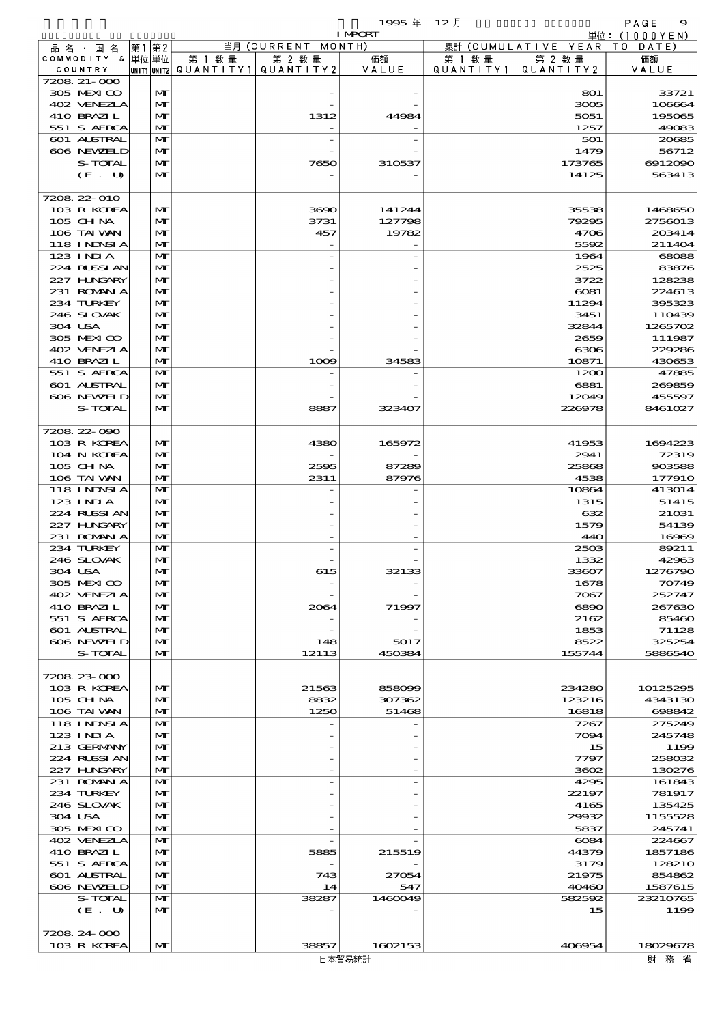$1995 \nsubseteq 12 \nexists$ 

|                           |                   |                                       |                    | <b>I MPCRT</b> |           |                              | 単位: (1000YEN)     |
|---------------------------|-------------------|---------------------------------------|--------------------|----------------|-----------|------------------------------|-------------------|
| 品名・国名                     | 第1第2              |                                       | 当月 (CURRENT MONTH) |                |           | 累計 (CUMULATIVE YEAR TO DATE) |                   |
| COMMODITY & 単位単位          |                   | 第 1 数量                                | 第 2 数量             | 価額             | 第 1 数 量   | 第 2 数量                       | 価額                |
| COUNTRY                   |                   | UNIT1 UNIT2  QUANT   TY1  QUANT   TY2 |                    | VALUE          | QUANTITY1 | QUANTITY 2                   | VALUE             |
| 7208 21-000               |                   |                                       |                    |                |           |                              |                   |
| 305 MEXICO                | M                 |                                       |                    |                |           | 801                          | 33721             |
| 402 VENEZLA               | M                 |                                       |                    |                |           | 3005                         | 106664            |
| 410 BRAZIL<br>551 S AFRCA | M                 |                                       | 1312               | 44984          |           | 5051<br>1257                 | 195065<br>49083   |
| 601 ALSTRAL               | M<br>$\mathbf{M}$ |                                       |                    |                |           | 501                          | 20685             |
| 606 NEWELD                | M                 |                                       |                    |                |           | 1479                         | 56712             |
| S-TOTAL                   | M                 |                                       | 7650               | 310537         |           | 173765                       | 6912090           |
| (E. U)                    | $\mathbf{M}$      |                                       |                    |                |           | 14125                        | 563413            |
|                           |                   |                                       |                    |                |           |                              |                   |
| 7208 22 010               |                   |                                       |                    |                |           |                              |                   |
| 103 R KOREA               | M                 |                                       | 3690               | 141244         |           | 35538                        | 1468650           |
| 105 CHNA                  | M                 |                                       | 3731               | 127798         |           | 79295                        | 2756013           |
| 106 TAI WAN               | M                 |                                       | 457                | 19782          |           | 4706                         | 203414            |
| <b>118 INNSIA</b>         | M                 |                                       |                    |                |           | 5592                         | 211404            |
| 123 INIA                  | $\mathbf{M}$      |                                       |                    |                |           | 1964                         | 68088             |
| 224 RUSSI AN              | M                 |                                       |                    |                |           | 2525                         | 83876             |
| 227 H.NGARY               | M                 |                                       |                    |                |           | 3722                         | 128238            |
| 231 ROMANIA<br>234 TURKEY | M<br>M            |                                       |                    |                |           | $\cos 1$<br>11294            | 224613<br>395323  |
| 246 SLOVAK                | $\mathbf{M}$      |                                       |                    |                |           | 3451                         | 110439            |
| 304 USA                   | M                 |                                       |                    |                |           | 32844                        | 1265702           |
| 305 MEXICO                | M                 |                                       |                    |                |           | 2659                         | 111987            |
| 402 VENEZIA               | M                 |                                       |                    |                |           | 6306                         | 229286            |
| 410 BRAZIL                | M                 |                                       | 1009               | 34583          |           | 10871                        | 430653            |
| 551 S AFRCA               | $\mathbf{M}$      |                                       |                    |                |           | 1200                         | 47885             |
| 601 ALSTRAL               | M                 |                                       |                    |                |           | 6881                         | 269859            |
| 606 NEWELD                | M                 |                                       |                    |                |           | 12049                        | 455597            |
| S-TOTAL                   | M                 |                                       | 8887               | 323407         |           | 226978                       | 8461027           |
|                           |                   |                                       |                    |                |           |                              |                   |
| 720822-090                |                   |                                       |                    |                |           |                              |                   |
| 103 R KOREA               | M                 |                                       | 4380               | 165972         |           | 41953                        | 1694223           |
| 104 N KOREA               | M                 |                                       |                    |                |           | 2941                         | 72319             |
| 105 CH NA<br>106 TAI WAN  | M<br>M            |                                       | 2595<br>2311       | 87289<br>87976 |           | 25868<br>4538                | 903588<br>177910  |
| <b>118 INNSIA</b>         | $\mathbf{M}$      |                                       |                    |                |           | 10864                        | 413014            |
| $123$ INIA                | M                 |                                       |                    |                |           | 1315                         | 51415             |
| 224 RUSSI AN              | M                 |                                       |                    |                |           | 632                          | 21031             |
| 227 H.NGARY               | M                 |                                       |                    |                |           | 1579                         | 54139             |
| 231 ROMANIA               | M                 |                                       |                    |                |           | 440                          | 16969             |
| 234 TURKEY                | $\mathbf{M}$      |                                       |                    |                |           | 2503                         | 89211             |
| 246 SLOVAK                | M                 |                                       |                    |                |           | 1332                         | 42963             |
| 304 USA                   | $\mathbf{M}$      |                                       | 615                | 32133          |           | 33607                        | 1276790           |
| 305 MEXICO                | M                 |                                       |                    |                |           | 1678                         | 70749             |
| 402 VENEZIA               | M                 |                                       |                    |                |           | 7067                         | 252747            |
| 410 BRAZIL                | M                 |                                       | 2064               | 71997          |           | 6890                         | 267630            |
| 551 S AFRCA               | M                 |                                       |                    |                |           | 2162                         | 85460             |
| 601 ALSTRAL               | M                 |                                       |                    |                |           | 1853                         | 71128             |
| 606 NEWELD<br>S-TOTAL     | M<br>M            |                                       | 148<br>12113       | 5017<br>450384 |           | 8522<br>155744               | 325254<br>5886540 |
|                           |                   |                                       |                    |                |           |                              |                   |
| 7208 23 000               |                   |                                       |                    |                |           |                              |                   |
| 103 R KOREA               | M                 |                                       | 21563              | 858099         |           | 234280                       | 10125295          |
| 105 CH NA                 | M                 |                                       | 8832               | 307362         |           | 123216                       | 4343130           |
| 106 TAI VAN               | M                 |                                       | 1250               | 51468          |           | 16818                        | 698842            |
| <b>118 INNSIA</b>         | M                 |                                       |                    |                |           | 7267                         | 275249            |
| 123 INIA                  | M                 |                                       |                    |                |           | 7094                         | 245748            |
| 213 GERMANY               | M                 |                                       |                    |                |           | 15                           | 1199              |
| 224 RUSSI AN              | M                 |                                       |                    |                |           | 7797                         | 258032            |
| 227 HNGARY                | M                 |                                       |                    |                |           | 3602                         | 130276            |
| 231 ROMANIA               | M                 |                                       |                    |                |           | 4295                         | 161843            |
| 234 TURKEY                | M                 |                                       |                    |                |           | 22197                        | 781917            |
| 246 SLOVAK<br>304 USA     | M<br>M            |                                       |                    |                |           | 4165<br>29932                | 135425<br>1155528 |
| 305 MEXICO                | M                 |                                       |                    |                |           | 5837                         | 245741            |
| 402 VENEZIA               | M                 |                                       |                    |                |           | $\cos\!4$                    | 224667            |
| 410 BRAZIL                | M                 |                                       | 5885               | 215519         |           | 44379                        | 1857186           |
| 551 S AFRCA               | M                 |                                       |                    |                |           | 3179                         | 128210            |
| 601 ALSTRAL               | M                 |                                       | 743                | 27054          |           | 21975                        | 854862            |
| 606 NEWELD                | M                 |                                       | 14                 | 547            |           | 40460                        | 1587615           |
| S-TOTAL                   | M                 |                                       | 38287              | 1460049        |           | 582592                       | 23210765          |
| (E. U)                    | $\mathbf{M}$      |                                       |                    |                |           | 15                           | 1199              |
|                           |                   |                                       |                    |                |           |                              |                   |

 $103 \text{ R KOREA}$   $|\text{M}|$   $|$   $38857$   $1602153$   $|$   $406954$   $18029678$ 

7208.24-000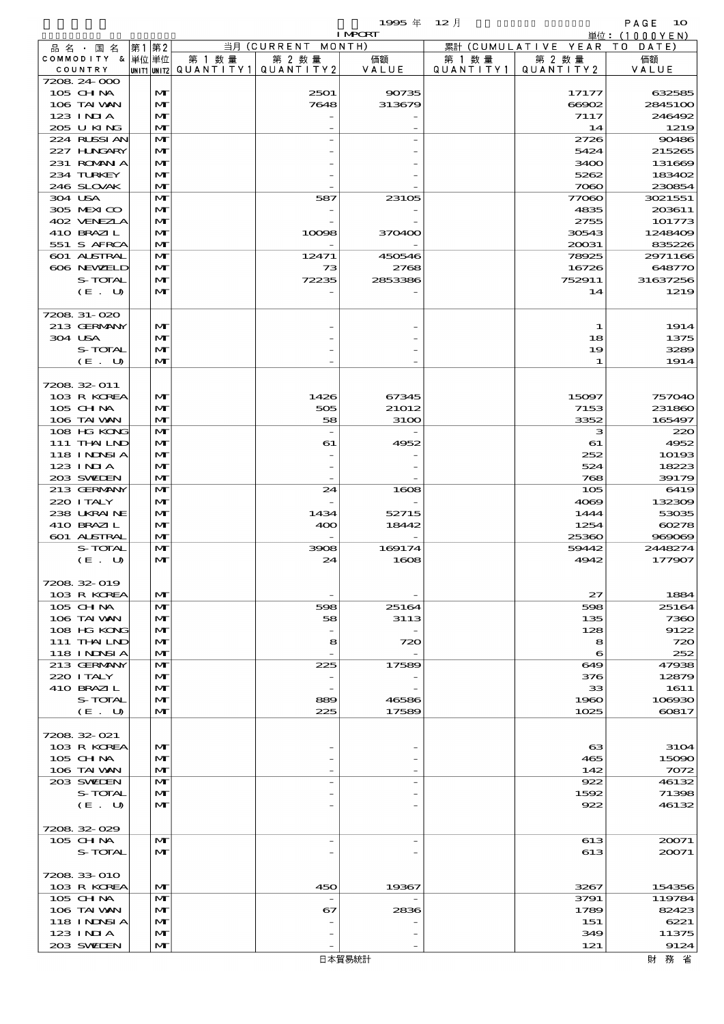$1995 \nsubseteq 12 \nexists$ 

|                            |      |                              |                                       |                          | <b>I MPORT</b> |        |                              | 単位: (1000YEN)    |
|----------------------------|------|------------------------------|---------------------------------------|--------------------------|----------------|--------|------------------------------|------------------|
| 品名・国名                      | 第1第2 |                              |                                       | 当月 (CURRENT MONTH)       |                |        | 累計 (CUMULATIVE YEAR TO DATE) |                  |
| COMMODITY & 単位単位           |      |                              | 第 1 数量                                | 第 2 数量                   | 価額             | 第 1 数量 | 第 2 数量                       | 価額               |
| COUNTRY                    |      |                              | UNIT1 UNIT2  QUANT   TY1  QUANT   TY2 |                          | VALUE          |        | QUANTITY1   QUANTITY2        | VALUE            |
| 7208 24 000                |      |                              |                                       |                          |                |        |                              |                  |
| 105 CH NA                  |      | M                            |                                       | 2501                     | 90735          |        | 17177                        | 632585           |
| 106 TAI VAN                |      | M                            |                                       | 7648                     | 313679         |        | 66902                        | 2845100          |
| $123$ INIA                 |      | $\mathbf{M}$                 |                                       |                          |                |        | 7117                         | 246492           |
| 205 U KING                 |      | $\mathbf{M}$                 |                                       |                          |                |        | 14                           | 1219             |
| 224 RUSSIAN                |      | $\mathbf{M}$                 |                                       |                          |                |        | 2726                         | 90486            |
| 227 HNGARY                 |      | M                            |                                       |                          |                |        | 5424                         | 215265           |
| 231 ROMAN A<br>234 TURKEY  |      | M                            |                                       |                          |                |        | 3400                         | 131669           |
| 246 SLOVAK                 |      | $\mathbf{M}$<br>$\mathbf{M}$ |                                       |                          |                |        | 5262<br>7080                 | 183402<br>230854 |
| 304 USA                    |      | $\mathbf{M}$                 |                                       | 587                      | 23105          |        | 77060                        | 3021551          |
| 305 MEXICO                 |      | M                            |                                       |                          |                |        | 4835                         | 203611           |
| 402 VENEZLA                |      | M                            |                                       |                          |                |        | 2755                         | 101773           |
| 410 BRAZIL                 |      | $\mathbf{M}$                 |                                       | 10098                    | 370400         |        | 30543                        | 1248409          |
| 551 S AFRCA                |      | $\mathbf{M}$                 |                                       |                          |                |        | 20031                        | 835226           |
| 601 ALSTRAL                |      | $\mathbf{M}$                 |                                       | 12471                    | 450546         |        | 78925                        | 2971166          |
| 606 NEWELD                 |      | M                            |                                       | 73                       | 2768           |        | 16726                        | 648770           |
| S-TOTAL                    |      | M                            |                                       | 72235                    | 2853386        |        | 752911                       | 31637256         |
| (E. U)                     |      | $\mathbf{M}$                 |                                       |                          |                |        | 14                           | 1219             |
|                            |      |                              |                                       |                          |                |        |                              |                  |
| 7208 31-020                |      |                              |                                       |                          |                |        |                              |                  |
| 213 GERMANY                |      | M                            |                                       |                          |                |        | 1                            | 1914             |
| 304 USA                    |      | M                            |                                       |                          |                |        | 18                           | 1375             |
| S-TOTAL                    |      | $\mathbf{M}$                 |                                       |                          |                |        | 19                           | 3289             |
| (E. U)                     |      | $\mathbf{M}$                 |                                       |                          |                |        | 1                            | 1914             |
|                            |      |                              |                                       |                          |                |        |                              |                  |
| 7208 32 011                |      |                              |                                       |                          |                |        |                              |                  |
| 103 R KOREA                |      | $\mathbf{M}$                 |                                       | 1426                     | 67345          |        | 15097                        | 757040           |
| $105$ CHNA                 |      | M                            |                                       | 505                      | 21012          |        | 7153                         | 231860           |
| 106 TAI VAN                |      | $\mathbf{M}$                 |                                       | 58                       | 3100           |        | 3352                         | 165497           |
| 108 HG KONG                |      | $\mathbf{M}$                 |                                       |                          |                |        | з                            | 220              |
| 111 THAILND                |      | M                            |                                       | 61                       | 4952           |        | 61                           | 4952             |
| 118 INNSI A                |      | M                            |                                       |                          |                |        | 252                          | 10193            |
| $123$ INIA                 |      | $\mathbf{M}$                 |                                       |                          |                |        | 524                          | 18223            |
| 203 SWIDEN                 |      | $\mathbf{M}$                 |                                       |                          |                |        | 768                          | 39179            |
| 213 GERMANY                |      | $\mathbf{M}$                 |                                       | 24                       | 1608           |        | 105                          | 6419             |
| 220 I TALY                 |      | M                            |                                       |                          |                |        | 4069                         | 132309           |
| 238 UKRAINE                |      | M                            |                                       | 1434                     | 52715          |        | 1444                         | 53035            |
| 410 BRAZIL                 |      | $\mathbf{M}$                 |                                       | 400                      | 18442          |        | 1254                         | 60278            |
| <b>601 ALSTRAL</b>         |      | $\mathbf{M}$                 |                                       |                          |                |        | 25360                        | 969069           |
| S-TOTAL                    |      | M                            |                                       | 3908                     | 169174         |        | 59442                        | 2448274          |
| (E. U)                     |      | M                            |                                       | 24                       | 1608           |        | 4942                         | 177907           |
|                            |      |                              |                                       |                          |                |        |                              |                  |
| 7208 32 019                |      |                              |                                       |                          |                |        |                              |                  |
| 103 R KOREA                |      | M<br>$\mathbf{M}$            |                                       |                          |                |        | 27                           | 1884             |
| 105 CH NA                  |      |                              |                                       | 598<br>58                | 25164          |        | 598                          | 25164            |
| 106 TAI WAN<br>108 HG KONG |      | M<br>M                       |                                       |                          | 3113           |        | 135<br>128                   | 7360<br>9122     |
| 111 THAILND                |      | $\mathbf{M}$                 |                                       | 8                        | 720            |        | 8                            | 720              |
| 118 INNSI A                |      | $\mathbf{M}$                 |                                       |                          |                |        | 6                            | 252              |
| 213 GERMANY                |      | M                            |                                       | 225                      | 17589          |        | 649                          | 47938            |
| 220 I TALY                 |      | M                            |                                       |                          |                |        | 376                          | 12879            |
| 410 BRAZIL                 |      | M                            |                                       |                          |                |        | 33                           | 1611             |
| S-TOTAL                    |      | M                            |                                       | 889                      | 46586          |        | 1960                         | 106930           |
| (E. U)                     |      | M                            |                                       | 225                      | 17589          |        | 1025                         | 60817            |
|                            |      |                              |                                       |                          |                |        |                              |                  |
| 7208 32 021                |      |                              |                                       |                          |                |        |                              |                  |
| 103 R KOREA                |      | M                            |                                       |                          |                |        | $_{\rm \alpha}$              | 3104             |
| $105$ CHNA                 |      | M                            |                                       |                          |                |        | 465                          | 15090            |
| 106 TAI VAN                |      | M                            |                                       |                          |                |        | 142                          | 7072             |
| 203 SWIDEN                 |      | M                            |                                       |                          |                |        | 922                          | 46132            |
| S-TOTAL                    |      | M                            |                                       |                          |                |        | 1592                         | 71398            |
| (E. U)                     |      | $\mathbf{M}$                 |                                       |                          |                |        | 922                          | 46132            |
|                            |      |                              |                                       |                          |                |        |                              |                  |
| 7208 32 029                |      |                              |                                       |                          |                |        |                              |                  |
| 105 CHNA                   |      | M                            |                                       | $\overline{\phantom{a}}$ |                |        | 613                          | 20071            |
| S-TOTAL                    |      | $\mathbf{M}$                 |                                       |                          |                |        | 613                          | 20071            |
|                            |      |                              |                                       |                          |                |        |                              |                  |
| 7208 33 010                |      |                              |                                       |                          |                |        |                              |                  |
| 103 R KOREA                |      | M                            |                                       | 450                      | 19367          |        | 3267                         | 154356           |
| 105 CH NA                  |      | M                            |                                       |                          |                |        | 3791                         | 119784           |
| 106 TAI VAN                |      | M                            |                                       | 67                       | 2836           |        | 1789                         | 82423            |
| 118 I NINSI A              |      | M                            |                                       |                          |                |        | 151                          | 6221             |
| $123$ INIA                 |      | M                            |                                       |                          |                |        | 349                          | 11375            |
| 203 SVELEN                 |      | M                            |                                       |                          |                |        | 121                          | 9124             |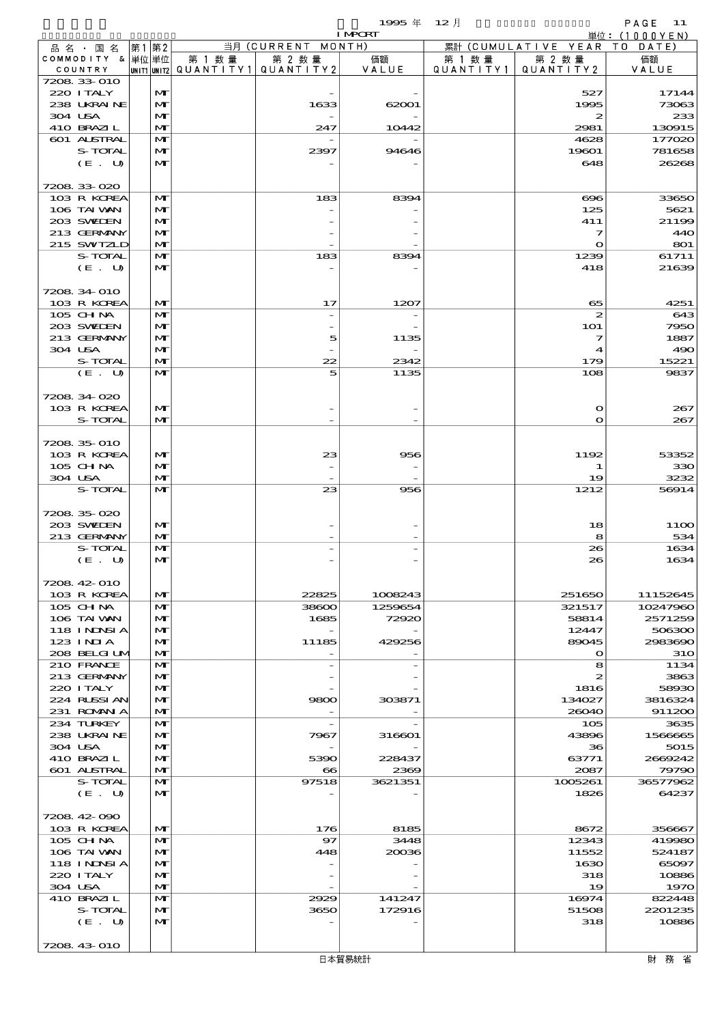$1995 \text{ } \# \text{ } 12 \text{ } \frac{1}{2}$  PAGE 11

|         |                            |                              |        |                                          | <b>I MPORT</b>   |           |                              | 単位: (1000YEN)     |
|---------|----------------------------|------------------------------|--------|------------------------------------------|------------------|-----------|------------------------------|-------------------|
|         | 品名・国名                      | 第1 第2                        |        | 当月 (CURRENT MONTH)                       |                  |           | 累計 (CUMULATIVE YEAR TO DATE) |                   |
|         | COMMODITY & 単位単位           |                              | 第 1 数量 | 第 2 数量                                   | 価額               | 第 1 数量    | 第 2 数量                       | 価額                |
|         | COUNTRY<br>7208 33 010     |                              |        | UNIT1  UNIT2   QUANT I TY1   QUANT I TY2 | VALUE            | QUANTITY1 | QUANTITY 2                   | VALUE             |
|         | 220 I TALY                 | $\mathbf{M}$                 |        |                                          |                  |           | 527                          | 17144             |
|         | 238 UKRAINE                | $\mathbf{M}$                 |        | 1633                                     | 62001            |           | 1995                         | 73063             |
| 304 USA |                            | $\mathbf{M}$                 |        |                                          |                  |           | 2                            | 233               |
|         | 410 BRAZIL                 | $\mathbf{M}$                 |        | 247                                      | 10442            |           | 2981                         | 130915            |
|         | 601 ALSTRAL                | $\mathbf{M}$                 |        |                                          |                  |           | 4628                         | 177020            |
|         | S-TOTAL                    | $\mathbf{M}$                 |        | 2397                                     | 94646            |           | 19601                        | 781658            |
|         | (E. U)                     | $\mathbf{M}$                 |        |                                          |                  |           | 648                          | 26268             |
|         |                            |                              |        |                                          |                  |           |                              |                   |
|         | 7208 33 020<br>103 R KOREA | $\mathbf{M}$                 |        | 183                                      | 8394             |           | $\infty$                     | 33650             |
|         | 106 TAI VAN                | $\mathbf{M}$                 |        |                                          |                  |           | 125                          | 5621              |
|         | 203 SWIEN                  | $\mathbf{M}$                 |        |                                          |                  |           | 411                          | 21199             |
|         | 213 GERMANY                | $\mathbf{M}$                 |        |                                          |                  |           | 7                            | 440               |
|         | 215 SWIZLD                 | $\mathbf{M}$                 |        |                                          |                  |           | $\bullet$                    | 801               |
|         | S-TOTAL                    | $\mathbf{M}$                 |        | 183                                      | 8394             |           | 1239                         | 61711             |
|         | (E. U)                     | $\mathbf{M}$                 |        |                                          |                  |           | 418                          | 21639             |
|         |                            |                              |        |                                          |                  |           |                              |                   |
|         | 7208 34 010                |                              |        |                                          |                  |           |                              |                   |
|         | 103 R KOREA<br>105 CH NA   | M<br>$\mathbf{M}$            |        | 17                                       | 1207             |           | 65<br>$\boldsymbol{z}$       | 4251<br>643       |
|         | 203 SWIEN                  | $\mathbf{M}$                 |        |                                          |                  |           | 101                          | 7950              |
|         | 213 GERMANY                | $\mathbf{M}$                 |        | 5                                        | 1135             |           | $\overline{\mathbf{z}}$      | 1887              |
|         | 304 USA                    | $\mathbf{M}$                 |        |                                          |                  |           | 4                            | 490               |
|         | S-TOTAL                    | $\mathbf{M}$                 |        | 22                                       | 2342             |           | 179                          | 15221             |
|         | (E. U)                     | $\mathbf{M}$                 |        | 5                                        | 1135             |           | 108                          | 9837              |
|         |                            |                              |        |                                          |                  |           |                              |                   |
|         | 7208 34 020                |                              |        |                                          |                  |           |                              |                   |
|         | 103 R KOREA                | $\mathbf{M}$                 |        |                                          |                  |           | $\mathbf o$                  | 267               |
|         | S-TOTAL                    | $\mathbf{M}$                 |        |                                          |                  |           | $\Omega$                     | 267               |
|         | 7208 35 010                |                              |        |                                          |                  |           |                              |                   |
|         | 103 R KOREA                | $\mathbf{M}$                 |        | 23                                       | 956              |           | 1192                         | 53352             |
|         | 105 CHNA                   | $\mathbf{M}$                 |        |                                          |                  |           | 1                            | 330               |
| 304 USA |                            | $\mathbf{M}$                 |        |                                          |                  |           | 19                           | 3232              |
|         | S-TOTAL                    | $\mathbf{M}$                 |        | 23                                       | 956              |           | 1212                         | 56914             |
|         |                            |                              |        |                                          |                  |           |                              |                   |
|         | 7208 35 020                |                              |        |                                          |                  |           |                              |                   |
|         | 203 SWIEN                  | $\mathbf{M}$                 |        |                                          |                  |           | 18                           | 11OO              |
|         | 213 GERMANY                | $\mathbf{M}$                 |        |                                          |                  |           | 8                            | 534               |
|         | S-TOTAL<br>(E. U)          | $\mathbf{M}$<br>$\mathbf{M}$ |        |                                          |                  |           | 26<br>26                     | 1634<br>1634      |
|         |                            |                              |        |                                          |                  |           |                              |                   |
|         | 7208 42 010                |                              |        |                                          |                  |           |                              |                   |
|         | 103 R KOREA                | $\mathbf{M}$                 |        | 22825                                    | 1008243          |           | 251650                       | 11152645          |
|         | 105 CH NA                  | $\mathbf{M}$                 |        | 38600                                    | 1259654          |           | 321517                       | 10247960          |
|         | 106 TAI VAN                | $\mathbf{M}$                 |        | 1685                                     | 72920            |           | 58814                        | 2571259           |
|         | 118 I NJNSI A              | $\mathbf{M}$                 |        |                                          |                  |           | 12447                        | 506300            |
|         | $123$ INIA                 | $\mathbf{M}$                 |        | 11185                                    | 429256           |           | 89045                        | 2983690           |
|         | 208 BELGI UM               | $\mathbf{M}$                 |        |                                          |                  |           | $\mathbf{o}$                 | 31O               |
|         | 210 FRANCE<br>213 GERMANY  | M<br>$\mathbf{M}$            |        |                                          |                  |           | 8<br>2                       | 1134<br>3863      |
|         | 220 I TALY                 | $\mathbf{M}$                 |        |                                          |                  |           | 1816                         | 58930             |
|         | 224 RUSSI AN               | $\mathbf{M}$                 |        | 9800                                     | 303871           |           | 134027                       | 3816324           |
|         | 231 ROMANIA                | $\mathbf{M}$                 |        |                                          |                  |           | 26040                        | 911200            |
|         | 234 TURKEY                 | M                            |        | $\overline{\phantom{a}}$                 |                  |           | 105                          | 3635              |
|         | 238 UKRAINE                | $\mathbf{M}$                 |        | 7967                                     | 316601           |           | 43896                        | 1566665           |
|         | 304 USA                    | $\mathbf{M}$                 |        |                                          |                  |           | 36                           | 5015              |
|         | 410 BRAZIL                 | $\mathbf{M}$                 |        | 5390                                     | 228437           |           | 63771                        | 2669242           |
|         | <b>601 ALSTRAL</b>         | $\mathbf{M}$                 |        | $\bullet$                                | 2369             |           | 2087                         | 79790             |
|         | S-TOTAL<br>(E. U)          | M<br>$\mathbf{M}$            |        | 97518                                    | 3621351          |           | 1005261<br>1826              | 36577962<br>64237 |
|         |                            |                              |        |                                          |                  |           |                              |                   |
|         | 7208 42 090                |                              |        |                                          |                  |           |                              |                   |
|         | 103 R KOREA                | $\mathbf{M}$                 |        | 176                                      | 8185             |           | 8672                         | 356667            |
|         | 105 CH NA                  | $\mathbf{M}$                 |        | 97                                       | 3448             |           | 12343                        | 419980            |
|         | 106 TAI VAN                | $\mathbf{M}$                 |        | 448                                      | 20036            |           | 11552                        | 524187            |
|         | 118 I NINSI A              | $\mathbf{M}$                 |        |                                          |                  |           | 1630                         | 65097             |
|         | 220 I TALY                 | $\mathbf{M}$                 |        |                                          |                  |           | 318                          | 10886             |
|         | 304 USA                    | $\mathbf{M}$                 |        |                                          |                  |           | 19                           | 1970              |
|         | 410 BRAZIL<br>S-TOTAL      | $\mathbf{M}$<br>$\mathbf{M}$ |        | 2929<br>3650                             | 141247<br>172916 |           | 16974<br>51508               | 822448<br>2201235 |
|         | (E. U)                     | $\mathbf{M}$                 |        |                                          |                  |           | 318                          | 10886             |
|         |                            |                              |        |                                          |                  |           |                              |                   |
|         | 7208 43 010                |                              |        |                                          |                  |           |                              |                   |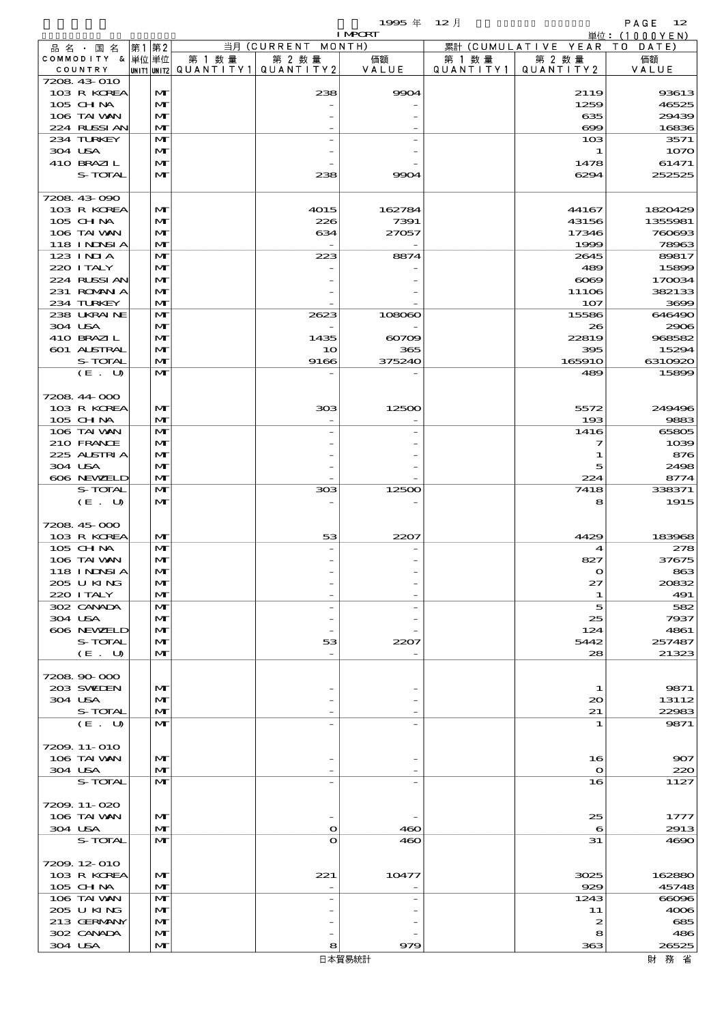$1995 \nless 12 \nless 12$ 

|         |                   |       |              |                                       |                    | <b>I MPORT</b> |         |                              | 単位: (1000YEN) |
|---------|-------------------|-------|--------------|---------------------------------------|--------------------|----------------|---------|------------------------------|---------------|
|         | 品 名 ・ 国 名         | 第1 第2 |              |                                       | 当月 (CURRENT MONTH) |                |         | 累計 (CUMULATIVE YEAR TO DATE) |               |
|         | COMMODITY & 単位単位  |       |              | 第 1 数量                                | 第 2 数量             | 価額             | 第 1 数 量 | 第 2 数量                       | 価額            |
|         | COUNTRY           |       |              | UNIT1 UNIT2  QUANT I TY1  QUANT I TY2 |                    | VALUE          |         | QUANTITY1   QUANTITY2        | VALUE         |
|         | 7208 43 010       |       |              |                                       |                    |                |         |                              |               |
|         | 103 R KOREA       |       | M            |                                       | 238                | 9904           |         | 2119                         | 93613         |
|         | 105 CHNA          |       | M            |                                       |                    |                |         | 1259                         | 46525         |
|         | 106 TAI VAN       |       | M            |                                       |                    |                |         | 635                          | 29439         |
|         | 224 RLSSI AN      |       | $\mathbf{M}$ |                                       |                    |                |         | $\infty$                     | 16836         |
|         | 234 TURKEY        |       | M            |                                       |                    |                |         | 10 <sub>3</sub>              | 3571          |
| 304 USA |                   |       | M            |                                       |                    |                |         | 1                            | 1070          |
|         | 410 BRAZIL        |       | M            |                                       |                    |                |         | 1478                         | 61471         |
|         | S-TOTAL           |       | $\mathbf{M}$ |                                       | 238                | 9904           |         | 6294                         | 252525        |
|         |                   |       |              |                                       |                    |                |         |                              |               |
|         | 7208 43 090       |       |              |                                       |                    |                |         |                              |               |
|         | 103 R KOREA       |       | M            |                                       | 4015               | 162784         |         | 44167                        | 1820429       |
|         | 105 CH NA         |       | M            |                                       | 226                | 7391           |         | 43156                        | 1355981       |
|         | 106 TAI VAN       |       | M            |                                       | 634                | 27057          |         | 17346                        | 760693        |
|         | <b>118 INNSIA</b> |       | M            |                                       |                    |                |         | 1999                         | 78963         |
|         | 123 INIA          |       | $\mathbf{M}$ |                                       | 223                | 8874           |         | 2645                         | 89817         |
|         | 220 I TALY        |       | M            |                                       |                    |                |         | 489                          | 15899         |
|         | 224 RUSSI AN      |       | M            |                                       |                    |                |         | $\infty$                     | 170034        |
|         | 231 ROMAN A       |       | M            |                                       |                    |                |         | 11106                        | 382133        |
|         | 234 TURKEY        |       | $\mathbf{M}$ |                                       |                    |                |         | 107                          | 3699          |
|         | 238 UKRAINE       |       | M            |                                       | 2623               | 108060         |         | 15586                        | 646490        |
| 304 USA |                   |       | M            |                                       |                    |                |         | 26                           | 2906          |
|         | 410 BRAZIL        |       | M            |                                       | 1435               | $\infty$       |         | 22819                        | 968582        |
|         | 601 ALSTRAL       |       | $\mathbf{M}$ |                                       | 10                 | 365            |         | 395                          | 15294         |
|         | S-TOTAL           |       | M            |                                       | 9166               | 375240         |         | 165910                       | 6310920       |
|         | (E. U)            |       | $\mathbf{M}$ |                                       |                    |                |         | 489                          | 15899         |
|         |                   |       |              |                                       |                    |                |         |                              |               |
|         | 7208 44 000       |       |              |                                       |                    |                |         |                              |               |
|         | 103 R KOREA       |       | M            |                                       | 303                | 12500          |         | 5572                         | 249496        |
|         | 105 CH NA         |       | $\mathbf{M}$ |                                       |                    |                |         | 193                          | 9883          |
|         | 106 TAI VAN       |       | $\mathbf{M}$ |                                       |                    |                |         | 1416                         | 65805         |
|         | 210 FRANCE        |       | M            |                                       |                    |                |         | 7                            | 1039          |
|         | 225 ALSTRIA       |       | M            |                                       |                    |                |         | 1                            | 876           |
| 304 USA |                   |       | M            |                                       |                    |                |         | 5                            | 2498          |
|         | 606 NEWELD        |       | $\mathbf{M}$ |                                       |                    |                |         | 224                          | 8774          |
|         | S-TOTAL           |       | $\mathbf{M}$ |                                       | 308                | 12500          |         | 7418                         | 338371        |
|         | (E. U)            |       | M            |                                       |                    |                |         | 8                            | 1915          |
|         |                   |       |              |                                       |                    |                |         |                              |               |
|         | 7208 45 000       |       |              |                                       |                    |                |         |                              |               |
|         | 103 R KOREA       |       | M            |                                       | 53                 | 2207           |         | 4429                         | 183968        |
|         | 105 CH NA         |       | M            |                                       |                    |                |         | 4                            | 278           |
|         | 106 TAI VAN       |       | M            |                                       |                    |                |         | 827                          | 37675         |
|         | 118 I NDSI A      |       | M            |                                       |                    |                |         | ∩                            | 863           |
|         | 205 U KING        |       | M            |                                       |                    |                |         | 27                           | 20832         |
|         | 220 I TALY        |       | M            |                                       |                    |                |         | 1                            | 491           |
|         | 302 CANADA        |       | $\mathbf{M}$ |                                       |                    |                |         | 5                            | 582           |
| 304 USA |                   |       | M            |                                       |                    |                |         | 25                           | 7937          |
|         | 606 NEWELD        |       | M            |                                       |                    |                |         | 124                          | 4861          |
|         | S-TOTAL           |       | $\mathbf{M}$ |                                       | 53                 | 2207           |         | 5442                         | 257487        |
|         | (E. U)            |       | M            |                                       |                    |                |         | 28                           | 21323         |
|         |                   |       |              |                                       |                    |                |         |                              |               |
|         | 7208 90 000       |       |              |                                       |                    |                |         |                              |               |
|         | 203 SWIDEN        |       | $\mathbf{M}$ |                                       |                    |                |         | 1                            | 9871          |
| 304 USA |                   |       | M            |                                       |                    |                |         | 20                           | 13112         |
|         | S-TOTAL           |       | M            |                                       |                    |                |         | 21                           | 22983         |
|         | (E. U)            |       | M            |                                       |                    |                |         | 1                            | 9871          |
|         |                   |       |              |                                       |                    |                |         |                              |               |
|         | 7209. 11-010      |       |              |                                       |                    |                |         |                              |               |
|         | 106 TAI VAN       |       | M            |                                       |                    |                |         | 16                           | 907           |
| 304 USA |                   |       | M            |                                       |                    |                |         | $\mathbf o$                  | 220           |
|         | S-TOTAL           |       | $\mathbf{M}$ |                                       |                    |                |         | 16                           | 1127          |
|         |                   |       |              |                                       |                    |                |         |                              |               |
|         | 7209.11-020       |       |              |                                       |                    |                |         |                              |               |
|         | 106 TAI VAN       |       | M            |                                       |                    |                |         | 25                           | 1777          |
| 304 USA |                   |       | M            |                                       | $\bullet$          | 460            |         | 6                            | 2913          |
|         | S-TOTAL           |       | $\mathbf{M}$ |                                       | O                  | 460            |         | 31                           | 4690          |
|         |                   |       |              |                                       |                    |                |         |                              |               |
|         | 7209.12-010       |       |              |                                       |                    |                |         |                              |               |
|         | 103 R KOREA       |       | M            |                                       | 221                | 10477          |         | 3025                         | 162880        |
|         | 105 CH NA         |       | M            |                                       |                    |                |         | 929                          | 45748         |
|         | 106 TAI VAN       |       | M            |                                       |                    |                |         | 1243                         | 66096         |
|         | 205 U KING        |       | M            |                                       |                    |                |         | 11                           | 4006          |
|         | 213 GERMANY       |       | M            |                                       |                    |                |         | 2                            | 685           |
|         | 302 CANADA        |       | M            |                                       |                    |                |         | 8                            | 486           |
| 304 USA |                   |       | M            |                                       | 8                  | 979            |         | 363                          | 26525         |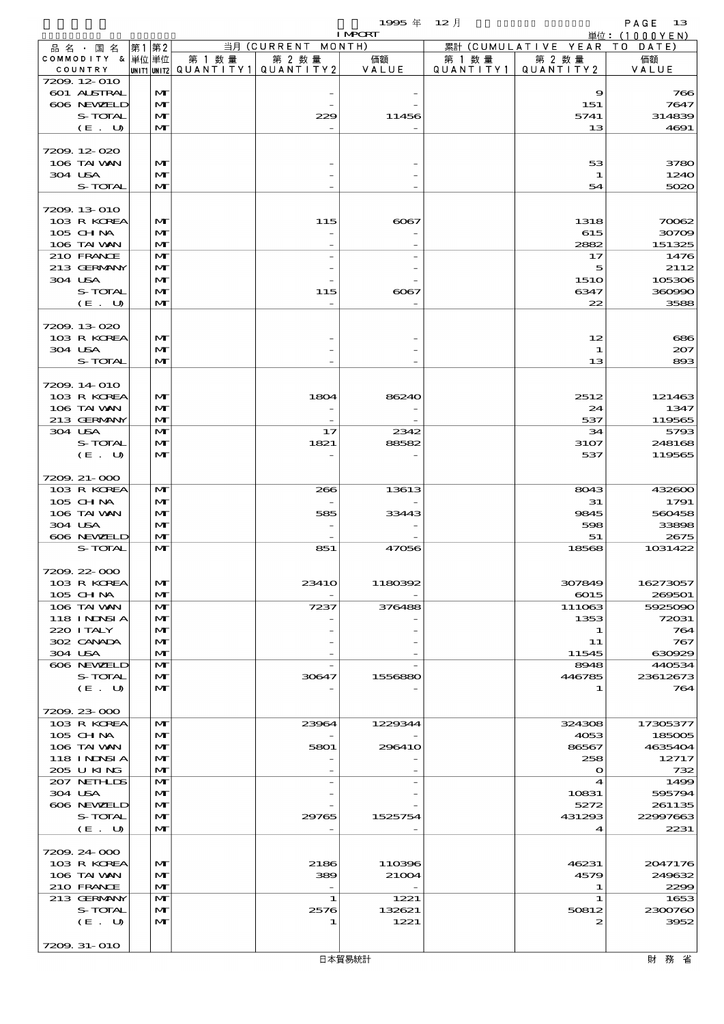|                             |      |                              |                                       |                          | 1995 $#$        | $12$ 月    |                                 | PAGE<br>- 13      |
|-----------------------------|------|------------------------------|---------------------------------------|--------------------------|-----------------|-----------|---------------------------------|-------------------|
| 品名・国名                       | 第1第2 |                              |                                       | 当月 (CURRENT MONTH)       | <b>I MPCRT</b>  |           | 累計 (CUMULATIVE YEAR TO DATE)    | 単位: $(1000YEN)$   |
| COMMODITY & 単位単位            |      |                              | 第 1 数量                                | 第 2 数量                   | 価額              | 第 1 数 量   | 第 2 数量                          | 価額                |
| COUNTRY                     |      |                              | unit1 unit2  Q∪ANT   TY1  Q∪ANT   TY2 |                          | VALUE           | QUANTITY1 | QUANTITY 2                      | VALUE             |
| 7209.12-010                 |      |                              |                                       |                          |                 |           |                                 |                   |
| 601 ALSTRAL<br>606 NEWELD   |      | $\mathbf{M}$<br>$\mathbf{M}$ |                                       |                          |                 |           | 9<br>151                        | 766<br>7647       |
| S-TOTAL                     |      | $\mathbf{M}$                 |                                       | 229                      | 11456           |           | 5741                            | 314839            |
| (E. U)                      |      | $\mathbf{M}$                 |                                       |                          |                 |           | 13                              | 4691              |
|                             |      |                              |                                       |                          |                 |           |                                 |                   |
| 7209.12-020                 |      |                              |                                       |                          |                 |           |                                 |                   |
| 106 TAI VAN                 |      | M                            |                                       |                          |                 |           | 53                              | 3780              |
| 304 USA<br>S-TOTAL          |      | M<br>$\mathbf{M}$            |                                       |                          |                 |           | 1<br>54                         | 1240<br>5020      |
|                             |      |                              |                                       |                          |                 |           |                                 |                   |
| 7209, 13 010                |      |                              |                                       |                          |                 |           |                                 |                   |
| 103 R KOREA                 |      | M                            |                                       | 115                      | 6067            |           | 1318                            | 70062             |
| $105$ CHNA                  |      | $\mathbf{M}$                 |                                       |                          |                 |           | 615                             | 30709             |
| 106 TAI VAN                 |      | $\mathbf{M}$                 |                                       |                          |                 |           | 2882                            | 151325            |
| 210 FRANCE<br>213 GERMANY   |      | M<br>$\mathbf{M}$            |                                       |                          |                 |           | 17<br>5                         | 1476<br>2112      |
| 304 USA                     |      | M                            |                                       |                          |                 |           | <b>1510</b>                     | 105306            |
| S-TOTAL                     |      | $\mathbf{M}$                 |                                       | 115                      | 6067            |           | 6347                            | 360990            |
| (E. U)                      |      | $\mathbf{M}$                 |                                       | $\overline{\phantom{0}}$ |                 |           | 22                              | 3588              |
|                             |      |                              |                                       |                          |                 |           |                                 |                   |
| 7209.13-020                 |      |                              |                                       |                          |                 |           |                                 |                   |
| 103 R KOREA                 |      | M                            |                                       |                          |                 |           | 12                              | 686               |
| 304 USA<br>S-TOTAL          |      | M<br>$\mathbf{M}$            |                                       |                          |                 |           | 1<br>13                         | 207<br>893        |
|                             |      |                              |                                       |                          |                 |           |                                 |                   |
| 7209.14-010                 |      |                              |                                       |                          |                 |           |                                 |                   |
| 103 R KOREA                 |      | M                            |                                       | 1804                     | 86240           |           | 2512                            | 121463            |
| 106 TAI VAN                 |      | M                            |                                       |                          |                 |           | 24                              | 1347              |
| 213 GERMANY                 |      | $\mathbf{M}$                 |                                       | $\overline{\phantom{0}}$ |                 |           | 537                             | 119565            |
| 304 USA                     |      | M                            |                                       | 17                       | 2342            |           | 34                              | 5793              |
| S-TOTAL<br>(E. U)           |      | M<br>M                       |                                       | 1821                     | 88582           |           | 3107<br>537                     | 248168<br>119565  |
|                             |      |                              |                                       |                          |                 |           |                                 |                   |
| 7209 21-000                 |      |                              |                                       |                          |                 |           |                                 |                   |
| 103 R KOREA                 |      | $\mathbf{M}$                 |                                       | 266                      | 13613           |           | 8043                            | 432600            |
| 105 CHNA                    |      | $\mathbf{M}$                 |                                       |                          |                 |           | 31                              | 1791              |
| 106 TAI VAN                 |      | $\mathbf{M}$                 |                                       | 585                      | 33443           |           | 9845                            | 560458            |
| 304 USA<br>606 NEWELD       |      | $\mathbf{M}$<br>M            |                                       |                          |                 |           | 598<br>51                       | 33898<br>2675     |
| S-TOTAL                     |      | $\mathbf{M}$                 |                                       | 851                      | 47056           |           | 18568                           | 1031422           |
|                             |      |                              |                                       |                          |                 |           |                                 |                   |
| 7209.22-000                 |      |                              |                                       |                          |                 |           |                                 |                   |
| 103 R KOREA                 |      | M                            |                                       | <b>23410</b>             | 1180392         |           | 307849                          | 16273057          |
| 105 CH NA                   |      | $\mathbf{M}$                 |                                       |                          |                 |           | 6015                            | 269501            |
| 106 TAI WAN<br>118 I NDSI A |      | M<br>M                       |                                       | 7237                     | 376488          |           | 111063<br>1353                  | 5925090<br>72031  |
| 220 I TALY                  |      | M                            |                                       |                          |                 |           | 1                               | 764               |
| 302 CANADA                  |      | $\mathbf{M}$                 |                                       |                          |                 |           | 11                              | 767               |
| 304 USA                     |      | M                            |                                       |                          |                 |           | 11545                           | 630929            |
| 606 NEWELD                  |      | M                            |                                       |                          |                 |           | 8948                            | 440534            |
| S-TOTAL                     |      | M                            |                                       | 30647                    | 1556880         |           | 446785                          | 23612673          |
| $(E_U U)$                   |      | M                            |                                       |                          |                 |           | 1                               | 764               |
| 7209.23-000                 |      |                              |                                       |                          |                 |           |                                 |                   |
| 103 R KOREA                 |      | M                            |                                       | 23964                    | 1229344         |           | 324308                          | 17305377          |
| 105 CH NA                   |      | M                            |                                       |                          |                 |           | 4053                            | 185005            |
| 106 TAI VAN                 |      | M                            |                                       | 5801                     | 296410          |           | 86567                           | 4635404           |
| <b>118 INDSIA</b>           |      | $\mathbf{M}$                 |                                       |                          |                 |           | 258                             | 12717             |
| 205 U KING<br>207 NETHLIS   |      | $\mathbf{M}$<br>M            |                                       |                          |                 |           | $\mathbf o$<br>$\boldsymbol{4}$ | 732<br>1499       |
| 304 USA                     |      | $\mathbf{M}$                 |                                       |                          |                 |           | 10831                           | 595794            |
| 606 NEWELD                  |      | M                            |                                       |                          |                 |           | 5272                            | 261135            |
| S-TOTAL                     |      | $\mathbf{M}$                 |                                       | 29765                    | 1525754         |           | 431293                          | 22997663          |
| (E. U)                      |      | $\mathbf{M}$                 |                                       |                          |                 |           | 4                               | 2231              |
|                             |      |                              |                                       |                          |                 |           |                                 |                   |
| 7209.24 000                 |      |                              |                                       |                          |                 |           |                                 |                   |
| 103 R KOREA<br>106 TAI WAN  |      | M<br>M                       |                                       | 2186<br>389              | 110396<br>21004 |           | 46231<br>4579                   | 2047176<br>249632 |
| 210 FRANCE                  |      | $\mathbf{M}$                 |                                       | $\overline{\phantom{a}}$ |                 |           | 1                               | 2299              |
| 213 GERMANY                 |      | M                            |                                       | 1                        | 1221            |           | 1                               | 1653              |
| S-TOTAL                     |      | $\mathbf{M}$                 |                                       | 2576                     | 132621          |           | 50812                           | 2300760           |
| (E. U)                      |      | M                            |                                       | 1                        | 1221            |           | 2                               | 3952              |
|                             |      |                              |                                       |                          |                 |           |                                 |                   |
| 7209. 31-010                |      |                              |                                       |                          |                 |           |                                 |                   |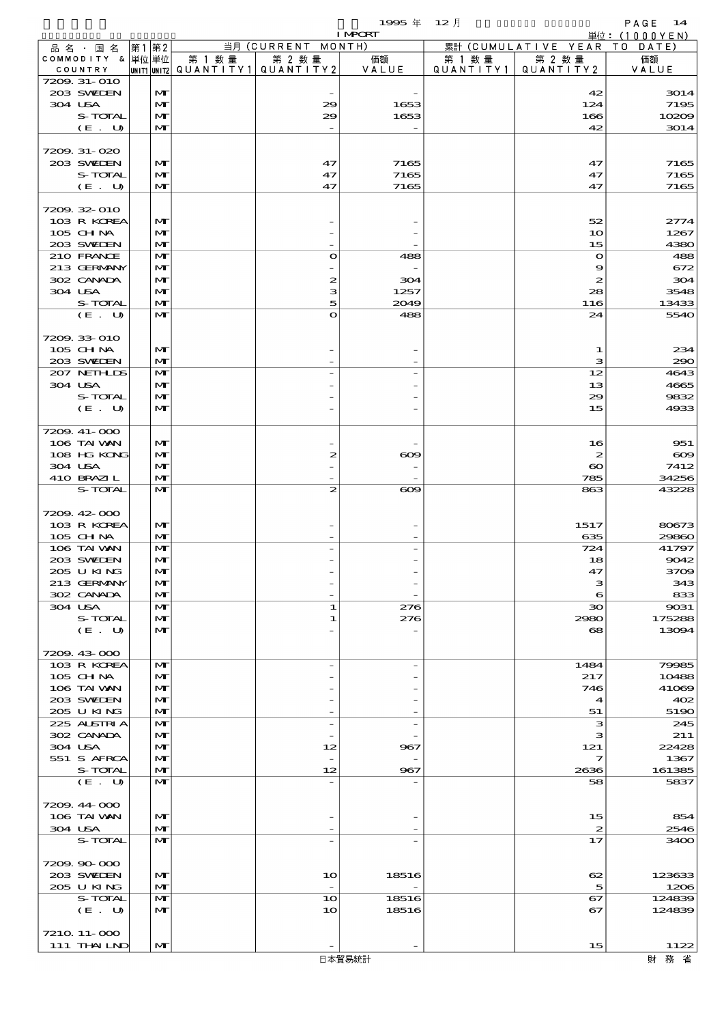$1995 \nrightarrow 12 \nmid$   $PAGE \nrightarrow 14$ 

|                             |  |                              |        |                                                  | <b>I MPORT</b>           |                      |                                           | 単位: $(1000YEN)$  |
|-----------------------------|--|------------------------------|--------|--------------------------------------------------|--------------------------|----------------------|-------------------------------------------|------------------|
| 品名・国名                       |  | 第1第2                         |        | 当月 (CURRENT MONTH)                               |                          |                      | 累計 (CUMULATIVE YEAR TO DATE)              |                  |
| COMMODITY & 単位単位<br>COUNTRY |  |                              | 第 1 数量 | 第 2 数量<br> UNIT1 UNIT2  QUANT   TY1  QUANT   TY2 | 価額<br>VALUE              | 第 1 数 量<br>QUANTITY1 | 第 2 数量<br>QUANTITY 2                      | 価額<br>VALUE      |
| 7209. 31-010                |  |                              |        |                                                  |                          |                      |                                           |                  |
| 203 SWIEN                   |  | M                            |        |                                                  |                          |                      | 42                                        | 3014             |
| 304 USA                     |  | $\mathbf{M}$                 |        | 29                                               | 1653                     |                      | 124                                       | 7195             |
| S-TOTAL                     |  | M                            |        | 29                                               | 1653                     |                      | 166                                       | 10209            |
| (E. U)                      |  | $\mathbf{M}$                 |        |                                                  |                          |                      | 42                                        | 3014             |
| 7209. 31-020                |  |                              |        |                                                  |                          |                      |                                           |                  |
| 203 SWIEN                   |  | $\mathbf{M}$                 |        | 47                                               | 7165                     |                      | 47                                        | 7165             |
| S-TOTAL                     |  | $\mathbf{M}$                 |        | 47                                               | 7165                     |                      | 47                                        | 7165             |
| (E. U)                      |  | M                            |        | 47                                               | 7165                     |                      | 47                                        | 7165             |
|                             |  |                              |        |                                                  |                          |                      |                                           |                  |
| 7209.32-010<br>103 R KOREA  |  | $\mathbf{M}$                 |        |                                                  |                          |                      | 52                                        | 2774             |
| 105 CHNA                    |  | $\mathbf{M}$                 |        |                                                  |                          |                      | 10                                        | 1267             |
| 203 SWIEN                   |  | $\mathbf{M}$                 |        |                                                  |                          |                      | 15                                        | 4380             |
| 210 FRANCE                  |  | M                            |        | $\mathbf o$                                      | 488                      |                      | $\mathbf{o}$                              | 488              |
| 213 GERMANY                 |  | M                            |        |                                                  |                          |                      | 9                                         | 672              |
| 302 CANADA                  |  | $\mathbf{M}$                 |        | 2                                                | 304                      |                      | $\boldsymbol{z}$                          | 304              |
| 304 USA<br>S-TOTAL          |  | $\mathbf{M}$<br>M            |        | з<br>5                                           | 1257<br>2049             |                      | 28<br>116                                 | 3548<br>13433    |
| (E. U)                      |  | $\mathbf{M}$                 |        | $\mathbf o$                                      | 488                      |                      | 24                                        | 5540             |
|                             |  |                              |        |                                                  |                          |                      |                                           |                  |
| 7209.33-010                 |  |                              |        |                                                  |                          |                      |                                           |                  |
| 105 CHNA                    |  | $\mathbf{M}$                 |        |                                                  |                          |                      | 1                                         | 234              |
| 203 SWIEN                   |  | $\mathbf{M}$                 |        |                                                  |                          |                      | з                                         | 290              |
| 207 NETHLIS<br>304 USA      |  | M<br>M                       |        |                                                  |                          |                      | 12<br>13                                  | 4643<br>4665     |
| S-TOTAL                     |  | $\mathbf{M}$                 |        |                                                  |                          |                      | 29                                        | 9832             |
| (E. U)                      |  | $\mathbf{M}$                 |        |                                                  |                          |                      | 15                                        | 4933             |
|                             |  |                              |        |                                                  |                          |                      |                                           |                  |
| 7209. 41-000                |  |                              |        |                                                  |                          |                      |                                           |                  |
| 106 TAI VAN                 |  | $\mathbf{M}$                 |        |                                                  |                          |                      | 16                                        | 951              |
| 108 HG KONG<br>304 USA      |  | $\mathbf{M}$<br>$\mathbf{M}$ |        | 2                                                | $\infty$                 |                      | $\boldsymbol{z}$<br>$\boldsymbol{\infty}$ | $\infty$<br>7412 |
| 410 BRAZIL                  |  | M                            |        |                                                  |                          |                      | 785                                       | 34256            |
| S-TOTAL                     |  | $\mathbf{M}$                 |        | 2                                                | $\boldsymbol{\infty}$    |                      | 863                                       | 43228            |
|                             |  |                              |        |                                                  |                          |                      |                                           |                  |
| 7209.42-000                 |  |                              |        |                                                  |                          |                      |                                           |                  |
| 103 R KOREA                 |  | $\mathbf{M}$                 |        |                                                  |                          |                      | 1517                                      | 80673            |
| 105 CHNA<br>106 TAI VAN     |  | $\mathbf{M}$<br>M            |        |                                                  |                          |                      | 635                                       | 29860<br>41797   |
| 203 SWIEN                   |  | M                            |        |                                                  |                          |                      | 724<br>18                                 | 9042             |
| 205 U KING                  |  | $\mathbf{M}$                 |        |                                                  |                          |                      | 47                                        | 3709             |
| 213 GERMANY                 |  | M                            |        |                                                  |                          |                      | з                                         | 343              |
| 302 CANADA                  |  | M                            |        |                                                  |                          |                      | 6                                         | 833              |
| 304 USA                     |  | $\mathbf{M}$                 |        | 1                                                | 276                      |                      | $30^{\circ}$                              | 9031             |
| S-TOTAL                     |  | M                            |        | 1                                                | 276                      |                      | 2980                                      | 175288           |
| (E. U)                      |  | $\mathbf{M}$                 |        |                                                  |                          |                      | $\mathbf{68}$                             | 13094            |
| 7209.43.000                 |  |                              |        |                                                  |                          |                      |                                           |                  |
| 103 R KOREA                 |  | M                            |        | $\overline{a}$                                   | $\overline{\phantom{m}}$ |                      | 1484                                      | 79985            |
| 105 CHNA                    |  | $\mathbf{M}$                 |        |                                                  |                          |                      | 217                                       | 10488            |
| 106 TAI VAN                 |  | $\mathbf{M}$                 |        |                                                  |                          |                      | 746                                       | 41069            |
| 203 SWIEN                   |  | $\mathbf{M}$                 |        |                                                  |                          |                      | 4                                         | 402              |
| 205 U KING<br>225 ALSTRIA   |  | M<br>$\mathbf{M}$            |        | $\overline{a}$                                   | $\overline{\phantom{m}}$ |                      | 51<br>з                                   | 5190<br>245      |
| 302 CANADA                  |  | M                            |        |                                                  |                          |                      | з                                         | 211              |
| 304 USA                     |  | $\mathbf{M}$                 |        | 12                                               | 967                      |                      | 121                                       | 22428            |
| 551 S AFRCA                 |  | $\mathbf{M}$                 |        |                                                  |                          |                      | 7                                         | 1367             |
| S-TOTAL                     |  | M                            |        | 12                                               | 967                      |                      | 2636                                      | 161385           |
| (E. U)                      |  | $\mathbf{M}$                 |        | $\overline{a}$                                   |                          |                      | 58                                        | 5837             |
| 7209.44 000                 |  |                              |        |                                                  |                          |                      |                                           |                  |
| 106 TAI VAN                 |  | $\mathbf{M}$                 |        |                                                  |                          |                      | 15                                        | 854              |
| 304 USA                     |  | M                            |        |                                                  |                          |                      | $\mathbf{z}$                              | 2546             |
| S-TOTAL                     |  | $\mathbf{M}$                 |        |                                                  |                          |                      | 17                                        | 3400             |
|                             |  |                              |        |                                                  |                          |                      |                                           |                  |
| 7209.90-000                 |  |                              |        |                                                  |                          |                      |                                           |                  |
| 203 SWIDEN<br>205 U KING    |  | $\mathbf{M}$<br>$\mathbf{M}$ |        | 10                                               | 18516                    |                      | 62                                        | 123633<br>1206   |
| S-TOTAL                     |  | $\mathbf{M}$                 |        | 10                                               | 18516                    |                      | 5<br>67                                   | 124839           |
| (E. U)                      |  | $\mathbf{M}$                 |        | 10                                               | 18516                    |                      | 67                                        | 124839           |
|                             |  |                              |        |                                                  |                          |                      |                                           |                  |
| 7210 11 000                 |  |                              |        |                                                  |                          |                      |                                           |                  |
| 111 THAIND                  |  | M                            |        |                                                  |                          |                      | 15                                        | 1122             |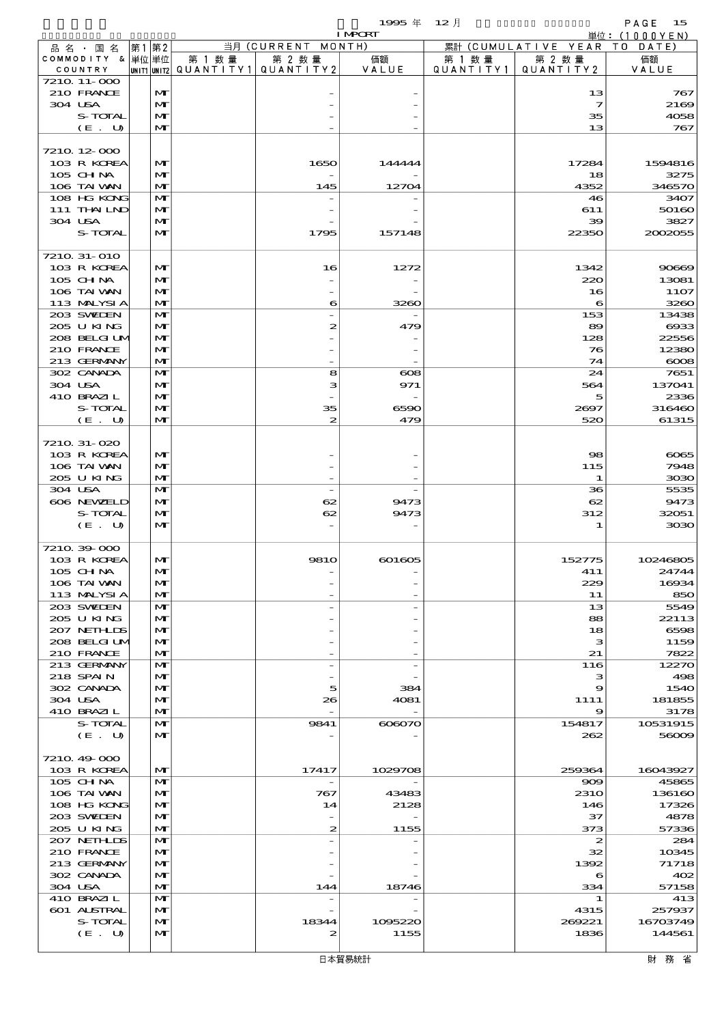$1995 \nless 12 \nless 12$ 

|                             |                              |        |                                                  | <b>I MPORT</b>        |                      |                               | 単位: (1000 Y E N) |
|-----------------------------|------------------------------|--------|--------------------------------------------------|-----------------------|----------------------|-------------------------------|------------------|
| 品名・国名                       | 第1第2                         |        | 当月 (CURRENT MONTH)                               |                       |                      | 累計 (CUMULATIVE YEAR TO DATE)  |                  |
| COMMODITY & 単位単位<br>COUNTRY |                              | 第 1 数量 | 第 2 数量<br> unit1 unit2  QUANT   TY1  QUANT   TY2 | 価額<br>VALUE           | 第 1 数 量<br>QUANTITY1 | 第 2 数量<br>QUANTITY 2          | 価額<br>VALUE      |
| 7210 11-000                 |                              |        |                                                  |                       |                      |                               |                  |
| 210 FRANCE                  | $\mathbf{M}$                 |        |                                                  |                       |                      | 13                            | 767              |
| 304 USA<br>S-TOTAL          | $\mathbf{M}$<br>$\mathbf{M}$ |        |                                                  |                       |                      | $\overline{\mathbf{z}}$<br>35 | 2169<br>4058     |
| (E. U)                      | M                            |        |                                                  |                       |                      | 13                            | 767              |
|                             |                              |        |                                                  |                       |                      |                               |                  |
| 7210 12 000                 |                              |        |                                                  |                       |                      |                               |                  |
| 103 R KOREA<br>$105$ CHNA   | $\mathbf{M}$<br>$\mathbf{M}$ |        | 1650                                             | 144444                |                      | 17284<br>18                   | 1594816<br>3275  |
| 106 TAI VAN                 | $\mathbf{M}$                 |        | 145                                              | 12704                 |                      | 4352                          | 346570           |
| 108 HG KONG                 | $\mathbf{M}$                 |        |                                                  |                       |                      | 46                            | 3407             |
| 111 THAILND                 | M                            |        |                                                  |                       |                      | 611                           | 50160            |
| 304 USA<br>S-TOTAL          | M<br>$\mathbf{M}$            |        | 1795                                             | 157148                |                      | 39<br>22350                   | 3827<br>2002055  |
|                             |                              |        |                                                  |                       |                      |                               |                  |
| 7210 31-010                 |                              |        |                                                  |                       |                      |                               |                  |
| 103 R KOREA                 | $\mathbf{M}$                 |        | 16                                               | 1272                  |                      | 1342                          | 90669            |
| 105 CH NA<br>106 TAI WAN    | M<br>M                       |        |                                                  |                       |                      | 220<br>16                     | 13081<br>11O7    |
| 113 MALYSIA                 | $\mathbf{M}$                 |        | 6                                                | 3260                  |                      | 6                             | 3260             |
| 203 SWIDEN                  | $\mathbf{M}$                 |        |                                                  |                       |                      | 153                           | 13438            |
| 205 U KING                  | $\mathbf{M}$                 |        | 2                                                | 479                   |                      | 89                            | 6933             |
| 208 BELGI UM<br>210 FRANCE  | $\mathbf{M}$<br>M            |        |                                                  |                       |                      | 128<br>76                     | 22556<br>12380   |
| 213 GERMANY                 | M                            |        |                                                  |                       |                      | 74                            | $\cos$           |
| 302 CANADA                  | M                            |        | 8                                                | $\boldsymbol{\alpha}$ |                      | 24                            | 7651             |
| 304 USA                     | $\mathbf{M}$                 |        | з                                                | 971                   |                      | 564                           | 137041           |
| 410 BRAZIL                  | $\mathbf{M}$                 |        |                                                  |                       |                      | 5                             | 2336             |
| S-TOTAL<br>(E. U)           | M<br>M                       |        | 35<br>2                                          | 6590<br>479           |                      | 2697<br>520                   | 316460<br>61315  |
|                             |                              |        |                                                  |                       |                      |                               |                  |
| 7210 31-020                 |                              |        |                                                  |                       |                      |                               |                  |
| 103 R KOREA                 | $\mathbf{M}$                 |        |                                                  |                       |                      | $\infty$                      | 6065             |
| 106 TAI VAN<br>205 U KING   | $\mathbf{M}$<br>$\mathbf{M}$ |        |                                                  |                       |                      | 115<br>1                      | 7948<br>3030     |
| 304 USA                     | M                            |        | $\overline{\phantom{a}}$                         |                       |                      | 36                            | 5535             |
| 606 NEWELD                  | $\mathbf{M}$                 |        | 62                                               | 9473                  |                      | 62                            | 9473             |
| S-TOTAL                     | $\mathbf{M}$                 |        | 62                                               | 9473                  |                      | 312                           | 32051            |
| (E. U)                      | $\mathbf{M}$                 |        |                                                  |                       |                      | 1                             | 3030             |
| 721039000                   |                              |        |                                                  |                       |                      |                               |                  |
| 103 R KOREA                 | $\mathbf{M}$                 |        | 9810                                             | 601605                |                      | 152775                        | 10246805         |
| 105 CH NA                   | МI                           |        |                                                  |                       |                      | 411                           | 24744            |
| 106 TAI VAN<br>113 MALYSIA  | M<br>M                       |        |                                                  |                       |                      | 229<br>11                     | 16934<br>850     |
| 203 SWIDEN                  | $\mathbf{M}$                 |        |                                                  |                       |                      | 13                            | 5549             |
| 205 U KING                  | M                            |        |                                                  |                       |                      | 88                            | 22113            |
| 207 NETHLIS<br>208 BELGI UM | M                            |        |                                                  |                       |                      | 18                            | 6598             |
| 210 FRANCE                  | $\mathbf{M}$<br>M            |        |                                                  |                       |                      | з<br>21                       | 1159<br>7822     |
| 213 GERMANY                 | $\mathbf{M}$                 |        |                                                  |                       |                      | 116                           | 12270            |
| 218 SPAIN                   | M                            |        |                                                  |                       |                      | з                             | 498              |
| 302 CANADA                  | M<br>$\mathbf{M}$            |        | 5                                                | 384                   |                      | 9                             | 1540<br>181855   |
| 304 USA<br>410 BRAZIL       | M                            |        | 26                                               | 4081                  |                      | 1111<br>9                     | 3178             |
| S-TOTAL                     | $\mathbf{M}$                 |        | 9841                                             | 606070                |                      | 154817                        | 10531915         |
| (E. U)                      | M                            |        |                                                  |                       |                      | 262                           | 56009            |
|                             |                              |        |                                                  |                       |                      |                               |                  |
| 7210 49 000<br>103 R KOREA  | $\mathbf{M}$                 |        | 17417                                            | 1029708               |                      | 259364                        | 16043927         |
| $105$ CHNA                  | M                            |        | $\overline{\phantom{a}}$                         |                       |                      | $\infty$                      | 45865            |
| 106 TAI VAN                 | M                            |        | 767                                              | 43483                 |                      | <b>2310</b>                   | 136160           |
| 108 HG KONG                 | M<br>M                       |        | 14                                               | 2128                  |                      | 146<br>37                     | 17326            |
| 203 SWIDEN<br>205 U KING    | M                            |        | 2                                                | 1155                  |                      | 373                           | 4878<br>57336    |
| 207 NETHLIS                 | $\mathbf{M}$                 |        |                                                  |                       |                      | 2                             | 284              |
| 210 FRANCE                  | M                            |        |                                                  |                       |                      | 32                            | 10345            |
| 213 GERMANY                 | M                            |        |                                                  |                       |                      | 1392                          | 71718            |
| 302 CANADA<br>304 USA       | M<br>M                       |        | 144                                              | 18746                 |                      | 6<br>334                      | 402<br>57158     |
| 410 BRAZIL                  | $\mathbf{M}$                 |        |                                                  |                       |                      | 1                             | 413              |
| 601 ALSTRAL                 | M                            |        |                                                  |                       |                      | 4315                          | 257937           |
| S-TOTAL                     | M                            |        | 18344                                            | 1095220               |                      | 269221                        | 16703749         |
| (E. U)                      | M                            |        | 2                                                | 1155                  |                      | 1836                          | 144561           |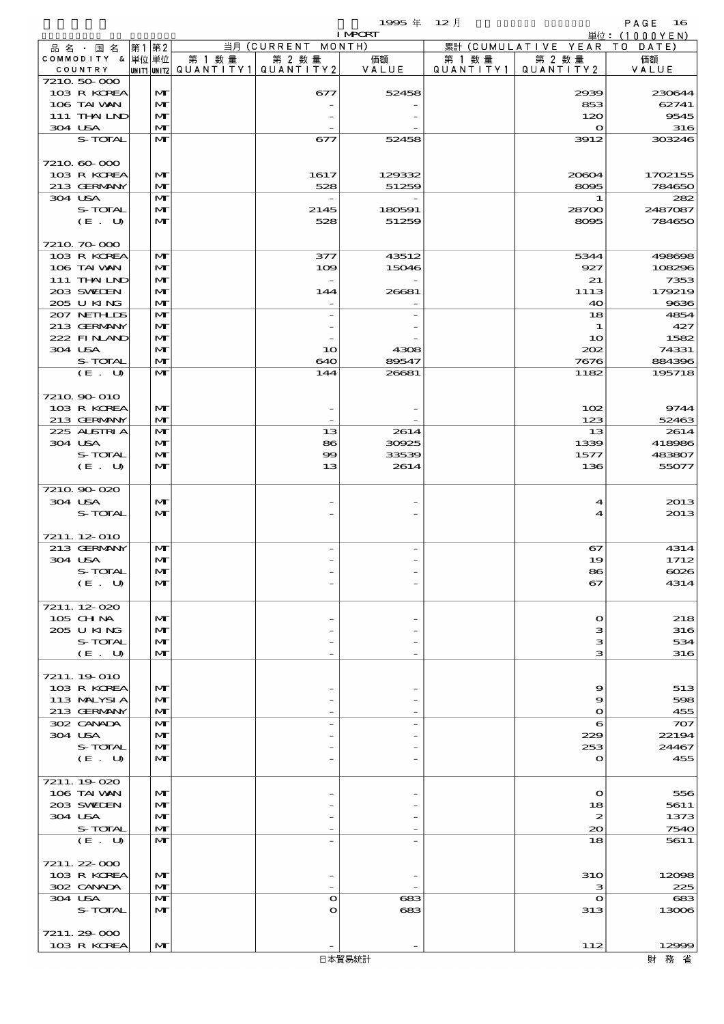$1995 \nrightarrow \text{ } 12 \text{ } \frac{1}{2}$ 

|                            |                              |                                          |                    | <b>I MPORT</b> |           |                              | 単位: (1000YEN)    |
|----------------------------|------------------------------|------------------------------------------|--------------------|----------------|-----------|------------------------------|------------------|
| 品 名 ・ 国 名                  | 第1第2                         |                                          | 当月 (CURRENT MONTH) |                |           | 累計 (CUMULATIVE YEAR TO DATE) |                  |
| COMMODITY & 単位単位           |                              | 第 1 数量                                   | 第 2 数量             | 価額             | 第 1 数量    | 第 2 数量                       | 価額               |
| COUNTRY<br>7210 50 000     |                              | UNIT1  UNIT2   QUANT I TY1   QUANT I TY2 |                    | VALUE          | QUANTITY1 | QUANTITY 2                   | VALUE            |
| 103 R KOREA                | M                            |                                          | 677                | 52458          |           | 2939                         | 230644           |
| 106 TAI VAN                | $\mathbf{M}$                 |                                          |                    |                |           | 853                          | 62741            |
| 111 THAILND                | $\mathbf{M}$                 |                                          |                    |                |           | 120                          | 9545             |
| 304 USA                    | $\mathbf{M}$                 |                                          |                    |                |           | $\mathbf{o}$                 | 316              |
| S-TOTAL                    | $\mathbf{M}$                 |                                          | 677                | 52458          |           | 3912                         | 303246           |
|                            |                              |                                          |                    |                |           |                              |                  |
| 7210 60 000<br>103 R KOREA | $\mathbf{M}$                 |                                          | 1617               | 129332         |           | 20604                        | 1702155          |
| 213 GERMANY                | $\mathbf{M}$                 |                                          | 528                | 51259          |           | 8095                         | 784650           |
| 304 USA                    | $\mathbf{M}$                 |                                          |                    |                |           | 1                            | 282              |
| S-TOTAL                    | M                            |                                          | 2145               | 180591         |           | 28700                        | 2487087          |
| (E. U)                     | $\mathbf{M}$                 |                                          | 528                | 51259          |           | 8095                         | 784650           |
|                            |                              |                                          |                    |                |           |                              |                  |
| 7210 70 000                |                              |                                          |                    |                |           |                              |                  |
| 103 R KOREA<br>106 TAI VAN | M<br>$\mathbf{M}$            |                                          | 377<br>109         | 43512<br>15046 |           | 5344<br>927                  | 498698<br>108296 |
| 111 THAILND                | $\mathbf{M}$                 |                                          |                    |                |           | 21                           | 7353             |
| 203 SWIEN                  | $\mathbf{M}$                 |                                          | 144                | 26681          |           | 1113                         | 179219           |
| 205 UKING                  | $\mathbf{M}$                 |                                          |                    |                |           | 40                           | 9636             |
| 207 NETHLIS                | $\mathbf{M}$                 |                                          |                    |                |           | 18                           | 4854             |
| 213 GERMANY                | M                            |                                          |                    |                |           | 1                            | 427              |
| 222 FINAND                 | $\mathbf{M}$                 |                                          |                    |                |           | 10                           | 1582             |
| 304 USA                    | $\mathbf{M}$                 |                                          | 10                 | 4308           |           | 202                          | 74331            |
| S-TOTAL<br>(E. U)          | $\mathbf{M}$<br>$\mathbf{M}$ |                                          | 640                | 89547          |           | 7676                         | 884396<br>195718 |
|                            |                              |                                          | 144                | 26681          |           | 1182                         |                  |
| 7210 90 010                |                              |                                          |                    |                |           |                              |                  |
| 103 R KOREA                | $\mathbf{M}$                 |                                          |                    |                |           | 102                          | 9744             |
| 213 GERMANY                | $\mathbf{M}$                 |                                          |                    |                |           | 123                          | 52463            |
| 225 ALSTRIA                | $\mathbf{M}$                 |                                          | 13                 | 2614           |           | 13                           | 2614             |
| 304 USA                    | M                            |                                          | 86                 | 30925          |           | 1339                         | 418986           |
| S-TOTAL                    | $\mathbf{M}$                 |                                          | 99                 | 33539          |           | 1577                         | 483807           |
| (E. U)                     | $\mathbf{M}$                 |                                          | 13                 | 2614           |           | 136                          | 55077            |
| 7210 90 020                |                              |                                          |                    |                |           |                              |                  |
| 304 USA                    | $\mathbf{M}$                 |                                          |                    |                |           | $\boldsymbol{4}$             | 2013             |
| S-TOTAL                    | $\mathbf{M}$                 |                                          |                    |                |           | 4                            | 2013             |
|                            |                              |                                          |                    |                |           |                              |                  |
| 7211.12-010                |                              |                                          |                    |                |           |                              |                  |
| 213 GERMANY                | M                            |                                          |                    |                |           | 67                           | 4314             |
| 304 USA<br>S-TOTAL         | $\mathbf{M}$<br>$\mathbf{M}$ |                                          |                    |                |           | 19<br>86                     | 1712<br>$\cos$   |
| (E U)                      | M                            |                                          |                    |                |           | 67                           | 4314             |
|                            |                              |                                          |                    |                |           |                              |                  |
| 7211.12-020                |                              |                                          |                    |                |           |                              |                  |
| 105 CH NA                  | $\mathbf{M}$                 |                                          |                    |                |           | $\mathbf{\Omega}$            | 218              |
| 205 U KING                 | $\mathbf{M}$                 |                                          |                    |                |           | з                            | 316              |
| S-TOTAL                    | M                            |                                          |                    |                |           | з                            | 534              |
| (E. U)                     | $\mathbf{M}$                 |                                          |                    |                |           | з                            | 316              |
| 7211.19 010                |                              |                                          |                    |                |           |                              |                  |
| 103 R KOREA                | $\mathbf{M}$                 |                                          |                    |                |           | 9                            | 513              |
| 113 MALYSIA                | $\mathbf{M}$                 |                                          |                    |                |           | 9                            | 598              |
| 213 GERMANY                | $\mathbf{M}$                 |                                          |                    |                |           | $\bullet$                    | 455              |
| 302 CANADA                 | $\mathbf{M}$                 |                                          |                    |                |           | 6                            | 707              |
| 304 USA<br>S-TOTAL         | $\mathbf{M}$                 |                                          |                    |                |           | 229                          | 22194            |
| (E. U)                     | $\mathbf{M}$<br>$\mathbf{M}$ |                                          |                    |                |           | 253<br>$\mathbf o$           | 24467<br>455     |
|                            |                              |                                          |                    |                |           |                              |                  |
| 7211.19-020                |                              |                                          |                    |                |           |                              |                  |
| 106 TAI VAN                | $\mathbf{M}$                 |                                          |                    |                |           | $\mathbf o$                  | 556              |
| 203 SWIEN                  | M                            |                                          |                    |                |           | 18                           | 5611             |
| 304 USA                    | M                            |                                          |                    |                |           | $\boldsymbol{z}$             | 1373             |
| S-TOTAL<br>(E. U)          | $\mathbf{M}$<br>$\mathbf{M}$ |                                          |                    |                |           | 20<br>18                     | 7540<br>5611     |
|                            |                              |                                          |                    |                |           |                              |                  |
| 7211.22-000                |                              |                                          |                    |                |           |                              |                  |
| 103 R KOREA                | $\mathbf{M}$                 |                                          |                    |                |           | <b>310</b>                   | 12098            |
| 302 CANADA                 | $\mathbf{M}$                 |                                          |                    |                |           | з                            | 225              |
| 304 USA                    | $\mathbf{M}$                 |                                          | $\bullet$          | 683            |           | $\mathbf o$                  | 683              |
| S-TOTAL                    | $\mathbf{M}$                 |                                          | O                  | 683            |           | 313                          | 13006            |
| 7211.29-000                |                              |                                          |                    |                |           |                              |                  |
| 103 R KOREA                | $\mathbf{M}$                 |                                          |                    |                |           | 112                          | 12999            |
|                            |                              |                                          |                    |                |           |                              |                  |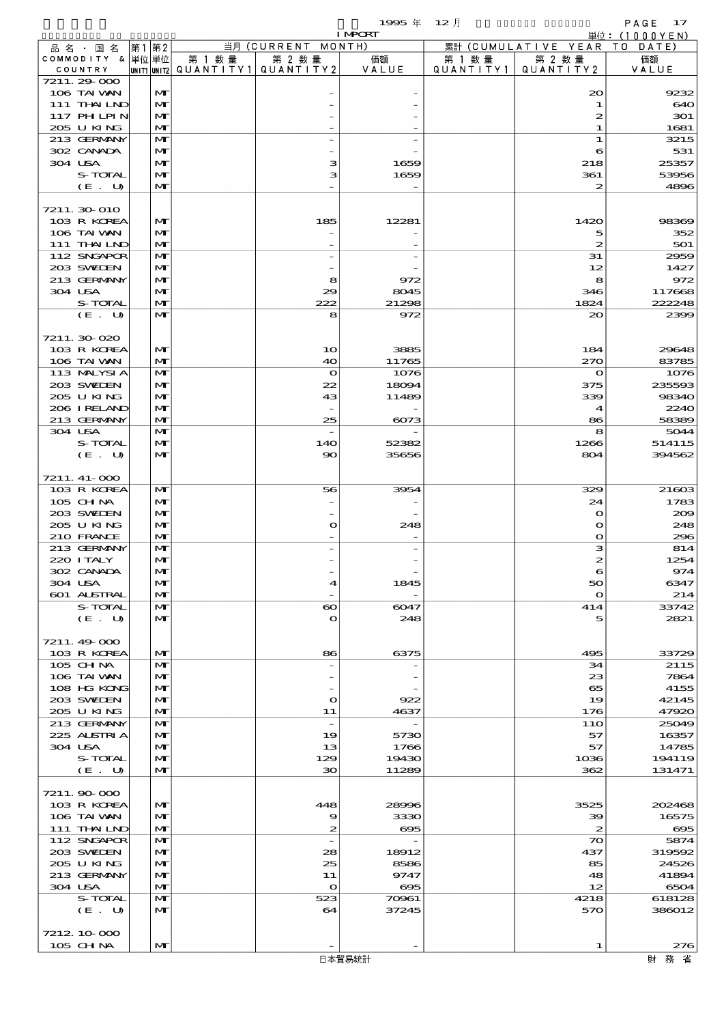$1995 \nrightarrow 12 \nrightarrow 12$ 

|                             |                   |        |                                                  | <b>I MPCRT</b>                   |                     |                              | 単位: (1000 Y E N) |
|-----------------------------|-------------------|--------|--------------------------------------------------|----------------------------------|---------------------|------------------------------|------------------|
| 品 名 ・ 国 名                   | 第1第2              |        | 当月 (CURRENT MONTH)                               |                                  |                     | 累計 (CUMULATIVE YEAR TO DATE) |                  |
| COMMODITY & 単位単位<br>COUNTRY |                   | 第 1 数量 | 第 2 数量<br> UNIT1 UNIT2  QUANT   TY1  QUANT   TY2 | 価額<br>VALUE                      | 第 1 数量<br>QUANTITY1 | 第 2 数量<br>QUANTITY 2         | 価額<br>VALUE      |
| 7211.29-000                 |                   |        |                                                  |                                  |                     |                              |                  |
| 106 TAI VAN                 | M                 |        |                                                  |                                  |                     | 20                           | 9232             |
| 111 THAILND                 | $\mathbf{M}$      |        |                                                  |                                  |                     | 1                            | 640              |
| 117 PH LPIN                 | M                 |        |                                                  |                                  |                     | 2                            | 301              |
| 205 U KING<br>213 GERMANY   | M<br>$\mathbf{M}$ |        |                                                  |                                  |                     | 1<br>1                       | 1681<br>3215     |
| 302 CANADA                  | M                 |        |                                                  |                                  |                     | 6                            | 531              |
| 304 USA                     | M                 |        | з                                                | 1659                             |                     | 218                          | 25357            |
| S-TOTAL                     | M                 |        | з                                                | 1659                             |                     | 361                          | 53956            |
| (E. U)                      | $\mathbf{M}$      |        |                                                  |                                  |                     | $\boldsymbol{z}$             | 4896             |
|                             |                   |        |                                                  |                                  |                     |                              |                  |
| 7211.30 010<br>103 R KOREA  | M                 |        | 185                                              | 12281                            |                     | 1420                         | 98369            |
| 106 TAI VAN                 | M                 |        |                                                  |                                  |                     | 5                            | 352              |
| 111 THAILND                 | $\mathbf{M}$      |        |                                                  |                                  |                     | $\boldsymbol{z}$             | 501              |
| 112 SNGAPOR                 | M                 |        |                                                  |                                  |                     | 31                           | 2959             |
| 203 SWIEN                   | M                 |        |                                                  |                                  |                     | 12                           | 1427             |
| 213 GERMANY<br>304 USA      | $\mathbf{M}$      |        | 8                                                | 972<br>8045                      |                     | 8                            | 972              |
| S-TOTAL                     | $\mathbf{M}$<br>M |        | 29<br>222                                        | 21298                            |                     | 346<br>1824                  | 117668<br>222248 |
| (E. U)                      | $\mathbf{M}$      |        | 8                                                | 972                              |                     | $\infty$                     | 2399             |
|                             |                   |        |                                                  |                                  |                     |                              |                  |
| 7211.30-020                 |                   |        |                                                  |                                  |                     |                              |                  |
| 103 R KOREA                 | $\mathbf{M}$      |        | 10                                               | 3885                             |                     | 184                          | 29648            |
| 106 TAI VAN                 | $\mathbf{M}$      |        | 40                                               | 11765                            |                     | 270                          | 83785            |
| 113 MALYSIA<br>203 SWIEN    | M<br>M            |        | $\mathbf{\Omega}$<br>22                          | 1076<br>18094                    |                     | $\mathbf o$<br>375           | 1076<br>235593   |
| 205 U KING                  | M                 |        | 43                                               | 11489                            |                     | 339                          | 98340            |
| 206 IRELAND                 | M                 |        |                                                  |                                  |                     | 4                            | 2240             |
| 213 GERMANY                 | $\mathbf{M}$      |        | 25                                               | 6073                             |                     | 86                           | 58389            |
| 304 USA                     | $\mathbf{M}$      |        | $\overline{\phantom{a}}$                         |                                  |                     | 8                            | 5044             |
| S-TOTAL                     | M                 |        | 14O                                              | 52382                            |                     | 1266                         | 514115           |
| (E. U)                      | M                 |        | $\infty$                                         | 35656                            |                     | 804                          | 394562           |
| 7211. 41-000                |                   |        |                                                  |                                  |                     |                              |                  |
| 103 R KOREA                 | M                 |        | 56                                               | 3954                             |                     | 329                          | 21603            |
| 105 CH NA                   | M                 |        |                                                  |                                  |                     | 24                           | 1783             |
| 203 SWIEN                   | $\mathbf{M}$      |        |                                                  |                                  |                     | $\mathbf{o}$                 | 200              |
| 205 UKING                   | $\mathbf{M}$      |        | O                                                | 248                              |                     | $\mathbf o$                  | 248              |
| 210 FRANCE<br>213 GERMANY   | $\mathbf{M}$<br>M |        |                                                  |                                  |                     | $\mathbf o$<br>з             | 296<br>814       |
| 220 I TALY                  | M                 |        |                                                  |                                  |                     | 2                            | 1254             |
| 302 CANADA                  | $\mathbf{M}$      |        |                                                  |                                  |                     |                              | 974              |
| 304 USA                     | M                 |        | 4                                                | 1845                             |                     | 50                           | 6347             |
| 601 ALSTRAL                 | M                 |        |                                                  |                                  |                     | $\mathbf{o}$                 | 214              |
| S-TOTAL                     | M                 |        | $\boldsymbol{\infty}$                            | 6047                             |                     | 414                          | 33742            |
| (E. U)                      | M                 |        | $\bullet$                                        | 248                              |                     | 5                            | 2821             |
| 7211.49-000                 |                   |        |                                                  |                                  |                     |                              |                  |
| 103 R KOREA                 | M                 |        | 86                                               | 6375                             |                     | 495                          | 33729            |
| 105 CH NA                   | M                 |        |                                                  |                                  |                     | 34                           | 2115             |
| 106 TAI VAN                 | M                 |        |                                                  |                                  |                     | 23                           | 7864             |
| 108 HG KONG                 | M                 |        |                                                  |                                  |                     | 65                           | 4155             |
| 203 SWIEN<br>205 U KING     | M<br>M            |        | $\mathbf o$                                      | 922                              |                     | 19                           | 42145            |
| 213 GERMANY                 | M                 |        | 11<br>$\overline{\phantom{a}}$                   | 4637<br>$\overline{\phantom{a}}$ |                     | 176<br>11O                   | 47920<br>25049   |
| 225 ALSTRIA                 | M                 |        | 19                                               | 5730                             |                     | 57                           | 16357            |
| 304 USA                     | M                 |        | 13                                               | 1766                             |                     | 57                           | 14785            |
| S-TOTAL                     | $\mathbf{M}$      |        | 129                                              | 19430                            |                     | 1036                         | 194119           |
| (E. U)                      | $\mathbf{M}$      |        | $30^{\circ}$                                     | 11289                            |                     | 362                          | 131471           |
|                             |                   |        |                                                  |                                  |                     |                              |                  |
| 7211.90 000<br>103 R KOREA  | M                 |        | 448                                              | 28996                            |                     | 3525                         | 202468           |
| 106 TAI VAN                 | M                 |        | 9                                                | 3330                             |                     | 39                           | 16575            |
| 111 THAILND                 | M                 |        | 2                                                | $\boldsymbol{\infty}$            |                     | $\boldsymbol{z}$             | $\infty$         |
| 112 SNGAPOR                 | $\mathbf{M}$      |        | $\overline{\phantom{a}}$                         | $\overline{\phantom{0}}$         |                     | $\boldsymbol{\infty}$        | 5874             |
| 203 SWIEN                   | M                 |        | 28                                               | 18912                            |                     | 437                          | 319592           |
| 205 U KING                  | M                 |        | 25                                               | 8586                             |                     | 85                           | 24526            |
| 213 GERMANY<br>304 USA      | M<br>M            |        | 11<br>$\mathbf{o}$                               | 9747<br>$\infty$                 |                     | 48<br>12                     | 41894<br>6504    |
| S-TOTAL                     | M                 |        | 523                                              | 70961                            |                     | 4218                         | 618128           |
| (E. U)                      | $\mathbf{M}$      |        | 64                                               | 37245                            |                     | 570                          | 386012           |
|                             |                   |        |                                                  |                                  |                     |                              |                  |
| 7212 10 000                 |                   |        |                                                  |                                  |                     |                              |                  |
| 105 CHNA                    | M                 |        |                                                  |                                  |                     | 1                            | 276              |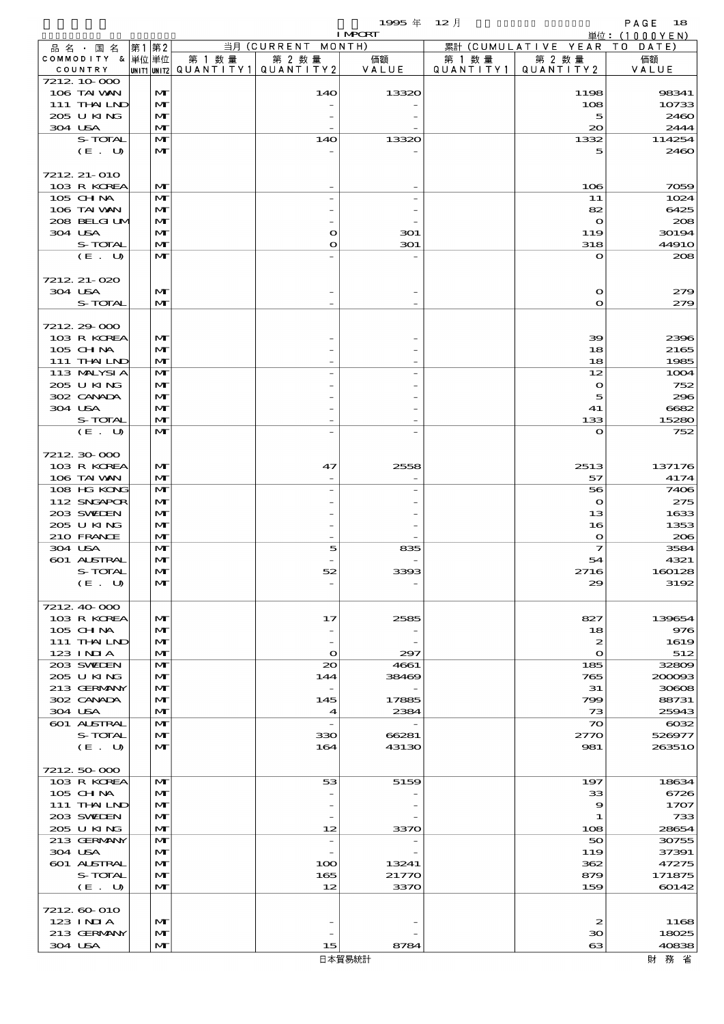$1995 \nrightarrow \text{ } 12 \text{ } \frac{1}{2}$ 

|                             |              |        |                                                  | <b>I MPORT</b> |                     |                              | 単位: (1000YEN)  |
|-----------------------------|--------------|--------|--------------------------------------------------|----------------|---------------------|------------------------------|----------------|
| 品名・国名                       | 第1 第2        |        | 当月 (CURRENT MONTH)                               |                |                     | 累計 (CUMULATIVE YEAR TO DATE) |                |
| COMMODITY & 単位単位<br>COUNTRY |              | 第 1 数量 | 第 2 数量<br> UNIT1 UNIT2  QUANT   TY1  QUANT   TY2 | 価額<br>VALUE    | 第 1 数量<br>QUANTITY1 | 第 2 数量<br>QUANTITY 2         | 価額<br>VALUE    |
| 7212 10 000                 |              |        |                                                  |                |                     |                              |                |
| 106 TAI VAN                 | M            |        | 140                                              | 13320          |                     | 1198                         | 98341          |
| 111 THAILND                 | $\mathbf{M}$ |        |                                                  |                |                     | 108                          | 10733          |
| 205 U KING                  | M            |        |                                                  |                |                     | 5                            | 2460           |
| 304 USA                     | M            |        |                                                  |                |                     | $\infty$                     | 2444           |
| S-TOTAL<br>(E. U)           | M<br>M       |        | 140                                              | 13320          |                     | 1332<br>5                    | 114254<br>2460 |
|                             |              |        |                                                  |                |                     |                              |                |
| 7212 21-010                 |              |        |                                                  |                |                     |                              |                |
| 103 R KOREA                 | M            |        |                                                  |                |                     | 106                          | 7059           |
| 105 CH NA                   | M            |        |                                                  |                |                     | 11                           | 1024           |
| 106 TAI VAN<br>208 BELGI UM | M<br>M       |        |                                                  |                |                     | 82<br>$\mathbf{\Omega}$      | 6425<br>208    |
| 304 USA                     | M            |        | O                                                | 301            |                     | 119                          | 30194          |
| S-TOTAL                     | M            |        | O                                                | 301            |                     | 318                          | <b>44910</b>   |
| (E. U)                      | $\mathbf{M}$ |        |                                                  |                |                     | $\mathbf o$                  | 208            |
|                             |              |        |                                                  |                |                     |                              |                |
| 7212 21-020                 |              |        |                                                  |                |                     |                              |                |
| 304 USA<br>S-TOTAL          | M<br>M       |        |                                                  |                |                     | $\mathbf o$<br>$\mathbf{o}$  | 279<br>279     |
|                             |              |        |                                                  |                |                     |                              |                |
| 7212 29 000                 |              |        |                                                  |                |                     |                              |                |
| 103 R KOREA                 | M            |        |                                                  |                |                     | 39                           | 2396           |
| 105 CH NA                   | M            |        |                                                  |                |                     | 18                           | 2165           |
| 111 THAILND                 | M            |        |                                                  |                |                     | 18                           | 1985           |
| 113 MALYSIA<br>205 U KING   | M<br>M       |        |                                                  |                |                     | 12<br>$\bullet$              | 1004<br>752    |
| 302 CANADA                  | M            |        |                                                  |                |                     | 5                            | 296            |
| 304 USA                     | M            |        |                                                  |                |                     | 41                           | 6682           |
| S-TOTAL                     | M            |        |                                                  |                |                     | 133                          | 15280          |
| (E. U)                      | $\mathbf{M}$ |        |                                                  |                |                     | $\mathbf o$                  | 752            |
|                             |              |        |                                                  |                |                     |                              |                |
| 7212 30 000<br>103 R KOREA  | M            |        | 47                                               | 2558           |                     | 2513                         | 137176         |
| 106 TAI VAN                 | M            |        |                                                  |                |                     | 57                           | 4174           |
| 108 HG KONG                 | $\mathbf{M}$ |        |                                                  |                |                     | 56                           | 7406           |
| 112 SNGAPOR                 | M            |        |                                                  |                |                     | $\mathbf{\Omega}$            | 275            |
| 203 SWIDEN                  | M            |        |                                                  |                |                     | 13                           | 1633           |
| 205 U KING                  | M            |        |                                                  |                |                     | 16                           | 1353           |
| 210 FRANCE<br>304 USA       | M<br>M       |        | 5                                                | 835            |                     | $\mathbf{\Omega}$<br>7       | 206<br>3584    |
| 601 ALSTRAL                 | M            |        |                                                  |                |                     | 54                           | 4321           |
| S-TOTAL                     | мı           |        |                                                  | 3393           |                     | 2716                         | 160128         |
| (E. U)                      | M            |        |                                                  |                |                     | 29                           | 3192           |
|                             |              |        |                                                  |                |                     |                              |                |
| 7212 40 000<br>103 R KOREA  | M            |        | 17                                               | 2585           |                     | 827                          | 139654         |
| 105 CH NA                   | M            |        |                                                  |                |                     | 18                           | 976            |
| 111 THAILND                 | M            |        |                                                  |                |                     | $\boldsymbol{z}$             | 1619           |
| $123$ INIA                  | M            |        | $\bullet$                                        | 297            |                     | $\mathbf{o}$                 | 512            |
| 203 SWIDEN                  | M            |        | $_{\infty}$                                      | 4661           |                     | 185                          | 32809          |
| 205 U KING                  | M            |        | 144                                              | 38469          |                     | 765                          | 200003         |
| 213 GERMANY<br>302 CANADA   | M<br>M       |        | 145                                              | 17885          |                     | 31<br>799                    | 30608<br>88731 |
| 304 USA                     | M            |        | 4                                                | 2384           |                     | 73                           | 25943          |
| 601 ALSTRAL                 | M            |        | $\overline{\phantom{a}}$                         |                |                     | $\boldsymbol{\infty}$        | $\cos z$       |
| S-TOTAL                     | M            |        | 330                                              | 66281          |                     | 2770                         | 526977         |
| (E. U)                      | M            |        | 164                                              | 43130          |                     | 981                          | 263510         |
|                             |              |        |                                                  |                |                     |                              |                |
| 7212 50 000<br>103 R KOREA  | M            |        | 53                                               | 5159           |                     | 197                          | 18634          |
| 105 CHNA                    | M            |        |                                                  |                |                     | 33                           | 6726           |
| 111 THAILND                 | M            |        |                                                  |                |                     | 9                            | 1707           |
| 203 SWIDEN                  | M            |        |                                                  |                |                     | 1                            | 733            |
| 205 U KING                  | M            |        | 12                                               | 3370           |                     | 108                          | 28654          |
| 213 GERMANY                 | M            |        | $\overline{\phantom{a}}$                         |                |                     | 50                           | 30755          |
| 304 USA<br>601 ALSTRAL      | M<br>M       |        | 100                                              | 13241          |                     | 119<br>362                   | 37391<br>47275 |
| S-TOTAL                     | M            |        | 165                                              | 21770          |                     | 879                          | 171875         |
| (E. U)                      | M            |        | 12                                               | 3370           |                     | 159                          | 60142          |
|                             |              |        |                                                  |                |                     |                              |                |
| 7212 60 010                 |              |        |                                                  |                |                     |                              |                |
| $123$ INIA                  | M            |        |                                                  |                |                     | 2                            | 1168           |
| 213 GERMANY<br>304 USA      | M<br>M       |        | 15                                               | 8784           |                     | 30<br>63                     | 18025<br>40838 |
|                             |              |        |                                                  |                |                     |                              |                |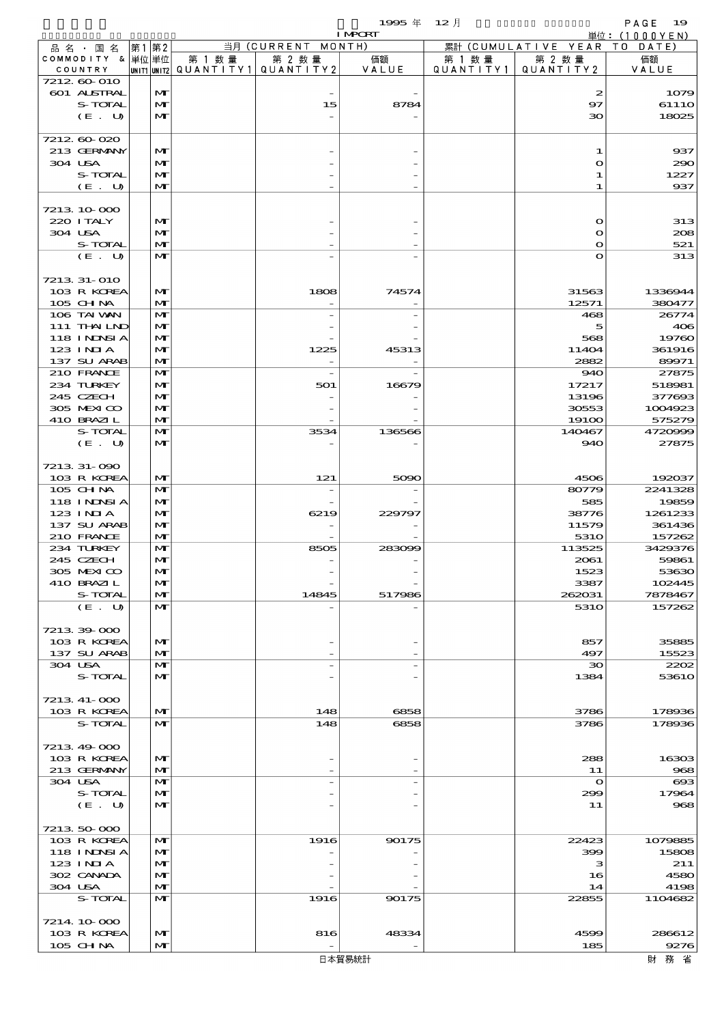$1995 \nrightarrow \text{ } 12 \text{ } \frac{1}{2}$ 

|                             |                   |        |                                                  | <b>I MPORT</b> |                     |                              | 単位: (1000YEN)        |
|-----------------------------|-------------------|--------|--------------------------------------------------|----------------|---------------------|------------------------------|----------------------|
| 品 名 ・ 国 名                   | 第1 第2             |        | 当月 (CURRENT MONTH)                               |                |                     | 累計 (CUMULATIVE YEAR TO DATE) |                      |
| COMMODITY & 単位単位<br>COUNTRY |                   | 第 1 数量 | 第 2 数量<br> UNIT1 UNIT2  QUANT   TY1  QUANT   TY2 | 価額             | 第 1 数量<br>QUANTITY1 | 第 2 数量<br>QUANTITY2          | 価額                   |
| 7212 60 010                 |                   |        |                                                  | VALUE          |                     |                              | VALUE                |
| <b>601 ALSTRAL</b>          | M                 |        |                                                  |                |                     | 2                            | 1079                 |
| S-TOTAL                     | $\mathbf{M}$      |        | 15                                               | 8784           |                     | 97                           | 6111O                |
| (E. U)                      | $\mathbf{M}$      |        |                                                  |                |                     | 30                           | 18025                |
|                             |                   |        |                                                  |                |                     |                              |                      |
| 7212000<br>213 GERMANY      | M                 |        |                                                  |                |                     | 1                            | 937                  |
| 304 USA                     | $\mathbf{M}$      |        |                                                  |                |                     | $\mathbf{\Omega}$            | 290                  |
| S-TOTAL                     | M                 |        |                                                  |                |                     | 1                            | 1227                 |
| $(E_U U)$                   | $\mathbf{M}$      |        |                                                  |                |                     | 1                            | 937                  |
|                             |                   |        |                                                  |                |                     |                              |                      |
| 7213 10 000                 |                   |        |                                                  |                |                     |                              |                      |
| 220 I TALY                  | M                 |        |                                                  |                |                     | $\mathbf{o}$                 | 313                  |
| 304 USA                     | M                 |        |                                                  |                |                     | O                            | 208                  |
| S-TOTAL<br>(E. U)           | M<br>$\mathbf{M}$ |        |                                                  |                |                     | O<br>O                       | 521<br>313           |
|                             |                   |        |                                                  |                |                     |                              |                      |
| 7213 31-010                 |                   |        |                                                  |                |                     |                              |                      |
| 103 R KOREA                 | M                 |        | 1808                                             | 74574          |                     | 31563                        | 1336944              |
| $105$ CHNA                  | M                 |        |                                                  |                |                     | 12571                        | 380477               |
| 106 TAI VAN                 | $\mathbf{M}$      |        |                                                  |                |                     | 468                          | 26774                |
| 111 THAILND                 | M                 |        |                                                  |                |                     | 5                            | 406                  |
| <b>118 INNSI A</b>          | M                 |        |                                                  |                |                     | 568                          | 19760                |
| $123$ INIA<br>137 SU ARAB   | M<br>$\mathbf{M}$ |        | 1225                                             | 45313          |                     | 11404<br>2882                | 361916<br>89971      |
| 210 FRANCE                  | M                 |        |                                                  |                |                     | 940                          | 27875                |
| 234 TURKEY                  | M                 |        | 501                                              | 16679          |                     | 17217                        | 518981               |
| 245 CZECH                   | M                 |        |                                                  |                |                     | 13196                        | 377693               |
| 305 MEXICO                  | M                 |        |                                                  |                |                     | 30553                        | 1004923              |
| 410 BRAZIL                  | M                 |        |                                                  |                |                     | 19100                        | 575279               |
| S-TOTAL                     | $\mathbf{M}$      |        | 3534                                             | 136566         |                     | 140467                       | 4720999              |
| (E. U)                      | M                 |        |                                                  |                |                     | 940                          | 27875                |
| 7213 31-090                 |                   |        |                                                  |                |                     |                              |                      |
| 103 R KOREA                 | M                 |        | 121                                              | 5090           |                     | 4506                         | 192037               |
| 105 CHNA                    | $\mathbf{M}$      |        | $\overline{\phantom{0}}$                         |                |                     | 80779                        | 2241328              |
| 118 I NDSI A                | M                 |        |                                                  |                |                     | 585                          | 19859                |
| 123 INIA                    | M                 |        | 6219                                             | 229797         |                     | 38776                        | 1261233              |
| 137 SU ARAB                 | M                 |        |                                                  |                |                     | 11579                        | 361436               |
| 210 FRANCE                  | M                 |        |                                                  |                |                     | 5310                         | 157262               |
| 234 TURKEY                  | M                 |        | 8505                                             | 283099         |                     | 113525                       | 3429376              |
| 245 CZECH<br>305 MEXICO     | M<br>мŀ           |        |                                                  |                |                     | 2061<br>1523                 | 59861<br>53630       |
| 410 BRAZIL                  | M                 |        |                                                  |                |                     | 3387                         | 102445               |
| S-TOTAL                     | M                 |        | 14845                                            | 517986         |                     | 262031                       | 7878467              |
| (E. U)                      | M                 |        |                                                  |                |                     | <b>5310</b>                  | 157262               |
|                             |                   |        |                                                  |                |                     |                              |                      |
| 7213 39 000                 |                   |        |                                                  |                |                     |                              |                      |
| 103 R KOREA                 | M                 |        |                                                  |                |                     | 857                          | 35885                |
| 137 SU ARAB                 | M                 |        |                                                  |                |                     | 497                          | 15523                |
| 304 USA<br>S-TOTAL          | M<br>M            |        |                                                  |                |                     | $\infty$<br>1384             | 2202<br><b>53610</b> |
|                             |                   |        |                                                  |                |                     |                              |                      |
| 7213 41-000                 |                   |        |                                                  |                |                     |                              |                      |
| 103 R KOREA                 | M                 |        | 148                                              | 6858           |                     | 3786                         | 178936               |
| S-TOTAL                     | M                 |        | 148                                              | 6858           |                     | 3786                         | 178936               |
|                             |                   |        |                                                  |                |                     |                              |                      |
| 7213 49 000                 |                   |        |                                                  |                |                     |                              |                      |
| 103 R KOREA<br>213 GERMANY  | M                 |        |                                                  |                |                     | 288                          | 16303                |
| 304 USA                     | M<br>M            |        |                                                  |                |                     | 11<br>$\mathbf{\Omega}$      | 968<br>$\alpha$      |
| S-TOTAL                     | M                 |        |                                                  |                |                     | 299                          | 17964                |
| (E. U)                      | M                 |        |                                                  |                |                     | 11                           | 968                  |
|                             |                   |        |                                                  |                |                     |                              |                      |
| 7213 50 000                 |                   |        |                                                  |                |                     |                              |                      |
| 103 R KOREA                 | M                 |        | 1916                                             | 90175          |                     | 22423                        | 1079885              |
| 118 I NDSI A                | M                 |        |                                                  |                |                     | 399                          | 15808                |
| 123 INIA<br>302 CANADA      | M<br>M            |        |                                                  |                |                     | з                            | 211<br>4580          |
| 304 USA                     | M                 |        |                                                  |                |                     | 16<br>14                     | 4198                 |
| S-TOTAL                     | M                 |        | 1916                                             | 90175          |                     | 22855                        | 1104682              |
|                             |                   |        |                                                  |                |                     |                              |                      |
| 7214 10 000                 |                   |        |                                                  |                |                     |                              |                      |
| 103 R KOREA                 | MГ                |        | 816                                              | 48334          |                     | 4599                         | 286612               |
| 105 CHNA                    | M                 |        |                                                  |                |                     | 185                          | 9276                 |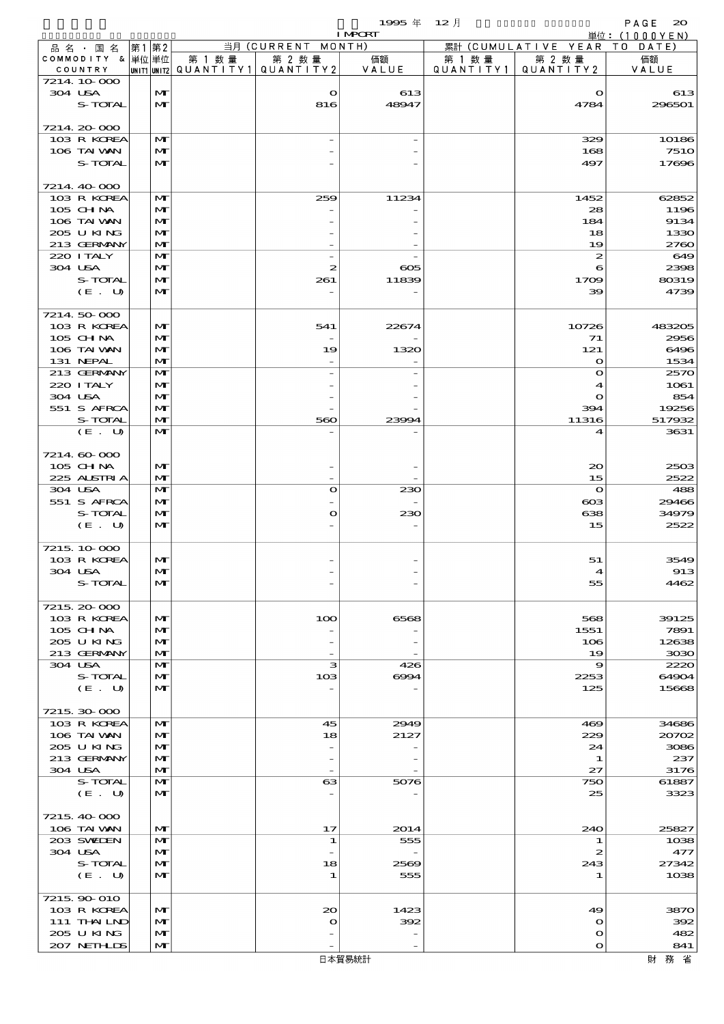|                            |    |                   |                                       |                     | 1995年          | $12$ 月    |                            | PAGE<br>$\infty$        |
|----------------------------|----|-------------------|---------------------------------------|---------------------|----------------|-----------|----------------------------|-------------------------|
| 品名・国名                      | 第1 | 第2                |                                       | 当月 (CURRENT MONTH)  | <b>I MPORT</b> |           | 累計 (CUMULATIVE YEAR TO     | 単位: $(1000YEN)$<br>DATE |
| COMMODITY & 単位単位           |    |                   | 第 1 数量                                | 第 2 数量              | 価額             | 第 1 数 量   | 第 2 数量                     | 価額                      |
| COUNTRY                    |    |                   | UNIT1 UNIT2  QUANT   TY1  QUANT   TY2 |                     | VALUE          | QUANTITY1 | QUANTITY 2                 | VALUE                   |
| 7214 10 000<br>304 USA     |    | M                 |                                       | $\mathbf{\Omega}$   | 613            |           | $\mathbf o$                | 613                     |
| S-TOTAL                    |    | $\mathbf{M}$      |                                       | 816                 | 48947          |           | 4784                       | 296501                  |
|                            |    |                   |                                       |                     |                |           |                            |                         |
| 7214 20 000                |    |                   |                                       |                     |                |           |                            |                         |
| 103 R KOREA<br>106 TAI VAN |    | M<br>$\mathbf{M}$ |                                       |                     |                |           | 329<br>168                 | 10186<br><b>7510</b>    |
| S-TOTAL                    |    | $\mathbf{M}$      |                                       |                     |                |           | 497                        | 17696                   |
|                            |    |                   |                                       |                     |                |           |                            |                         |
| 7214 40 000                |    |                   |                                       |                     |                |           |                            |                         |
| 103 R KOREA<br>$105$ CHNA  |    | M<br>M            |                                       | 259                 | 11234          |           | 1452<br>28                 | 62852<br>1196           |
| 106 TAI VAN                |    | $\mathbf{M}$      |                                       |                     |                |           | 184                        | 9134                    |
| 205 U KING                 |    | M                 |                                       |                     |                |           | 18                         | 1330                    |
| 213 GERMANY                |    | M                 |                                       |                     |                |           | 19                         | 2760                    |
| 220 I TALY<br>304 USA      |    | $\mathbf{M}$<br>M |                                       | $\overline{a}$<br>2 | $\infty$       |           | 2<br>6                     | 649<br>2398             |
| S-TOTAL                    |    | $\mathbf{M}$      |                                       | 261                 | 11839          |           | 1709                       | 80319                   |
| (E. U)                     |    | M                 |                                       |                     |                |           | 39                         | 4739                    |
|                            |    |                   |                                       |                     |                |           |                            |                         |
| 7214 50 000<br>103 R KOREA |    | M                 |                                       | 541                 | 22674          |           | 10726                      | 483205                  |
| 105 CHNA                   |    | $\mathbf{M}$      |                                       |                     |                |           | 71                         | 2956                    |
| 106 TAI VAN                |    | M                 |                                       | 19                  | 1320           |           | 121                        | 6496                    |
| 131 NEPAL<br>213 GERMANY   |    | M<br>$\mathbf{M}$ |                                       |                     |                |           | $\bullet$<br>$\mathbf o$   | 1534<br>2570            |
| 220 I TALY                 |    | $\mathbf{M}$      |                                       |                     |                |           | 4                          | 1061                    |
| 304 USA                    |    | $\mathbf{M}$      |                                       |                     |                |           | $\mathbf o$                | 854                     |
| 551 S AFRCA                |    | $\mathbf{M}$      |                                       |                     |                |           | 394                        | 19256                   |
| S-TOTAL<br>(E. U)          |    | M<br>$\mathbf{M}$ |                                       | 560                 | 23994          |           | 11316<br>4                 | 517932<br>3631          |
|                            |    |                   |                                       |                     |                |           |                            |                         |
| 7214 60 000                |    |                   |                                       |                     |                |           |                            |                         |
| 105 CHNA                   |    | M                 |                                       |                     |                |           | $\infty$                   | 2503                    |
| 225 ALSTRIA<br>304 USA     |    | M<br>$\mathbf{M}$ |                                       | $\mathbf o$         | 230            |           | 15<br>$\mathbf{o}$         | 2522<br>488             |
| 551 S AFRCA                |    | $\mathbf{M}$      |                                       |                     |                |           | ങ                          | 29466                   |
| S-TOTAL                    |    | $\mathbf{M}$      |                                       | $\mathbf o$         | 230            |           | 638                        | 34979                   |
| (E. U)                     |    | M                 |                                       |                     |                |           | 15                         | 2522                    |
| 7215 10 000                |    |                   |                                       |                     |                |           |                            |                         |
| 103 R KOREA                |    | M                 |                                       |                     |                |           | 51                         | 3549                    |
| 304 USA                    |    | M                 |                                       |                     |                |           | 4                          | 913                     |
| S-TOTAL                    |    | M                 |                                       |                     |                |           | 55                         | 4462                    |
| 7215, 20-000               |    |                   |                                       |                     |                |           |                            |                         |
| 103 R KOREA                |    | $\mathbf{M}$      |                                       | 100                 | 6568           |           | 568                        | 39125                   |
| 105 CH NA                  |    | M                 |                                       |                     |                |           | 1551                       | 7891                    |
| 205 U KING<br>213 GERMANY  |    | M<br>M            |                                       |                     |                |           | 106                        | 12638                   |
| 304 USA                    |    | $\mathbf{M}$      |                                       | з                   | 426            |           | 19<br>9                    | 3030<br>2220            |
| S-TOTAL                    |    | M                 |                                       | 103                 | 6004           |           | 2253                       | 64904                   |
| (E. U)                     |    | $\mathbf{M}$      |                                       |                     |                |           | 125                        | 15668                   |
| 7215 30 000                |    |                   |                                       |                     |                |           |                            |                         |
| 103 R KOREA                |    | M                 |                                       | 45                  | 2949           |           | 469                        | 34686                   |
| 106 TAI VAN                |    | M                 |                                       | 18                  | 2127           |           | 229                        | 20702                   |
| 205 U KING                 |    | M                 |                                       |                     |                |           | 24                         | 3086                    |
| 213 GERMANY<br>304 USA     |    | M<br>M            |                                       |                     |                |           | 1<br>27                    | 237<br>3176             |
| S-TOTAL                    |    | M                 |                                       | 63                  | 5076           |           | 750                        | 61887                   |
| (E. U)                     |    | $\mathbf{M}$      |                                       |                     |                |           | 25                         | 3323                    |
| 7215, 40 000               |    |                   |                                       |                     |                |           |                            |                         |
| 106 TAI VAN                |    | M                 |                                       | 17                  | 2014           |           | 240                        | 25827                   |
| 203 SWIDEN                 |    | M                 |                                       | 1                   | 555            |           | 1                          | 1038                    |
| 304 USA                    |    | M                 |                                       |                     |                |           | 2                          | 477                     |
| S-TOTAL<br>(E. U)          |    | M<br>M            |                                       | 18<br>1             | 2569<br>555    |           | 243<br>1                   | 27342<br>1038           |
|                            |    |                   |                                       |                     |                |           |                            |                         |
| 7215, 90 010               |    |                   |                                       |                     |                |           |                            |                         |
| 103 R KOREA                |    | $\mathbf{M}$      |                                       | $\infty$            | 1423           |           | 49                         | 3870                    |
| 111 THAILND<br>205 U KING  |    | M<br>M            |                                       | O                   | 392            |           | $\mathbf o$<br>$\mathbf o$ | 392<br>482              |
| 207 NETHLIS                |    | $\mathbf{M}$      |                                       |                     |                |           | $\mathbf o$                | 841                     |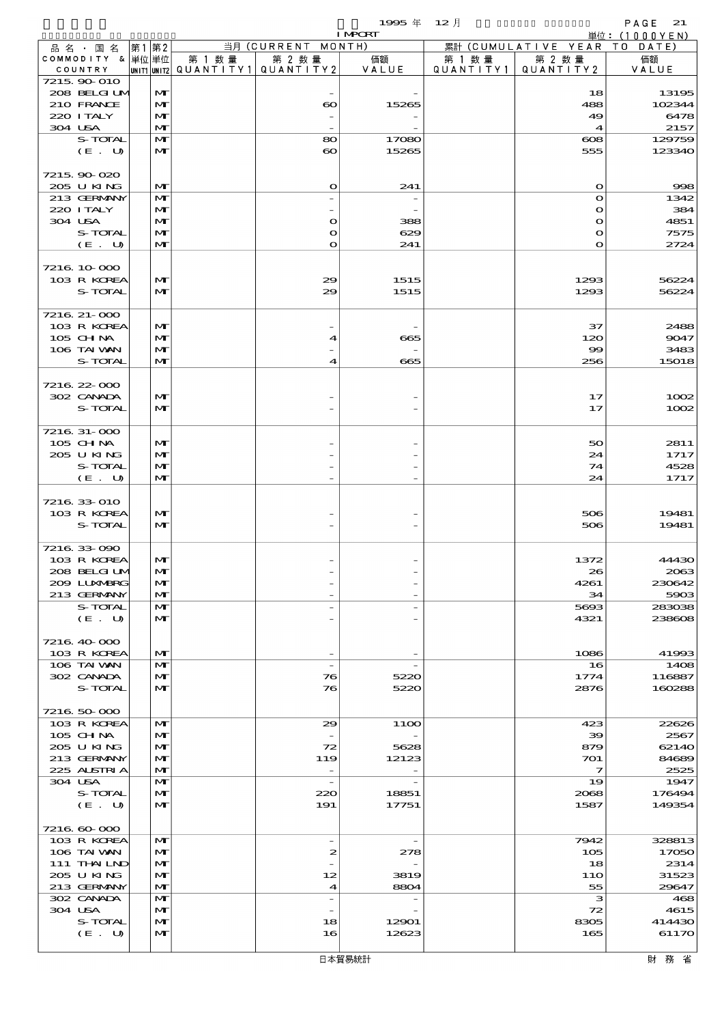|                  |          |              |        |                                           | 1995年<br><b>I MPCRT</b>  | $12$ 月    |                            | PAGE<br>21<br>単位:(1000YEN) |
|------------------|----------|--------------|--------|-------------------------------------------|--------------------------|-----------|----------------------------|----------------------------|
| 品名・国名            | 第2<br>第1 |              |        | 当月 (CURRENT                               | MONTH)                   |           | 累計 (CUMULATIVE YEAR        | T O<br>DATE)               |
| COMMODITY & 単位単位 |          |              | 第 1 数量 | 第 2 数量                                    | 価額                       | 第 1 数 量   | 第 2 数量                     | 価額                         |
| COUNTRY          |          |              |        | UNIT1 UNIT2   QUANT I TY 1   QUANT I TY 2 | VALUE                    | QUANTITY1 | QUANTITY 2                 | VALUE                      |
| 7215 90 010      |          |              |        |                                           |                          |           |                            |                            |
| 208 BELGIUM      |          | $\mathbf{M}$ |        |                                           |                          |           | 18                         | 13195                      |
| 210 FRANCE       |          | $\mathbf{M}$ |        | $\boldsymbol{\infty}$                     | 15265                    |           | 488                        | 102344                     |
| 220 I TALY       |          | $\mathbf{M}$ |        |                                           |                          |           | 49                         | 6478                       |
| 304 USA          |          | $\mathbf{M}$ |        |                                           |                          |           | $\boldsymbol{\mathcal{A}}$ | 2157                       |
| S-TOTAL          |          | M            |        | 80                                        | 17080                    |           | $\cos$                     | 129759                     |
| (E. U)           |          | $\mathbf{M}$ |        | $\boldsymbol{\infty}$                     | 15265                    |           | 555                        | 123340                     |
| 7215 90 020      |          |              |        |                                           |                          |           |                            |                            |
| 205 U KING       |          | $\mathbf{M}$ |        | $\mathbf o$                               | 241                      |           | $\mathbf o$                | 998                        |
| 213 GERMANY      |          | $\mathbf{M}$ |        | $\overline{\phantom{0}}$                  | $\overline{\phantom{a}}$ |           | $\bullet$                  | 1342                       |
| 220 I TALY       |          | $\mathbf{M}$ |        |                                           |                          |           | $\Omega$                   | 384                        |
| 304 USA          |          | $\mathbf{M}$ |        | $\mathbf o$                               | 388                      |           | $\Omega$                   | 4851                       |
| S-TOTAL          |          | $\mathbf{M}$ |        | $\bullet$                                 | 629                      |           | $\mathbf{o}$               | 7575                       |
| (E. U)           |          | $\mathbf{M}$ |        | $\bullet$                                 | 241                      |           | $\Omega$                   | 2724                       |
|                  |          |              |        |                                           |                          |           |                            |                            |
| 7216 10 000      |          |              |        |                                           |                          |           |                            |                            |
| 103 R KOREA      |          | M            |        | 29                                        | 1515                     |           | 1293                       | 56224                      |
| S-TOTAL          |          | $\mathbf{M}$ |        | 29                                        | 1515                     |           | 1293                       | 56224                      |
|                  |          |              |        |                                           |                          |           |                            |                            |
| 7216 21-000      |          |              |        |                                           |                          |           |                            |                            |
| 103 R KOREA      |          | $\mathbf{M}$ |        |                                           |                          |           | 37                         | 2488                       |
| $105$ CHNA       |          | $\mathbf{M}$ |        | 4                                         | 665                      |           | 120                        | 9047                       |
| 106 TAI VAN      |          | $\mathbf{M}$ |        |                                           |                          |           | $\infty$                   | 3483                       |
| S-TOTAL          |          | $\mathbf{M}$ |        | 4                                         | 665                      |           | 256                        | 15018                      |
|                  |          |              |        |                                           |                          |           |                            |                            |
| 7216 22 000      |          |              |        |                                           |                          |           |                            |                            |
| 302 CANADA       |          | M            |        |                                           |                          |           | 17                         | 1002                       |
| S-TOTAL          |          | $\mathbf{M}$ |        |                                           |                          |           | 17                         | 1002                       |
| 7216 31-000      |          |              |        |                                           |                          |           |                            |                            |
| $105$ CHNA       |          | $\mathbf{M}$ |        |                                           |                          |           | 50                         | 2811                       |
| 205 U KING       |          | $\mathbf{M}$ |        |                                           |                          |           | 24                         | 1717                       |
| S-TOTAL          |          | $\mathbf{M}$ |        |                                           |                          |           | 74                         | 4528                       |
| (E. U)           |          | $\mathbf{M}$ |        |                                           |                          |           | 24                         | 1717                       |
|                  |          |              |        |                                           |                          |           |                            |                            |
| 7216 33 010      |          |              |        |                                           |                          |           |                            |                            |
| 103 R KOREA      |          | M            |        |                                           |                          |           | 506                        | 19481                      |
| S-TOTAL          |          | $\mathbf{M}$ |        |                                           |                          |           | 506                        | 19481                      |
|                  |          |              |        |                                           |                          |           |                            |                            |
| 7216 33 090      |          |              |        |                                           |                          |           |                            |                            |
| 103 R KOREA      |          | $\mathbf{M}$ |        |                                           |                          |           | 1372                       | 44430                      |
| 208 BELGI UM     |          | M            |        |                                           |                          |           | 26                         | 2063                       |
| 209 LUNABRG      |          | $\mathbf{M}$ |        |                                           |                          |           | 4261                       | 230642                     |
| 213 GERMANY      |          | $\mathbf{M}$ |        |                                           |                          |           | 34                         | 5903                       |
| S-TOTAL          |          | $\mathbf{M}$ |        |                                           | $\overline{\phantom{a}}$ |           | 5693                       | 283038                     |
| (E. U)           |          | $\mathbf{M}$ |        |                                           |                          |           | 4321                       | 238608                     |
|                  |          |              |        |                                           |                          |           |                            |                            |
| 7216 40 000      |          |              |        |                                           |                          |           |                            |                            |
| 103 R KOREA      |          | $\mathbf{M}$ |        |                                           |                          |           | 1086                       | 41993                      |
| 106 TAI VAN      |          | $\mathbf{M}$ |        | $\overline{\phantom{a}}$                  | $\overline{\phantom{a}}$ |           | 16                         | 1408                       |
| 302 CANADA       |          | M            |        | 76                                        | 5220                     |           | 1774                       | 116887                     |
| S-TOTAL          |          | $\mathbf{M}$ |        | 76                                        | 5220                     |           | 2876                       | 160288                     |
| 7216 50 000      |          |              |        |                                           |                          |           |                            |                            |
| 103 R KOREA      |          | M            |        | 29                                        | 11OO                     |           | 423                        | 22626                      |
| $105$ CHNA       |          | $\mathbf{M}$ |        |                                           |                          |           | 39                         | 2567                       |
| 205 U KING       |          | $\mathbf{M}$ |        | 72                                        | 5628                     |           | 879                        | 62140                      |
| 213 GERMANY      |          | $\mathbf{M}$ |        | 119                                       | 12123                    |           | 701                        | 84689                      |
| 225 ALSTRIA      |          | $\mathbf{M}$ |        | $\overline{\phantom{a}}$                  |                          |           | $\overline{\mathbf{z}}$    | 2525                       |
| 304 USA          |          | M            |        | $\overline{\phantom{a}}$                  |                          |           | 19                         | 1947                       |
| S-TOTAL          |          | $\mathbf{M}$ |        | 220                                       | 18851                    |           | 2068                       | 176494                     |
| (E. U)           |          | $\mathbf{M}$ |        | 191                                       | 17751                    |           | 1587                       | 149354                     |
|                  |          |              |        |                                           |                          |           |                            |                            |
| 7216 60 000      |          |              |        |                                           |                          |           |                            |                            |
| 103 R KOREA      |          | M            |        | $\overline{\phantom{a}}$                  | $\qquad \qquad -$        |           | 7942                       | 328813                     |
| 106 TAI VAN      |          | $\mathbf{M}$ |        | 2                                         | 278                      |           | 105                        | 17050                      |
| 111 THAILND      |          | $\mathbf{M}$ |        |                                           |                          |           | 18                         | 2314                       |
| 205 U KING       |          | $\mathbf{M}$ |        | 12                                        | 3819                     |           | 11O                        | 31523                      |
| 213 GERMANY      |          | $\mathbf{M}$ |        | $\boldsymbol{4}$                          | 8804                     |           | 55                         | 29647                      |
| 302 CANADA       |          | $\mathbf{M}$ |        | $\overline{\phantom{a}}$                  |                          |           | з                          | 468                        |
| 304 USA          |          | M            |        |                                           |                          |           | 72                         | 4615                       |
| S-TOTAL          |          | M            |        | 18                                        | 12901                    |           | 8305                       | 414430                     |
| (E. U)           |          | $\mathbf{M}$ |        | 16                                        | 12623                    |           | 165                        | 61170                      |
|                  |          |              |        |                                           |                          |           |                            |                            |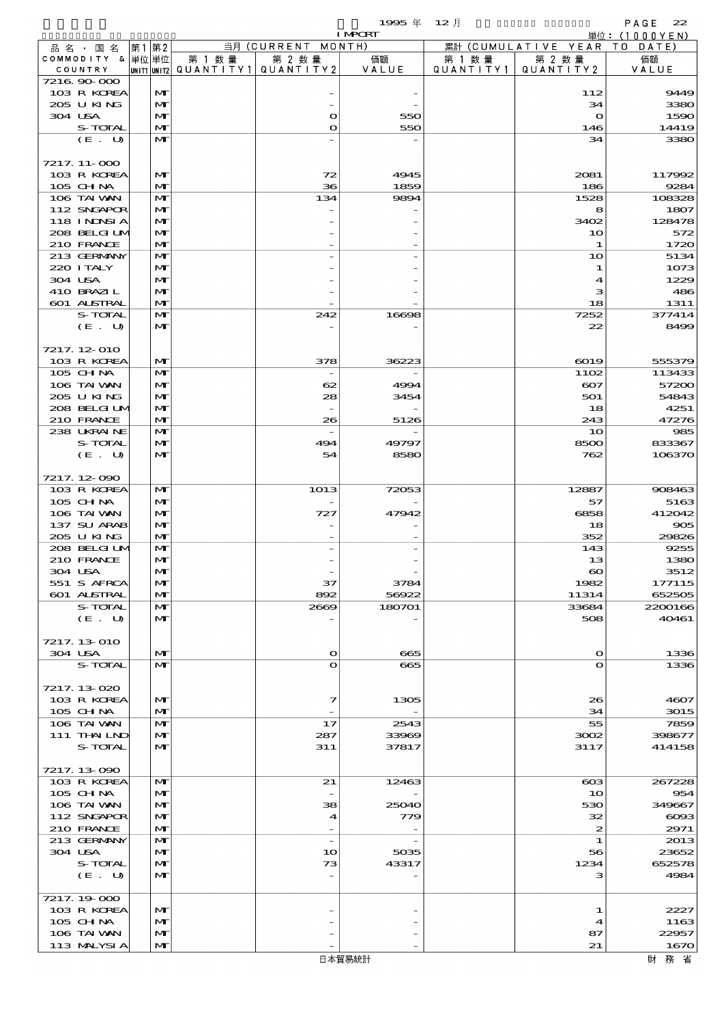$1995 \nsubseteq 12 \nexists$ 

|                            |                   |        |                                       | <b>I MPORT</b> |           |                              | 単位: (1000YEN)    |
|----------------------------|-------------------|--------|---------------------------------------|----------------|-----------|------------------------------|------------------|
| 品名・国名                      | 第1 第2             |        | 当月 (CURRENT MONTH)                    |                |           | 累計 (CUMULATIVE YEAR TO DATE) |                  |
| COMMODITY & 単位単位           |                   | 第 1 数量 | 第 2 数量                                | 価額             | 第 1 数 量   | 第 2 数量                       | 価額               |
| COUNTRY<br>7216.90-000     |                   |        | UNIT1 UNIT2  QUANT I TY1  QUANT I TY2 | VALUE          | QUANTITY1 | QUANTITY 2                   | VALUE            |
| 103 R KOREA                | M                 |        |                                       |                |           | 112                          | 9449             |
| 205 U KING                 | $\mathbf{M}$      |        |                                       |                |           | 34                           | 3380             |
| 304 USA                    | M                 |        | $\mathbf o$                           | 550            |           | $\mathbf{o}$                 | 1590             |
| S-TOTAL                    | M                 |        | $\mathbf{o}$                          | 550            |           | 146                          | 14419            |
| (E. U)                     | M                 |        |                                       |                |           | 34                           | 3380             |
|                            |                   |        |                                       |                |           |                              |                  |
| 7217. 11-000               |                   |        |                                       |                |           |                              |                  |
| 103 R KOREA                | M                 |        | 72                                    | 4945           |           | 2081                         | 117992           |
| 105 CHNA                   | M                 |        | 36                                    | 1859           |           | 186                          | 9284             |
| 106 TAI VAN<br>112 SNGAPOR | M<br>$\mathbf{M}$ |        | 134                                   | 9894           |           | 1528<br>8                    | 108328<br>1807   |
| 118 I NDSI A               | M                 |        |                                       |                |           | 3402                         | 128478           |
| 208 BELGI UM               | $\mathbf{M}$      |        |                                       |                |           | 10                           | 572              |
| 210 FRANCE                 | M                 |        |                                       |                |           | 1                            | 1720             |
| 213 GERMANY                | M                 |        |                                       |                |           | 10                           | 5134             |
| 220 I TALY                 | M                 |        |                                       |                |           | 1                            | 1073             |
| 304 USA                    | $\mathbf{M}$      |        |                                       |                |           | 4                            | 1229             |
| 410 BRAZIL                 | M                 |        |                                       |                |           | з                            | 486              |
| 601 ALSTRAL                | M                 |        |                                       |                |           | 18                           | 1311             |
| S-TOTAL<br>(E. U)          | M<br>M            |        | 242                                   | 16698          |           | 7252<br>22                   | 377414<br>8499   |
|                            |                   |        |                                       |                |           |                              |                  |
| 7217.12-010                |                   |        |                                       |                |           |                              |                  |
| 103 R KOREA                | M                 |        | 378                                   | 36223          |           | 6019                         | 555379           |
| 105 CHNA                   | $\mathbf{M}$      |        |                                       |                |           | 1102                         | 113433           |
| 106 TAI VAN                | M                 |        | 62                                    | 4994           |           | $\infty$                     | 57200            |
| 205 U KING                 | $\mathbf{M}$      |        | 28                                    | 3454           |           | 501                          | 54843            |
| 208 BELGI UM               | $\mathbf{M}$      |        |                                       |                |           | 18                           | 4251             |
| 210 FRANCE                 | $\mathbf{M}$      |        | 26                                    | 5126           |           | 243                          | 47276            |
| 238 UKRAINE                | M                 |        |                                       |                |           | 10                           | 985              |
| S-TOTAL                    | M                 |        | 494                                   | 49797          |           | 8500                         | 833367           |
| (E. U)                     | $\mathbf{M}$      |        | 54                                    | 8580           |           | 762                          | 106370           |
| 7217.12-090                |                   |        |                                       |                |           |                              |                  |
| 103 R KOREA                | M                 |        | 1013                                  | 72053          |           | 12887                        | 908463           |
| 105 CHNA                   | M                 |        |                                       |                |           | 57                           | 5163             |
| 106 TAI VAN                | M                 |        | 727                                   | 47942          |           | 6858                         | 412042           |
| 137 SU ARAB                | $\mathbf{M}$      |        |                                       |                |           | 18                           | 905              |
| 205 U KING                 | M                 |        |                                       |                |           | 352                          | 29826            |
| 208 BELGI UM               | M                 |        |                                       |                |           | 143                          | 9255             |
| 210 FRANCE                 | M                 |        |                                       |                |           | 13                           | 1380             |
| 304 USA                    | мŀ                |        |                                       | 3784           |           | $\infty$                     | 3512             |
| 551 S AFRCA<br>601 ALSTRAL | M<br>M            |        | 37<br>892                             | 56922          |           | 1982<br>11314                | 177115<br>652505 |
| S-TOTAL                    | M                 |        | 2669                                  | 180701         |           | 33684                        | 2200166          |
| (E. U)                     | $\mathbf{M}$      |        |                                       |                |           | 508                          | 40461            |
|                            |                   |        |                                       |                |           |                              |                  |
| 7217.13-010                |                   |        |                                       |                |           |                              |                  |
| 304 USA                    | $\mathbf{M}$      |        | $\bullet$                             | 665            |           | $\Omega$                     | 1336             |
| S-TOTAL                    | $\mathbf{M}$      |        | $\Omega$                              | 665            |           | $\Omega$                     | 1336             |
|                            |                   |        |                                       |                |           |                              |                  |
| 7217.13-020                |                   |        |                                       |                |           |                              |                  |
| 103 R KOREA                | M                 |        | 7                                     | 1305           |           | 26                           | 4607             |
| 105 CHNA<br>106 TAI VAN    | $\mathbf{M}$<br>M |        | 17                                    | 2543           |           | 34<br>55                     | 3015<br>7859     |
| 111 THAILND                | M                 |        | 287                                   | 33969          |           | 3002                         | 398677           |
| S-TOTAL                    | $\mathbf{M}$      |        | 311                                   | 37817          |           | 3117                         | 414158           |
|                            |                   |        |                                       |                |           |                              |                  |
| 7217.13-090                |                   |        |                                       |                |           |                              |                  |
| 103 R KOREA                | M                 |        | 21                                    | 12463          |           | $ \cos$                      | 267228           |
| 105 CH NA                  | $\mathbf{M}$      |        |                                       |                |           | 1 <sub>O</sub>               | 954              |
| 106 TAI VAN                | $\mathbf{M}$      |        | 38                                    | 25040          |           | 530                          | 349667           |
| 112 SNGAPOR                | $\mathbf{M}$      |        | $\boldsymbol{\mathcal{A}}$            | 779            |           | 32                           | $\cos$           |
| 210 FRANCE<br>213 GERMANY  | $\mathbf{M}$<br>M |        | $\overline{\phantom{a}}$              |                |           | $\boldsymbol{z}$<br>1        | 2971<br>2013     |
| 304 USA                    | M                 |        | 1 <sub>O</sub>                        | 5035           |           | 56                           | 23652            |
| S-TOTAL                    | M                 |        | 73                                    | 43317          |           | 1234                         | 652578           |
| (E. U)                     | $\mathbf{M}$      |        |                                       |                |           | з                            | 4984             |
|                            |                   |        |                                       |                |           |                              |                  |
| 7217.19000                 |                   |        |                                       |                |           |                              |                  |
| 103 R KOREA                | M                 |        |                                       |                |           | 1                            | 2227             |
| 105 CHNA                   | $\mathbf{M}$      |        |                                       |                |           | 4                            | 1163             |
| 106 TAI VAN                | $\mathbf{M}$      |        |                                       |                |           | 87                           | 22957            |
| 113 MALYSIA                | $\mathbf{M}$      |        |                                       |                |           | 21                           | 1670             |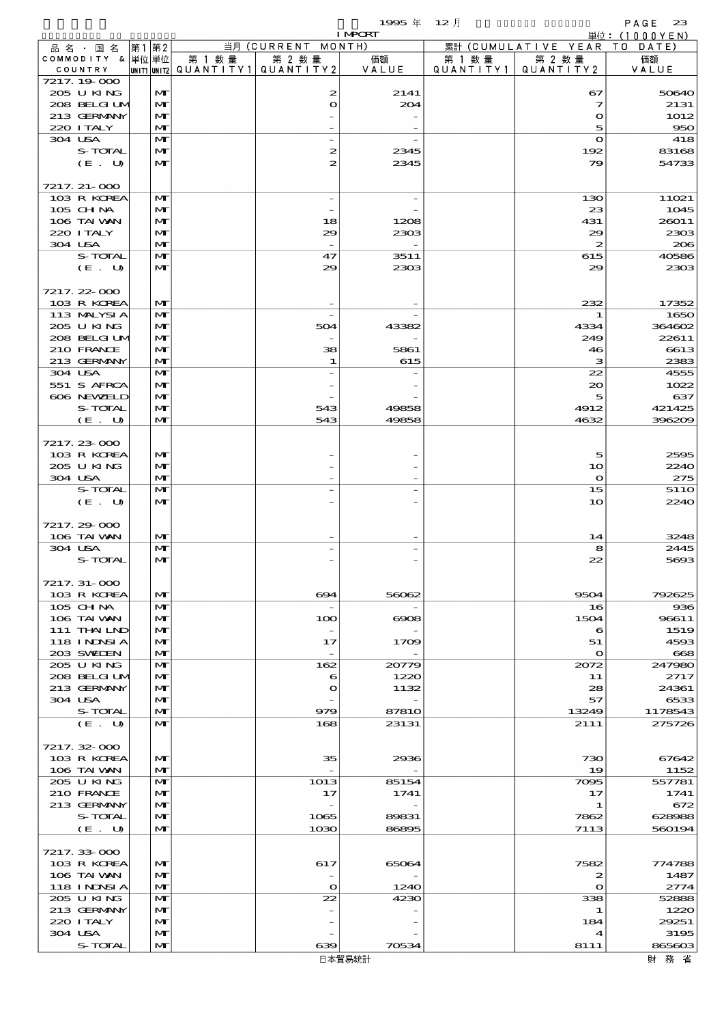|                               |      |                              |                                       |                          | 1995 $#$       | $12$ 月    |                               | PAGE<br>23                  |
|-------------------------------|------|------------------------------|---------------------------------------|--------------------------|----------------|-----------|-------------------------------|-----------------------------|
|                               | 第1第2 |                              |                                       | 当月 (CURRENT MONTH)       | <b>I MPCRT</b> |           | 累計 (CUMULATIVE YEAR           | 単位:(1000YEN)<br>T O<br>DATE |
| 品 名 ・ 国 名<br>COMMODITY & 単位単位 |      |                              | 第 1 数 量                               | 第 2 数量                   | 価額             | 第 1 数 量   | 第 2 数量                        | 価額                          |
| COUNTRY                       |      |                              | unit1 unit2  QUANT   TY1  QUANT   TY2 |                          | VALUE          | QUANTITY1 | QUANTITY2                     | VALUE                       |
| 7217.19.000                   |      |                              |                                       |                          |                |           |                               |                             |
| 205 U KING<br>208 BELGI UM    |      | $\mathbf{M}$<br>$\mathbf{M}$ |                                       | 2<br>O                   | 2141<br>204    |           | 67<br>$\overline{\mathbf{z}}$ | 50640<br>2131               |
| 213 GERMANY                   |      | $\mathbf{M}$                 |                                       |                          |                |           | $\mathbf o$                   | 1012                        |
| 220 I TALY                    |      | $\mathbf{M}$                 |                                       |                          |                |           | 5                             | 950                         |
| 304 USA                       |      | $\mathbf{M}$                 |                                       | $\overline{\phantom{a}}$ |                |           | $\mathbf{o}$                  | 418                         |
| S-TOTAL                       |      | M                            |                                       | 2<br>$\mathbf{z}$        | 2345           |           | 192                           | 83168<br>54733              |
| (E. U)                        |      | M                            |                                       |                          | 2345           |           | 79                            |                             |
| 7217. 21-000                  |      |                              |                                       |                          |                |           |                               |                             |
| 103 R KOREA                   |      | M                            |                                       | $\overline{\phantom{a}}$ |                |           | 130                           | 11021                       |
| 105 CHNA                      |      | $\mathbf{M}$                 |                                       |                          |                |           | 23                            | 1045                        |
| 106 TAI VAN<br>220 I TALY     |      | $\mathbf{M}$<br>$\mathbf{M}$ |                                       | 18<br>29                 | 1208           |           | 431<br>29                     | 26011<br>2303               |
| 304 USA                       |      | $\mathbf{M}$                 |                                       |                          | 2303           |           | $\boldsymbol{z}$              | 206                         |
| S-TOTAL                       |      | $\mathbf{M}$                 |                                       | 47                       | 3511           |           | 615                           | 40586                       |
| (E. U)                        |      | $\mathbf{M}$                 |                                       | 29                       | 2303           |           | 29                            | 2303                        |
|                               |      |                              |                                       |                          |                |           |                               |                             |
| 7217.22-000<br>103 R KOREA    |      | M                            |                                       |                          |                |           | 232                           | 17352                       |
| 113 MALYSIA                   |      | $\mathbf{M}$                 |                                       | $\overline{\phantom{a}}$ |                |           | 1                             | 1650                        |
| 205 U KING                    |      | M                            |                                       | 504                      | 43382          |           | 4334                          | 364602                      |
| 208 BELGI UM                  |      | $\mathbf{M}$                 |                                       | $\overline{\phantom{a}}$ |                |           | 249                           | 22611                       |
| 210 FRANCE                    |      | $\mathbf{M}$                 |                                       | 38                       | 5861           |           | 46                            | 6613                        |
| 213 GERMANY<br>304 USA        |      | $\mathbf{M}$<br>$\mathbf{M}$ |                                       | 1                        | 615            |           | з<br>22                       | 2383<br>4555                |
| 551 S AFRCA                   |      | $\mathbf{M}$                 |                                       |                          |                |           | $\infty$                      | 1022                        |
| 606 NEWELD                    |      | $\mathbf{M}$                 |                                       |                          |                |           | 5                             | 637                         |
| S-TOTAL                       |      | $\mathbf{M}$                 |                                       | 543                      | 49858          |           | 4912                          | 421425                      |
| (E. U)                        |      | $\mathbf{M}$                 |                                       | 543                      | 49858          |           | 4632                          | 396209                      |
| 7217.23-000                   |      |                              |                                       |                          |                |           |                               |                             |
| 103 R KOREA                   |      | $\mathbf{M}$                 |                                       |                          |                |           | 5                             | 2595                        |
| 205 U KING                    |      | $\mathbf{M}$                 |                                       |                          |                |           | 10                            | 2240                        |
| 304 USA                       |      | $\mathbf{M}$                 |                                       |                          |                |           | $\mathbf{o}$                  | 275                         |
| S-TOTAL                       |      | $\mathbf{M}$                 |                                       |                          |                |           | 15                            | 51 <sub>10</sub>            |
| (E. U)                        |      | $\mathbf{M}$                 |                                       |                          |                |           | 10                            | 2240                        |
| 7217.29-000                   |      |                              |                                       |                          |                |           |                               |                             |
| 106 TAI VAN                   |      | $\mathbf{M}$                 |                                       |                          |                |           | 14                            | 3248                        |
| 304 USA                       |      | $\mathbf{M}$                 |                                       |                          |                |           | 8                             | 2445                        |
| S-TOTAL                       |      | $\mathbf{M}$                 |                                       |                          |                |           | 22                            | 5693                        |
| 7217. 31-000                  |      |                              |                                       |                          |                |           |                               |                             |
| 103 R KOREA                   |      | M                            |                                       | $\boldsymbol{\infty}$    | 56062          |           | 9504                          | 792625                      |
| 105 CH NA                     |      | M                            |                                       | $\overline{\phantom{a}}$ |                |           | 16                            | 936                         |
| 106 TAI WAN                   |      | M                            |                                       | 100                      | $\cos$         |           | 1504                          | 96611                       |
| 111 THAILND<br>118 INNSI A    |      | $\mathbf{M}$                 |                                       |                          |                |           | 6                             | 1519                        |
| 203 SWIDEN                    |      | M<br>M                       |                                       | 17<br>$\equiv$           | 1709           |           | 51<br>$\mathbf{o}$            | 4593<br>668                 |
| 205 U KING                    |      | M                            |                                       | 162                      | 20779          |           | 2072                          | 247980                      |
| 208 BELGI UM                  |      | M                            |                                       | 6                        | 1220           |           | 11                            | 2717                        |
| 213 GERMANY                   |      | $\mathbf{M}$                 |                                       | $\mathbf o$              | 1132           |           | 28                            | 24361                       |
| 304 USA<br>S-TOTAL            |      | M<br>M                       |                                       | 979                      | 87810          |           | 57<br>13249                   | 6533<br>1178543             |
| (E. U)                        |      | M                            |                                       | 168                      | 23131          |           | 2111                          | 275726                      |
|                               |      |                              |                                       |                          |                |           |                               |                             |
| 7217.32-000                   |      |                              |                                       |                          |                |           |                               |                             |
| 103 R KOREA                   |      | $\mathbf{M}$                 |                                       | 35                       | 2936           |           | 730                           | 67642                       |
| 106 TAI VAN<br>205 U KING     |      | M<br>M                       |                                       | $\equiv$<br>1013         | 85154          |           | 19<br>7095                    | 1152<br>557781              |
| 210 FRANCE                    |      | M                            |                                       | 17                       | 1741           |           | 17                            | 1741                        |
| 213 GERMANY                   |      | $\mathbf{M}$                 |                                       |                          |                |           | 1                             | 672                         |
| S-TOTAL                       |      | M                            |                                       | 1065                     | 89831          |           | 7862                          | 628988                      |
| (E. U)                        |      | $\mathbf{M}$                 |                                       | 1030                     | 86895          |           | 7113                          | 560194                      |
| 7217.33.000                   |      |                              |                                       |                          |                |           |                               |                             |
| 103 R KOREA                   |      | M                            |                                       | 617                      | 65064          |           | 7582                          | 774788                      |
| 106 TAI VAN                   |      | M                            |                                       |                          |                |           | 2                             | 1487                        |
| <b>118 INNSIA</b>             |      | M                            |                                       | $\mathbf{o}$             | 1240           |           | $\mathbf{o}$                  | 2774                        |
| 205 U KING                    |      | M                            |                                       | 22                       | 4230           |           | 338                           | 52888                       |
| 213 GERMANY<br>220 I TALY     |      | M<br>M                       |                                       |                          |                |           | 1<br>184                      | 1220<br>29251               |
| 304 USA                       |      | M                            |                                       |                          |                |           | 4                             | 3195                        |
| S-TOTAL                       |      | M                            |                                       | 639                      | 70534          |           | 8111                          | 865603                      |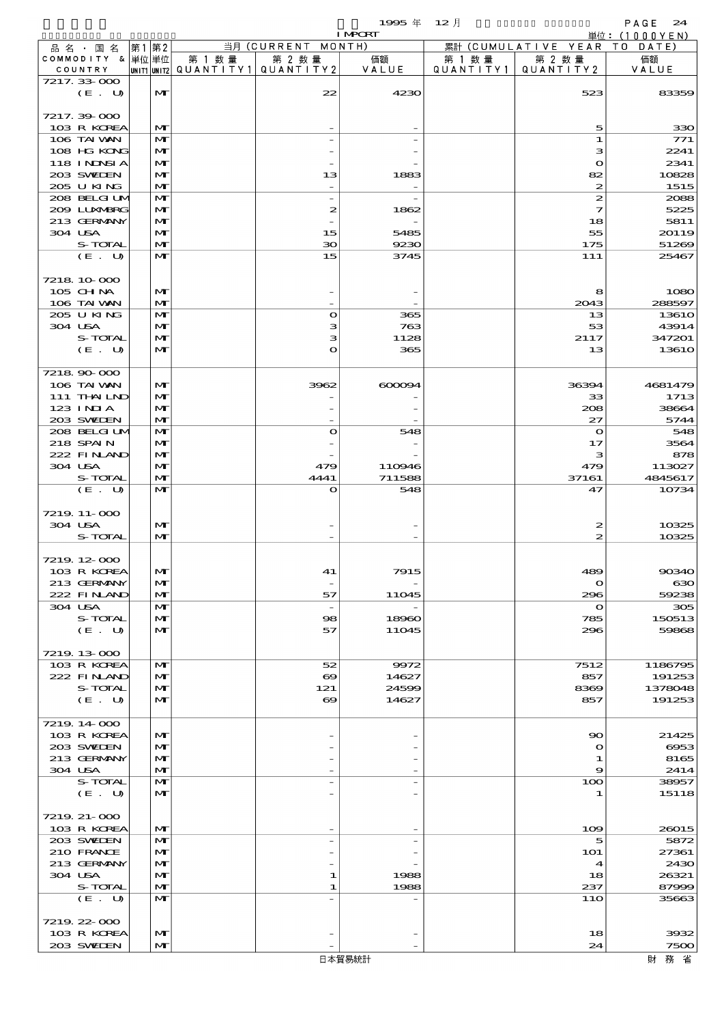$1995 \nleftrightarrow 12 \nparallel$  PAGE 24

|                    |    |                   |        |                                       | <b>I MPORT</b>                              |         |                              | .<br>単位: (1000YEN) |
|--------------------|----|-------------------|--------|---------------------------------------|---------------------------------------------|---------|------------------------------|--------------------|
| 品名 · 国名            | 第1 | 第2                |        | 当月 (CURRENT MONTH)                    |                                             |         | 累計 (CUMULATIVE YEAR TO DATE) |                    |
| COMMODITY & 単位単位   |    |                   | 第 1 数量 | 第 2 数量                                | 価額                                          | 第 1 数 量 | 第 2 数量                       | 価額                 |
| COUNTRY            |    |                   |        | UNIT1 UNIT2  QUANT   TY1  QUANT   TY2 | VALUE                                       |         | QUANTITY1   QUANTITY2        | VALUE              |
| 7217.33-000        |    |                   |        |                                       |                                             |         |                              |                    |
| (E. U)             |    | $\mathbf{M}$      |        | 22                                    | 4230                                        |         | 523                          | 83359              |
|                    |    |                   |        |                                       |                                             |         |                              |                    |
| 7217.39-000        |    |                   |        |                                       |                                             |         |                              |                    |
| 103 R KOREA        |    | M                 |        |                                       |                                             |         | 5                            | 330                |
| 106 TAI VAN        |    | M                 |        |                                       |                                             |         | 1                            | 771                |
| 108 HG KONG        |    | M                 |        |                                       |                                             |         | з                            | 2241               |
| 118 I NDSI A       |    | M                 |        |                                       |                                             |         | $\mathbf{o}$                 | 2341               |
| 203 SWIEN          |    | $\mathbf{M}$      |        | 13                                    | 1883                                        |         | 82                           | 10828              |
| 205 U KING         |    | M                 |        |                                       |                                             |         | $\boldsymbol{z}$             | 1515               |
| 208 BELGI UM       |    | $\mathbf{M}$      |        | $\overline{\phantom{a}}$              |                                             |         | 2                            | 2088               |
| 2009 LUNABRG       |    | M                 |        | $\boldsymbol{z}$                      | 1862                                        |         | 7                            | 5225               |
| 213 GERMANY        |    | $\mathbf{M}$      |        |                                       |                                             |         | 18                           | 5811               |
| 304 USA<br>S-TOTAL |    | M<br>$\mathbf{M}$ |        | 15                                    | 5485                                        |         | 55<br>175                    | 20119              |
| (E. U)             |    | $\mathbf{M}$      |        | 30<br>15                              | 9230<br>3745                                |         | 111                          | 51269<br>25467     |
|                    |    |                   |        |                                       |                                             |         |                              |                    |
| 7218 10 000        |    |                   |        |                                       |                                             |         |                              |                    |
| 105 CHNA           |    | M                 |        |                                       |                                             |         | 8                            | 1080               |
| 106 TAI VAN        |    | M                 |        |                                       |                                             |         | 2043                         | 288597             |
| 205 U KING         |    | $\mathbf{M}$      |        | $\bullet$                             | 365                                         |         | 13                           | 1361O              |
| 304 USA            |    | M                 |        | з                                     | 763                                         |         | 53                           | 43914              |
| S-TOTAL            |    | $\mathbf{M}$      |        | з                                     | 1128                                        |         | 2117                         | 347201             |
| (E. U)             |    | $\mathbf{M}$      |        | O                                     | 365                                         |         | 13                           | 1361O              |
|                    |    |                   |        |                                       |                                             |         |                              |                    |
| 7218 90 000        |    |                   |        |                                       |                                             |         |                              |                    |
| 106 TAI VAN        |    | $\mathbf{M}$      |        | 3962                                  | $\alpha$ $\alpha$ $\alpha$ $\alpha$ $\beta$ |         | 36394                        | 4681479            |
| $111$ THAILND      |    | M                 |        |                                       |                                             |         | 33                           | 1713               |
| $123$ INIA         |    | $\mathbf{M}$      |        |                                       |                                             |         | 208                          | 38664              |
| 203 SWIEN          |    | M                 |        |                                       |                                             |         | 27                           | 5744               |
| 208 BELGI UM       |    | $\mathbf{M}$      |        | $\mathbf{o}$                          | 548                                         |         | $\bullet$                    | 548                |
| 218 SPAIN          |    | $\mathbf{M}$      |        |                                       |                                             |         | 17                           | 3564               |
| 222 FINAND         |    | M                 |        |                                       |                                             |         | з                            | 878                |
| 304 USA            |    | M                 |        | 479                                   | 110946                                      |         | 479                          | 113027             |
| S-TOTAL            |    | $\mathbf{M}$      |        | 4441                                  | 711588                                      |         | 37161                        | 4845617            |
| (E. U)             |    | $\mathbf{M}$      |        | $\mathbf{o}$                          | 548                                         |         | 47                           | 10734              |
|                    |    |                   |        |                                       |                                             |         |                              |                    |
| 7219.11-000        |    |                   |        |                                       |                                             |         |                              |                    |
| 304 USA            |    | M                 |        |                                       |                                             |         | 2                            | 10325              |
| S-TOTAL            |    | $\mathbf{M}$      |        |                                       |                                             |         | 2                            | 10325              |
|                    |    |                   |        |                                       |                                             |         |                              |                    |
| 7219, 12, 000      |    |                   |        |                                       |                                             |         |                              |                    |
| 103 R KOREA        |    | M                 |        | 41                                    | 7915                                        |         | 489                          | 90340              |
| 213 GERMANY        |    | M                 |        |                                       |                                             |         | $\mathbf o$                  | ഓ                  |
| 222 FINAND         |    | M                 |        | 57                                    | 11045                                       |         | 296                          | 59238              |
| 304 USA            |    | M                 |        | $\overline{\phantom{a}}$              |                                             |         | $\mathbf o$                  | 305                |
| S-TOTAL            |    | M                 |        | $\infty$                              | 18960                                       |         | 785                          | 150513             |
| (E. U)             |    | M                 |        | 57                                    | 11045                                       |         | 296                          | 59868              |
|                    |    |                   |        |                                       |                                             |         |                              |                    |
| 7219.13-000        |    |                   |        |                                       |                                             |         |                              |                    |
| 103 R KOREA        |    | M                 |        | 52                                    | 9972                                        |         | 7512                         | 1186795            |
| 222 FINAND         |    | $\mathbf{M}$      |        | $\boldsymbol{\infty}$                 | 14627                                       |         | 857                          | 191253             |
| S-TOTAL            |    | M                 |        | 121                                   | 24599                                       |         | 8369                         | 1378048            |
| (E. U)             |    | M                 |        | $\boldsymbol{\infty}$                 | 14627                                       |         | 857                          | 191253             |
|                    |    |                   |        |                                       |                                             |         |                              |                    |
| 7219 14 000        |    |                   |        |                                       |                                             |         |                              |                    |
| 103 R KOREA        |    | M                 |        |                                       |                                             |         | 90                           | 21425              |
| 203 SWIDEN         |    | M                 |        |                                       |                                             |         | $\mathbf o$                  | 6953               |
| 213 GERMANY        |    | M                 |        |                                       |                                             |         | 1                            | 8165               |
| 304 USA            |    | M                 |        |                                       |                                             |         | 9                            | 2414               |
| S-TOTAL            |    | $\mathbf{M}$      |        |                                       |                                             |         | 100                          | 38957              |
| (E. U)             |    | $\mathbf{M}$      |        |                                       |                                             |         | 1                            | 15118              |
|                    |    |                   |        |                                       |                                             |         |                              |                    |
| 7219 21-000        |    |                   |        |                                       |                                             |         |                              |                    |
| 103 R KOREA        |    | M                 |        |                                       |                                             |         | 109                          | 26015              |
| 203 SWIDEN         |    | $\mathbf{M}$      |        |                                       |                                             |         | 5                            | 5872               |
| 210 FRANCE         |    | M                 |        |                                       |                                             |         | <b>1O1</b>                   | 27361              |
| 213 GERMANY        |    | M                 |        |                                       |                                             |         | 4                            | 2430               |
| 304 USA            |    | $\mathbf{M}$      |        | 1                                     | 1988                                        |         | 18                           | 26321              |
| S-TOTAL            |    | M                 |        | 1                                     | 1988                                        |         | 237                          | 87999              |
| (E. U)             |    | M                 |        |                                       |                                             |         | 11O                          | 35663              |
|                    |    |                   |        |                                       |                                             |         |                              |                    |
| 7219 22 000        |    |                   |        |                                       |                                             |         |                              |                    |
| 103 R KOREA        |    | $\mathbf{M}$      |        |                                       |                                             |         | 18                           | 3932               |
| 203 SWIEN          |    | M                 |        |                                       |                                             |         | 24                           | 7500               |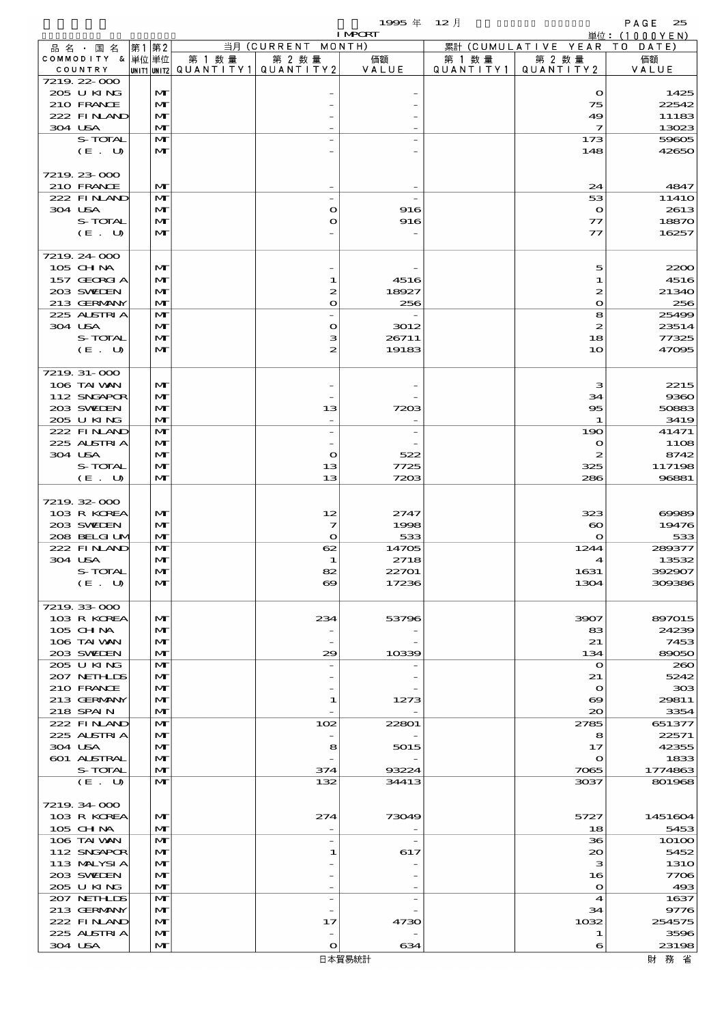|                             |                   |        |                                                  | <b>I MPORT</b> |                              |                                      | 単位: $(1000YEN)$ |
|-----------------------------|-------------------|--------|--------------------------------------------------|----------------|------------------------------|--------------------------------------|-----------------|
| 品名・国名                       | 第1 第2             |        | 当月 (CURRENT MONTH)                               |                |                              | 累計 (CUMULATIVE YEAR TO DATE)         |                 |
| COMMODITY & 単位単位<br>COUNTRY |                   | 第 1 数量 | 第 2 数量<br> UNIT1 UNIT2  QUANT   TY1  QUANT   TY2 | 価額<br>VALUE    | 第 1 数 量<br>Q U A N T I T Y 1 | 第 2 数量<br>QUANTITY 2                 | 価額<br>VALUE     |
| 7219 22 000                 |                   |        |                                                  |                |                              |                                      |                 |
| 205 U KING                  | M                 |        |                                                  |                |                              | $\mathbf{\Omega}$                    | 1425            |
| 210 FRANCE                  | $\mathbf{M}$      |        |                                                  |                |                              | 75                                   | 22542           |
| 222 FINAND                  | M                 |        |                                                  |                |                              | 49                                   | 11183           |
| 304 USA                     | M                 |        |                                                  |                |                              | $\mathcal I$                         | 13023           |
| S-TOTAL<br>(E. U)           | M<br>M            |        |                                                  |                |                              | 173<br>148                           | 59605<br>42650  |
|                             |                   |        |                                                  |                |                              |                                      |                 |
| 7219 23 000                 |                   |        |                                                  |                |                              |                                      |                 |
| 210 FRANCE                  | M                 |        |                                                  |                |                              | 24                                   | 4847            |
| 222 FINAND                  | M                 |        | $\overline{\phantom{a}}$                         |                |                              | 53                                   | 1141O           |
| 304 USA<br>S-TOTAL          | M                 |        | $\mathbf o$<br>$\mathbf{o}$                      | 916            |                              | $\mathbf{o}$                         | 2613            |
| (E. U)                      | M<br>$\mathbf{M}$ |        |                                                  | 916            |                              | $\tau\tau$<br>77                     | 18870<br>16257  |
|                             |                   |        |                                                  |                |                              |                                      |                 |
| 7219 24 000                 |                   |        |                                                  |                |                              |                                      |                 |
| 105 CHNA                    | MГ                |        |                                                  |                |                              | 5                                    | 2200            |
| 157 GEORGIA                 | M                 |        | 1                                                | 4516           |                              | 1                                    | 4516            |
| 203 SWIEN                   | M                 |        | 2                                                | 18927          |                              | 2                                    | 21340           |
| 213 GERMANY<br>225 ALSTRIA  | M<br>M            |        | $\bullet$                                        | 256            |                              | $\mathbf o$<br>8                     | 256<br>25499    |
| 304 USA                     | M                 |        | $\bullet$                                        | 3012           |                              | 2                                    | 23514           |
| S-TOTAL                     | M                 |        | з                                                | 26711          |                              | 18                                   | 77325           |
| (E. U)                      | $\mathbf{M}$      |        | 2                                                | 19183          |                              | 10                                   | 47095           |
|                             |                   |        |                                                  |                |                              |                                      |                 |
| 7219 31-000                 |                   |        |                                                  |                |                              |                                      |                 |
| 106 TAI VAN                 | M                 |        |                                                  |                |                              | з                                    | 2215            |
| 112 SNGAPOR                 | M                 |        |                                                  |                |                              | 34                                   | 9360            |
| 203 SWIEN                   | M                 |        | 13                                               | 7203           |                              | $\overline{\textbf{5}}$              | 50883           |
| 205 U KING<br>222 FINAND    | M<br>M            |        | $\overline{a}$                                   |                |                              | 1<br>190                             | 3419<br>41471   |
| 225 ALSTRIA                 | M                 |        |                                                  |                |                              | $\mathbf o$                          | 1108            |
| 304 USA                     | M                 |        | $\bullet$                                        | 522            |                              | 2                                    | 8742            |
| S-TOTAL                     | M                 |        | 13                                               | 7725           |                              | 325                                  | 117198          |
| (E. U)                      | M                 |        | 13                                               | 7203           |                              | 286                                  | 96881           |
|                             |                   |        |                                                  |                |                              |                                      |                 |
| 7219 32 000                 |                   |        |                                                  |                |                              |                                      |                 |
| 103 R KOREA                 | M                 |        | 12                                               | 2747           |                              | 323                                  | 69989           |
| 203 SWIEN<br>208 BELGI UM   | M<br>M            |        | 7<br>$\mathbf{o}$                                | 1998<br>533    |                              | $\boldsymbol{\infty}$<br>$\mathbf o$ | 19476<br>533    |
| 222 FINAND                  | M                 |        | 62                                               | 14705          |                              | 1244                                 | 289377          |
| 304 USA                     | M                 |        | 1                                                | 2718           |                              | 4                                    | 13532           |
| S-TOTAL                     | мı                |        | 82                                               | 22701          |                              | 1631                                 | 392907          |
| (E. U)                      | M                 |        | $\boldsymbol{\infty}$                            | 17236          |                              | 1304                                 | 309336          |
|                             |                   |        |                                                  |                |                              |                                      |                 |
| 7219 33 000                 |                   |        |                                                  |                |                              |                                      | 897015          |
| 103 R KOREA<br>$105$ CHNA   | M<br>M            |        | 234                                              | 53796          |                              | 3907<br>83                           | 24239           |
| 106 TAI VAN                 | M                 |        |                                                  |                |                              | 21                                   | 7453            |
| 203 SWIEN                   | M                 |        | 29                                               | 10339          |                              | 134                                  | 89050           |
| 205 U KING                  | M                 |        |                                                  |                |                              | $\mathbf o$                          | 280             |
| 207 NETHLIS                 | M                 |        |                                                  |                |                              | 21                                   | 5242            |
| 210 FRANCE                  | M                 |        |                                                  |                |                              | $\bullet$                            | 308             |
| 213 GERMANY                 | M                 |        | 1                                                | 1273           |                              | $\boldsymbol{\infty}$                | 29811           |
| 218 SPAIN<br>222 FINLAND    | M<br>M            |        | 102                                              | 22801          |                              | 20<br>2785                           | 3354<br>651377  |
| 225 ALSTRIA                 | M                 |        |                                                  |                |                              | 8                                    | 22571           |
| 304 USA                     | M                 |        | 8                                                | 5015           |                              | 17                                   | 42355           |
| 601 ALSTRAL                 | M                 |        |                                                  |                |                              | $\mathbf o$                          | 1833            |
| S-TOTAL                     | M                 |        | 374                                              | 93224          |                              | 7065                                 | 1774863         |
| (E. U)                      | M                 |        | 132                                              | 34413          |                              | 3037                                 | 801968          |
|                             |                   |        |                                                  |                |                              |                                      |                 |
| 7219 34 000                 |                   |        |                                                  |                |                              |                                      |                 |
| 103 R KOREA<br>105 CH NA    | M<br>M            |        | 274                                              | 73049          |                              | 5727<br>18                           | 1451604<br>5453 |
| 106 TAI VAN                 | M                 |        | $\overline{a}$                                   |                |                              | 36                                   | 10100           |
| 112 SNGAPOR                 | M                 |        | 1                                                | 617            |                              | $\infty$                             | 5452            |
| 113 MALYSIA                 | $\mathbf{M}$      |        |                                                  |                |                              | з                                    | <b>1310</b>     |
| 203 SWIDEN                  | M                 |        |                                                  |                |                              | 16                                   | 7706            |
| 205 U KING                  | M                 |        |                                                  |                |                              | $\mathbf{o}$                         | 493             |
| 207 NETHLIDS                | M                 |        | $\overline{a}$                                   |                |                              | 4                                    | 1637            |
| 213 GERMANY                 | M                 |        |                                                  |                |                              | 34                                   | 9776            |
| 222 FINAND<br>225 ALSTRIA   | M<br>M            |        | 17                                               | 4730           |                              | 1032<br>1                            | 254575<br>3596  |
| 304 USA                     | $\mathbf{M}$      |        | $\bullet$                                        | 634            |                              | 6                                    | 23198           |
|                             |                   |        |                                                  |                |                              |                                      |                 |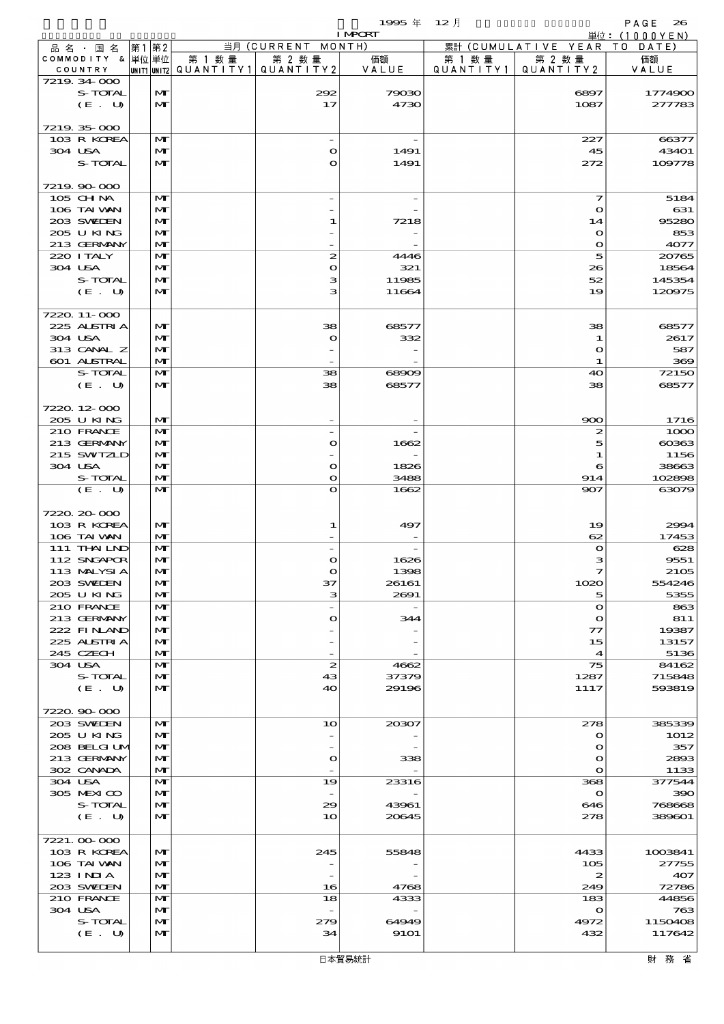$1995 \nleftrightarrow \n\begin{array}{ccc}\n12 & 12 & 0\n\end{array}$ 

|                            |    |                              |                                       |                      | <b>I MPORT</b> |           |                              | .<br>単位: $(1000YEN)$ |
|----------------------------|----|------------------------------|---------------------------------------|----------------------|----------------|-----------|------------------------------|----------------------|
| 品名 · 国名                    | 第1 | 第2                           |                                       | 当月 (CURRENT MONTH)   |                |           | 累計 (CUMULATIVE YEAR TO DATE) |                      |
| COMMODITY & 単位単位           |    |                              | 第 1 数量                                | 第 2 数量               | 価額             | 第 1 数量    | 第 2 数量                       | 価額                   |
| COUNTRY                    |    |                              | UNIT1 UNIT2  QUANT   TY1  QUANT   TY2 |                      | VALUE          | QUANTITY1 | QUANTITY 2                   | VALUE                |
| 7219 34 000<br>S-TOTAL     |    | M                            |                                       | 292                  | 79030          |           | 6897                         | 1774900              |
| (E. U)                     |    | $\mathbf{M}$                 |                                       | 17                   | 4730           |           | 1087                         | 277783               |
|                            |    |                              |                                       |                      |                |           |                              |                      |
| 7219 35 000                |    |                              |                                       |                      |                |           |                              |                      |
| 103 R KOREA                |    | $\mathbf{M}$                 |                                       |                      |                |           | 227                          | 66377                |
| 304 USA                    |    | M                            |                                       | $\Omega$             | 1491           |           | 45                           | 43401                |
| S-TOTAL                    |    | $\mathbf{M}$                 |                                       | $\mathbf{\Omega}$    | 1491           |           | 272                          | 109778               |
|                            |    |                              |                                       |                      |                |           |                              |                      |
| 7219.90.000                |    |                              |                                       |                      |                |           |                              |                      |
| 105 CHNA<br>106 TAI VAN    |    | M<br>M                       |                                       |                      |                |           | 7<br>$\bullet$               | 5184<br>631          |
| 203 SWEDEN                 |    | $\mathbf{M}$                 |                                       | 1                    | 7218           |           | 14                           | 95280                |
| 205 U KING                 |    | M                            |                                       |                      |                |           | $\bullet$                    | 853                  |
| 213 GERMANY                |    | $\mathbf{M}$                 |                                       |                      |                |           | $\mathbf o$                  | 4077                 |
| 220 I TALY                 |    | $\mathbf{M}$                 |                                       | 2                    | 4446           |           | 5                            | 20765                |
| 304 USA                    |    | M                            |                                       | $\bullet$            | 321            |           | 26                           | 18564                |
| S-TOTAL                    |    | $\mathbf{M}$                 |                                       | з                    | 11985          |           | 52                           | 145354               |
| (E. U)                     |    | $\mathbf{M}$                 |                                       | з                    | 11664          |           | 19                           | 120975               |
|                            |    |                              |                                       |                      |                |           |                              |                      |
| 7220 11-000<br>225 ALSTRIA |    | M                            |                                       | 38                   | 68577          |           | 38                           | 68577                |
| 304 USA                    |    | M                            |                                       | $\mathbf o$          | 332            |           | 1                            | 2617                 |
| 313 CANAL Z                |    | M                            |                                       |                      |                |           | O                            | 587                  |
| 601 ALSTRAL                |    | $\mathbf{M}$                 |                                       |                      |                |           | 1                            | 369                  |
| S-TOTAL                    |    | $\mathbf{M}$                 |                                       | 38                   | 68909          |           | 40                           | 72150                |
| (E. U)                     |    | $\mathbf{M}$                 |                                       | 38                   | 68577          |           | 38                           | 68577                |
|                            |    |                              |                                       |                      |                |           |                              |                      |
| 7220 12 000                |    |                              |                                       |                      |                |           |                              |                      |
| 205 U KING                 |    | M                            |                                       |                      |                |           | $\infty$                     | 1716                 |
| 210 FRANCE                 |    | M                            |                                       |                      |                |           | $\boldsymbol{z}$             | 1000                 |
| 213 GERMANY<br>215 SWIZLD  |    | $\mathbf{M}$<br>M            |                                       | $\bullet$            | 1662           |           | 5<br>1                       | 60363                |
| 304 USA                    |    | M                            |                                       | $\bullet$            | 1826           |           | 6                            | 1156<br>38663        |
| S-TOTAL                    |    | $\mathbf{M}$                 |                                       | $\mathbf{o}$         | 3488           |           | 914                          | 102898               |
| (E. U)                     |    | $\mathbf{M}$                 |                                       | $\bullet$            | 1662           |           | 907                          | 63079                |
|                            |    |                              |                                       |                      |                |           |                              |                      |
| 7220.20-000                |    |                              |                                       |                      |                |           |                              |                      |
| 103 R KOREA                |    | M                            |                                       | 1                    | 497            |           | 19                           | 2994                 |
| 106 TAI VAN                |    | M                            |                                       |                      |                |           | 62                           | 17453                |
| 111 THAILND                |    | M                            |                                       |                      |                |           | $\bullet$                    | 628                  |
| 112 SNGAPOR                |    | $\mathbf{M}$<br>$\mathbf{M}$ |                                       | $\bullet$            | 1626           |           | з                            | 9551                 |
| 113 MALYSIA<br>203 SWIDEN  |    | $\mathbf{M}$                 |                                       | 37                   | 1398<br>26161  |           | 1020                         | 2105<br>554246       |
| 205 U KING                 |    | M                            |                                       | з                    | 2691           |           | 5                            | 5355                 |
| 210 FRANCE                 |    | M                            |                                       |                      |                |           | $\mathbf o$                  | 863                  |
| 213 GERMANY                |    | M                            |                                       | $\bullet$            | 344            |           | $\mathbf o$                  | 811                  |
| 222 FINAND                 |    | M                            |                                       |                      |                |           | 77                           | 19387                |
| 225 ALSTRIA                |    | M                            |                                       |                      |                |           | 15                           | 13157                |
| 245 CZECH                  |    | M                            |                                       |                      |                |           | 4                            | 5136                 |
| 304 USA                    |    | M                            |                                       | $\boldsymbol{z}$     | 4662           |           | 75                           | 84162                |
| S-TOTAL                    |    | M                            |                                       | 43                   | 37379          |           | 1287                         | 715848               |
| (E. U)                     |    | M                            |                                       | 40                   | 29196          |           | 1117                         | 593819               |
| 7220.90-000                |    |                              |                                       |                      |                |           |                              |                      |
| 203 SWIEN                  |    | $\mathbf{M}$                 |                                       | 1 <sub>O</sub>       | 20307          |           | 278                          | 385339               |
| 205 U KING                 |    | M                            |                                       |                      |                |           | $\mathbf o$                  | 1012                 |
| 208 BELGI UM               |    | M                            |                                       |                      |                |           | $\mathbf o$                  | 357                  |
| 213 GERMANY                |    | M                            |                                       | $\bullet$            | 338            |           | O                            | 2893                 |
| 302 CANADA                 |    | M                            |                                       |                      |                |           | $\mathbf{o}$                 | 1133                 |
| 304 USA                    |    | M                            |                                       | 19                   | 23316          |           | 368                          | 377544               |
| 305 MEXICO                 |    | M                            |                                       |                      |                |           | $\mathbf o$                  | 390                  |
| S-TOTAL<br>(E. U)          |    | M<br>M                       |                                       | 29<br>1 <sub>O</sub> | 43961<br>20645 |           | 646<br>278                   | 768668<br>389601     |
|                            |    |                              |                                       |                      |                |           |                              |                      |
| 7221.000000                |    |                              |                                       |                      |                |           |                              |                      |
| 103 R KOREA                |    | M                            |                                       | 245                  | 55848          |           | 4433                         | 1003841              |
| 106 TAI VAN                |    | M                            |                                       |                      |                |           | 105                          | 27755                |
| 123 INIA                   |    | M                            |                                       |                      |                |           | 2                            | 407                  |
| 203 SWIEN                  |    | M                            |                                       | 16                   | 4768           |           | 249                          | 72786                |
| 210 FRANCE                 |    | M                            |                                       | 18                   | 4333           |           | 183                          | 44856                |
| 304 USA                    |    | M                            |                                       |                      |                |           | $\mathbf o$                  | 763                  |
| S-TOTAL<br>(E. U)          |    | M<br>M                       |                                       | 279<br>34            | 64949<br>9101  |           | 4972<br>432                  | 1150408<br>117642    |
|                            |    |                              |                                       |                      |                |           |                              |                      |
|                            |    |                              |                                       |                      |                |           |                              |                      |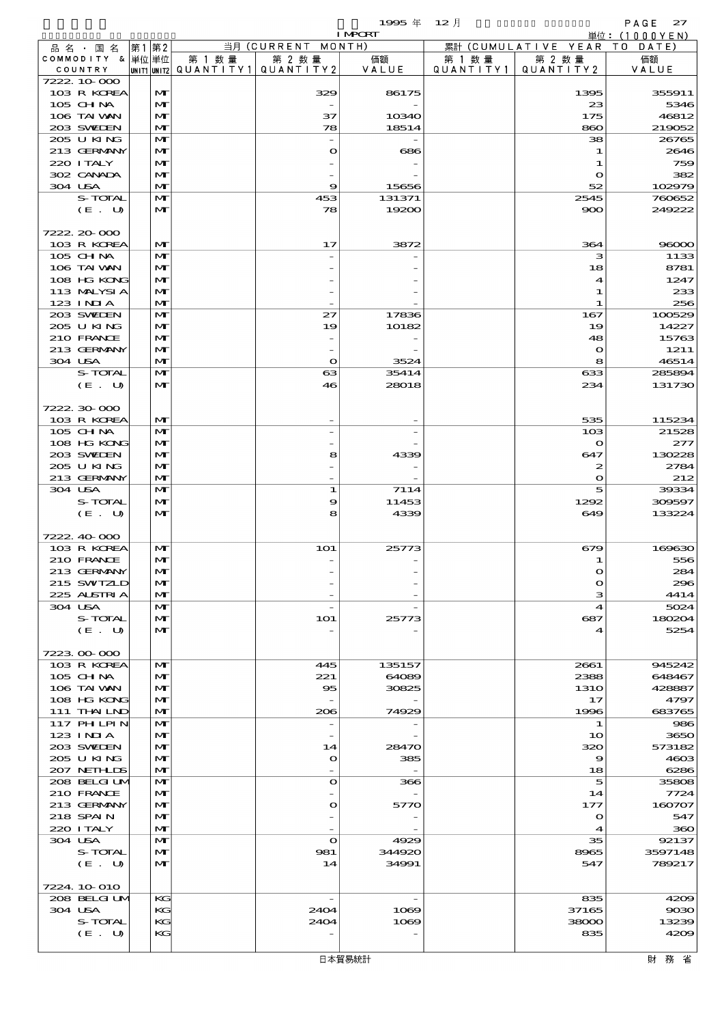|         |                             |       |                   |        |                                                  | <b>I MPORT</b>  |                      |                              | 単位: (1000YEN)    |
|---------|-----------------------------|-------|-------------------|--------|--------------------------------------------------|-----------------|----------------------|------------------------------|------------------|
|         | 品 名 ・ 国 名                   | 第1 第2 |                   |        | 当月 (CURRENT MONTH)                               |                 |                      | 累計 (CUMULATIVE YEAR TO DATE) |                  |
|         | COMMODITY & 単位単位<br>COUNTRY |       |                   | 第 1 数量 | 第 2 数量<br> UNIT1 UNIT2  QUANT I TY1  QUANT I TY2 | 価額<br>VALUE     | 第 1 数 量<br>QUANTITY1 | 第 2 数量<br>QUANTITY 2         | 価額<br>VALUE      |
|         | 7222.10.000                 |       |                   |        |                                                  |                 |                      |                              |                  |
|         | 103 R KOREA                 |       | M                 |        | 329                                              | 86175           |                      | 1395                         | 355911           |
|         | 105 CH NA                   |       | M                 |        |                                                  |                 |                      | 23                           | 5346             |
|         | 106 TAI VAN                 |       | M                 |        | 37                                               | 10340           |                      | 175                          | 46812            |
|         | 203 SWIEN                   |       | M                 |        | 78                                               | 18514           |                      | 860                          | 219052           |
|         | 205 U KING<br>213 GERMANY   |       | M<br>M            |        | $\mathbf o$                                      | 686             |                      | 38<br>1                      | 26765<br>2646    |
|         | 220 I TALY                  |       | M                 |        |                                                  |                 |                      | -1                           | 759              |
|         | 302 CANADA                  |       | M                 |        |                                                  |                 |                      | $\mathbf o$                  | 382              |
| 304 USA |                             |       | M                 |        | 9                                                | 15656           |                      | 52                           | 102979           |
|         | S-TOTAL                     |       | M                 |        | 453                                              | 131371          |                      | 2545                         | 760652           |
|         | (E. U)                      |       | M                 |        | 78                                               | 19200           |                      | 900                          | 249222           |
|         | 7222.20.000                 |       |                   |        |                                                  |                 |                      |                              |                  |
|         | 103 R KOREA                 |       | M                 |        | 17                                               | 3872            |                      | 364                          | 96000            |
|         | 105 CHNA                    |       | M                 |        |                                                  |                 |                      | з                            | 1133             |
|         | 106 TAI VAN                 |       | M                 |        |                                                  |                 |                      | 18                           | 8781             |
|         | 108 HG KONG                 |       | M                 |        |                                                  |                 |                      | $\blacktriangleleft$         | 1247             |
|         | 113 MALYSIA                 |       | M                 |        |                                                  |                 |                      | 1                            | 233              |
|         | 123 INIA                    |       | M                 |        |                                                  |                 |                      | -1                           | 256              |
|         | 203 SWIEN                   |       | M                 |        | 27                                               | 17836           |                      | 167                          | 100529           |
|         | 205 U KING<br>210 FRANCE    |       | M<br>M            |        | 19                                               | 10182           |                      | 19<br>48                     | 14227<br>15763   |
|         | 213 GERMANY                 |       | M                 |        |                                                  |                 |                      | $\mathbf o$                  | 1211             |
| 304 USA |                             |       | M                 |        | $\mathbf{o}$                                     | 3524            |                      | 8                            | 46514            |
|         | S-TOTAL                     |       | M                 |        | $\boldsymbol{\alpha}$                            | 35414           |                      | 633                          | 285894           |
|         | (E. U)                      |       | M                 |        | 46                                               | 28018           |                      | 234                          | 131730           |
|         |                             |       |                   |        |                                                  |                 |                      |                              |                  |
|         | 7222.30.000                 |       |                   |        |                                                  |                 |                      |                              |                  |
|         | 103 R KOREA<br>105 CHNA     |       | M<br>M            |        |                                                  |                 |                      | 535<br>10 <sub>3</sub>       | 115234<br>21528  |
|         | 108 HG KONG                 |       | M                 |        |                                                  |                 |                      | $\mathbf{o}$                 | 277              |
|         | 203 SWIEN                   |       | M                 |        | 8                                                | 4339            |                      | 647                          | 130228           |
|         | 205 U KING                  |       | M                 |        |                                                  |                 |                      | 2                            | 2784             |
|         | 213 GERMANY                 |       | M                 |        |                                                  |                 |                      | $\mathbf o$                  | 212              |
| 304 USA |                             |       | M                 |        | $\mathbf{1}$                                     | 7114            |                      | 5                            | 39334            |
|         | S-TOTAL                     |       | M                 |        | 9                                                | 11453           |                      | 1292                         | 309597           |
|         | (E. U)                      |       | M                 |        | 8                                                | 4339            |                      | 649                          | 133224           |
|         | 7222.40.000                 |       |                   |        |                                                  |                 |                      |                              |                  |
|         | 103 R KOREA                 |       | M                 |        | <b>1O1</b>                                       | 25773           |                      | 679                          | 169630           |
|         | 210 FRANCE                  |       | M                 |        |                                                  |                 |                      | 1                            | 556              |
|         | 213 GERMANY                 |       | мŀ                |        |                                                  |                 |                      | ∩                            | 284              |
|         | 215 SWIZLD<br>225 ALSTRIA   |       | M<br>M            |        |                                                  |                 |                      | $\mathbf o$<br>з             | 296<br>4414      |
| 304 USA |                             |       | M                 |        |                                                  |                 |                      | 4                            | 5024             |
|         | S-TOTAL                     |       | M                 |        | <b>1O1</b>                                       | 25773           |                      | 687                          | 180204           |
|         | (E. U)                      |       | M                 |        |                                                  |                 |                      | 4                            | 5254             |
|         |                             |       |                   |        |                                                  |                 |                      |                              |                  |
|         | 7223000000                  |       |                   |        |                                                  |                 |                      |                              |                  |
|         | 103 R KOREA<br>105 CH NA    |       | $\mathbf{M}$<br>M |        | 445<br>221                                       | 135157<br>64089 |                      | 2661<br>2388                 | 945242<br>648467 |
|         | 106 TAI VAN                 |       | M                 |        | 95                                               | 30825           |                      | <b>1310</b>                  | 428887           |
|         | 108 HG KONG                 |       | M                 |        |                                                  |                 |                      | 17                           | 4797             |
|         | 111 THAILND                 |       | M                 |        | 206                                              | 74929           |                      | 1996                         | 683765           |
|         | 117 PHLPIN                  |       | M                 |        |                                                  |                 |                      | 1                            | 986              |
|         | 123 INIA                    |       | M                 |        |                                                  |                 |                      | 10                           | 3650             |
|         | 203 SWIDEN<br>205 U KING    |       | M<br>M            |        | 14<br>$\mathbf o$                                | 28470<br>385    |                      | 320<br>9                     | 573182<br>4603   |
|         | 207 NETHLIS                 |       | M                 |        |                                                  |                 |                      | 18                           | 6286             |
|         | 208 BELGI UM                |       | M                 |        | $\bullet$                                        | 366             |                      | 5                            | 35808            |
|         | 210 FRANCE                  |       | M                 |        |                                                  |                 |                      | 14                           | 7724             |
|         | 213 GERMANY                 |       | M                 |        | $\bullet$                                        | 5770            |                      | 177                          | 160707           |
|         | 218 SPAIN                   |       | M                 |        |                                                  |                 |                      | $\mathbf o$                  | 547              |
|         | 220 I TALY                  |       | M                 |        |                                                  |                 |                      | $\blacktriangleleft$         | 360              |
| 304 USA | S-TOTAL                     |       | M<br>M            |        | $\bullet$<br>981                                 | 4929<br>344920  |                      | 35<br>8965                   | 92137<br>3597148 |
|         | (E. U)                      |       | $\mathbf{M}$      |        | 14                                               | 34991           |                      | 547                          | 789217           |
|         |                             |       |                   |        |                                                  |                 |                      |                              |                  |
|         | 7224.10.010                 |       |                   |        |                                                  |                 |                      |                              |                  |
|         | 208 BELGI UM                |       | KG                |        | $\overline{\phantom{a}}$                         |                 |                      | 835                          | 4209             |
| 304 USA |                             |       | KC                |        | 2404                                             | 1069            |                      | 37165                        | 9030             |
|         | S-TOTAL<br>(E. U)           |       | KС<br>KC          |        | 2404                                             | 1069            |                      | 38000<br>835                 | 13239<br>4209    |
|         |                             |       |                   |        |                                                  |                 |                      |                              |                  |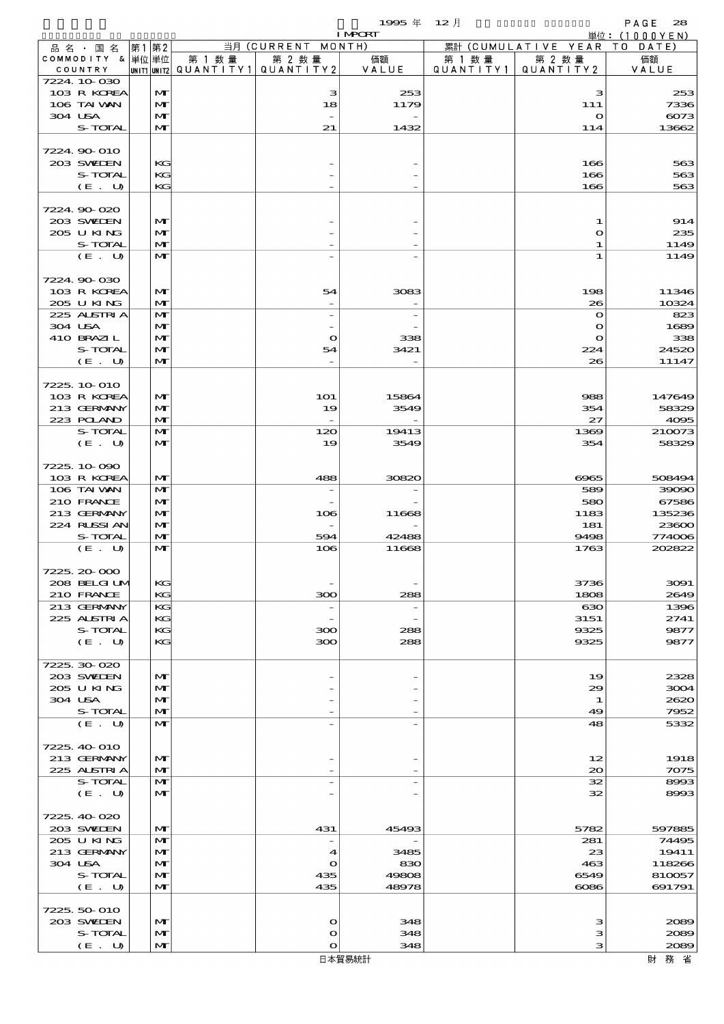|                               |      |                              |                          |                               | 1995年                    | $12$ 月    |                              | PAGE<br>28                     |
|-------------------------------|------|------------------------------|--------------------------|-------------------------------|--------------------------|-----------|------------------------------|--------------------------------|
|                               |      |                              |                          | 当月 (CURRENT MONTH)            | <b>I MPCRT</b>           |           | 累計 (CUMULATIVE YEAR          | 単位: $(1000YEN)$<br>DATE<br>T O |
| 品 名 ・ 国 名<br>COMMODITY & 単位単位 | 第1第2 |                              | 第 1 数 量                  | 第 2 数量                        | 価額                       | 第 1 数 量   | 第 2 数量                       | 価額                             |
| COUNTRY                       |      |                              | unit1 unit2  Q∪ANT   TY1 | QUANTITY2                     | VALUE                    | QUANTITY1 | QUANTITY2                    | VALUE                          |
| 7224 10 030<br>103 R KOREA    |      |                              |                          |                               |                          |           |                              |                                |
| 106 TAI VAN                   |      | M<br>$\mathbf{M}$            |                          | з<br>18                       | 253<br>1179              |           | з<br>111                     | 253<br>7336                    |
| 304 USA                       |      | $\mathbf{M}$                 |                          |                               |                          |           | $\mathbf o$                  | 6073                           |
| S-TOTAL                       |      | $\mathbf{M}$                 |                          | 21                            | 1432                     |           | 114                          | 13662                          |
| 7224.90-010                   |      |                              |                          |                               |                          |           |                              |                                |
| 203 SWILEN                    |      | KG                           |                          |                               |                          |           | 166                          | 563                            |
| S-TOTAL                       |      | KG                           |                          |                               |                          |           | 166                          | 563                            |
| (E. U)                        |      | KG                           |                          |                               |                          |           | 166                          | 563                            |
| 7224.90-020                   |      |                              |                          |                               |                          |           |                              |                                |
| 203 SWILEN                    |      | M                            |                          |                               |                          |           | 1                            | 914                            |
| 205 U KING                    |      | M                            |                          |                               |                          |           | $\mathbf o$                  | 235                            |
| S-TOTAL                       |      | $\mathbf{M}$                 |                          |                               |                          |           | 1                            | 1149                           |
| (E. U)                        |      | $\mathbf{M}$                 |                          |                               |                          |           | 1                            | 1149                           |
| 7224 90 030                   |      |                              |                          |                               |                          |           |                              |                                |
| 103 R KOREA                   |      | M                            |                          | 54                            | 3083                     |           | 198                          | 11346                          |
| 205 U KING                    |      | $\mathbf{M}$                 |                          |                               |                          |           | 26                           | 10324                          |
| 225 ALSTRIA<br>304 USA        |      | $\mathbf{M}$<br>M            |                          | $\overline{\phantom{a}}$      | $\overline{\phantom{a}}$ |           | $\mathbf{o}$<br>$\mathbf{o}$ | 823<br>1689                    |
| 410 BRAZIL                    |      | $\mathbf{M}$                 |                          | O                             | 338                      |           | $\mathbf{o}$                 | 338                            |
| S-TOTAL                       |      | $\mathbf{M}$                 |                          | 54                            | 3421                     |           | 224                          | 24520                          |
| (E. U)                        |      | $\mathbf{M}$                 |                          |                               |                          |           | 26                           | 11147                          |
| 7225, 10 010                  |      |                              |                          |                               |                          |           |                              |                                |
| 103 R KOREA                   |      | M                            |                          | <b>1O1</b>                    | 15864                    |           | 988                          | 147649                         |
| 213 GERMANY                   |      | $\mathbf{M}$                 |                          | 19                            | 3549                     |           | 354                          | 58329                          |
| 223 POLAND                    |      | $\mathbf{M}$                 |                          |                               |                          |           | 27                           | 4095                           |
| S-TOTAL                       |      | $\mathbf{M}$                 |                          | 120                           | 19413                    |           | 1369                         | 210073                         |
| (E. U)                        |      | $\mathbf{M}$                 |                          | 19                            | 3549                     |           | 354                          | 58329                          |
| 7225 10 090                   |      |                              |                          |                               |                          |           |                              |                                |
| 103 R KOREA                   |      | $\mathbf{M}$                 |                          | 488                           | 30820                    |           | 6965                         | 508494                         |
| 106 TAI VAN                   |      | $\mathbf{M}$                 |                          | $\overline{\phantom{0}}$      |                          |           | 589                          | 39090                          |
| 210 FRANCE<br>213 GERMANY     |      | $\mathbf{M}$<br>$\mathbf{M}$ |                          | 106                           | 11668                    |           | 580<br>1183                  | 67586<br>135236                |
| 224 RUSSI AN                  |      | M                            |                          | $\overline{\phantom{a}}$      |                          |           | 181                          | 23600                          |
| S-TOTAL                       |      | $\mathbf{M}$                 |                          | 594                           | 42488                    |           | 9498                         | 774006                         |
| (E. U)                        |      | $\mathbf{M}$                 |                          | 106                           | 11668                    |           | 1763                         | 202822                         |
| 7225, 20-000                  |      |                              |                          |                               |                          |           |                              |                                |
| 208 BELGI UM                  |      | KG                           |                          |                               |                          |           | 3736                         | 3091                           |
| 210 FRANCE                    |      | KG                           |                          | 300                           | 288                      |           | 1808                         | 2649                           |
| 213 GERMANY<br>225 ALSTRIA    |      | KG                           |                          | $\overline{\phantom{a}}$      | $\overline{\phantom{a}}$ |           | 630                          | 1396                           |
| S-TOTAL                       |      | KG<br>KG                     |                          | 300                           | 288                      |           | 3151<br>9325                 | 2741<br>9877                   |
| (E. U)                        |      | KG                           |                          | 300                           | 288                      |           | 9325                         | 9877                           |
|                               |      |                              |                          |                               |                          |           |                              |                                |
| 7225.30-020<br>203 SWIDEN     |      | M                            |                          |                               |                          |           | 19                           | 2328                           |
| 205 U KING                    |      | $\mathbf{M}$                 |                          |                               |                          |           | 29                           | 3004                           |
| 304 USA                       |      | M                            |                          |                               |                          |           | 1                            | 2620                           |
| S-TOTAL                       |      | M                            |                          |                               |                          |           | 49                           | 7952                           |
| (E. U)                        |      | $\mathbf{M}$                 |                          |                               |                          |           | 48                           | 5332                           |
| 7225, 40-010                  |      |                              |                          |                               |                          |           |                              |                                |
| 213 GERMANY                   |      | $\mathbf{M}$                 |                          |                               |                          |           | 12                           | 1918                           |
| 225 ALSTRIA                   |      | M                            |                          |                               |                          |           | $\infty$                     | 7075                           |
| S-TOTAL<br>(E. U)             |      | $\mathbf{M}$<br>$\mathbf{M}$ |                          | $\overline{\phantom{0}}$      | $\overline{\phantom{a}}$ |           | 32<br>32                     | 8993<br>8993                   |
|                               |      |                              |                          |                               |                          |           |                              |                                |
| 7225, 40-020                  |      |                              |                          |                               |                          |           |                              |                                |
| 203 SVELEN                    |      | M                            |                          | 431                           | 45493                    |           | 5782                         | 597885                         |
| 205 U KING<br>213 GERMANY     |      | $\mathbf{M}$<br>M            |                          | $\overline{\phantom{a}}$<br>4 | 3485                     |           | 281<br>23                    | 74495<br>19411                 |
| 304 USA                       |      | $\mathbf{M}$                 |                          | $\mathbf o$                   | 830                      |           | 463                          | 118266                         |
| S-TOTAL                       |      | M                            |                          | 435                           | 49808                    |           | 6549                         | 810057                         |
| (E. U)                        |      | M                            |                          | 435                           | 48978                    |           | $\cos$                       | 691791                         |
| 7225, 50-010                  |      |                              |                          |                               |                          |           |                              |                                |
| 203 SWIEN                     |      | M                            |                          | O                             | 348                      |           | з                            | 2089                           |
| S-TOTAL                       |      | M                            |                          | O                             | 348                      |           | з                            | 2089                           |
| (E. U)                        |      | M                            |                          | $\mathbf o$                   | 348                      |           | з                            | 2089                           |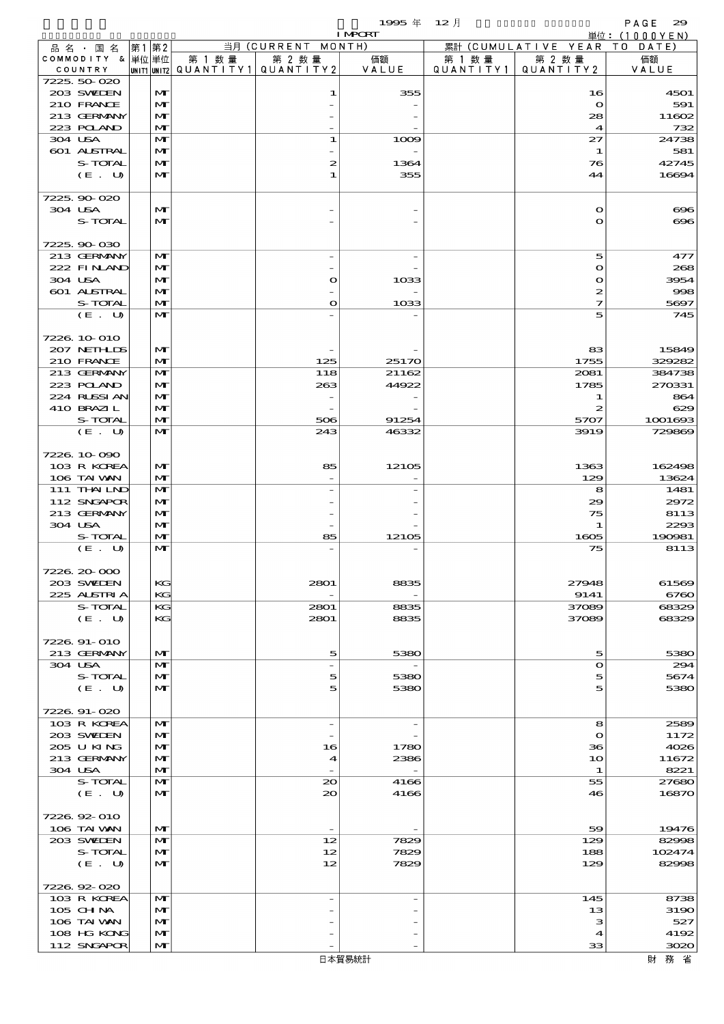|                            |                   |        |                                                  | <b>I MPORT</b> |        |                                 | 単位: (1000YEN)  |
|----------------------------|-------------------|--------|--------------------------------------------------|----------------|--------|---------------------------------|----------------|
| 品 名 ・ 国 名                  | 第1 第2             |        | 当月 (CURRENT MONTH)                               |                |        | 累計 (CUMULATIVE YEAR TO DATE)    |                |
| COMMODITY & 単位単位           |                   | 第 1 数量 | 第 2 数量<br> UNIT1 UNIT2  Q∪ANT   TY1  Q∪ANT   TY2 | 価額<br>VALUE    | 第 1 数量 | 第 2 数量<br>QUANTITY1   QUANTITY2 | 価額             |
| COUNTRY<br>7225.50-020     |                   |        |                                                  |                |        |                                 | VALUE          |
| 203 SWIEN                  | M                 |        | 1                                                | 355            |        | 16                              | 4501           |
| 210 FRANCE                 | M                 |        |                                                  |                |        | $\bullet$                       | 591            |
| 213 GERMANY                | $\mathbf{M}$      |        |                                                  |                |        | 28                              | 11602          |
| 223 POLAND                 | M                 |        |                                                  |                |        | $\boldsymbol{4}$                | 732            |
| 304 USA                    | $\mathbf{M}$      |        | 1                                                | 1009           |        | 27                              | 24738          |
| 601 ALSTRAL                | M                 |        |                                                  |                |        | 1                               | 581            |
| S-TOTAL                    | M                 |        | 2                                                | 1364           |        | 76                              | 42745          |
| (E. U)                     | $\mathbf{M}$      |        | 1                                                | 355            |        | 44                              | 16694          |
| 7225.90-020                |                   |        |                                                  |                |        |                                 |                |
| 304 USA                    | $\mathbf{M}$      |        |                                                  |                |        | $\mathbf o$                     | $\infty$       |
| S-TOTAL                    | $\mathbf{M}$      |        |                                                  |                |        | $\mathbf{o}$                    | $\infty$       |
|                            |                   |        |                                                  |                |        |                                 |                |
| 7225.90-030                |                   |        |                                                  |                |        |                                 |                |
| 213 GERMANY                | $\mathbf{M}$      |        |                                                  |                |        | 5                               | 477            |
| 222 FINAND<br>304 USA      | M<br>$\mathbf{M}$ |        | $\mathbf o$                                      | 1033           |        | $\mathbf o$<br>$\bullet$        | 268<br>3954    |
| 601 ALSTRAL                | $\mathbf{M}$      |        |                                                  |                |        | 2                               | 998            |
| S-TOTAL                    | M                 |        | $\mathbf o$                                      | 1033           |        | 7                               | 5697           |
| (E. U)                     | $\mathbf{M}$      |        |                                                  |                |        | 5                               | 745            |
|                            |                   |        |                                                  |                |        |                                 |                |
| 7226 10 010                |                   |        |                                                  |                |        |                                 |                |
| 207 NETHLIS                | $\mathbf{M}$      |        |                                                  |                |        | 83                              | 15849          |
| 210 FRANCE                 | M                 |        | 125                                              | 25170          |        | 1755                            | 329282         |
| 213 GERMANY                | $\mathbf{M}$      |        | 118                                              | 21162          |        | 2081                            | 384738         |
| 223 POLAND<br>224 RLSSIAN  | M<br>M            |        | 263<br>$\overline{\phantom{a}}$                  | 44922          |        | 1785<br>1                       | 270331<br>864  |
| 410 BRAZIL                 | $\mathbf{M}$      |        |                                                  |                |        | 2                               | 629            |
| S-TOTAL                    | M                 |        | 506                                              | 91254          |        | 5707                            | 1001693        |
| (E. U)                     | $\mathbf{M}$      |        | 243                                              | 46332          |        | 3919                            | 729869         |
|                            |                   |        |                                                  |                |        |                                 |                |
| 7226.10.090                |                   |        |                                                  |                |        |                                 |                |
| 103 R KOREA                | $\mathbf{M}$      |        | 85                                               | 12105          |        | 1363                            | 162498         |
| 106 TAI VAN                | M                 |        |                                                  |                |        | 129                             | 13624          |
| 111 THAILND                | $\mathbf{M}$      |        |                                                  |                |        | 8                               | 1481           |
| 112 SNGAPOR<br>213 GERMANY | M<br>M            |        |                                                  |                |        | 29<br>75                        | 2972<br>8113   |
| 304 USA                    | $\mathbf{M}$      |        |                                                  |                |        | 1                               | 2293           |
| S-TOTAL                    | M                 |        | 85                                               | 12105          |        | 1605                            | 190981         |
| (E. U)                     | M                 |        |                                                  |                |        | 75                              | 8113           |
|                            |                   |        |                                                  |                |        |                                 |                |
| 7226.20-000                |                   |        |                                                  |                |        |                                 |                |
| 203 SWIEN                  | KG                |        | 2801                                             | 8835           |        | 27948                           | 61569          |
| 225 ALSTRIA                | KG                |        |                                                  |                |        | 9141                            | 6760           |
| S-TOTAL                    | KG<br>КC          |        | 2801<br>2801                                     | 8835<br>8835   |        | 37089<br>37089                  | 68329<br>68329 |
| (E. U)                     |                   |        |                                                  |                |        |                                 |                |
| 7226.91-010                |                   |        |                                                  |                |        |                                 |                |
| 213 GERMANY                | M                 |        | 5                                                | 5380           |        | 5                               | 5380           |
| 304 USA                    | $\mathbf{M}$      |        | $\overline{\phantom{a}}$                         |                |        | $\bullet$                       | 294            |
| S-TOTAL                    | M                 |        | 5                                                | 5380           |        | 5                               | 5674           |
| (E. U)                     | M                 |        | 5                                                | 5380           |        | 5                               | 5380           |
|                            |                   |        |                                                  |                |        |                                 |                |
| 7226.91-020<br>103 R KOREA | M                 |        | $\overline{\phantom{a}}$                         |                |        | 8                               | 2589           |
| 203 SWIDEN                 | M                 |        |                                                  |                |        | $\mathbf o$                     | 1172           |
| 205 U KING                 | M                 |        | 16                                               | 1780           |        | 36                              | 4026           |
| 213 GERMANY                | M                 |        | 4                                                | 2386           |        | 10                              | 11672          |
| 304 USA                    | M                 |        |                                                  |                |        | 1                               | 8221           |
| S-TOTAL                    | M                 |        | $\infty$                                         | 4166           |        | 55                              | 27680          |
| (E. U)                     | $\mathbf{M}$      |        | $\infty$                                         | 4166           |        | 46                              | 16870          |
|                            |                   |        |                                                  |                |        |                                 |                |
| 7226.92-010<br>106 TAI VAN | M                 |        |                                                  |                |        | 59                              | 19476          |
| 203 SWIDEN                 | M                 |        | 12                                               | 7829           |        | 129                             | 82998          |
| S-TOTAL                    | M                 |        | 12                                               | 7829           |        | 188                             | 102474         |
| (E. U)                     | M                 |        | 12                                               | 7829           |        | 129                             | 82998          |
|                            |                   |        |                                                  |                |        |                                 |                |
| 7226.92-020                |                   |        |                                                  |                |        |                                 |                |
| 103 R KOREA                | M                 |        | $\overline{a}$                                   | $\overline{a}$ |        | 145                             | 8738           |
| 105 CHNA                   | M                 |        |                                                  |                |        | 13                              | 3190           |
| 106 TAI VAN<br>108 HG KONG | M<br>M            |        |                                                  |                |        | з<br>4                          | 527<br>4192    |
| 112 SNGAPOR                | M                 |        |                                                  |                |        | 33                              | 3020           |
|                            |                   |        |                                                  |                |        |                                 |                |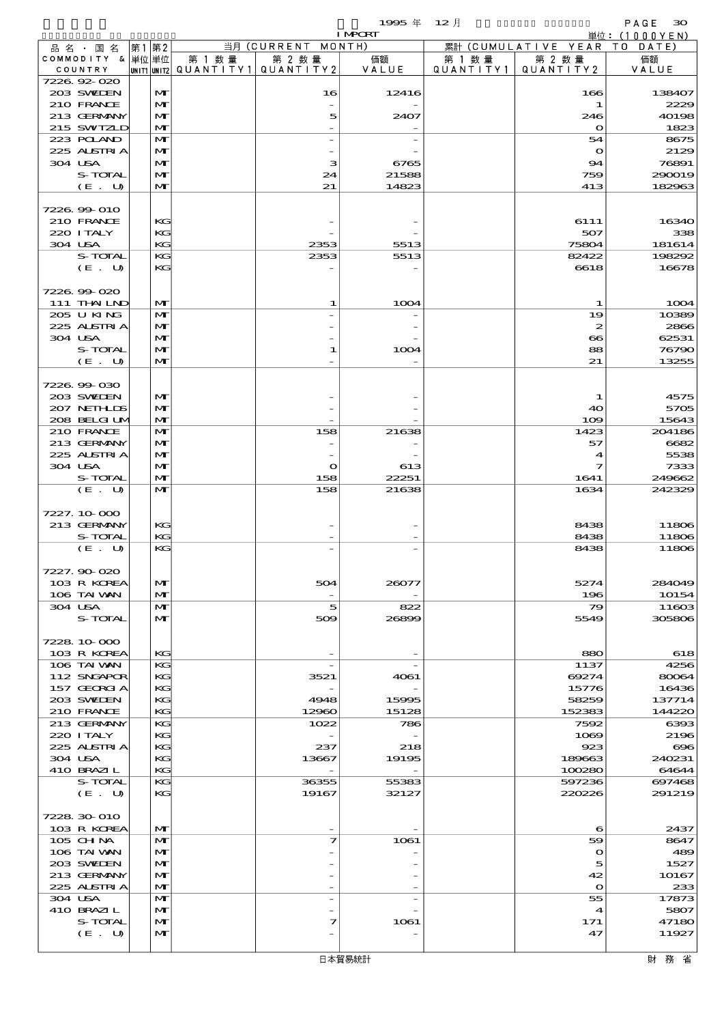$1995 \nless 12 \nless 12$ 

|                              |                              |        |                                                  | <b>I MPORT</b> |         |                                 | 単位: (1000YEN)  |
|------------------------------|------------------------------|--------|--------------------------------------------------|----------------|---------|---------------------------------|----------------|
| 品名・国名                        | 第1 第2                        |        | 当月 (CURRENT MONTH)                               |                |         | 累計 (CUMULATIVE YEAR TO DATE)    |                |
| COMMODITY & 単位 単位<br>COUNTRY |                              | 第 1 数量 | 第 2 数量<br> UNIT1 UNIT2  QUANT   TY1  QUANT   TY2 | 価額<br>VALUE    | 第 1 数 量 | 第 2 数量<br>QUANTITY1   QUANTITY2 | 価額<br>VALUE    |
| 7226.92-020                  |                              |        |                                                  |                |         |                                 |                |
| 203 SWIDEN                   | $\mathbf{M}$                 |        | 16                                               | 12416          |         | 166                             | 138407         |
| 210 FRANCE                   | $\mathbf{M}$                 |        |                                                  |                |         | 1                               | 2229           |
| 213 GERMANY                  | $\mathbf{M}$                 |        | 5                                                | 2407           |         | 246                             | 40198          |
| 215 SWIZLD                   | $\mathbf{M}$                 |        |                                                  |                |         | $\mathbf{o}$                    | 1823           |
| 223 POLAND<br>225 ALSTRIA    | $\mathbf{M}$<br>M            |        |                                                  |                |         | 54<br>$\mathbf o$               | 8675<br>2129   |
| 304 USA                      | $\mathbf{M}$                 |        | з                                                | 6765           |         | 94                              | 76891          |
| S-TOTAL                      | $\mathbf{M}$                 |        | 24                                               | 21588          |         | 759                             | 290019         |
| (E. U)                       | $\mathbf{M}$                 |        | 21                                               | 14823          |         | 413                             | 182963         |
|                              |                              |        |                                                  |                |         |                                 |                |
| 7226.99-010                  |                              |        |                                                  |                |         |                                 |                |
| 210 FRANCE<br>220 I TALY     | KG<br>KG                     |        |                                                  |                |         | 6111                            | 16340<br>338   |
| 304 USA                      | KG                           |        | 2353                                             | 5513           |         | 507<br>75804                    | 181614         |
| S-TOTAL                      | KG                           |        | 2353                                             | 5513           |         | 82422                           | 198292         |
| $(E_U U)$                    | KG                           |        |                                                  |                |         | 6618                            | 16678          |
|                              |                              |        |                                                  |                |         |                                 |                |
| 7226.99-020                  |                              |        |                                                  |                |         |                                 |                |
| 111 THAILND                  | $\mathbf{M}$                 |        | 1                                                | 1004           |         | 1                               | 1004           |
| 205 U KING<br>225 ALSTRIA    | $\mathbf{M}$                 |        |                                                  |                |         | 19                              | 10389          |
| 304 USA                      | $\mathbf{M}$<br>$\mathbf{M}$ |        |                                                  |                |         | 2<br>$\boldsymbol{\infty}$      | 2866<br>62531  |
| S-TOTAL                      | $\mathbf{M}$                 |        | 1                                                | 1004           |         | 88                              | 76790          |
| (E. U)                       | $\mathbf{M}$                 |        |                                                  |                |         | 21                              | 13255          |
|                              |                              |        |                                                  |                |         |                                 |                |
| 7226.99-030                  |                              |        |                                                  |                |         |                                 |                |
| 203 SWIEN                    | $\mathbf{M}$                 |        |                                                  |                |         | 1                               | 4575           |
| 207 NETHLIS                  | $\mathbf{M}$                 |        |                                                  |                |         | 40                              | 5705           |
| 208 BELGI UM                 | $\mathbf{M}$                 |        |                                                  |                |         | 109                             | 15643          |
| 210 FRANCE<br>213 GERMANY    | $\mathbf{M}$<br>$\mathbf{M}$ |        | 158                                              | 21638          |         | 1423<br>57                      | 204186<br>6682 |
| 225 ALSTRIA                  | $\mathbf{M}$                 |        |                                                  |                |         | $\boldsymbol{4}$                | 5538           |
| 304 USA                      | $\mathbf{M}$                 |        | $\mathbf o$                                      | 613            |         | 7                               | 7333           |
| S-TOTAL                      | $\mathbf{M}$                 |        | 158                                              | 22251          |         | 1641                            | 249662         |
| (E. U)                       | $\mathbf{M}$                 |        | 158                                              | 21638          |         | 1634                            | 242329         |
|                              |                              |        |                                                  |                |         |                                 |                |
| 7227.10.000                  |                              |        |                                                  |                |         |                                 |                |
| 213 GERMANY<br>S-TOTAL       | KG<br>KG                     |        |                                                  |                |         | 8438<br>8438                    | 11806<br>11806 |
| (E. U)                       | KG                           |        |                                                  |                |         | 8438                            | 11806          |
|                              |                              |        |                                                  |                |         |                                 |                |
| 7227.90-020                  |                              |        |                                                  |                |         |                                 |                |
| 103 R KOREA                  | $\mathbf{M}$                 |        | 504                                              | 26077          |         | 5274                            | 284049         |
| 106 TAI VAN                  | $\mathbf{M}$                 |        |                                                  |                |         | 196                             | 10154          |
| 304 USA                      | M                            |        | 5                                                | 822            |         | 79                              | 11603          |
| S-TOTAL                      | $\mathbf{M}$                 |        | 509                                              | 26899          |         | 5549                            | 305806         |
| 7228 10 000                  |                              |        |                                                  |                |         |                                 |                |
| 103 R KOREA                  | KG                           |        |                                                  |                |         | 880                             | 618            |
| 106 TAI VAN                  | KG                           |        |                                                  |                |         | 1137                            | 4256           |
| 112 SNGAPOR                  | KG                           |        | 3521                                             | 4061           |         | 69274                           | 80064          |
| 157 GEORGIA                  | KG                           |        |                                                  |                |         | 15776                           | 16436          |
| 203 SWIDEN                   | KG                           |        | 4948                                             | 15995          |         | 58259                           | 137714         |
| 210 FRANCE<br>213 GERMANY    | KG<br>KG                     |        | 12960                                            | 15128<br>786   |         | 152383<br>7592                  | 144220         |
| 220 I TALY                   | KG                           |        | 1022                                             |                |         | 1069                            | 6393<br>2196   |
| 225 ALSTRIA                  | KG                           |        | 237                                              | 218            |         | 923                             | $\infty$       |
| 304 USA                      | КG                           |        | 13667                                            | 19195          |         | 189663                          | 240231         |
| 410 BRAZIL                   | KG                           |        |                                                  |                |         | 100280                          | 64644          |
| S-TOTAL                      | KG                           |        | 36355                                            | 55383          |         | 597236                          | 697468         |
| (E. U)                       | KG                           |        | 19167                                            | 32127          |         | 220226                          | 291219         |
|                              |                              |        |                                                  |                |         |                                 |                |
| 7228 30 010<br>103 R KOREA   | M                            |        |                                                  |                |         | 6                               | 2437           |
| 105 CHNA                     | $\mathbf{M}$                 |        | 7                                                | 1061           |         | 59                              | 8647           |
| 106 TAI VAN                  | $\mathbf{M}$                 |        |                                                  |                |         | $\mathbf o$                     | 489            |
| 203 SWIDEN                   | $\mathbf{M}$                 |        |                                                  |                |         | 5                               | 1527           |
| 213 GERMANY                  | M                            |        |                                                  |                |         | 42                              | 10167          |
| 225 ALSTRIA                  | $\mathbf{M}$                 |        |                                                  |                |         | $\mathbf{o}$                    | 233            |
| 304 USA                      | $\mathbf{M}$                 |        |                                                  |                |         | 55                              | 17873          |
| 410 BRAZIL                   | M                            |        |                                                  |                |         | $\boldsymbol{4}$                | 5807           |
| S-TOTAL<br>(E. U)            | $\mathbf{M}$<br>M            |        | 7                                                | 1061           |         | 171<br>47                       | 47180<br>11927 |
|                              |                              |        |                                                  |                |         |                                 |                |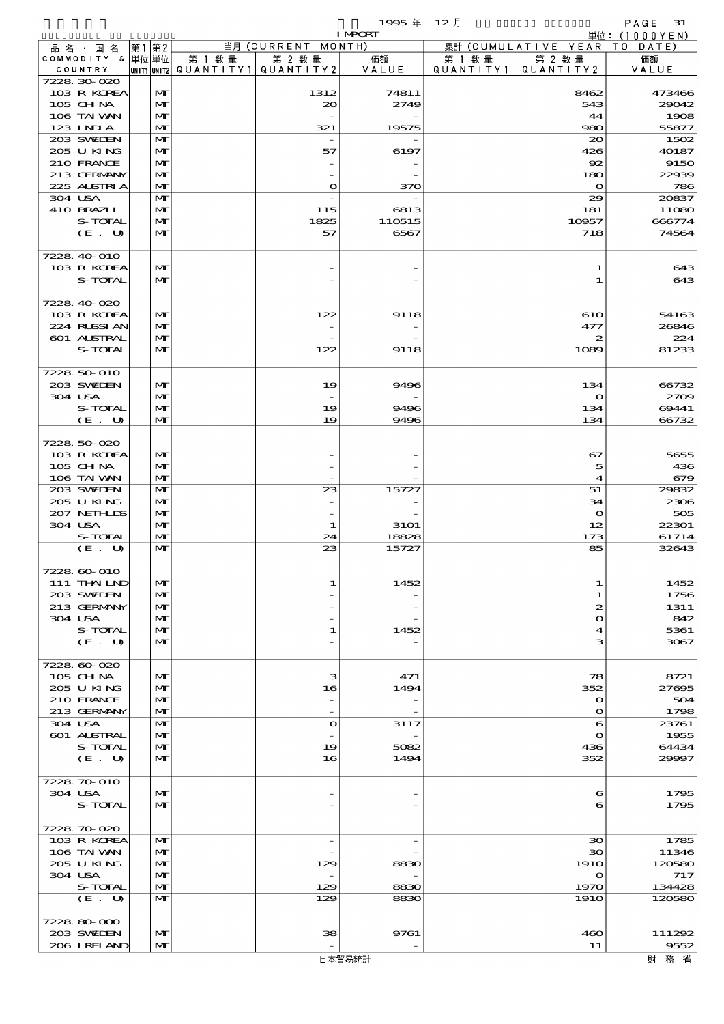$1995 \nleftrightarrow \n\begin{array}{ccc}\n12 & 12 & 12\n\end{array}$ 

|                             |       |                              |        |                                                  | <b>I MPCRT</b> |        |                                 | 単位: (1000YEN)  |
|-----------------------------|-------|------------------------------|--------|--------------------------------------------------|----------------|--------|---------------------------------|----------------|
| 品名・国名                       | 第1 第2 |                              |        | 当月 (CURRENT MONTH)                               |                |        | 累計 (CUMULATIVE YEAR TO DATE)    |                |
| COMMODITY & 単位単位<br>COUNTRY |       |                              | 第 1 数量 | 第 2 数量<br> UNIT1 UNIT2  QUANT I TY1  QUANT I TY2 | 価額<br>VALUE    | 第 1 数量 | 第 2 数量<br>QUANTITY1   QUANTITY2 | 価額<br>VALUE    |
| 7228 30 020                 |       |                              |        |                                                  |                |        |                                 |                |
| 103 R KOREA                 |       | M                            |        | 1312                                             | 74811          |        | 8462                            | 473466         |
| 105 CHNA                    |       | $\mathbf{M}$                 |        | $\infty$                                         | 2749           |        | 543                             | 29042          |
| 106 TAI VAN                 |       | $\mathbf{M}$                 |        |                                                  |                |        | 44                              | 1908           |
| $123$ INIA                  |       | $\mathbf{M}$                 |        | 321                                              | 19575          |        | 980                             | 55877          |
| 203 SWIEN<br>205 U KING     |       | M<br>M                       |        | 57                                               | 6197           |        | 20<br>426                       | 1502<br>40187  |
| 210 FRANCE                  |       | $\mathbf{M}$                 |        |                                                  |                |        | 92                              | 9150           |
| 213 GERMANY                 |       | M                            |        |                                                  |                |        | 180                             | 22939          |
| 225 ALSTRIA                 |       | $\mathbf{M}$                 |        | $\bullet$                                        | 370            |        | $\mathbf{o}$                    | 786            |
| 304 USA                     |       | $\mathbf{M}$                 |        |                                                  |                |        | 29                              | 20837          |
| 410 BRAZIL                  |       | $\mathbf{M}$                 |        | 115                                              | 6813           |        | 181                             | 11080          |
| S-TOTAL                     |       | M                            |        | 1825                                             | 110515         |        | 10957                           | 666774         |
| (E. U)                      |       | $\mathbf{M}$                 |        | 57                                               | 6567           |        | 718                             | 74564          |
| 7228 40 010                 |       |                              |        |                                                  |                |        |                                 |                |
| 103 R KOREA                 |       | M                            |        |                                                  |                |        | 1                               | 643            |
| S-TOTAL                     |       | M                            |        |                                                  |                |        | $\mathbf 1$                     | 643            |
|                             |       |                              |        |                                                  |                |        |                                 |                |
| 7228 40 020                 |       |                              |        |                                                  |                |        |                                 |                |
| 103 R KOREA<br>224 RUSSI AN |       | $\mathbf{M}$<br>M            |        | 122                                              | 9118           |        | 610<br>477                      | 54163<br>26846 |
| 601 ALSTRAL                 |       | $\mathbf{M}$                 |        |                                                  |                |        | 2                               | 224            |
| S-TOTAL                     |       | $\mathbf{M}$                 |        | 122                                              | 9118           |        | 1089                            | 81233          |
|                             |       |                              |        |                                                  |                |        |                                 |                |
| 7228 50 010                 |       |                              |        |                                                  |                |        |                                 |                |
| 203 SWIEN                   |       | M                            |        | 19                                               | 9496           |        | 134                             | 66732          |
| 304 USA<br>S-TOTAL          |       | $\mathbf{M}$<br>$\mathbf{M}$ |        | 19                                               | 9496           |        | $\bullet$<br>134                | 2709<br>69441  |
| (E. U)                      |       | $\mathbf{M}$                 |        | 19                                               | 9496           |        | 134                             | 66732          |
|                             |       |                              |        |                                                  |                |        |                                 |                |
| 7228 50 020                 |       |                              |        |                                                  |                |        |                                 |                |
| 103 R KOREA                 |       | $\mathbf{M}$                 |        |                                                  |                |        | 67                              | 5655           |
| 105 CHNA                    |       | $\mathbf{M}$                 |        |                                                  |                |        | 5                               | 436            |
| 106 TAI VAN<br>203 SWIDEN   |       | M<br>M                       |        | 23                                               | 15727          |        | 4<br>51                         | 679<br>29832   |
| 205 U KING                  |       | M                            |        |                                                  |                |        | 34                              | 2306           |
| 207 NETHLIS                 |       | M                            |        |                                                  |                |        | $\mathbf{\Omega}$               | 505            |
| 304 USA                     |       | $\mathbf{M}$                 |        | 1                                                | <b>31O1</b>    |        | 12                              | 22301          |
| S-TOTAL                     |       | M                            |        | 24                                               | 18828          |        | 173                             | 61714          |
| (E. U)                      |       | M                            |        | 23                                               | 15727          |        | 85                              | 32643          |
| 7228 60 010                 |       |                              |        |                                                  |                |        |                                 |                |
| 111 THAILND                 |       | M                            |        | 1                                                | 1452           |        | 1                               | 1452           |
| 203 SWIEN                   |       | M                            |        |                                                  |                |        | 1                               | 1756           |
| 213 GERMANY                 |       | M                            |        |                                                  |                |        | 2                               | 1311           |
| 304 USA                     |       | M                            |        |                                                  |                |        | $\bullet$                       | 842            |
| S-TOTAL<br>(E. U)           |       | M<br>$\mathbf{M}$            |        | 1                                                | 1452           |        | 4<br>з                          | 5361<br>3067   |
|                             |       |                              |        |                                                  |                |        |                                 |                |
| 7228.60-020                 |       |                              |        |                                                  |                |        |                                 |                |
| 105 CHNA                    |       | M                            |        | з                                                | 471            |        | 78                              | 8721           |
| 205 U KING                  |       | M                            |        | 16                                               | 1494           |        | 352                             | 27695          |
| 210 FRANCE                  |       | $\mathbf{M}$                 |        |                                                  |                |        | $\mathbf o$                     | 504            |
| 213 GERMANY<br>304 USA      |       | M<br>$\mathbf{M}$            |        | $\overline{\phantom{0}}$<br>$\mathbf{o}$         | 3117           |        | $\mathbf{\Omega}$<br>6          | 1798<br>23761  |
| 601 ALSTRAL                 |       | M                            |        |                                                  |                |        | $\bullet$                       | 1955           |
| S-TOTAL                     |       | M                            |        | 19                                               | 5082           |        | 436                             | 64434          |
| (E. U)                      |       | $\mathbf{M}$                 |        | 16                                               | 1494           |        | 352                             | 29997          |
|                             |       |                              |        |                                                  |                |        |                                 |                |
| 7228 70 010<br>304 USA      |       | M                            |        |                                                  |                |        | 6                               | 1795           |
| S-TOTAL                     |       | $\mathbf{M}$                 |        |                                                  |                |        | 6                               | 1795           |
|                             |       |                              |        |                                                  |                |        |                                 |                |
| 7228 70 020                 |       |                              |        |                                                  |                |        |                                 |                |
| 103 R KOREA                 |       | $\mathbf{M}$                 |        | $\overline{\phantom{a}}$                         |                |        | ЗО                              | 1785           |
| 106 TAI VAN<br>205 U KING   |       | M                            |        |                                                  |                |        | $\infty$                        | 11346          |
| 304 USA                     |       | M<br>M                       |        | 129                                              | 8830           |        | <b>1910</b><br>$\mathbf o$      | 120580<br>717  |
| S-TOTAL                     |       | M                            |        | 129                                              | 8830           |        | 1970                            | 134428         |
| (E. U)                      |       | M                            |        | 129                                              | 8830           |        | <b>1910</b>                     | 120580         |
|                             |       |                              |        |                                                  |                |        |                                 |                |
| 7228 80 000<br>203 SWIEN    |       | M                            |        |                                                  | 9761           |        | 460                             | 111292         |
| 206 IRELAND                 |       | M                            |        | 38                                               |                |        | 11                              | 9552           |
|                             |       |                              |        |                                                  |                |        |                                 |                |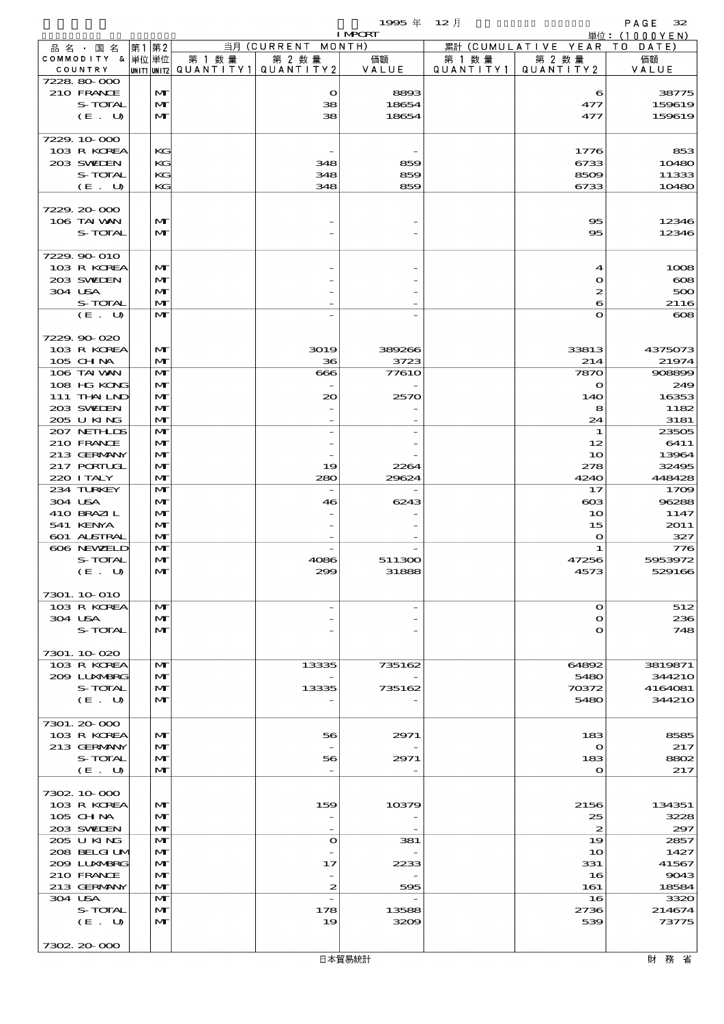|                             |                              |        |                                                     | <b>I MPCRT</b>           |                     |                              | 単位: (1000YEN)    |
|-----------------------------|------------------------------|--------|-----------------------------------------------------|--------------------------|---------------------|------------------------------|------------------|
| 品 名 ・ 国 名                   | 第1第2                         |        | 当月 (CURRENT MONTH)                                  |                          |                     | 累計 (CUMULATIVE YEAR TO DATE) |                  |
| COMMODITY & 単位単位<br>COUNTRY |                              | 第 1 数量 | 第 2 数量<br> UNIT1  UNIT2   QUANT   TY1   QUANT   TY2 | 価額<br>VALUE              | 第 1 数量<br>QUANTITY1 | 第 2 数量<br>QUANTITY 2         | 価額<br>VALUE      |
| 7228 80 000                 |                              |        |                                                     |                          |                     |                              |                  |
| 210 FRANCE                  | M                            |        | $\mathbf{\Omega}$                                   | 8893                     |                     | 6                            | 38775            |
| S-TOTAL<br>(E. U)           | $\mathbf{M}$<br>$\mathbf{M}$ |        | 38<br>38                                            | 18654<br>18654           |                     | 477<br>477                   | 159619<br>159619 |
|                             |                              |        |                                                     |                          |                     |                              |                  |
| 7229.10.000                 |                              |        |                                                     |                          |                     |                              |                  |
| 103 R KOREA                 | KG                           |        |                                                     |                          |                     | 1776                         | 853              |
| 203 SWIEN<br>S-TOTAL        | KG<br>KG                     |        | 348<br>348                                          | 859<br>859               |                     | 6733<br>8509                 | 10480            |
| (E. U)                      | KG                           |        | 348                                                 | 859                      |                     | 6733                         | 11333<br>10480   |
|                             |                              |        |                                                     |                          |                     |                              |                  |
| 7229.20-000                 |                              |        |                                                     |                          |                     |                              |                  |
| 106 TAI VAN<br>S-TOTAL      | M<br>$\mathbf{M}$            |        |                                                     |                          |                     | $\infty$<br>95               | 12346<br>12346   |
|                             |                              |        |                                                     |                          |                     |                              |                  |
| 7229.90-010                 |                              |        |                                                     |                          |                     |                              |                  |
| 103 R KOREA                 | M                            |        |                                                     |                          |                     | 4                            | 1008             |
| 203 SWIEN                   | $\mathbf{M}$                 |        |                                                     |                          |                     | $\bullet$                    | $\infty$         |
| 304 USA<br>S-TOTAL          | $\mathbf{M}$<br>M            |        |                                                     |                          |                     | $\boldsymbol{z}$<br>6        | 500<br>2116      |
| (E. U)                      | $\mathbf{M}$                 |        |                                                     |                          |                     | $\mathbf o$                  | $\infty$         |
|                             |                              |        |                                                     |                          |                     |                              |                  |
| 7229.90-020                 |                              |        |                                                     |                          |                     |                              |                  |
| 103 R KOREA<br>105 CH NA    | $\mathbf{M}$<br>$\mathbf{M}$ |        | 3019<br>36                                          | 389266<br>3723           |                     | 33813<br>214                 | 4375073<br>21974 |
| 106 TAI VAN                 | M                            |        | 666                                                 | <b>77610</b>             |                     | 7870                         | 908899           |
| 108 HG KONG                 | M                            |        |                                                     |                          |                     | $\mathbf o$                  | 249              |
| 111 THAILND                 | $\mathbf{M}$                 |        | 20                                                  | 2570                     |                     | 14O                          | 16353            |
| 203 SWIEN<br>205 U KING     | $\mathbf{M}$<br>$\mathbf{M}$ |        |                                                     |                          |                     | 8<br>24                      | 1182<br>3181     |
| 207 NETHLIS                 | $\mathbf{M}$                 |        |                                                     |                          |                     | $\mathbf 1$                  | 23505            |
| 210 FRANCE                  | M                            |        |                                                     |                          |                     | 12                           | 6411             |
| 213 GERMANY                 | $\mathbf{M}$                 |        |                                                     |                          |                     | 10                           | 13964            |
| 217 PORTUGL                 | $\mathbf{M}$                 |        | 19                                                  | 2264                     |                     | 278                          | 32495            |
| 220 I TALY<br>234 TURKEY    | $\mathbf{M}$<br>$\mathbf{M}$ |        | 280                                                 | 29624                    |                     | 4240<br>17                   | 448428<br>1709   |
| 304 USA                     | M                            |        | 46                                                  | 6243                     |                     | $\cos$                       | 96288            |
| 410 BRAZIL                  | $\mathbf{M}$                 |        |                                                     |                          |                     | 10                           | 1147             |
| 541 KENYA                   | $\mathbf{M}$                 |        |                                                     |                          |                     | 15                           | 2011             |
| 601 ALSTRAL<br>606 NEWELD   | $\mathbf{M}$<br>$\mathbf{M}$ |        |                                                     |                          |                     | $\mathbf o$<br>$\mathbf 1$   | 327<br>776       |
| S-TOTAL                     | M                            |        | 4086                                                | 511300                   |                     | 47256                        | 5953972          |
| (E. U)                      | $\mathbf{M}$                 |        | 299                                                 | 31888                    |                     | 4573                         | 529166           |
|                             |                              |        |                                                     |                          |                     |                              |                  |
| 7301. 10 010<br>103 R KOREA | M                            |        | $\qquad \qquad -$                                   | $\overline{\phantom{0}}$ |                     | $\Omega$                     | 512              |
| 304 USA                     | $\mathbf{M}$                 |        |                                                     |                          |                     | $\Omega$                     | 236              |
| S-TOTAL                     | $\mathbf{M}$                 |        |                                                     |                          |                     | $\bullet$                    | 748              |
|                             |                              |        |                                                     |                          |                     |                              |                  |
| 7301.10.020<br>103 R KOREA  | M                            |        | 13335                                               | 735162                   |                     | 64892                        | 3819871          |
| 2009 LUXNERG                | M                            |        |                                                     |                          |                     | 5480                         | 344210           |
| S-TOTAL                     | M                            |        | 13335                                               | 735162                   |                     | 70372                        | 4164081          |
| (E. U)                      | M                            |        |                                                     |                          |                     | 5480                         | <b>344210</b>    |
| 7301. 20-000                |                              |        |                                                     |                          |                     |                              |                  |
| 103 R KOREA                 | $\mathbf{M}$                 |        | 56                                                  | 2971                     |                     | 183                          | 8585             |
| 213 GERMANY                 | $\mathbf{M}$                 |        |                                                     |                          |                     | $\Omega$                     | 217              |
| S-TOTAL                     | $\mathbf{M}$                 |        | 56                                                  | 2971                     |                     | 183                          | 8802             |
| (E. U)                      | $\mathbf{M}$                 |        |                                                     |                          |                     | $\mathbf{o}$                 | 217              |
| 7302 10 000                 |                              |        |                                                     |                          |                     |                              |                  |
| 103 R KOREA                 | M                            |        | 159                                                 | 10379                    |                     | 2156                         | 134351           |
| $105$ CHNA                  | $\mathbf{M}$                 |        | $\overline{\phantom{a}}$                            |                          |                     | 25                           | 3228             |
| 203 SWIEN                   | M                            |        |                                                     |                          |                     | $\boldsymbol{z}$             | 297              |
| 205 U KING<br>208 BELGI UM  | $\mathbf{M}$<br>M            |        | $\Omega$                                            | 381                      |                     | 19<br>1 <sub>O</sub>         | 2857<br>1427     |
| 200 LUNABRG                 | M                            |        | 17                                                  | 2233                     |                     | 331                          | 41567            |
| 210 FRANCE                  | $\mathbf{M}$                 |        |                                                     |                          |                     | 16                           | 9043             |
| 213 GERMANY                 | M                            |        | 2                                                   | 595                      |                     | 161                          | 18584            |
| 304 USA                     | M                            |        | $\overline{\phantom{a}}$                            |                          |                     | 16                           | 3320             |
| S-TOTAL<br>(E. U)           | M<br>M                       |        | 178<br>19                                           | 13588<br>3209            |                     | 2736<br>539                  | 214674<br>73775  |
|                             |                              |        |                                                     |                          |                     |                              |                  |
| 7302 20 000                 |                              |        |                                                     |                          |                     |                              |                  |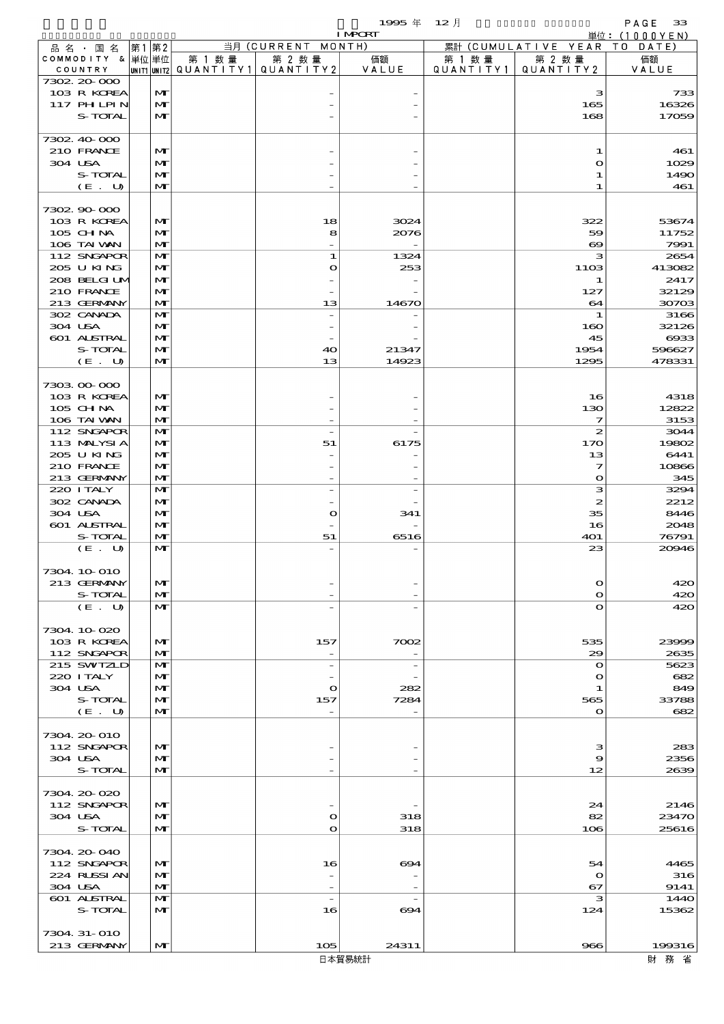|                            |      |                              |        |                                                 | <b>I MPORT</b>        |         |                              | <u> 単位:(1000YEN)</u> |
|----------------------------|------|------------------------------|--------|-------------------------------------------------|-----------------------|---------|------------------------------|----------------------|
| 品 名 ・ 国 名                  | 第1第2 |                              |        | 当月 (CURRENT MONTH)                              |                       |         | 累計 (CUMULATIVE YEAR TO DATE) |                      |
| COMMODITY & 単位単位           |      |                              | 第 1 数量 | 第 2 数量                                          | 価額                    | 第 1 数 量 | 第 2 数量                       | 価額                   |
| COUNTRY                    |      |                              |        | $ $ UNIT1 $ $ UNIT2 $ $ QUANTITY1 $ $ QUANTITY2 | VALUE                 |         | QUANTITY1   QUANTITY2        | VALUE                |
| 7302 20 000<br>103 R KOREA |      | M                            |        |                                                 |                       |         | з                            | 733                  |
| 117 PHLPIN                 |      | $\mathbf{M}$                 |        |                                                 |                       |         | 165                          | 16326                |
| S-TOTAL                    |      | $\mathbf{M}$                 |        |                                                 |                       |         | 168                          | 17059                |
|                            |      |                              |        |                                                 |                       |         |                              |                      |
| 7302.40.000                |      |                              |        |                                                 |                       |         |                              |                      |
| 210 FRANCE                 |      | M                            |        |                                                 |                       |         | 1                            | 461                  |
| 304 USA                    |      | M                            |        |                                                 |                       |         | $\mathbf{\Omega}$            | 1029                 |
| S-TOTAL                    |      | $\mathbf{M}$                 |        |                                                 |                       |         | 1                            | 1490                 |
| (E. U)                     |      | M                            |        |                                                 |                       |         | 1                            | 461                  |
|                            |      |                              |        |                                                 |                       |         |                              |                      |
| 7302 90 000                |      |                              |        |                                                 |                       |         |                              |                      |
| 103 R KOREA                |      | M                            |        | 18                                              | 3024                  |         | 322                          | 53674                |
| 105 CH NA<br>106 TAI VAN   |      | $\mathbf{M}$<br>$\mathbf{M}$ |        | 8                                               | 2076                  |         | 59<br>$\infty$               | 11752<br>7991        |
| 112 SNGAPOR                |      | $\mathbf{M}$                 |        | $\mathbf{1}$                                    | 1324                  |         | з                            | 2654                 |
| 205 U KING                 |      | M                            |        | $\mathbf o$                                     | 253                   |         | 1103                         | 413082               |
| 208 BELGI UM               |      | M                            |        |                                                 |                       |         | 1                            | 2417                 |
| 210 FRANCE                 |      | $\mathbf{M}$                 |        |                                                 |                       |         | 127                          | 32129                |
| 213 GERMANY                |      | M                            |        | 13                                              | 14670                 |         | 64                           | 30703                |
| 302 CANADA                 |      | M                            |        |                                                 |                       |         | 1                            | 3166                 |
| 304 USA                    |      | M                            |        |                                                 |                       |         | 160                          | 32126                |
| 601 ALSTRAL                |      | M                            |        |                                                 |                       |         | 45                           | $\alpha$             |
| S-TOTAL                    |      | $\mathbf{M}$                 |        | 40                                              | 21347                 |         | 1954                         | 596627               |
| (E. U)                     |      | M                            |        | 13                                              | 14923                 |         | 1295                         | 478331               |
|                            |      |                              |        |                                                 |                       |         |                              |                      |
| 7303 00 000<br>103 R KOREA |      | $\mathbf{M}$                 |        |                                                 |                       |         | 16                           | 4318                 |
| 105 CH NA                  |      | M                            |        |                                                 |                       |         | 130                          | 12822                |
| 106 TAI VAN                |      | $\mathbf{M}$                 |        |                                                 |                       |         | 7                            | 3153                 |
| 112 SNGAPOR                |      | $\mathbf{M}$                 |        | $\overline{a}$                                  |                       |         | 2                            | 3044                 |
| 113 MALYSIA                |      | M                            |        | 51                                              | 6175                  |         | 170                          | 1980 <sub>2</sub>    |
| 205 U KING                 |      | M                            |        |                                                 |                       |         | 13                           | 6441                 |
| 210 FRANCE                 |      | $\mathbf{M}$                 |        |                                                 |                       |         | $\overline{\mathbf{z}}$      | 10866                |
| 213 GERMANY                |      | $\mathbf{M}$                 |        |                                                 |                       |         | $\bullet$                    | 345                  |
| 220 I TALY                 |      | M                            |        |                                                 |                       |         | з                            | 3294                 |
| 302 CANADA                 |      | M                            |        |                                                 |                       |         | 2                            | 2212                 |
| 304 USA                    |      | M                            |        | $\mathbf{\Omega}$                               | 341                   |         | 35                           | 8446                 |
| 601 ALSTRAL                |      | $\mathbf{M}$                 |        |                                                 |                       |         | 16                           | 2048                 |
| S-TOTAL                    |      | $\mathbf{M}$                 |        | 51                                              | 6516                  |         | 401                          | 76791                |
| (E. U)                     |      | $\mathbf{M}$                 |        |                                                 |                       |         | 23                           | 20946                |
| 7304 10 010                |      |                              |        |                                                 |                       |         |                              |                      |
| 213 GERMANY                |      | M                            |        |                                                 |                       |         | $\mathbf o$                  | 420                  |
| S-TOTAL                    |      | M                            |        |                                                 |                       |         | $\mathbf o$                  | 420                  |
| (E. U)                     |      | M                            |        |                                                 |                       |         | $\mathbf o$                  | 420                  |
|                            |      |                              |        |                                                 |                       |         |                              |                      |
| 7304 10 020                |      |                              |        |                                                 |                       |         |                              |                      |
| 103 R KOREA                |      | M                            |        | 157                                             | 7002                  |         | 535                          | 23999                |
| 112 SNGAPOR                |      | $\mathbf{M}$                 |        | $\overline{\phantom{a}}$                        |                       |         | 29                           | 2635                 |
| 215 SWIZLD                 |      | $\mathbf{M}$                 |        | $\overline{\phantom{a}}$                        |                       |         | $\mathbf o$                  | 5623                 |
| 220 I TALY                 |      | M                            |        |                                                 |                       |         | $\mathbf o$                  | 682                  |
| 304 USA<br>S-TOTAL         |      | M<br>M                       |        | $\bullet$                                       | 282                   |         | 1                            | 849<br>33788         |
| (E. U)                     |      | $\mathbf{M}$                 |        | 157                                             | 7284                  |         | 565<br>$\mathbf{o}$          | 682                  |
|                            |      |                              |        |                                                 |                       |         |                              |                      |
| 7304 20 010                |      |                              |        |                                                 |                       |         |                              |                      |
| 112 SNGAPOR                |      | $\mathbf{M}$                 |        |                                                 |                       |         | з                            | 283                  |
| 304 USA                    |      | M                            |        |                                                 |                       |         | 9                            | 2356                 |
| S-TOTAL                    |      | M                            |        |                                                 |                       |         | 12                           | 2639                 |
|                            |      |                              |        |                                                 |                       |         |                              |                      |
| 7304.20-020                |      |                              |        |                                                 |                       |         |                              |                      |
| 112 SNGAPOR                |      | M                            |        |                                                 |                       |         | 24                           | 2146                 |
| 304 USA                    |      | M                            |        | $\mathbf o$                                     | 318                   |         | 82                           | 23470                |
| S-TOTAL                    |      | $\mathbf{M}$                 |        | $\mathbf o$                                     | 318                   |         | 106                          | 25616                |
| 7304. 20-040               |      |                              |        |                                                 |                       |         |                              |                      |
| 112 SNGAPOR                |      | M                            |        | 16                                              | $\boldsymbol{\infty}$ |         | 54                           | 4465                 |
| 224 RUSSI AN               |      | M                            |        |                                                 |                       |         | $\mathbf o$                  | 316                  |
| 304 USA                    |      | M                            |        |                                                 |                       |         | 67                           | 9141                 |
| 601 ALSTRAL                |      | M                            |        | $\overline{\phantom{a}}$                        |                       |         | з                            | 1440                 |
| S-TOTAL                    |      | M                            |        | 16                                              | 694                   |         | 124                          | 15362                |
|                            |      |                              |        |                                                 |                       |         |                              |                      |
| 7304 31-010                |      |                              |        |                                                 |                       |         |                              |                      |
| 213 GERMANY                |      | $\mathbf{M}$                 |        | 105                                             | 24311                 |         | 966                          | 199316               |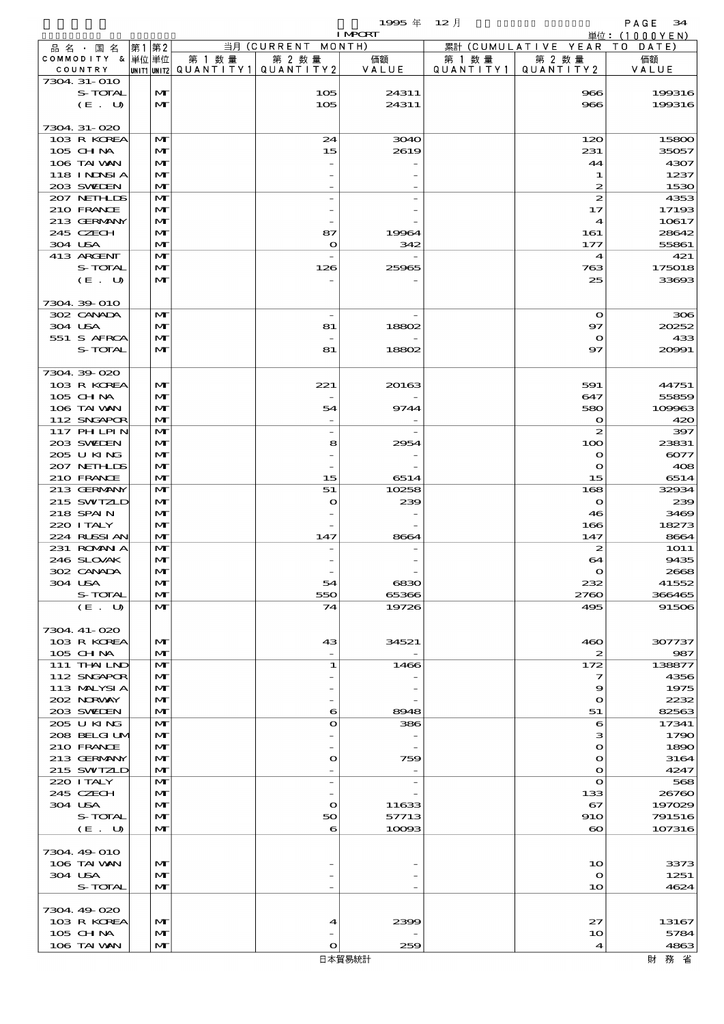|                            |                              |                                       |                                 | 1995年          | $12$ 月    |                           | PAGE<br>34                  |
|----------------------------|------------------------------|---------------------------------------|---------------------------------|----------------|-----------|---------------------------|-----------------------------|
| 品 名 ・ 国 名                  | 第1 第2                        |                                       | 当月 (CURRENT MONTH)              | <b>I MPCRT</b> |           | 累計 (CUMULATIVE YEAR       | 単位:(1000YEN)<br>T O<br>DATE |
| COMMODITY & 単位単位           |                              | 第 1 数量                                | 第 2 数量                          | 価額             | 第 1 数 量   | 第 2 数量                    | 価額                          |
| COUNTRY<br>7304 31-010     |                              | unit1 unit2  Q∪ANT   TY1  Q∪ANT   TY2 |                                 | VALUE          | QUANTITY1 | QUANTITY2                 | VALUE                       |
| S-TOTAL                    | $\mathbf{M}$                 |                                       | 105                             | 24311          |           | 966                       | 199316                      |
| (E. U)                     | $\mathbf{M}$                 |                                       | 105                             | 24311          |           | 966                       | 199316                      |
| 7304.31-020                |                              |                                       |                                 |                |           |                           |                             |
| 103 R KOREA                | M                            |                                       | 24                              | 3040           |           | 120                       | 15800                       |
| 105 CHNA                   | $\mathbf{M}$                 |                                       | 15                              | 2619           |           | 231                       | 35057                       |
| 106 TAI VAN<br>118 INNSI A | $\mathbf{M}$<br>$\mathbf{M}$ |                                       |                                 |                |           | 44                        | 4307<br>1237                |
| 203 SWIEN                  | $\mathbf{M}$                 |                                       |                                 |                |           | 1<br>$\boldsymbol{z}$     | 1530                        |
| 207 NETHLIS                | $\mathbf{M}$                 |                                       | $\overline{\phantom{0}}$        |                |           | $\boldsymbol{z}$          | 4353                        |
| 210 FRANCE<br>213 GERMANY  | $\mathbf{M}$<br>M            |                                       |                                 |                |           | 17<br>$\boldsymbol{4}$    | 17193<br>10617              |
| 245 CZECH                  | M                            |                                       | 87                              | 19964          |           | 161                       | 28642                       |
| 304 USA                    | $\mathbf{M}$                 |                                       | $\mathbf o$                     | 342            |           | 177                       | 55861                       |
| 413 ARGENT<br>S-TOTAL      | $\mathbf{M}$<br>$\mathbf{M}$ |                                       | $\overline{\phantom{0}}$<br>126 | 25965          |           | $\boldsymbol{4}$<br>763   | 421<br>175018               |
| (E. U)                     | $\mathbf{M}$                 |                                       |                                 |                |           | 25                        | 33693                       |
|                            |                              |                                       |                                 |                |           |                           |                             |
| 7304.39-010<br>302 CANADA  | M                            |                                       |                                 |                |           | $\mathbf o$               | 306                         |
| 304 USA                    | $\mathbf{M}$                 |                                       | 81                              | 18802          |           | 97                        | 20252                       |
| 551 S AFRCA                | M                            |                                       |                                 |                |           | $\mathbf o$               | 433                         |
| S-TOTAL                    | $\mathbf{M}$                 |                                       | 81                              | 18802          |           | 97                        | 20991                       |
| 7304.39-020                |                              |                                       |                                 |                |           |                           |                             |
| 103 R KOREA<br>105 CHNA    | $\mathbf{M}$<br>$\mathbf{M}$ |                                       | 221                             | 20163          |           | 591<br>647                | 44751<br>55859              |
| 106 TAI VAN                | $\mathbf{M}$                 |                                       | $\overline{\phantom{0}}$<br>54  | 9744           |           | 580                       | 109963                      |
| 112 SNGAPOR                | $\mathbf{M}$                 |                                       |                                 |                |           | $\mathbf o$               | 420                         |
| 117 PHLPIN                 | M                            |                                       | $\overline{\phantom{0}}$        |                |           | $\boldsymbol{z}$          | 397                         |
| 203 SWIDEN<br>205 U KING   | $\mathbf{M}$<br>M            |                                       | 8                               | 2954           |           | 100<br>$\mathbf o$        | 23831<br>6077               |
| 207 NETHLIS                | $\mathbf{M}$                 |                                       |                                 |                |           | $\mathbf o$               | 408                         |
| 210 FRANCE<br>213 GERMANY  | $\mathbf{M}$<br>$\mathbf{M}$ |                                       | 15<br>51                        | 6514<br>10258  |           | 15<br>168                 | 6514<br>32934               |
| 215 SWIZLD                 | $\mathbf{M}$                 |                                       | $\mathbf o$                     | 239            |           | $\mathbf{o}$              | 239                         |
| 218 SPAIN                  | M                            |                                       |                                 |                |           | 46                        | 3469                        |
| 220 I TALY<br>224 RUSSIAN  | M<br>$\mathbf{M}$            |                                       | 147                             | 8664           |           | 166<br>147                | 18273<br>8664               |
| 231 ROMNA                  | M                            |                                       |                                 |                |           | $\boldsymbol{z}$          | <b>1O11</b>                 |
| 246 SLOVAK<br>302 CANADA   | $\mathbf{M}$<br>M            |                                       |                                 |                |           | 64                        | 9435<br>2668                |
| 304 USA                    | M                            |                                       | 54                              | 6830           |           | $\mathbf o$<br>232        | 41552                       |
| S-TOTAL                    | M                            |                                       | 550                             | 65366          |           | 2760                      | 366465                      |
| (E. U)                     | $\mathbf{M}$                 |                                       | 74                              | 19726          |           | 495                       | 91506                       |
| 7304. 41-020               |                              |                                       |                                 |                |           |                           |                             |
| 103 R KOREA                | $\mathbf{M}$                 |                                       | 43                              | 34521          |           | 460                       | 307737                      |
| 105 CHNA<br>111 THAILND    | $\mathbf{M}$<br>$\mathbf{M}$ |                                       | 1                               | 1466           |           | $\boldsymbol{z}$<br>172   | 987<br>138877               |
| 112 SNGAPOR                | $\mathbf{M}$                 |                                       |                                 |                |           | 7                         | 4356                        |
| 113 MALYSIA<br>202 NRWAY   | M<br>M                       |                                       |                                 |                |           | 9<br>$\mathbf o$          | 1975<br>2232                |
| 203 SVELEN                 | $\mathbf{M}$                 |                                       | 6                               | 8948           |           | 51                        | 82563                       |
| 205 U KING                 | $\mathbf{M}$                 |                                       | $\mathbf o$                     | 386            |           | 6                         | 17341                       |
| 208 BELGI UM<br>210 FRANCE | $\mathbf{M}$<br>$\mathbf{M}$ |                                       |                                 |                |           | з<br>$\mathbf o$          | 1790<br>1890                |
| 213 GERMANY                | $\mathbf{M}$                 |                                       | O                               | 759            |           | $\mathbf o$               | 3164                        |
| 215 SWIZLD<br>220 I TALY   | M                            |                                       | $\overline{\phantom{0}}$        |                |           | $\bullet$<br>$\mathbf{o}$ | 4247                        |
| 245 CZECH                  | M<br>$\mathbf{M}$            |                                       |                                 |                |           | 133                       | 568<br>26760                |
| 304 USA                    | M                            |                                       | $\mathbf o$                     | 11633          |           | 67                        | 197029                      |
| S-TOTAL<br>(E. U)          | M<br>$\mathbf{M}$            |                                       | 50<br>6                         | 57713<br>10093 |           | 910<br>$\infty$           | 791516<br>107316            |
|                            |                              |                                       |                                 |                |           |                           |                             |
| 7304 49 010                |                              |                                       |                                 |                |           |                           |                             |
| 106 TAI VAN<br>304 USA     | $\mathbf{M}$<br>$\mathbf{M}$ |                                       |                                 |                |           | 10<br>$\mathbf o$         | 3373<br>1251                |
| S-TOTAL                    | $\mathbf{M}$                 |                                       |                                 |                |           | 10                        | 4624                        |
| 7304 49 020                |                              |                                       |                                 |                |           |                           |                             |
| 103 R KOREA                | $\mathbf{M}$                 |                                       | 4                               | 2399           |           | 27                        | 13167                       |
| 105 CH NA                  | $\mathbf{M}$                 |                                       |                                 |                |           | 10                        | 5784                        |
| 106 TAI VAN                | M                            |                                       | $\mathbf o$                     | 259            |           | $\boldsymbol{4}$          | 4863                        |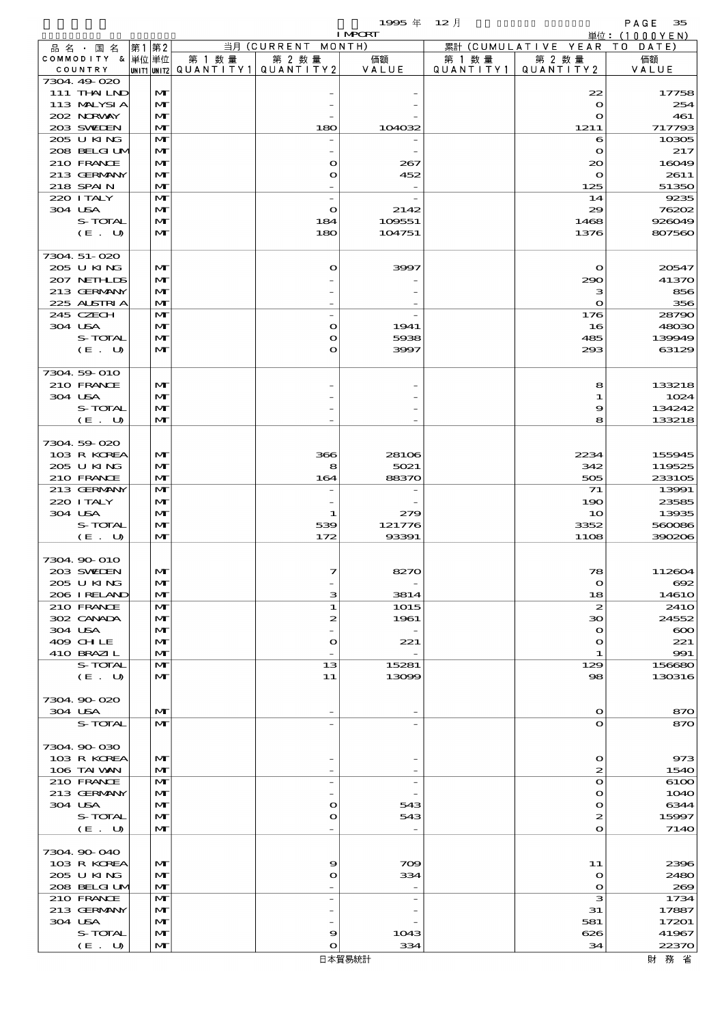|                            |      |              |                          |                          | 1995年                           | $12$ 月    |                              | PAGE<br>35                              |
|----------------------------|------|--------------|--------------------------|--------------------------|---------------------------------|-----------|------------------------------|-----------------------------------------|
| 品名・国名                      | 第1第2 |              |                          | 当月 (CURRENT MONTH)       | <b>I MPCRT</b>                  |           | 累計 (CUMULATIVE YEAR)         | $\dot{\Xi}$ 位: (1000YEN)<br>T O<br>DATE |
| COMMODITY & 単位単位           |      |              | 第 1 数量                   | 第 2 数量                   | 価額                              | 第 1 数量    | 第 2 数量                       | 価額                                      |
| COUNTRY                    |      |              | unit1 unit2  Q∪ANT   TY1 | QUANTITY 2               | VALUE                           | QUANTITY1 | QUANTITY2                    | VALUE                                   |
| 7304 49 020<br>111 THAILND |      | M            |                          |                          |                                 |           | 22                           | 17758                                   |
| 113 MALYSIA                |      | M            |                          |                          |                                 |           | $\bullet$                    | 254                                     |
| 202 NRWAY                  |      | M            |                          |                          |                                 |           | $\mathbf{o}$                 | 461                                     |
| 203 SWIEN<br>205 U KING    |      | M            |                          | 180                      | 104032                          |           | 1211                         | 717793                                  |
| 208 BELGI UM               |      | M<br>M       |                          | $\overline{\phantom{0}}$ |                                 |           | 6<br>$\bullet$               | 10305<br>217                            |
| 210 FRANCE                 |      | M            |                          | O                        | 267                             |           | $\infty$                     | 16049                                   |
| 213 GERMANY                |      | M            |                          | O                        | 452                             |           | $\mathbf o$                  | 2611                                    |
| 218 SPAIN<br>220 I TALY    |      | M<br>M       |                          | $\overline{\phantom{a}}$ |                                 |           | 125<br>14                    | 51350<br>9235                           |
| 304 USA                    |      | M            |                          | $\bullet$                | 2142                            |           | 29                           | 76202                                   |
| S-TOTAL                    |      | M            |                          | 184                      | 109551                          |           | 1468                         | 926049                                  |
| (E. U)                     |      | $\mathbf{M}$ |                          | 180                      | 104751                          |           | 1376                         | 807560                                  |
| 7304.51-020                |      |              |                          |                          |                                 |           |                              |                                         |
| 205 U KING                 |      | M            |                          | O                        | 3997                            |           | $\mathbf o$                  | 20547                                   |
| 207 NETHLIS                |      | M            |                          |                          |                                 |           | 290                          | 41370                                   |
| 213 GERMANY<br>225 ALSTRIA |      | M<br>M       |                          |                          |                                 |           | з<br>$\mathbf{o}$            | 856<br>356                              |
| 245 CZECH                  |      | M            |                          | $\overline{\phantom{0}}$ |                                 |           | 176                          | 28790                                   |
| 304 USA                    |      | M            |                          | $\mathbf o$              | 1941                            |           | 16                           | 48030                                   |
| S-TOTAL                    |      | M            |                          | O                        | 5938                            |           | 485                          | 139949                                  |
| (E. U)                     |      | M            |                          | O                        | 3997                            |           | 293                          | 63129                                   |
| 7304 59 010                |      |              |                          |                          |                                 |           |                              |                                         |
| 210 FRANCE                 |      | M            |                          |                          |                                 |           | 8                            | 133218                                  |
| 304 USA<br>S-TOTAL         |      | M<br>M       |                          |                          |                                 |           | 1<br>9                       | 1024<br>134242                          |
| (E. U)                     |      | M            |                          |                          |                                 |           | 8                            | 133218                                  |
|                            |      |              |                          |                          |                                 |           |                              |                                         |
| 7304 59 020                |      |              |                          |                          |                                 |           |                              |                                         |
| 103 R KOREA<br>205 U KING  |      | M<br>M       |                          | 366<br>8                 | 28106<br>5021                   |           | 2234<br>342                  | 155945<br>119525                        |
| 210 FRANCE                 |      | M            |                          | 164                      | 88370                           |           | 505                          | 233105                                  |
| 213 GERMANY                |      | M            |                          | $\overline{\phantom{a}}$ |                                 |           | 71                           | 13991                                   |
| 220 I TALY                 |      | M            |                          |                          |                                 |           | 190                          | 23585                                   |
| 304 USA<br>S-TOTAL         |      | M<br>M       |                          | 1<br>539                 | 279<br>121776                   |           | 10<br>3352                   | 13935<br>560086                         |
| (E. U)                     |      | M            |                          | 172                      | 93391                           |           | 1108                         | 390206                                  |
|                            |      |              |                          |                          |                                 |           |                              |                                         |
| 7304.90-010<br>203 SWIEN   |      | M            |                          | 7                        | 8270                            |           | 78                           | 112604                                  |
| 205 U KING                 |      | M            |                          |                          |                                 |           | $\mathbf o$                  | 692                                     |
| 206 I RELAND               |      | M            |                          | з                        | 3814                            |           | 18                           | 1461O                                   |
| 210 FRANCE<br>302 CANADA   |      | M            |                          | ${\bf 1}$                | 1015                            |           | $\boldsymbol{z}$<br>30       | 241 <sub>O</sub><br>24552               |
| 304 USA                    |      | M<br>M       |                          | 2                        | 1961                            |           | $\mathbf o$                  | $\infty$                                |
| 409 CHLE                   |      | M            |                          | O                        | 221                             |           | o                            | 221                                     |
| 410 BRAZIL                 |      | M            |                          | $\overline{\phantom{0}}$ |                                 |           | 1                            | 991                                     |
| S-TOTAL<br>(E. U)          |      | M<br>M       |                          | 13<br>11                 | 15281<br>13099                  |           | 129<br>98                    | 156680<br>130316                        |
|                            |      |              |                          |                          |                                 |           |                              |                                         |
| 7304.90.020                |      |              |                          |                          |                                 |           |                              |                                         |
| 304 USA<br>S-TOTAL         |      | M<br>M       |                          | $\overline{\phantom{a}}$ |                                 |           | $\mathbf{o}$<br>$\mathbf{o}$ | 870<br>870                              |
|                            |      |              |                          |                          |                                 |           |                              |                                         |
| 7304.90-030                |      |              |                          |                          |                                 |           |                              |                                         |
| 103 R KOREA                |      | M            |                          |                          |                                 |           | $\Omega$                     | 973                                     |
| 106 TAI VAN<br>210 FRANCE  |      | M<br>M       |                          | $\overline{\phantom{0}}$ | $\overline{\phantom{0}}$        |           | 2<br>$\mathbf{o}$            | 1540<br>6100                            |
| 213 GERMANY                |      | M            |                          |                          |                                 |           | O                            | 1040                                    |
| 304 USA                    |      | M            |                          | O                        | 543                             |           | O                            | 6344                                    |
| S-TOTAL<br>(E. U)          |      | M<br>M       |                          | O                        | 543                             |           | 2<br>$\mathbf o$             | 15997<br>7140                           |
|                            |      |              |                          |                          |                                 |           |                              |                                         |
| 7304.90-040                |      |              |                          |                          |                                 |           |                              |                                         |
| 103 R KOREA                |      | M            |                          | 9                        | 709                             |           | 11                           | 2396                                    |
| 205 U KING<br>208 BELGI UM |      | M<br>M       |                          | O                        | 334<br>$\overline{\phantom{0}}$ |           | $\mathbf{o}$<br>$\bullet$    | 2480<br>269                             |
| 210 FRANCE                 |      | M            |                          | $\overline{\phantom{0}}$ | $\overline{\phantom{0}}$        |           | з                            | 1734                                    |
| 213 GERMANY                |      | M            |                          |                          |                                 |           | 31                           | 17887                                   |
| 304 USA                    |      | M            |                          |                          |                                 |           | 581                          | 17201                                   |
| S-TOTAL<br>(E. U)          |      | M<br>M       |                          | 9<br>$\mathbf o$         | 1043<br>334                     |           | 626<br>34                    | 41967<br>22370                          |
|                            |      |              |                          |                          |                                 |           |                              |                                         |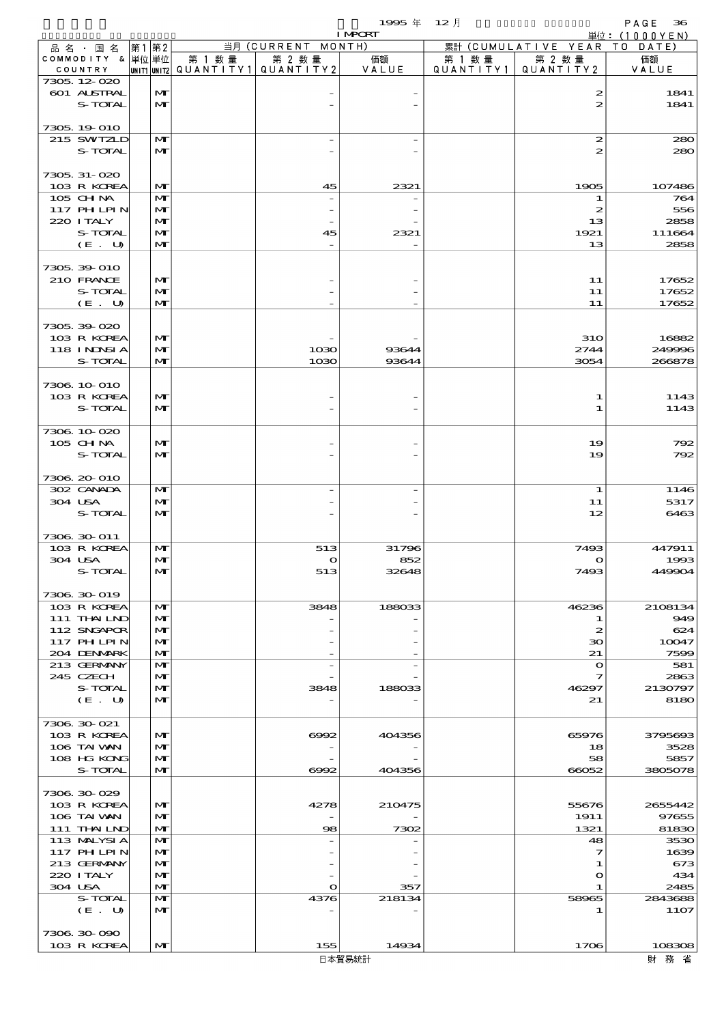|                           |      |                              |        |                                 | <b>I MPCRT</b> |        |                                      | 単位: (1000YEN)    |
|---------------------------|------|------------------------------|--------|---------------------------------|----------------|--------|--------------------------------------|------------------|
| 品名・国名                     | 第1第2 |                              |        | 当月 (CURRENT MONTH)              |                |        | 累計 (CUMULATIVE YEAR TO DATE)         |                  |
| COMMODITY & 単位単位          |      |                              | 第 1 数量 | 第 2 数量                          | 価額<br>VALUE    | 第 1 数量 | 第 2 数量<br>QUANTITY1   QUANTITY2      | 価額               |
| COUNTRY<br>7305, 12-020   |      |                              |        | UNIT1 UNIT2 QUANTITY1 QUANTITY2 |                |        |                                      | VALUE            |
| <b>601 ALSTRAL</b>        |      | $\mathbf{M}$                 |        |                                 |                |        | 2                                    | 1841             |
| S-TOTAL                   |      | $\mathbf{M}$                 |        |                                 |                |        | $\boldsymbol{z}$                     | 1841             |
|                           |      |                              |        |                                 |                |        |                                      |                  |
| 7305, 19 010              |      |                              |        |                                 |                |        |                                      |                  |
| 215 SWIZLD<br>S-TOTAL     |      | M<br>$\mathbf{M}$            |        |                                 |                |        | $\boldsymbol{z}$<br>$\boldsymbol{z}$ | 280<br>280       |
|                           |      |                              |        |                                 |                |        |                                      |                  |
| 7305, 31-020              |      |                              |        |                                 |                |        |                                      |                  |
| 103 R KOREA               |      | $\mathbf{M}$                 |        | 45                              | 2321           |        | 1905                                 | 107486           |
| 105 CH NA                 |      | $\mathbf{M}$                 |        |                                 |                |        | 1                                    | 764              |
| 117 PHLPIN                |      | M                            |        |                                 |                |        | $\boldsymbol{z}$                     | 556              |
| 220 I TALY                |      | $\mathbf{M}$                 |        |                                 |                |        | 13                                   | 2858             |
| S-TOTAL                   |      | $\mathbf{M}$                 |        | 45                              | 2321           |        | 1921                                 | 111664           |
| (E. U)                    |      | $\mathbf{M}$                 |        |                                 |                |        | 13                                   | 2858             |
| 7305, 39-010              |      |                              |        |                                 |                |        |                                      |                  |
| 210 FRANCE                |      | $\mathbf{M}$                 |        |                                 |                |        | 11                                   | 17652            |
| S-TOTAL                   |      | $\mathbf{M}$                 |        |                                 |                |        | 11                                   | 17652            |
| (E. U)                    |      | $\mathbf{M}$                 |        |                                 |                |        | 11                                   | 17652            |
|                           |      |                              |        |                                 |                |        |                                      |                  |
| 7305.39-020               |      |                              |        |                                 |                |        |                                      |                  |
| 103 R KOREA               |      | $\mathbf{M}$                 |        |                                 |                |        | <b>31O</b>                           | 16882            |
| 118 INNSI A<br>S-TOTAL    |      | $\mathbf{M}$<br>$\mathbf{M}$ |        | 1030<br>1030                    | 93644<br>93644 |        | 2744<br>3054                         | 249996<br>266878 |
|                           |      |                              |        |                                 |                |        |                                      |                  |
| 7306 10 010               |      |                              |        |                                 |                |        |                                      |                  |
| 103 R KOREA               |      | $\mathbf{M}$                 |        |                                 |                |        | 1                                    | 1143             |
| S-TOTAL                   |      | $\mathbf{M}$                 |        |                                 |                |        | 1                                    | 1143             |
|                           |      |                              |        |                                 |                |        |                                      |                  |
| 7306 10 020               |      |                              |        |                                 |                |        |                                      |                  |
| 105 CHNA                  |      | $\mathbf{M}$                 |        |                                 |                |        | 19                                   | 792              |
| S-TOTAL                   |      | $\mathbf{M}$                 |        |                                 |                |        | 19                                   | 792              |
| 7306 20 010               |      |                              |        |                                 |                |        |                                      |                  |
| 302 CANADA                |      | $\mathbf{M}$                 |        |                                 |                |        | $\bf{1}$                             | 1146             |
| 304 USA                   |      | $\mathbf{M}$                 |        |                                 |                |        | 11                                   | 5317             |
| S-TOTAL                   |      | $\mathbf{M}$                 |        |                                 |                |        | 12                                   | 6463             |
|                           |      |                              |        |                                 |                |        |                                      |                  |
| 7306 30 011               |      |                              |        |                                 |                |        |                                      |                  |
| 103 R KOREA               |      | $\mathbf{M}$                 |        | 513                             | 31796          |        | 7493                                 | 447911           |
| 304 USA<br>S-TOTAL        |      | $\mathbf{M}$<br>$\mathbf{M}$ |        | $\bullet$<br>513                | 852<br>32648   |        | $\mathbf{\Omega}$<br>7493            | 1993<br>449904   |
|                           |      |                              |        |                                 |                |        |                                      |                  |
| 7306 30 019               |      |                              |        |                                 |                |        |                                      |                  |
| 103 R KOREA               |      | M                            |        | 3848                            | 188033         |        | 46236                                | 2108134          |
| 111 THAILND               |      | $\mathbf{M}$                 |        |                                 |                |        | 1                                    | 949              |
| 112 SNGAPOR               |      | M                            |        |                                 |                |        | $\boldsymbol{z}$                     | 624              |
| 117 PHLPIN                |      | M                            |        |                                 |                |        | зо                                   | 10047            |
| 204 DENMARK               |      | $\mathbf{M}$                 |        |                                 |                |        | 21                                   | 7599<br>581      |
| 213 GERMANY<br>245 CZECH  |      | M<br>M                       |        |                                 |                |        | $\mathbf o$<br>7                     | 2863             |
| S-TOTAL                   |      | $\mathbf{M}$                 |        | 3848                            | 188033         |        | 46297                                | 2130797          |
| (E. U)                    |      | $\mathbf{M}$                 |        |                                 |                |        | 21                                   | 8180             |
|                           |      |                              |        |                                 |                |        |                                      |                  |
| 7306 30 021               |      |                              |        |                                 |                |        |                                      |                  |
| 103 R KOREA               |      | $\mathbf{M}$                 |        | 6992                            | 404356         |        | 65976                                | 3795693          |
| 106 TAI VAN               |      | $\mathbf{M}$                 |        |                                 |                |        | 18                                   | 3528             |
| 108 HG KONG<br>S-TOTAL    |      | M<br>$\mathbf{M}$            |        |                                 | 404356         |        | 58                                   | 5857             |
|                           |      |                              |        | 6992                            |                |        | 66052                                | 3805078          |
| 7306 30 029               |      |                              |        |                                 |                |        |                                      |                  |
| 103 R KOREA               |      | M                            |        | 4278                            | 210475         |        | 55676                                | 2655442          |
| 106 TAI VAN               |      | M                            |        |                                 |                |        | 1911                                 | 97655            |
| 111 THAILND               |      | $\mathbf{M}$                 |        | 98                              | 7302           |        | 1321                                 | 81830            |
| 113 MALYSIA               |      | $\mathbf{M}$                 |        |                                 |                |        | 48                                   | 3530             |
| 117 PHLPIN                |      | $\mathbf{M}$                 |        |                                 |                |        | 7                                    | 1639             |
| 213 GERMANY<br>220 I TALY |      | $\mathbf{M}$<br>M            |        |                                 |                |        | 1                                    | 673<br>434       |
| 304 USA                   |      | $\mathbf{M}$                 |        | $\mathbf o$                     | 357            |        | $\mathbf o$<br>1                     | 2485             |
| S-TOTAL                   |      | M                            |        | 4376                            | 218134         |        | 58965                                | 2843688          |
| (E. U)                    |      | $\mathbf{M}$                 |        |                                 |                |        | 1                                    | <b>11O7</b>      |
|                           |      |                              |        |                                 |                |        |                                      |                  |
| 7306 30 090               |      |                              |        |                                 |                |        |                                      |                  |
| 103 R KOREA               |      | $\mathbf{M}$                 |        | 155                             | 14934          |        | 1706                                 | 108308           |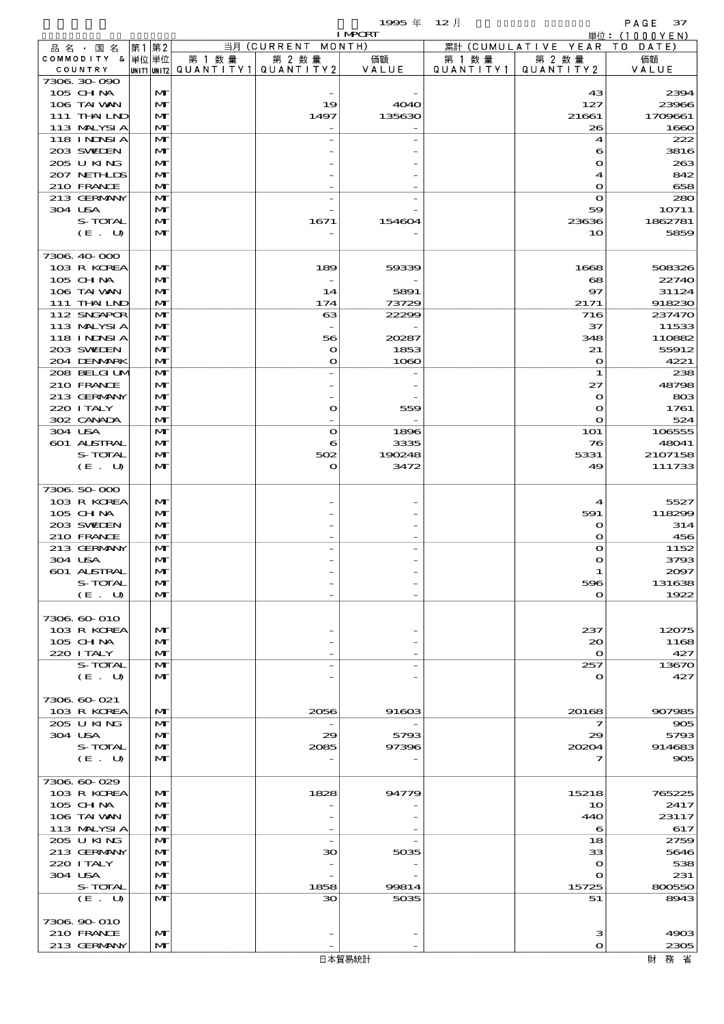|                            |       |                              |                                          |                                | 1995 $#$       | $12$ 月    |                                  | PAGE 37          |
|----------------------------|-------|------------------------------|------------------------------------------|--------------------------------|----------------|-----------|----------------------------------|------------------|
|                            |       |                              |                                          |                                | <b>I MPCRT</b> |           |                                  | 単位:(1000YEN)     |
| 品名・国名<br>COMMODITY & 単位単位  | 第1 第2 |                              | 第 1 数量                                   | 当月 (CURRENT MONTH)<br>第 2 数量   | 価額             | 第 1 数量    | 累計 (CUMULATIVE YEAR TO<br>第 2 数量 | DATE<br>価額       |
| COUNTRY                    |       |                              | UNIT1 UNIT2  QUANT I TY 1   QUANT I TY 2 |                                | VALUE          | QUANTITY1 | QUANTITY2                        | VALUE            |
| 7306.30-090                |       |                              |                                          |                                |                |           |                                  |                  |
| 105 CHNA                   |       | $\mathbf{M}$                 |                                          |                                |                |           | 43                               | 2394             |
| 106 TAI VAN                |       | $\mathbf{M}$                 |                                          | 19                             | <b>4040</b>    |           | 127                              | 23966            |
| 111 THAILND<br>113 MALYSIA |       | $\mathbf{M}$<br>$\mathbf{M}$ |                                          | 1497                           | 135630         |           | 21661<br>26                      | 1709661<br>1660  |
| <b>118 INNSIA</b>          |       | $\mathbf{M}$                 |                                          |                                |                |           | 4                                | 222              |
| 203 SWIDEN                 |       | $\mathbf{M}$                 |                                          |                                |                |           | 6                                | 3816             |
| 205 U KING                 |       | $\mathbf{M}$                 |                                          |                                |                |           | $\mathbf{\Omega}$                | 263              |
| 207 NETHLIS                |       | $\mathbf{M}$                 |                                          |                                |                |           | 4                                | 842              |
| 210 FRANCE                 |       | M                            |                                          |                                |                |           | $\mathbf{o}$                     | 658              |
| 213 GERMANY                |       | M                            |                                          |                                |                |           | $\mathbf{o}$                     | 280              |
| 304 USA<br>S-TOTAL         |       | $\mathbf{M}$<br>$\mathbf{M}$ |                                          | 1671                           | 154604         |           | 59<br>23636                      | 10711<br>1862781 |
| (E. U)                     |       | $\mathbf{M}$                 |                                          |                                |                |           | 10                               | 5859             |
|                            |       |                              |                                          |                                |                |           |                                  |                  |
| 7306.40-000                |       |                              |                                          |                                |                |           |                                  |                  |
| 103 R KOREA                |       | $\mathbf{M}$                 |                                          | 189                            | 59339          |           | 1668                             | 508326           |
| 105 CH NA                  |       | $\mathbf{M}$                 |                                          |                                |                |           | 68                               | 22740            |
| 106 TAI VAN                |       | $\mathbf{M}$                 |                                          | 14                             | 5891           |           | 97                               | 31124            |
| 111 THAILND                |       | M                            |                                          | 174                            | 73729          |           | 2171                             | 918230           |
| 112 SNGAPOR<br>113 MALYSIA |       | M<br>$\mathbf{M}$            |                                          | 63<br>$\overline{\phantom{a}}$ | 22299          |           | 716<br>37                        | 237470<br>11533  |
| 118 INNSI A                |       | $\mathbf{M}$                 |                                          | 56                             | 20287          |           | 348                              | 110882           |
| 203 SWIEN                  |       | $\mathbf{M}$                 |                                          | $\mathbf o$                    | 1853           |           | 21                               | 55912            |
| 204 DENMARK                |       | M                            |                                          | $\mathbf o$                    | 1080           |           | $\mathbf{o}$                     | 4221             |
| 208 BELGI UM               |       | M                            |                                          |                                |                |           | 1                                | 238              |
| 210 FRANCE                 |       | $\mathbf{M}$                 |                                          |                                |                |           | 27                               | 48798            |
| 213 GERMANY                |       | $\mathbf{M}$                 |                                          |                                |                |           | $\mathbf{o}$                     | 803              |
| 220 I TALY                 |       | $\mathbf{M}$                 |                                          | O                              | 559            |           | $\mathbf o$                      | 1761             |
| 302 CANADA<br>304 USA      |       | $\mathbf{M}$<br>M            |                                          | $\mathbf{o}$                   | 1896           |           | $\mathbf{o}$<br><b>1O1</b>       | 524<br>106555    |
| 601 ALSTRAL                |       | $\mathbf{M}$                 |                                          | 6                              | 3335           |           | 76                               | 48041            |
| S-TOTAL                    |       | $\mathbf{M}$                 |                                          | 502                            | 190248         |           | 5331                             | 2107158          |
| (E. U)                     |       | $\mathbf{M}$                 |                                          | O                              | 3472           |           | 49                               | 111733           |
|                            |       |                              |                                          |                                |                |           |                                  |                  |
| 7306.50-000                |       |                              |                                          |                                |                |           |                                  |                  |
| 103 R KOREA                |       | $\mathbf{M}$                 |                                          |                                |                |           | 4                                | 5527             |
| 105 CHNA<br>203 SWIEN      |       | $\mathbf{M}$                 |                                          |                                |                |           | 591                              | 118299           |
| 210 FRANCE                 |       | $\mathbf{M}$<br>M            |                                          |                                |                |           | $\mathbf o$<br>$\mathbf{o}$      | 314<br>456       |
| 213 GERMANY                |       | M                            |                                          |                                |                |           | $\mathbf{o}$                     | 1152             |
| 304 USA                    |       | $\mathbf{M}$                 |                                          |                                |                |           | n                                | 3793             |
| 601 ALSTRAL                |       | $\mathbf{M}$                 |                                          |                                |                |           | 1                                | 2097             |
| S-TOTAL                    |       | $\mathbf{M}$                 |                                          |                                |                |           | 596                              | 131638           |
| (E. U)                     |       | $\mathbf{M}$                 |                                          |                                |                |           | $\mathbf o$                      | 1922             |
| 7306.60-010                |       |                              |                                          |                                |                |           |                                  |                  |
| 103 R KOREA                |       | $\mathbf{M}$                 |                                          |                                |                |           | 237                              | 12075            |
| 105 CH NA                  |       | $\mathbf{M}$                 |                                          |                                |                |           | 20                               | 1168             |
| 220 I TALY                 |       | $\mathbf{M}$                 |                                          |                                |                |           | $\mathbf{o}$                     | 427              |
| S-TOTAL                    |       | M                            |                                          |                                |                |           | 257                              | 13670            |
| (E. U)                     |       | $\mathbf{M}$                 |                                          |                                |                |           | $\mathbf{o}$                     | 427              |
|                            |       |                              |                                          |                                |                |           |                                  |                  |
| 7306.60-021                |       | $\mathbf{M}$                 |                                          |                                |                |           |                                  |                  |
| 103 R KOREA<br>205 U KING  |       | M                            |                                          | 2056                           | 91603          |           | 20168<br>7                       | 907985<br>905    |
| 304 USA                    |       | $\mathbf{M}$                 |                                          | 29                             | 5793           |           | 29                               | 5793             |
| S-TOTAL                    |       | $\mathbf{M}$                 |                                          | 2085                           | 97396          |           | 20204                            | 914683           |
| (E. U)                     |       | $\mathbf{M}$                 |                                          |                                |                |           |                                  | 905              |
|                            |       |                              |                                          |                                |                |           |                                  |                  |
| 7306.60-029                |       |                              |                                          |                                |                |           |                                  |                  |
| 103 R KOREA                |       | $\mathbf{M}$                 |                                          | 1828                           | 94779          |           | 15218                            | 765225           |
| 105 CH NA<br>106 TAI VAN   |       | $\mathbf{M}$<br>$\mathbf{M}$ |                                          |                                |                |           | 10<br>440                        | 2417<br>23117    |
| 113 MALYSIA                |       | $\mathbf{M}$                 |                                          |                                |                |           | 6                                | 617              |
| 205 U KING                 |       | M                            |                                          |                                |                |           | 18                               | 2759             |
| 213 GERMANY                |       | $\mathbf{M}$                 |                                          | 30                             | 5035           |           | 33                               | 5646             |
| 220 I TALY                 |       | M                            |                                          |                                |                |           | $\mathbf o$                      | 538              |
| 304 USA                    |       | $\mathbf{M}$                 |                                          |                                |                |           | $\mathbf o$                      | 231              |
| S-TOTAL                    |       | $\mathbf{M}$                 |                                          | 1858                           | 99814          |           | 15725                            | 800550           |
| (E. U)                     |       | $\mathbf{M}$                 |                                          | 30                             | 5035           |           | 51                               | 8943             |
| 7306.90-010                |       |                              |                                          |                                |                |           |                                  |                  |
| 210 FRANCE                 |       | $\mathbf{M}$                 |                                          |                                |                |           | з                                | 4903             |
| 213 GERMANY                |       | $\mathbf{M}$                 |                                          |                                |                |           | $\mathbf o$                      | 2305             |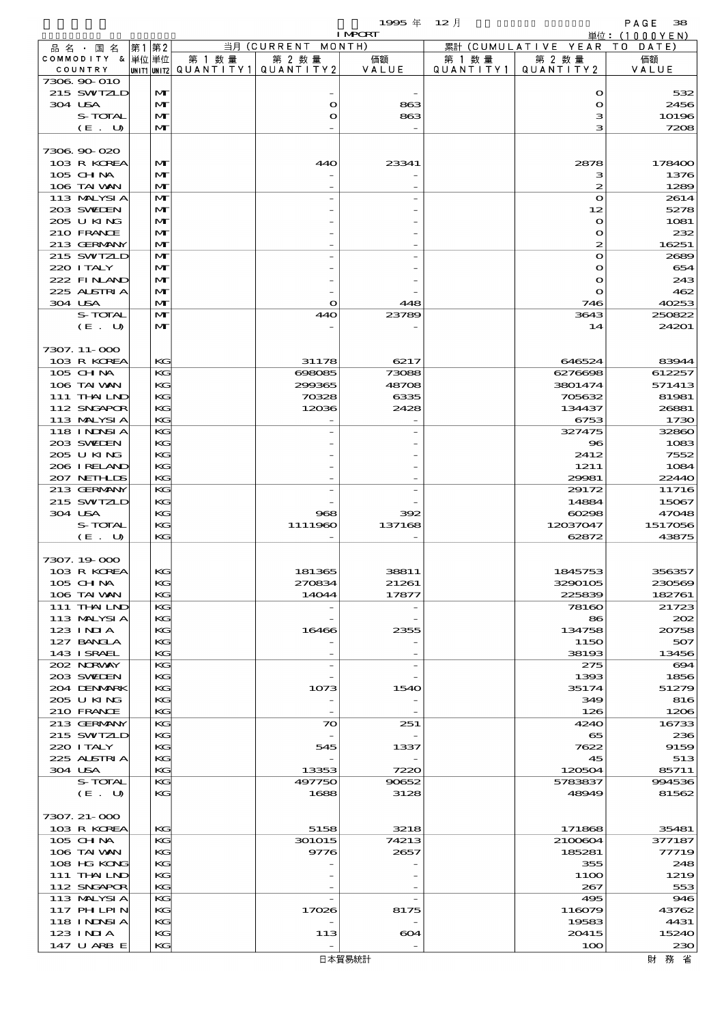$\begin{array}{cc}\n& \text{PAGE} & \text{38} \\
\downarrow \text{\'et}: & (1000 \text{YEN})\n\end{array}$ 

| 12月<br>1995 年 |  |
|---------------|--|
|---------------|--|

|                            |                   |                                       |                   | 単位:(1000YEN)  |         |                        |                 |
|----------------------------|-------------------|---------------------------------------|-------------------|---------------|---------|------------------------|-----------------|
| 品 名 ・ 国 名                  | 第1第2              |                                       | 当月 (CURRENT       | MONTH)        |         | 累計 (CUMULATIVE YEAR TO | DATE)           |
| COMMODITY & 单位单位           |                   | 第 1 数 量                               | 第 2 数量            | 価額            | 第 1 数 量 | 第 2 数量                 | 価額              |
| COUNTRY                    |                   | UNIT1 UNIT2  QUANT   TY1  QUANT   TY2 |                   | VALUE         |         | QUANTITY1   QUANTITY2  | VALUE           |
| 7306.90-010                |                   |                                       |                   |               |         |                        |                 |
| 215 SWIZLD                 | M                 |                                       |                   |               |         | $\mathbf{o}$           | 532             |
| 304 USA                    | $\mathbf{M}$      |                                       | $\mathbf o$       | 863           |         | $\mathbf{o}$           | 2456            |
| S-TOTAL                    | $\mathbf{M}$      |                                       | $\mathbf{o}$      | 863           |         | з                      | 10196           |
| (E. U)                     | $\mathbf{M}$      |                                       |                   |               |         | з                      | 7208            |
|                            |                   |                                       |                   |               |         |                        |                 |
| 7306.90-020                |                   |                                       |                   |               |         |                        |                 |
| 103 R KOREA                | M                 |                                       | 440               | 23341         |         | 2878                   | 178400          |
| 105 CH NA<br>106 TAI VAN   | M<br>$\mathbf{M}$ |                                       |                   |               |         | з<br>2                 | 1376<br>1289    |
| 113 MALYSIA                | $\mathbf{M}$      |                                       |                   |               |         | $\mathbf{o}$           | 2614            |
| 203 SWIEN                  | M                 |                                       |                   |               |         | 12                     | 5278            |
| 205 U KING                 | M                 |                                       |                   |               |         | $\bullet$              | 1081            |
| 210 FRANCE                 | $\mathbf{M}$      |                                       |                   |               |         | $\bullet$              | 232             |
| 213 GERMANY                | $\mathbf{M}$      |                                       |                   |               |         | $\boldsymbol{z}$       | 16251           |
| 215 SWIZLD                 | $\mathbf{M}$      |                                       |                   |               |         | $\mathbf{o}$           | 2689            |
| 220 I TALY                 | M                 |                                       |                   |               |         | $\mathbf o$            | 654             |
| 222 FINAND                 | M                 |                                       |                   |               |         | $\mathbf{o}$           | 243             |
| 225 ALSTRIA                | $\mathbf{M}$      |                                       |                   |               |         | $\bullet$              | 462             |
| 304 USA                    | $\mathbf{M}$      |                                       | $\mathbf{\Omega}$ | 448           |         | 746                    | 40253           |
| S-TOTAL                    | $\mathbf{M}$      |                                       | 440               | 23789         |         | 3643                   | 250822          |
| (E. U)                     | M                 |                                       |                   |               |         | 14                     | 24201           |
|                            |                   |                                       |                   |               |         |                        |                 |
| 7307. 11-000               |                   |                                       |                   |               |         |                        |                 |
| 103 R KOREA                | KG                |                                       | 31178             | 6217          |         | 646524                 | 83944           |
| 105 CHNA                   | KG                |                                       | 698085            | 73088         |         | 6276698                | 612257          |
| 106 TAI VAN                | KG                |                                       | 299365            | 48708         |         | 3801474                | 571413          |
| 111 THAILND                | KG                |                                       | 70328             | 6335          |         | 705632                 | 81981           |
| 112 SNGAPOR                | KG                |                                       | 12036             | 2428          |         | 134437                 | 26881           |
| 113 MALYSIA                | KG                |                                       |                   |               |         | 6753                   | 1730            |
| 118 I NDSI A               | KG                |                                       |                   |               |         | 327475                 | 32860           |
| 203 SVELEN                 | KG                |                                       |                   |               |         | $\bf{8}$               | 1083            |
| 205 U KING                 | KG                |                                       |                   |               |         | 2412                   | 7552            |
| 206 IRELAND                | KG<br>KG          |                                       |                   |               |         | 1211                   | 1084            |
| 207 NETHLIS<br>213 GERMANY | KG                |                                       |                   |               |         | 29981                  | 22440<br>11716  |
| 215 SWIZLD                 | KG                |                                       |                   |               |         | 29172<br>14884         | 15067           |
| 304 USA                    | KG                |                                       | 968               | 392           |         | 60298                  | 47048           |
| S-TOTAL                    | KG                |                                       | 1111960           | 137168        |         | 12037047               | 1517056         |
| (E. U)                     | KG                |                                       |                   |               |         | 62872                  | 43875           |
|                            |                   |                                       |                   |               |         |                        |                 |
| 7307.19.000                |                   |                                       |                   |               |         |                        |                 |
| 103 R KOREA                | $\mathbf{K}$      |                                       | 181365            | 38811         |         | 1845753                | 356357          |
| $105$ CHNA                 | KG                |                                       | 270834            | 21261         |         | 3290105                | 230569          |
| 106 TAI VAN                | KG                |                                       | 14044             | 17877         |         | 225839                 | 182761          |
| 111 THAILND                | KG                |                                       |                   |               |         | 78160                  | 21723           |
| 113 MALYSIA                | KG                |                                       |                   |               |         | 86                     | 202             |
| 123 INIA                   | KG                |                                       | 16466             | 2355          |         | 134758                 | 20758           |
| 127 BANCLA                 | KG                |                                       |                   |               |         | <b>1150</b>            | 507             |
| 143 ISRAEL                 | KG                |                                       |                   |               |         | 38193                  | 13456           |
| 202 NRWAY                  | KG                |                                       |                   |               |         | 275                    | 694             |
| 203 SWIDEN                 | KG                |                                       |                   |               |         | 1393                   | 1856            |
| 204 DENMARK                | KG                |                                       | 1073              | 1540          |         | 35174                  | 51279           |
| 205 U KING                 | KG                |                                       |                   |               |         | 349                    | 816             |
| 210 FRANCE                 | KG                |                                       |                   |               |         | 126                    | 1206            |
| 213 GERMANY                | KG                |                                       | $\infty$          | 251           |         | 4240                   | 16733           |
| 215 SWIZLD                 | KG                |                                       |                   |               |         | 65                     | 236             |
| 220 I TALY                 | KG                |                                       | 545               | 1337          |         | 7622                   | 9159            |
| 225 ALSTRIA                | KG<br>KG          |                                       |                   |               |         | 45                     | 513             |
| 304 USA<br>S-TOTAL         | KG                |                                       | 13353<br>497750   | 7220<br>90652 |         | 120504<br>5783837      | 85711<br>994536 |
| (E. U)                     | KG                |                                       | 1688              | 3128          |         | 48949                  | 81562           |
|                            |                   |                                       |                   |               |         |                        |                 |
| 7307. 21-000               |                   |                                       |                   |               |         |                        |                 |
| 103 R KOREA                | KG                |                                       | 5158              | 3218          |         | 171868                 | 35481           |
| 105 CH NA                  | KG                |                                       | 301015            | 74213         |         | 2100604                | 377187          |
| 106 TAI VAN                | KG                |                                       | 9776              | 2657          |         | 185281                 | 77719           |
| 108 HG KONG                | KG                |                                       |                   |               |         | 355                    | 248             |
| 111 THAILND                | KG                |                                       |                   |               |         | 11OO                   | 1219            |
| 112 SNGAPOR                | KG                |                                       |                   |               |         | 267                    | 553             |
| 113 MALYSIA                | KG                |                                       |                   |               |         | 495                    | $\mathbf{946}$  |
| 117 PH LPIN                | КG                |                                       | 17026             | 8175          |         | 116079                 | 43762           |
| 118 INDSIA                 | KG                |                                       |                   |               |         | 19583                  | 4431            |
| 123 INIA                   | KG                |                                       | 113               | 604           |         | 20415                  | 15240           |
| 147 U ARB E                | KG                |                                       |                   |               |         | 100                    | 230             |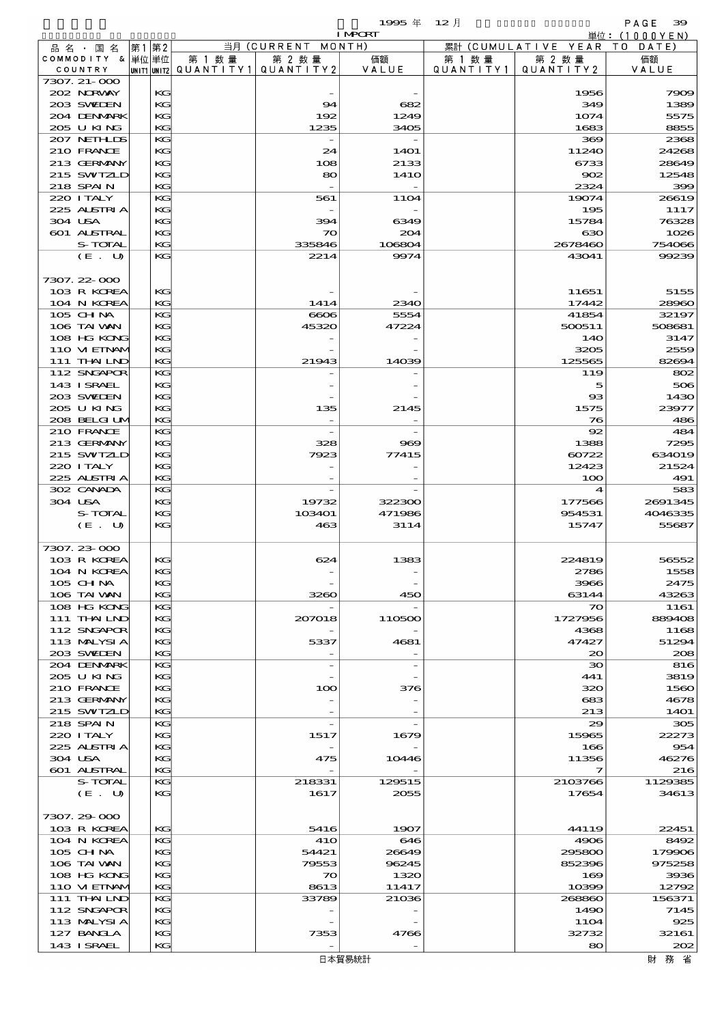|                             |          |                                     |                      | $19905 \text{ } \#$ | $12$ 月               |                         | PAGE<br>39         |
|-----------------------------|----------|-------------------------------------|----------------------|---------------------|----------------------|-------------------------|--------------------|
|                             |          |                                     |                      | <b>I MPCRT</b>      |                      |                         | 単位: (1000YEN)      |
| 品名・国名                       | 第1 第2    |                                     | 当月 (CURRENT          | MONTH)              |                      | 累計 (CUMULATIVE YEAR)    | DATE<br>T O        |
| COMMODITY & 単位単位<br>COUNTRY |          | 第 1 数 量<br>UNIT1 UNIT2  Q∪ANT   TY1 | 第 2 数量<br>QUANTITY 2 | 価額<br>VALUE         | 第 1 数 量<br>QUANTITY1 | 第 2 数量<br>QUANTITY2     | 価額<br>VALUE        |
| 7307. 21-000                |          |                                     |                      |                     |                      |                         |                    |
| 202 NORWAY                  | KG       |                                     |                      |                     |                      | 1956                    | 7909               |
| 203 SWIDEN                  | KG       |                                     | 94                   | 682                 |                      | 349                     | 1389               |
| 204 DENMARK                 | KG       |                                     | 192                  | 1249                |                      | 1074                    | 5575               |
| 205 U KING                  | KG       |                                     | 1235                 | 3405                |                      | 1683                    | 8855               |
| 207 NETHLIS<br>210 FRANCE   | KG<br>KG |                                     | 24                   |                     |                      | 369                     | 2368               |
| 213 GERMANY                 | KG       |                                     | 108                  | 14O1<br>2133        |                      | 11240<br>6733           | 24268<br>28649     |
| 215 SWIZLD                  | KG       |                                     | 80                   | 141O                |                      | 902                     | 12548              |
| 218 SPAIN                   | KG       |                                     |                      |                     |                      | 2324                    | 399                |
| 220 I TALY                  | KG       |                                     | 561                  | <b>11O4</b>         |                      | 19074                   | 26619              |
| 225 ALSTRIA                 | KG       |                                     |                      |                     |                      | 195                     | 1117               |
| 304 USA                     | KG       |                                     | 394                  | 6349                |                      | 15784                   | 76328              |
| 601 ALSTRAL                 | KG       |                                     | $\infty$             | 204                 |                      | 630                     | 1026               |
| S-TOTAL                     | KG       |                                     | 335846               | 106804              |                      | 2678460                 | 754066             |
| (E. U)                      | $K$ $G$  |                                     | 2214                 | 9974                |                      | 43041                   | 99239              |
| 7307.22-000                 |          |                                     |                      |                     |                      |                         |                    |
| 103 R KOREA                 | KG       |                                     |                      |                     |                      | 11651                   | 5155               |
| 104 N KOREA                 | KG       |                                     | 1414                 | 2340                |                      | 17442                   | 28960              |
| $105$ CHNA                  | KG       |                                     | 6606                 | 5554                |                      | 41854                   | 32197              |
| 106 TAI VAN                 | KG       |                                     | 45320                | 47224               |                      | 500511                  | 508681             |
| 108 HG KONG                 | KG       |                                     |                      |                     |                      | 140                     | 3147               |
| 110 VI EINAM                | KG       |                                     |                      |                     |                      | 3205                    | 2559               |
| 111 THAILND                 | KG       |                                     | 21943                | 14039               |                      | 125565                  | 82694              |
| 112 SNGAPOR                 | KG       |                                     |                      |                     |                      | 119                     | 802                |
| 143 I SRAEL<br>203 SWIEN    | KG<br>KG |                                     |                      |                     |                      | 5<br>ങ                  | 506<br>1430        |
| 205 U KING                  | KG       |                                     | 135                  | 2145                |                      | 1575                    | 23977              |
| 208 BELGI UM                | KG       |                                     |                      |                     |                      | 76                      | 486                |
| 210 FRANCE                  | KG       |                                     |                      |                     |                      | 92                      | 484                |
| 213 GERMANY                 | KG       |                                     | 328                  | 969                 |                      | 1388                    | 7295               |
| 215 SWIZLD                  | KG       |                                     | 7923                 | 77415               |                      | 60722                   | 634019             |
| 220 I TALY                  | KG       |                                     |                      |                     |                      | 12423                   | 21524              |
| 225 ALSTRIA                 | KG       |                                     |                      |                     |                      | 100                     | 491                |
| 302 CANADA                  | KG       |                                     |                      |                     |                      | $\boldsymbol{4}$        | 583                |
| 304 USA<br>S-TOTAL          | KG<br>KG |                                     | 19732<br>103401      | 322300<br>471986    |                      | 177566<br>954531        | 2691345<br>4046335 |
| (E. U)                      | KG       |                                     | 463                  | 3114                |                      | 15747                   | 55687              |
|                             |          |                                     |                      |                     |                      |                         |                    |
| 7307.23-000                 |          |                                     |                      |                     |                      |                         |                    |
| 103 R KOREA                 | KG       |                                     | 624                  | 1383                |                      | 224819                  | 56552              |
| 104 N KOREA                 | KG       |                                     |                      |                     |                      | 2786                    | 1558               |
| 105 CHNA                    | KG       |                                     |                      |                     |                      | 3966                    | 2475               |
| 106 TAI VAN                 | KG<br>KG |                                     | 3260                 | 450                 |                      | 63144<br>$\infty$       | 43263              |
| 108 HG KONG<br>111 THAILND  | KG       |                                     | 207018               | 110500              |                      | 1727956                 | 1161<br>889408     |
| 112 SNGAPOR                 | КG       |                                     |                      |                     |                      | 4368                    | 1168               |
| 113 MALYSIA                 | KG       |                                     | 5337                 | 4681                |                      | 47427                   | 51294              |
| 203 SWIDEN                  | KG       |                                     |                      |                     |                      | $\infty$                | 208                |
| 204 DENMARK                 | KG       |                                     |                      |                     |                      | 30                      | 816                |
| 205 U KING                  | KG       |                                     |                      |                     |                      | 441                     | 3819               |
| 210 FRANCE                  | КG       |                                     | 100                  | 376                 |                      | 320                     | 1560               |
| 213 GERMANY<br>215 SWIZLD   | KG<br>KG |                                     |                      |                     |                      | 683<br>213              | 4678<br>14O1       |
| 218 SPAIN                   | KG       |                                     |                      |                     |                      | 29                      | 305                |
| 220 I TALY                  | KG       |                                     | 1517                 | 1679                |                      | 15965                   | 22273              |
| 225 ALSTRIA                 | КG       |                                     |                      |                     |                      | 166                     | 954                |
| 304 USA                     | KG       |                                     | 475                  | 10446               |                      | 11356                   | 46276              |
| <b>601 ALSTRAL</b>          | KG       |                                     |                      |                     |                      | $\overline{\mathbf{z}}$ | 216                |
| S-TOTAL                     | KG       |                                     | 218331               | 129515              |                      | 2103766                 | 1129335            |
| (E. U)                      | KG       |                                     | 1617                 | 2055                |                      | 17654                   | 34613              |
|                             |          |                                     |                      |                     |                      |                         |                    |
| 7307.29-000<br>103 R KOREA  | KG       |                                     | 5416                 | 1907                |                      | 44119                   | 22451              |
| 104 N KOREA                 | KG       |                                     | <b>41O</b>           | 646                 |                      | 4906                    | 8492               |
| $105$ CHNA                  | KG       |                                     | 54421                | 26649               |                      | 295800                  | 179906             |
| 106 TAI VAN                 | KG       |                                     | 79553                | 96245               |                      | 852396                  | 975258             |
| 108 HG KONG                 | KG       |                                     | 70                   | 1320                |                      | 169                     | 3936               |
| 110 VIEINAM                 | КG       |                                     | 8613                 | 11417               |                      | 10399                   | 12792              |
| 111 THAILND                 | KG       |                                     | 33789                | 21036               |                      | 268860                  | 156371             |
| 112 SNGAPOR                 | KG       |                                     |                      |                     |                      | 1490                    | 7145               |
| 113 MALYSIA                 | KG       |                                     |                      |                     |                      | <b>11O4</b>             | 925                |

113 MALYSIA KG - - 1104 925 127 BANGLA  $\begin{array}{|c|c|c|c|c|c|c|c|} \hline \end{array}$  7353 4766 4766 32732 32161  $143$  ISRAEL KG  $\overline{SC}$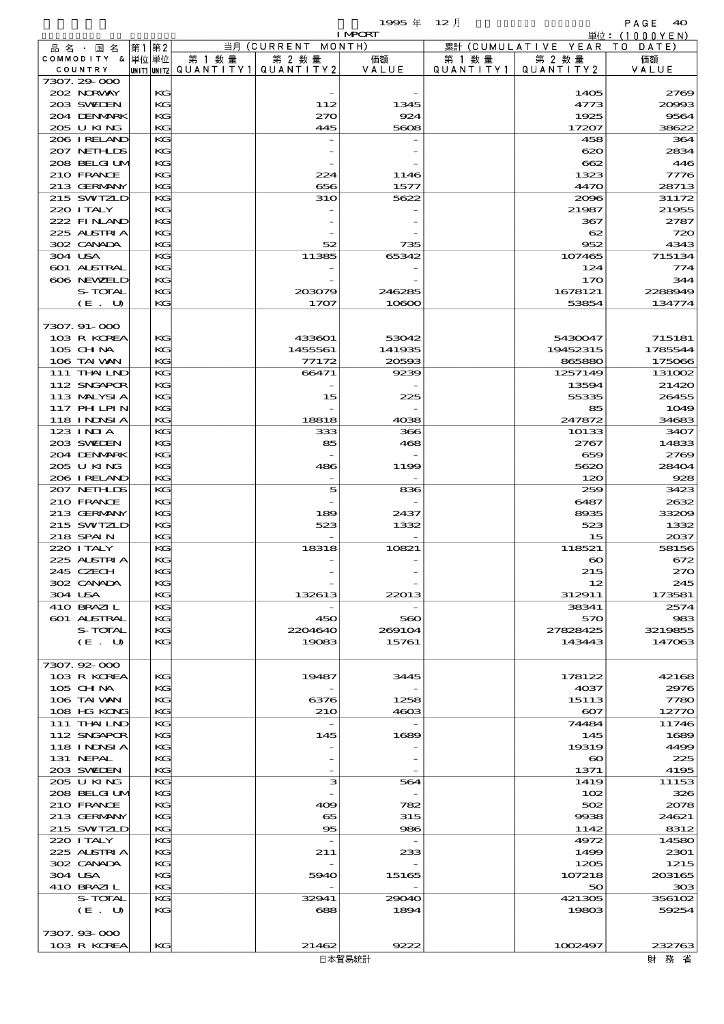$1995 \& 12 \&$ 

|                            |    |          |                                         |                          | <b>I MPORT</b> |                   |                              | 単位: (1000YEN)      |
|----------------------------|----|----------|-----------------------------------------|--------------------------|----------------|-------------------|------------------------------|--------------------|
| 品名・国名                      | 第1 | 第2       |                                         | 当月 (CURRENT MONTH)       |                |                   | 累計 (CUMULATIVE YEAR TO DATE) |                    |
| COMMODITY & 単位単位           |    |          | 第 1 数量                                  | 第 2 数量                   | 価額             | 第 1 数 量           | 第 2 数量                       | 価額                 |
| COUNTRY                    |    |          | UNIT1 UNIT2   QUANT   TY1   QUANT   TY2 |                          | VALUE          | Q U A N T I T Y 1 | QUANTITY 2                   | VALUE              |
| 7307.29-000<br>202 NORWAY  |    | KG       |                                         |                          |                |                   | 1405                         | 2769               |
| 203 SWIEN                  |    | KG       |                                         | 112                      | 1345           |                   | 4773                         | 20993              |
| 204 DENMARK                |    | KG       |                                         | 270                      | 924            |                   | 1925                         | 9564               |
| 205 U KING                 |    | KG       |                                         | 445                      | 5608           |                   | 17207                        | 38622              |
| 206 IRELAND                |    | KG       |                                         |                          |                |                   | 458                          | 364                |
| 207 NETHLIS                |    | KG       |                                         |                          |                |                   | $\infty$                     | 2834               |
| 208 BELGI UM               |    | KG       |                                         |                          |                |                   | 662                          | 446                |
| 210 FRANCE                 |    | KG<br>KG |                                         | 224                      | 1146           |                   | 1323                         | 7776               |
| 213 GERMANY<br>215 SWIZLD  |    | KG       |                                         | 656<br><b>31O</b>        | 1577<br>5622   |                   | 4470<br>2096                 | 28713<br>31172     |
| 220 I TALY                 |    | KG       |                                         |                          |                |                   | 21987                        | 21955              |
| 222 FINAND                 |    | KG       |                                         |                          |                |                   | 367                          | 2787               |
| 225 ALSTRIA                |    | KG       |                                         |                          |                |                   | 62                           | 720                |
| 302 CANADA                 |    | KG       |                                         | 52                       | 735            |                   | 952                          | 4343               |
| 304 USA                    |    | KG       |                                         | 11385                    | 65342          |                   | 107465                       | 715134             |
| 601 ALSTRAL                |    | KG       |                                         |                          |                |                   | 124                          | 774                |
| 606 NEWELD<br>S-TOTAL      |    | KС<br>KG |                                         |                          | 246285         |                   | 170<br>1678121               | 344<br>2288949     |
| (E. U)                     |    | KG       |                                         | 203079<br>1707           | 10800          |                   | 53854                        | 134774             |
|                            |    |          |                                         |                          |                |                   |                              |                    |
| 7307.91-000                |    |          |                                         |                          |                |                   |                              |                    |
| 103 R KOREA                |    | KG       |                                         | 433601                   | 53042          |                   | 5430047                      | 715181             |
| 105 CH NA                  |    | KG       |                                         | 1455561                  | 141935         |                   | 19452315                     | 1785544            |
| 106 TAI VAN                |    | KG       |                                         | 77172                    | 20593          |                   | 865880                       | 175066             |
| 111 THAILND                |    | KG       |                                         | 66471                    | 9239           |                   | 1257149                      | 13100 <sub>2</sub> |
| 112 SNGAPOR                |    | KG<br>KG |                                         |                          |                |                   | 13594                        | 21420              |
| 113 MALYSIA<br>117 PH LPIN |    | KG       |                                         | 15                       | 225            |                   | 55335<br>85                  | 26455<br>1049      |
| 118 I NDSI A               |    | KG       |                                         | 18818                    | 4038           |                   | 247872                       | 34683              |
| $123$ INIA                 |    | KG       |                                         | 333                      | 366            |                   | 10133                        | 3407               |
| 203 SWIDEN                 |    | KG       |                                         | 85                       | 468            |                   | 2767                         | 14833              |
| 204 DENMARK                |    | KG       |                                         |                          |                |                   | 659                          | 2769               |
| 205 U KING                 |    | KG       |                                         | 486                      | 1199           |                   | 5620                         | 28404              |
| 206 I RELAND               |    | KG       |                                         |                          |                |                   | 120                          | 928                |
| 207 NETHLIS<br>210 FRANCE  |    | KG       |                                         | 5                        | 836            |                   | 259                          | 3423               |
| 213 GERMANY                |    | KG<br>KG |                                         | 189                      | 2437           |                   | 6487<br>8935                 | 2632<br>33209      |
| 215 SWIZLD                 |    | KG       |                                         | 523                      | 1332           |                   | 523                          | 1332               |
| 218 SPAIN                  |    | KG       |                                         |                          |                |                   | 15                           | 2037               |
| 220 I TALY                 |    | KG       |                                         | 18318                    | 10821          |                   | 118521                       | 58156              |
| 225 ALSTRIA                |    | KG       |                                         |                          |                |                   | $\boldsymbol{\infty}$        | 672                |
| 245 CZECH                  |    | KG       |                                         |                          |                |                   | 215                          | 270                |
| 302 CANADA                 |    | КG       |                                         |                          |                |                   | 12                           | 245                |
| 304 USA<br>410 BRAZIL      |    | KG<br>KG |                                         | 132613                   | 22013          |                   | 312911<br>38341              | 173581<br>2574     |
| <b>601 ALSTRAL</b>         |    | KG       |                                         | 450                      | 560            |                   | 570                          | 983                |
| S-TOTAL                    |    | KС       |                                         | 2204640                  | 269104         |                   | 27828425                     | 3219855            |
| (E. U)                     |    | KG       |                                         | 19083                    | 15761          |                   | 143443                       | 147063             |
|                            |    |          |                                         |                          |                |                   |                              |                    |
| 7307.92-000                |    |          |                                         |                          |                |                   |                              |                    |
| 103 R KOREA                |    | KG       |                                         | 19487                    | 3445           |                   | 178122                       | 42168              |
| 105 CHNA<br>106 TAI VAN    |    | KG<br>KG |                                         | 6376                     | 1258           |                   | 4037<br>15113                | 2976<br>7780       |
| 108 HG KONG                |    | KG       |                                         | 210                      | 4603           |                   | $\infty$                     | 12770              |
| 111 THAILND                |    | KG       |                                         |                          |                |                   | 74484                        | 11746              |
| 112 SNGAPOR                |    | KG       |                                         | 145                      | 1689           |                   | 145                          | 1689               |
| 118 I NINSI A              |    | KС       |                                         |                          |                |                   | 19319                        | 4499               |
| 131 NEPAL                  |    | KG       |                                         |                          |                |                   | $\boldsymbol{\infty}$        | 225                |
| 203 SWIDEN                 |    | KG       |                                         |                          |                |                   | 1371                         | 4195               |
| 205 U KING                 |    | KG       |                                         | з                        | 564            |                   | 1419                         | 11153              |
| 208 BELGI UM<br>210 FRANCE |    | KG<br>KС |                                         | 409                      | 782            |                   | 102<br>502                   | 326<br>2078        |
| 213 GERMANY                |    | KG       |                                         | 65                       | 315            |                   | 9938                         | 24621              |
| 215 SWIZLD                 |    | KG       |                                         | 95                       | 986            |                   | 1142                         | 8312               |
| 220 I TALY                 |    | KG       |                                         | $\overline{\phantom{a}}$ |                |                   | 4972                         | 14580              |
| 225 ALSTRIA                |    | KG       |                                         | 211                      | 233            |                   | 1499                         | 2301               |
| 302 CANADA                 |    | KG       |                                         |                          |                |                   | 1205                         | 1215               |
| 304 USA                    |    | KG       |                                         | 5940                     | 15165          |                   | 107218                       | 203165             |
| 410 BRAZIL<br>S-TOTAL      |    | KG<br>KG |                                         | 32941                    | 29040          |                   | 50<br>421305                 | 303<br>356102      |
| (E. U)                     |    | KG       |                                         | 688                      | 1894           |                   | 19803                        | 59254              |
|                            |    |          |                                         |                          |                |                   |                              |                    |
| 7307.93-000                |    |          |                                         |                          |                |                   |                              |                    |
| 103 R KOREA                |    | KG       |                                         | 21462                    | 9222           |                   | 1002497                      | 232763             |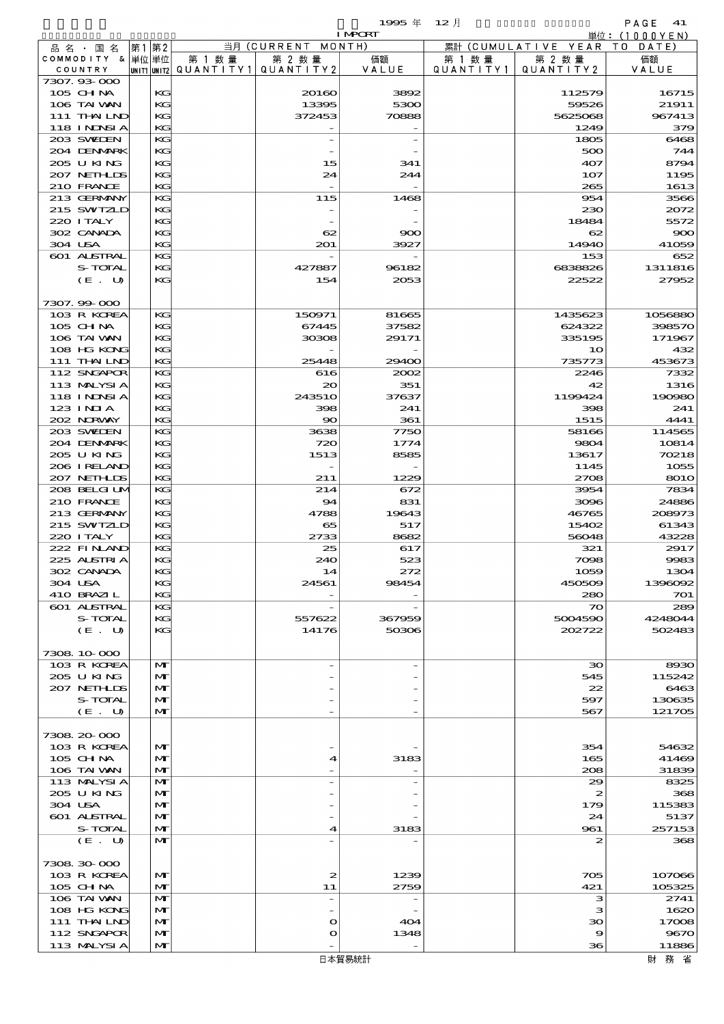|                   |      |             |           |                          | 1995年          | $12$ 月    |                     | PAGE<br>41    |
|-------------------|------|-------------|-----------|--------------------------|----------------|-----------|---------------------|---------------|
|                   |      |             |           |                          | <b>I MPORT</b> |           |                     | 単位: (1000YEN) |
| 品名・国名             | 第1第2 |             |           | 当月 (CURRENT MONTH)       |                |           | 累計 (CUMULATIVE YEAR | T O<br>DATE)  |
| COMMODITY & 単位単位  |      |             | 第 1 数量    | 第 2 数量                   | 価額             | 第 1 数量    | 第 2 数量              | 価額            |
| COUNTRY           |      | UNIT1 UNIT2 | QUANTITY1 | QUANTITY 2               | VALUE          | QUANTITY1 | QUANTITY 2          | VALUE         |
| 7307.93.000       |      |             |           |                          |                |           |                     |               |
| 105 CH NA         |      | KG          |           | 20160                    | 3892           |           | 112579              | 16715         |
| 106 TAI VAN       |      | KG          |           | 13395                    | 5300           |           | 59526               | 21911         |
| 111 THAILND       |      | KG          |           | 372453                   | 70888          |           | 5625068             | 967413        |
| <b>118 INDSIA</b> |      | KG          |           |                          |                |           | 1249                | 379           |
| 203 SWEDEN        |      | KG          |           | $\overline{\phantom{0}}$ |                |           | 1805                | 6465          |
| 204 DENMARK       |      | KG          |           |                          |                |           | 500                 | 744           |
| 205 U KING        |      | KG          |           | 15                       | 341            |           | 407                 | 8794          |
| 207 NEIHLIS       |      | KG          |           | 24                       | 244            |           | 107                 | 1195          |
| 210 FRANCE        |      | KG          |           | $\overline{a}$           |                |           | 265                 | 1613          |
| 213 GERMANY       |      | KG          |           | 115                      | 1468           |           | 954                 | 356C          |
| 215 SWIZLD        |      | KG          |           |                          |                |           | 230                 | 2072          |
| 220 I TALY        |      | KG          |           |                          |                |           | 18484               | 5572          |
| 302 CANADA        |      | KG          |           | 62                       | 900            |           | 62                  | $\infty$      |
| 304 USA           |      | KG          |           | 201                      | 3927           |           | 14940               | 41059         |
| 601 ALSTRAL       |      | KG          |           |                          |                |           | 153                 | 652           |
| S-TOTAL           |      | KG          |           | 427887                   | 96182          |           | 6838826             | 1311816       |
| (E. U)            |      | KG          |           | 154                      | 2053           |           | 22522               | 27952         |
|                   |      |             |           |                          |                |           |                     |               |
| 7307.99 000       |      |             |           |                          |                |           |                     |               |
| 103 R KOREA       |      | KG          |           | 150971                   | 81665          |           | 1435623             | 1056880       |
| $105$ CHNA        |      | KG          |           | 67445                    | 37582          |           | 624322              | 398570        |
| 106 TAI VAN       |      | KG          |           | 30308                    | 29171          |           | 335195              | 171967        |
| 108 HG KONG       |      | KG          |           |                          |                |           | 10                  | 432           |
| 111 THAILND       |      | KG          |           | 25448                    | 29400          |           | 735773              | 453673        |
| 112 SNGAPOR       |      | KG          |           | 616                      | 2002           |           | 2246                | 7332          |
| 113 MALYSIA       |      | KG          |           | $\infty$                 | 351            |           | 42                  | 1316          |
| 118 I NJNSI A     |      | KG          |           | 24351O                   | 37637          |           | 1199424             | 190980        |
| $123$ INIA        |      | KG          |           | 398                      | 241            |           | 398                 | 241           |
| 202 NORWAY        |      | KG          |           | $\infty$                 | 361            |           | 1515                | 4441          |
| 203 SWIDEN        |      | KG          |           | 3638                     | 7750           |           | 58166               | 114565        |
| 204 DENMARK       |      | KG          |           | 720                      | 1774           |           | 9804                | 10814         |
| 205 U KING        |      | KG          |           | 1513                     | 8585           |           | 13617               | 70218         |
| 206 I RELAND      |      | KG          |           | $\overline{\phantom{0}}$ |                |           | 1145                | 1055          |
|                   |      |             |           |                          |                |           |                     |               |

| 123 INIA     | KG           | 398              | 241    | 398              | 241         |
|--------------|--------------|------------------|--------|------------------|-------------|
| 202 NORWAY   | KG           | $\infty$         | 361    | 1515             | 4441        |
| 203 SWIEN    | KG           | 3638             | 7750   | 58166            | 114565      |
| 204 DENMARK  | KG           | 720              | 1774   | 9804             | 10814       |
| 205 U KING   | KG           | 1513             | 8585   | 13617            | 70218       |
| 206 IRELAND  | KG           |                  |        | 1145             | 1055        |
| 207 NETHLIS  | KG           | 211              | 1229   | 2708             | <b>8010</b> |
| 208 BELGI UM | KG.          | 214              | 672    | 3954             | 7834        |
| 210 FRANCE   | KG           | 94               | 831    | 3096             | 24886       |
| 213 GERMANY  | KG           | 4788             | 19643  | 46765            | 208973      |
| 215 SWIZLD   | $K$ $G$      | 65               | 517    | 15402            | 61343       |
| 220 I TALY   | KG           | 2733             | 8682   | 56048            | 43228       |
| 222 FINAND   | KG           | 25               | 617    | 321              | 2917        |
| 225 ALSTRIA  | KG.          | 240              | 523    | 7098             | 9983        |
| 302 CANADA   | KG           | 14               | 272    | 1059             | 1304        |
| 304 USA      | KG.          | 24561            | 98454  | 450509           | 1396092     |
| 410 BRAZIL   | KG           |                  |        | 280              | 701         |
| 601 ALSTRAL  | KG           |                  |        | $\infty$         | 289         |
| S-TOTAL      | КG           | 557622           | 367959 | 5004590          | 4248044     |
| (E. U)       | KG           | 14176            | 50306  | 202722           | 502483      |
|              |              |                  |        |                  |             |
| 7308 10 000  |              |                  |        |                  |             |
| 103 R KOREA  | M            |                  |        | $\infty$         | 8930        |
| 205 U KING   | $\mathbf{M}$ |                  |        | 545              | 115242      |
| 207 NETHLIS  | $\mathbf{M}$ |                  |        | 22               | 6463        |
| S-TOTAL      | M            |                  |        | 597              | 130635      |
| (E. U)       | $\mathbf{M}$ |                  |        | 567              | 121705      |
|              |              |                  |        |                  |             |
| 7308 20 000  |              |                  |        |                  |             |
| 103 R KOREA  | $\mathbf{M}$ |                  |        | 354              | 54632       |
| 105 CH NA    | $\mathbf{M}$ | 4                | 3183   | 165              | 41469       |
| 106 TAI VAN  | $\mathbf{M}$ |                  |        | 208              | 31839       |
| 113 MALYSIA  | $\mathbf{M}$ |                  |        | 29               | 8325        |
| 205 U KING   | $\mathbf{M}$ |                  |        | $\boldsymbol{z}$ | 368         |
| 304 USA      | $\mathbf{M}$ |                  |        | 179              | 115383      |
| 601 ALSTRAL  | $\mathbf{M}$ |                  |        | 24               | 5137        |
| S-TOTAL      | $\mathbf{M}$ | 4                | 3183   | 961              | 257153      |
| (E. U)       | $\mathbf{M}$ |                  |        | 2                | 368         |
|              |              |                  |        |                  |             |
| 7308 30 000  |              |                  |        |                  |             |
| 103 R KOREA  | M            | $\boldsymbol{z}$ | 1239   | 705              | 107066      |
| $105$ CHNA   | $\mathbf{M}$ | 11               | 2759   | 421              | 105325      |
| 106 TAI VAN  | M            |                  |        | з                | 2741        |
| 108 HG KONG  | $\mathbf{M}$ |                  |        | з                | 1620        |
| 111 THAILND  | $\mathbf{M}$ | $\mathbf{o}$     | 404    | 30               | 17008       |
| 112 SNGAPOR  | $\mathbf{M}$ | $\mathbf o$      | 1348   | 9                | 9670        |
| 113 MALYSIA  | $\mathbf{M}$ |                  |        | 36               | 11886       |
|              |              |                  |        |                  |             |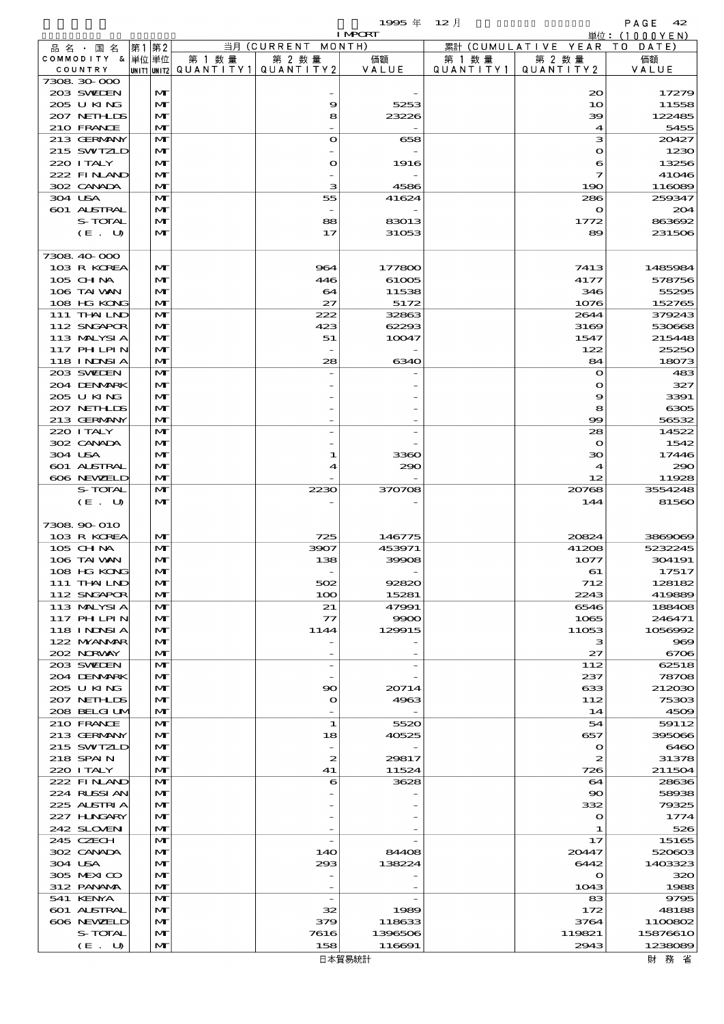$1995 \pm 12$  and  $PAGE = 42$ 

|                             |                   |                   |                                       |                    | <b>I MPCRT</b> |                      |                                  | 単位: (1000YEN)       |
|-----------------------------|-------------------|-------------------|---------------------------------------|--------------------|----------------|----------------------|----------------------------------|---------------------|
| 品 名 · 国 名                   |                   | 第1 第2             |                                       | 当月 (CURRENT MONTH) |                |                      | 累計 (CUMULATIVE YEAR TO DATE)     |                     |
| COMMODITY & 単位単位            |                   |                   | 第 1 数 量                               | 第 2 数量             | 価額<br>VALUE    | 第 1 数 量<br>QUANTITY1 | 第 2 数量                           | 価額                  |
| COUNTRY<br>7308 30 000      |                   |                   | unit1 unit2  Q∪ANT   TY1  Q∪ANT   TY2 |                    |                |                      | QUANTITY 2                       | VALUE               |
| 203 SWIEN                   |                   | $\mathbf{M}$      |                                       |                    |                |                      | $\infty$                         | 17279               |
| 205 U KING                  |                   | $\mathbf{M}$      |                                       | 9                  | 5253           |                      | 10                               | 11558               |
| 207 NETHLIS                 |                   | M                 |                                       | 8                  | 23226          |                      | 39                               | 122485              |
| 210 FRANCE                  |                   | M                 |                                       |                    |                |                      | 4                                | 5455                |
| 213 GERMANY<br>215 SWIZLD   |                   | M<br>M            |                                       | $\bullet$          | 658            |                      | з<br>$\mathbf o$                 | 20427<br>1230       |
| 220 I TALY                  |                   | $\mathbf{M}$      |                                       | $\mathbf o$        | 1916           |                      | 6                                | 13256               |
| 222 FINAND                  |                   | M                 |                                       |                    |                |                      | 7                                | 41046               |
| 302 CANADA                  |                   | M                 |                                       | з                  | 4586           |                      | 190                              | 116089              |
| 304 USA                     |                   | M                 |                                       | 55                 | 41624          |                      | 286                              | 259347              |
| 601 ALSTRAL                 |                   | M                 |                                       |                    |                |                      | $\mathbf{\Omega}$                | 204                 |
|                             | S-TOTAL<br>(E. U) | M<br>M            |                                       | 88<br>17           | 83013<br>31053 |                      | 1772<br>89                       | 863692<br>231506    |
|                             |                   |                   |                                       |                    |                |                      |                                  |                     |
| 7308 40 000                 |                   |                   |                                       |                    |                |                      |                                  |                     |
| 103 R KOREA                 |                   | $\mathbf{M}$      |                                       | 964                | 177800         |                      | 7413                             | 1485984             |
| 105 CH NA                   |                   | M                 |                                       | 446                | 61005          |                      | 4177                             | 578756              |
| 106 TAI VAN                 |                   | M                 |                                       | 64                 | 11538          |                      | 346                              | 55295               |
| 108 HG KONG                 |                   | M                 |                                       | 27                 | 5172           |                      | 1076                             | 152765              |
| 111 THAILND                 |                   | M                 |                                       | 222                | 32863          |                      | 2644                             | 379243              |
| 112 SNGAPOR                 |                   | $\mathbf{M}$      |                                       | 423                | 62293          |                      | 3169                             | 530668              |
| 113 MALYSIA<br>117 PHLPIN   |                   | M<br>M            |                                       | 51                 | 10047          |                      | 1547                             | 215448<br>25250     |
| 118 I NJNSI A               |                   | M                 |                                       | 28                 | 6340           |                      | 122<br>84                        | 18073               |
| 203 SWIDEN                  |                   | M                 |                                       |                    |                |                      | $\mathbf{o}$                     | 483                 |
| 204 DENMARK                 |                   | M                 |                                       |                    |                |                      | $\mathbf{\Omega}$                | 327                 |
| 205 U KING                  |                   | M                 |                                       |                    |                |                      | 9                                | 3391                |
| 207 NETHLIS                 |                   | M                 |                                       |                    |                |                      | 8                                | 6305                |
| 213 GERMANY                 |                   | M                 |                                       |                    |                |                      | œ                                | 56532               |
| 220 I TALY                  |                   | M                 |                                       |                    |                |                      | 28                               | 14522               |
| 302 CANADA                  |                   | M                 |                                       |                    |                |                      | $\mathbf{\Omega}$                | 1542                |
| 304 USA                     |                   | M                 |                                       | 1                  | 3360           |                      | 30                               | 17446               |
| 601 ALSTRAL<br>606 NEWELD   |                   | M<br>M            |                                       | ◢                  | 290            |                      | $\boldsymbol{\mathcal{A}}$<br>12 | 290<br>11928        |
|                             | S-TOTAL           | M                 |                                       | 2230               | 370708         |                      | 20768                            | 3554248             |
|                             | (E. U)            | $\mathbf{M}$      |                                       |                    |                |                      | 144                              | 81560               |
|                             |                   |                   |                                       |                    |                |                      |                                  |                     |
| 7308 90 010                 |                   |                   |                                       |                    |                |                      |                                  |                     |
| 103 R KOREA                 |                   | M                 |                                       | 725                | 146775         |                      | 20824                            | 3869069             |
| 105 CHNA                    |                   | M                 |                                       | 3907               | 453971         |                      | 41208                            | 5232245             |
| 106 TAI VAN                 |                   | $\mathbf{M}$      |                                       | 138                | 39908          |                      | 1077                             | 304191              |
| 108 HG KONG                 |                   | $\mathbf{M}$      |                                       |                    |                |                      | 61                               | 17517               |
| 111 THAILND<br>112 SNGAPOR  |                   | M<br>M            |                                       | 502<br>100         | 92820<br>15281 |                      | 712<br>2243                      | 128182<br>419889    |
| 113 MALYSIA                 |                   | M                 |                                       | 21                 | 47991          |                      | 6546                             | 188408              |
| <b>117 PHLPIN</b>           |                   | $\mathbf{M}$      |                                       | $\tau$             | 9900           |                      | 1065                             | 246471              |
| 118 I NDSI A                |                   | M                 |                                       | 1144               | 129915         |                      | 11053                            | 1056992             |
| 122 NYANAR                  |                   | M                 |                                       |                    |                |                      | з                                | 969                 |
| 202 N.RVAY                  |                   | M                 |                                       |                    |                |                      | 27                               | 6706                |
| 203 SWIDEN                  |                   | M                 |                                       |                    |                |                      | 112                              | 62518               |
| 204 DENMARK                 |                   | $\mathbf{M}$      |                                       |                    |                |                      | 237                              | 78708               |
| 205 U KING                  |                   | $\mathbf{M}$      |                                       | 90                 | 20714          |                      | 633                              | 212030              |
| 207 NETHLIS<br>208 BELGI UM |                   | M<br>M            |                                       | $\mathbf o$        | 4963           |                      | 112<br>14                        | 75303<br>4509       |
| 210 FRANCE                  |                   | M                 |                                       | 1                  | 5520           |                      | 54                               | 59112               |
| 213 GERMANY                 |                   | $\mathbf{M}$      |                                       | 18                 | 40525          |                      | 657                              | 395066              |
| 215 SWIZLD                  |                   | M                 |                                       |                    |                |                      | $\mathbf o$                      | 6460                |
| 218 SPAIN                   |                   | M                 |                                       | 2                  | 29817          |                      | 2                                | 31378               |
| 220 I TALY                  |                   | M                 |                                       | 41                 | 11524          |                      | 726                              | 211504              |
| 222 FINAND                  |                   | M                 |                                       | 6                  | 3628           |                      | 64                               | 28636               |
| 224 RUSSI AN                |                   | M                 |                                       |                    |                |                      | $\infty$                         | 58938               |
| 225 ALSTRIA<br>227 H.NGARY  |                   | M                 |                                       |                    |                |                      | 332                              | 79325               |
| 242 SLOVEN                  |                   | M<br>M            |                                       |                    |                |                      | $\mathbf o$<br>1                 | 1774<br>526         |
| 245 CZECH                   |                   | M                 |                                       |                    |                |                      | 17                               | 15165               |
| 302 CANADA                  |                   | M                 |                                       | 140                | 84408          |                      | 20447                            | 520603              |
| 304 USA                     |                   | M                 |                                       | 293                | 138224         |                      | 6442                             | 1403323             |
| 305 MEXICO                  |                   | M                 |                                       |                    |                |                      | $\mathbf{o}$                     | 320                 |
| 312 PANAMA                  |                   | M                 |                                       |                    |                |                      | 1043                             | 1988                |
| 541 KENYA                   |                   | M                 |                                       |                    |                |                      | 83                               | 9795                |
| 601 ALSTRAL                 |                   | M                 |                                       | 32                 | 1989           |                      | 172                              | 48188               |
| 606 NEWELD                  |                   | M                 |                                       | 379                | 118633         |                      | 3764                             | 1100802             |
|                             | S-TOTAL           | M<br>$\mathbf{M}$ |                                       | 7616<br>158        | 1396506        |                      | 119821<br>2943                   | 15876610<br>1238089 |
|                             | (E. U)            |                   |                                       |                    | 116691         |                      |                                  |                     |

財務省

日本貿易統計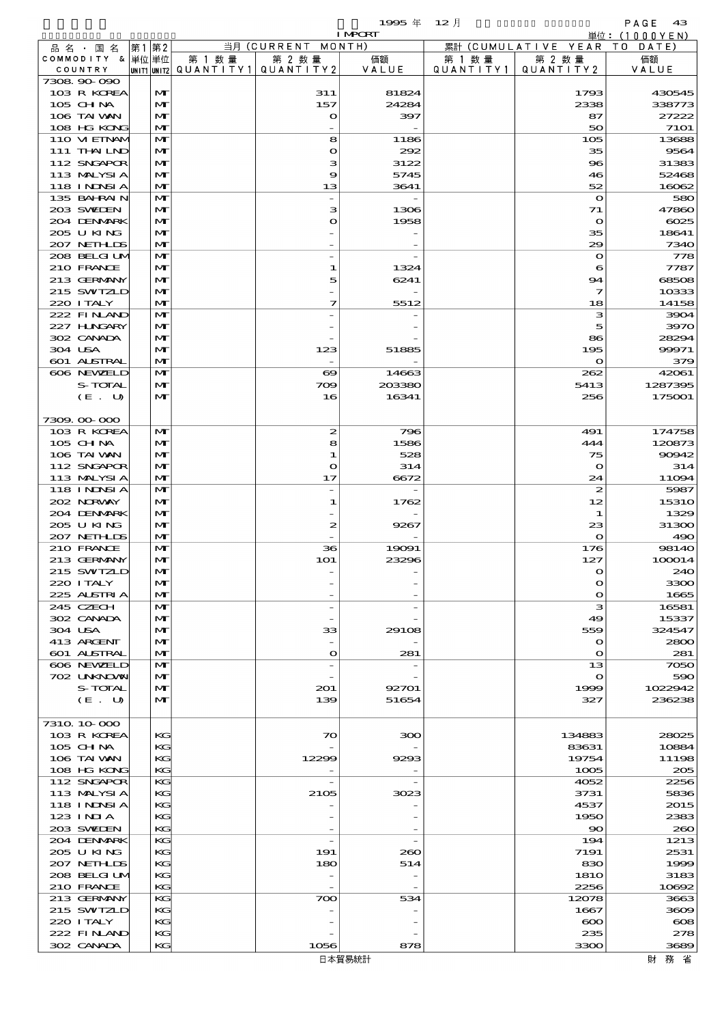$1995 \nless 12 \nless 12$ 

|                             |                              |        |                                                  | <b>I MPCRT</b>  |                              |                              | 単位: (1000YEN)         |
|-----------------------------|------------------------------|--------|--------------------------------------------------|-----------------|------------------------------|------------------------------|-----------------------|
| 品 名 ・ 国 名                   | 第1第2                         |        | 当月 (CURRENT MONTH)                               |                 |                              | 累計 (CUMULATIVE YEAR TO DATE) |                       |
| COMMODITY & 単位単位<br>COUNTRY |                              | 第 1 数量 | 第 2 数量<br> UNIT1 UNIT2  QUANT   TY1  QUANT   TY2 | 価額<br>VALUE     | 第 1 数 量<br>Q U A N T I T Y 1 | 第 2 数量<br>QUANTITY 2         | 価額<br>VALUE           |
| 7308 90 090                 |                              |        |                                                  |                 |                              |                              |                       |
| 103 R KOREA                 | $\mathbf{M}$                 |        | 311                                              | 81824           |                              | 1793                         | 430545                |
| 105 CHNA                    | $\mathbf{M}$                 |        | 157                                              | 24284           |                              | 2338                         | 338773                |
| 106 TAI VAN                 | $\mathbf{M}$                 |        | $\bullet$                                        | 397             |                              | 87                           | 27222                 |
| 108 HG KONG<br>110 VIEINAM  | $\mathbf{M}$<br>M            |        | 8                                                | 1186            |                              | 50<br>105                    | <b>7101</b><br>13688  |
| 111 THAILND                 | M                            |        | $\mathbf o$                                      | 292             |                              | 35                           | 9564                  |
| 112 SNGAPOR                 | $\mathbf{M}$                 |        | з                                                | 3122            |                              | $\bf{8}$                     | 31383                 |
| 113 MALYSIA                 | $\mathbf{M}$                 |        | 9                                                | 5745            |                              | 46                           | 52468                 |
| 118 INNSI A                 | $\mathbf{M}$                 |        | 13                                               | 3641            |                              | 52                           | 16062                 |
| 135 BAHRAIN                 | M                            |        |                                                  |                 |                              | $\mathbf{\Omega}$            | 580                   |
| 203 SWIEN<br>204 DENMARK    | M<br>$\mathbf{M}$            |        | з<br>$\mathbf o$                                 | 1306<br>1958    |                              | 71<br>$\bullet$              | 47860<br>$\cos$       |
| 205 U KING                  | M                            |        |                                                  |                 |                              | 35                           | 18641                 |
| 207 NETHLIS                 | $\mathbf{M}$                 |        |                                                  |                 |                              | 29                           | 7340                  |
| 208 BELGI UM                | M                            |        |                                                  |                 |                              | $\mathbf{\Omega}$            | 778                   |
| 210 FRANCE                  | $\mathbf{M}$                 |        | 1                                                | 1324            |                              | 6                            | 7787                  |
| 213 GERMANY                 | $\mathbf{M}$                 |        | 5                                                | 6241            |                              | 94                           | 68508                 |
| 215 SWIZLD                  | M                            |        |                                                  |                 |                              | 7                            | 10333                 |
| 220 I TALY<br>222 FINAND    | $\mathbf{M}$<br>$\mathbf{M}$ |        | 7                                                | 5512            |                              | 18<br>з                      | 14158<br>3904         |
| 227 HNGARY                  | $\mathbf{M}$                 |        |                                                  |                 |                              | 5                            | 3970                  |
| 302 CANADA                  | $\mathbf{M}$                 |        |                                                  |                 |                              | 86                           | 28294                 |
| 304 USA                     | M                            |        | 123                                              | 51885           |                              | 195                          | 99971                 |
| 601 ALSTRAL                 | $\mathbf{M}$                 |        |                                                  |                 |                              | $\circ$                      | 379                   |
| 606 NEWELD                  | $\mathbf{M}$                 |        | $\boldsymbol{\infty}$                            | 14663           |                              | 262                          | 42061                 |
| S-TOTAL                     | $\mathbf{M}$<br>M            |        | 709<br>16                                        | 203380<br>16341 |                              | 5413<br>256                  | 1287395<br>175001     |
| (E. U)                      |                              |        |                                                  |                 |                              |                              |                       |
| 7309.00.000                 |                              |        |                                                  |                 |                              |                              |                       |
| 103 R KOREA                 | $\mathbf{M}$                 |        | $\boldsymbol{z}$                                 | 796             |                              | 491                          | 174758                |
| 105 CH NA                   | $\mathbf{M}$                 |        | 8                                                | 1586            |                              | 444                          | 120873                |
| 106 TAI VAN                 | $\mathbf{M}$                 |        | 1                                                | 528             |                              | 75                           | 90942                 |
| 112 SNGAPOR                 | $\mathbf{M}$                 |        | $\mathbf{\Omega}$                                | 314             |                              | $\mathbf{\Omega}$            | 314                   |
| 113 MALYSIA<br>118 I NDSI A | M<br>$\mathbf{M}$            |        | 17<br>$\overline{a}$                             | 6672            |                              | 24<br>$\boldsymbol{z}$       | 11094<br>5987         |
| 202 NORWAY                  | $\mathbf{M}$                 |        | 1                                                | 1762            |                              | 12                           | <b>15310</b>          |
| 204 DENMARK                 | $\mathbf{M}$                 |        |                                                  |                 |                              | 1                            | 1329                  |
| 205 U KING                  | M                            |        | 2                                                | 9267            |                              | 23                           | 31300                 |
| 207 NETHLIS                 | M                            |        |                                                  |                 |                              | $\circ$                      | 490                   |
| 210 FRANCE                  | M                            |        | 36                                               | 19091           |                              | 176                          | <b>98140</b>          |
| 213 GERMANY<br>215 SWIZLD   | $\mathbf{M}$<br>$\mathbf{M}$ |        | <b>1O1</b>                                       | 23296           |                              | 127<br>$\Omega$              | 100014<br>240         |
| 220 I TALY                  | $\mathbf{M}$                 |        |                                                  |                 |                              | $\mathbf o$                  | 3300                  |
| 225 ALSTRIA                 | $\mathbf{M}$                 |        |                                                  |                 |                              | $\mathbf{o}$                 | 1665                  |
| 245 CZECH                   | $\mathbf{M}$                 |        |                                                  |                 |                              | з                            | 16581                 |
| 302 CANADA                  | M                            |        |                                                  |                 |                              | 49                           | 15337                 |
| 304 USA                     | $\mathbf{M}$                 |        | 33                                               | 29108           |                              | 559                          | 324547                |
| 413 ARCENT<br>601 ALSTRAL   | M<br>$\mathbf{M}$            |        | $\mathbf{o}$                                     | 281             |                              | $\mathbf o$<br>$\mathbf o$   | 2800<br>281           |
| 606 NEWELD                  | $\mathbf{M}$                 |        |                                                  |                 |                              | 13                           | 7050                  |
| 702 LNKNOWN                 | $\mathbf{M}$                 |        |                                                  |                 |                              | $\mathbf o$                  | 590                   |
| S-TOTAL                     | $\mathbf{M}$                 |        | 201                                              | 92701           |                              | 1999                         | 1022942               |
| $(E_U U)$                   | $\mathbf{M}$                 |        | 139                                              | 51654           |                              | 327                          | 236238                |
|                             |                              |        |                                                  |                 |                              |                              |                       |
| 7310 10 000<br>103 R KOREA  | KG                           |        | 70                                               | 300             |                              | 134883                       | 28025                 |
| $105$ CHNA                  | KG                           |        |                                                  |                 |                              | 83631                        | 10884                 |
| 106 TAI VAN                 | КG                           |        | 12299                                            | 9293            |                              | 19754                        | 11198                 |
| 108 HG KONG                 | KG                           |        |                                                  |                 |                              | 1005                         | 205                   |
| 112 SNGAPOR                 | KС                           |        |                                                  |                 |                              | 4052                         | 2256                  |
| 113 MALYSIA                 | KG                           |        | 2105                                             | 3023            |                              | 3731                         | 5836                  |
| 118 I NDSI A<br>$123$ INIA  | KG<br>КG                     |        |                                                  |                 |                              | 4537<br>1950                 | 2015<br>2383          |
| 203 SWIEN                   | KG                           |        |                                                  |                 |                              | $\infty$                     | 260                   |
| 204 DENMARK                 | KG                           |        | $\overline{\phantom{0}}$                         |                 |                              | 194                          | 1213                  |
| 205 U KING                  | KG                           |        | 191                                              | 260             |                              | 7191                         | 2531                  |
| 207 NETHLIS                 | KG                           |        | 180                                              | 514             |                              | 830                          | 1999                  |
| 208 BELGI UM                | КG                           |        |                                                  |                 |                              | <b>1810</b>                  | 3183                  |
| 210 FRANCE<br>213 GERMANY   | KG                           |        |                                                  | 534             |                              | 2256                         | 10692                 |
| 215 SWIZLD                  | KG<br>KG                     |        | 700                                              |                 |                              | 12078<br>1667                | 3663<br>3609          |
| 220 I TALY                  | KG                           |        |                                                  |                 |                              | $\infty$                     | $\boldsymbol{\alpha}$ |
| 222 FINAND                  | КG                           |        |                                                  |                 |                              | 235                          | 278                   |
| 302 CANADA                  | KG                           |        | 1056                                             | 878             |                              | 3300                         | 3689                  |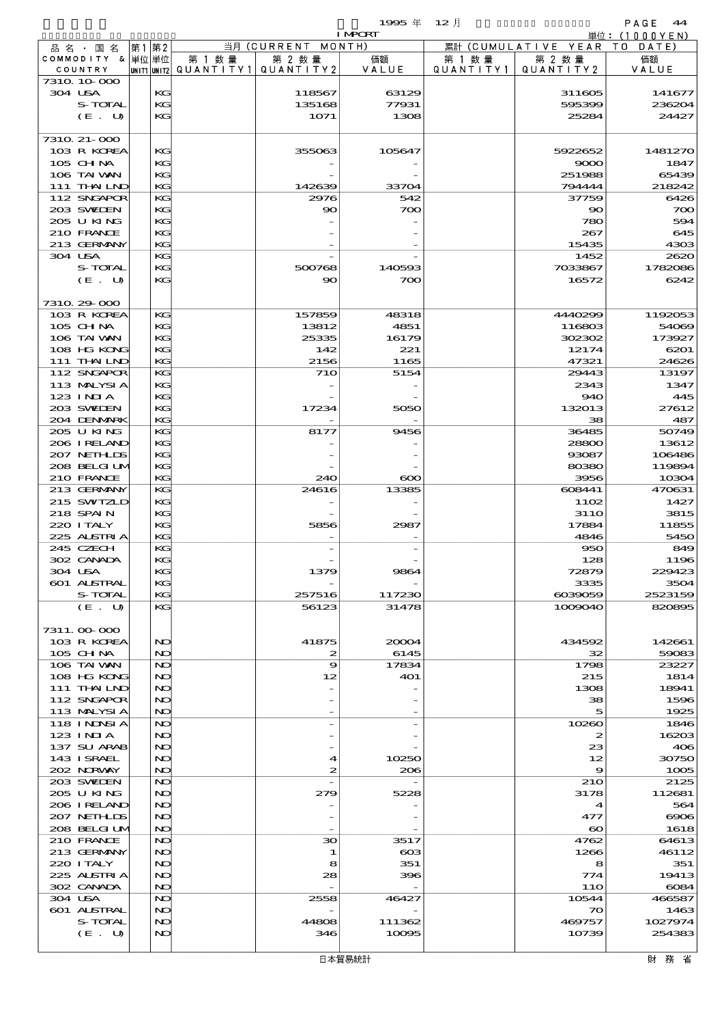$1995 \nsubseteq 12 \nexists$ 

|                                  |          |                                       |                    | <b>I MPORT</b> |           |                                | 単位: <u>(1000YEN)</u> |
|----------------------------------|----------|---------------------------------------|--------------------|----------------|-----------|--------------------------------|----------------------|
| 品名・国名                            | 第1 第2    |                                       | 当月 (CURRENT MONTH) |                |           | 累計 (CUMULATIVE YEAR TO DATE)   |                      |
| COMMODITY & 単位単位                 |          | 第 1 数量                                | 第 2 数量             | 価額             | 第 1 数 量   | 第 2 数量                         | 価額                   |
| COUNTRY<br>7310 10 000           |          | UNIT1 UNIT2  QUANT   TY1  QUANT   TY2 |                    | VALUE          | QUANTITY1 | QUANTITY2                      | VALUE                |
| 304 USA                          | KG       |                                       | 118567             | 63129          |           | 311605                         | 141677               |
| S-TOTAL                          | KG       |                                       | 135168             | 77931          |           | 595399                         | 236204               |
| (E. U)                           | KG       |                                       | 1071               | 1308           |           | 25284                          | 24427                |
|                                  |          |                                       |                    |                |           |                                |                      |
| 7310 21-000                      |          |                                       |                    |                |           |                                |                      |
| 103 R KOREA                      | KG       |                                       | 355063             | 105647         |           | 5922652                        | 1481270              |
| 105 CHNA<br>106 TAI VAN          | KG<br>KG |                                       |                    |                |           | 9000<br>251988                 | 1847<br>65439        |
| 111 THAILND                      | KG       |                                       | 142639             | 33704          |           | 794444                         | 218242               |
| 112 SNGAPOR                      | KG       |                                       | 2976               | 542            |           | 37759                          | 6426                 |
| 203 SWIEN                        | KG       |                                       | 90                 | 700            |           | $\infty$                       | 700                  |
| 205 U KING                       | KG       |                                       |                    |                |           | 780                            | 594                  |
| 210 FRANCE                       | KG       |                                       |                    |                |           | 267                            | 645                  |
| 213 GERMANY                      | KG       |                                       |                    |                |           | 15435                          | 4303                 |
| 304 USA<br>S-TOTAL               | KG<br>KG |                                       | 500768             | 140593         |           | 1452<br>7033867                | 2620<br>1782086      |
| (E. U)                           | KG       |                                       | $\infty$           | 700            |           | 16572                          | 6242                 |
|                                  |          |                                       |                    |                |           |                                |                      |
| 7310 29 000                      |          |                                       |                    |                |           |                                |                      |
| 103 R KOREA                      | KG       |                                       | 157859             | 48318          |           | 4440299                        | 1192053              |
| 105 CH NA                        | KG       |                                       | 13812              | 4851           |           | 116803                         | 54069                |
| 106 TAI VAN<br>108 HG KONG       | KG<br>KG |                                       | 25335<br>142       | 16179<br>221   |           | 302302<br>12174                | 173927<br>6201       |
| 111 THAILND                      | KG       |                                       | 2156               | 1165           |           | 47321                          | 24626                |
| 112 SNGAPOR                      | KG       |                                       | <b>710</b>         | 5154           |           | 29443                          | 13197                |
| 113 MALYSIA                      | KG       |                                       |                    |                |           | 2343                           | 1347                 |
| 123 INIA                         | KG       |                                       |                    |                |           | 940                            | 445                  |
| 203 SWIEN                        | KG       |                                       | 17234              | 5050           |           | 132013                         | 27612                |
| 204 DENMARK<br>205 U KING        | KG<br>KG |                                       | 8177               | 9456           |           | 38<br>36485                    | 487<br>50749         |
| 206 IRELAND                      | KG       |                                       |                    |                |           | 28800                          | 13612                |
| 207 NETHLIS                      | KG       |                                       |                    |                |           | 93087                          | 106486               |
| 208 BELGI UM                     | KG       |                                       |                    |                |           | 80380                          | 119894               |
| 210 FRANCE                       | KG       |                                       | 240                | $\infty$       |           | 3956                           | 10304                |
| 213 GERMANY                      | KG       |                                       | 24616              | 13385          |           | 608441                         | 470631               |
| 215 SWIZLD<br>218 SPAIN          | KG<br>KG |                                       |                    |                |           | 1102<br><b>3110</b>            | 1427<br>3815         |
| 220 I TALY                       | KG       |                                       | 5856               | 2987           |           | 17884                          | 11855                |
| 225 ALSTRIA                      | KG       |                                       |                    |                |           | 4846                           | 5450                 |
| 245 CZECH                        | KG       |                                       |                    |                |           | 950                            | 849                  |
| 302 CANADA                       | KG<br>KG |                                       |                    |                |           | 128                            | 1196                 |
| 304 USA<br>601 ALSTRAL           | КG       |                                       | 1379               | <b>SSO</b>     |           | 72879<br>3335                  | 229423<br>3504       |
| S-TOTAL                          | KG       |                                       | 257516             | 117230         |           | 6039059                        | 2523159              |
| (E. U)                           | KG       |                                       | 56123              | 31478          |           | 1009040                        | 820895               |
|                                  |          |                                       |                    |                |           |                                |                      |
| 7311.000000                      |          |                                       |                    |                |           |                                |                      |
| 103 R KOREA<br>105 CH NA         | NO<br>NO |                                       | 41875<br>2         | 20004<br>6145  |           | 434592<br>32                   | 142661<br>59083      |
| 106 TAI VAN                      | NO       |                                       | 9                  | 17834          |           | 1798                           | 23227                |
| 108 HG KONG                      | NO       |                                       | 12                 | 401            |           | 215                            | 1814                 |
| 111 THAILND                      | NO       |                                       |                    |                |           | 1308                           | 18941                |
| 112 SNGAPOR                      | NO       |                                       |                    |                |           | 38                             | 1596                 |
| 113 MALYSIA<br><b>118 INNSIA</b> | NO       |                                       |                    |                |           | 5                              | 1925                 |
| 123 INIA                         | NO<br>NO |                                       |                    |                |           | 10260<br>2                     | 1846<br>16203        |
| 137 SU ARAB                      | NO       |                                       |                    |                |           | 23                             | 406                  |
| 143 ISRAEL                       | NO       |                                       | 4                  | 10250          |           | 12                             | 30750                |
| 202 NORWAY                       | NO       |                                       | 2                  | 206            |           | 9                              | 1005                 |
| 203 SWIDEN                       | NO       |                                       |                    |                |           | <b>210</b>                     | 2125                 |
| 205 U KING                       | NO       |                                       | 279                | 5228           |           | 3178                           | 112681               |
| 206 IRELAND<br>207 NETHLIS       | NO<br>NO |                                       |                    |                |           | $\boldsymbol{4}$<br>477        | 564<br>$\infty$      |
| 208 BELGI UM                     | NO       |                                       |                    |                |           | $\boldsymbol{\infty}$          | 1618                 |
| 210 FRANCE                       | NO       |                                       | 30                 | 3517           |           | 4762                           | 64613                |
| 213 GERMANY                      | NO       |                                       | 1                  | $_{\rm 603}$   |           | 1266                           | 46112                |
| 220 I TALY                       | NO       |                                       | 8                  | 351            |           | 8                              | 351                  |
| 225 ALSTRIA                      | NO       |                                       | 28                 | 396            |           | 774                            | 19413                |
| 302 CANADA                       | NO       |                                       |                    |                |           | 11O                            | 6084                 |
| 304 USA<br>601 ALSTRAL           | NO<br>NO |                                       | 2558               | 46427          |           | 10544<br>$\boldsymbol{\infty}$ | 466587<br>1463       |
| S-TOTAL                          | NO       |                                       | 44808              | 111362         |           | 469757                         | 1027974              |
| (E. U)                           | NO       |                                       | 346                | 10095          |           | 10739                          | 254383               |
|                                  |          |                                       |                    |                |           |                                |                      |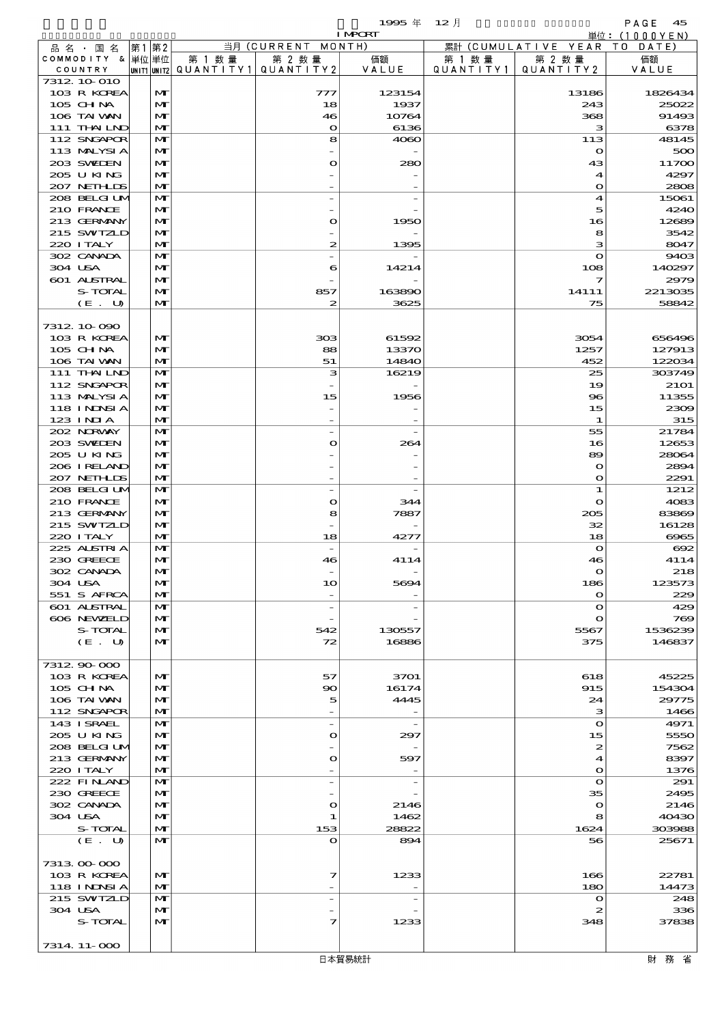$1995 \nless 12 \nless 12$ 

|         |                             |       |                   |        |                                                  | <b>I MPCRT</b>           |                      |                                  | 単位: (1000YEN)                |
|---------|-----------------------------|-------|-------------------|--------|--------------------------------------------------|--------------------------|----------------------|----------------------------------|------------------------------|
|         | 品 名 ・ 国 名                   | 第1 第2 |                   |        | 当月 (CURRENT MONTH)                               |                          |                      | 累計 (CUMULATIVE YEAR TO DATE)     |                              |
|         | COMMODITY & 単位単位<br>COUNTRY |       |                   | 第 1 数量 | 第 2 数量<br> UNIT1 UNIT2  QUANT   TY1  QUANT   TY2 | 価額<br>VALUE              | 第 1 数 量<br>QUANTITY1 | 第 2 数量<br>QUANTITY 2             | 価額<br>VALUE                  |
|         | 7312 10 010                 |       |                   |        |                                                  |                          |                      |                                  |                              |
|         | 103 R KOREA                 |       | $\mathbf{M}$      |        | 777                                              | 123154                   |                      | 13186                            | 1826434                      |
|         | 105 CHNA                    |       | $\mathbf{M}$      |        | 18                                               | 1937                     |                      | 243                              | 25022                        |
|         | 106 TAI VAN                 |       | M                 |        | 46                                               | 10764                    |                      | 368                              | 91493                        |
|         | 111 THAILND<br>112 SNGAPOR  |       | M<br>$\mathbf{M}$ |        | $\bullet$<br>8                                   | 6136<br>4060             |                      | з<br>113                         | 6378<br>48145                |
|         | 113 MALYSIA                 |       | M                 |        |                                                  |                          |                      | $\mathbf o$                      | 500                          |
|         | 203 SWIEN                   |       | $\mathbf{M}$      |        | O                                                | 280                      |                      | 43                               | 11700                        |
|         | 205 U KING                  |       | M                 |        |                                                  |                          |                      | $\boldsymbol{4}$                 | 4297                         |
|         | 207 NETHLIS                 |       | $\mathbf{M}$      |        |                                                  |                          |                      | $\mathbf o$                      | 2808                         |
|         | 208 BELGI UM<br>210 FRANCE  |       | $\mathbf{M}$<br>M |        |                                                  |                          |                      | 4<br>5                           | 15061<br>4240                |
|         | 213 GERMANY                 |       | M                 |        | $\mathbf{\Omega}$                                | 1950                     |                      | 16                               | 12689                        |
|         | 215 SWIZLD                  |       | $\mathbf{M}$      |        |                                                  |                          |                      | 8                                | 3542                         |
|         | 220 I TALY                  |       | $\mathbf{M}$      |        | 2                                                | 1395                     |                      | з                                | 8047                         |
|         | 302 CANADA                  |       | $\mathbf{M}$      |        |                                                  |                          |                      | $\mathbf{o}$                     | 9403                         |
| 304 USA |                             |       | M                 |        | 6                                                | 14214                    |                      | 108                              | 140297                       |
|         | 601 ALSTRAL<br>S-TOTAL      |       | $\mathbf{M}$<br>M |        | 857                                              | 163890                   |                      | $\overline{\mathbf{z}}$<br>14111 | 2979<br>2213035              |
|         | (E. U)                      |       | $\mathbf{M}$      |        | 2                                                | 3625                     |                      | 75                               | 58842                        |
|         |                             |       |                   |        |                                                  |                          |                      |                                  |                              |
|         | 7312 10 090                 |       |                   |        |                                                  |                          |                      |                                  |                              |
|         | 103 R KOREA                 |       | M                 |        | 303                                              | 61592                    |                      | 3054                             | 656496                       |
|         | 105 CHNA                    |       | M                 |        | 88                                               | 13370                    |                      | 1257                             | 127913                       |
|         | 106 TAI VAN<br>111 THAILND  |       | M<br>M            |        | 51<br>з                                          | 14840<br>16219           |                      | 452<br>25                        | 122034<br>303749             |
|         | 112 SNGAPOR                 |       | $\mathbf{M}$      |        |                                                  |                          |                      | 19                               | <b>21O1</b>                  |
|         | 113 MALYSIA                 |       | M                 |        | 15                                               | 1956                     |                      | $\bf{8}$                         | 11355                        |
|         | 118 I NDSI A                |       | $\mathbf{M}$      |        |                                                  |                          |                      | 15                               | 2309                         |
|         | 123 INIA                    |       | M                 |        |                                                  |                          |                      | 1                                | 315                          |
|         | 202 NORWAY                  |       | $\mathbf{M}$      |        | $\overline{a}$                                   |                          |                      | 55                               | 21784                        |
|         | 203 SWIEN<br>205 U KING     |       | M<br>M            |        | O                                                | 264                      |                      | 16<br>89                         | 12653<br>28064               |
|         | 206 I RELAND                |       | M                 |        |                                                  |                          |                      | $\mathbf o$                      | 2894                         |
|         | 207 NETHLIS                 |       | $\mathbf{M}$      |        |                                                  |                          |                      | $\mathbf o$                      | 2291                         |
|         | 208 BELGI UM                |       | M                 |        | $\overline{a}$                                   |                          |                      | 1                                | 1212                         |
|         | 210 FRANCE                  |       | M                 |        | O                                                | 344                      |                      | $\mathbf o$                      | 4083                         |
|         | 213 GERMANY<br>215 SWIZLD   |       | M                 |        | 8                                                | 7887                     |                      | 205                              | 83869                        |
|         | 220 I TALY                  |       | M<br>$\mathbf{M}$ |        | 18                                               | 4277                     |                      | 32<br>18                         | 16128<br>$\Theta$ $\Theta$ 5 |
|         | 225 ALSTRIA                 |       | $\mathbf{M}$      |        | $\overline{\phantom{a}}$                         |                          |                      | $\mathbf o$                      | $\infty$                     |
|         | 230 GREECE                  |       | M                 |        | 46                                               | 4114                     |                      | 46                               | 4114                         |
|         | 302 CANADA                  |       | $\mathbf{M}$      |        |                                                  |                          |                      | $\Omega$                         | 218                          |
| 304 USA |                             |       | M                 |        | 10                                               | 5694                     |                      | 186                              | 123573                       |
|         | 551 S AFRCA<br>601 ALSTRAL  |       | M<br>M            |        | $\overline{\phantom{a}}$<br>$\qquad \qquad -$    |                          |                      | $\mathbf o$<br>$\Omega$          | 229<br>429                   |
|         | 606 NEWELD                  |       | M                 |        |                                                  |                          |                      | $\mathbf{o}$                     | 769                          |
|         | S-TOTAL                     |       | M                 |        | 542                                              | 130557                   |                      | 5567                             | 1536239                      |
|         | (E. U)                      |       | $\mathbf{M}$      |        | 72                                               | 16886                    |                      | 375                              | 146837                       |
|         |                             |       |                   |        |                                                  |                          |                      |                                  |                              |
|         | 7312 90 000<br>103 R KOREA  |       | $\mathbf{M}$      |        | 57                                               | 3701                     |                      | 618                              | 45225                        |
|         | $105$ CHNA                  |       | M                 |        | 90                                               | 16174                    |                      | 915                              | 154304                       |
|         | 106 TAI VAN                 |       | M                 |        | 5                                                | 4445                     |                      | 24                               | 29775                        |
|         | 112 SNGAPOR                 |       | M                 |        |                                                  |                          |                      | з                                | 1466                         |
|         | 143 ISRAEL                  |       | M                 |        | $\overline{\phantom{a}}$                         | $\overline{\phantom{a}}$ |                      | $\Omega$                         | 4971                         |
|         | 205 U KING                  |       | M                 |        | O                                                | 297                      |                      | 15                               | 5550                         |
|         | 208 BELGI UM<br>213 GERMANY |       | M<br>M            |        | O                                                | 597                      |                      | $\boldsymbol{z}$<br>4            | 7562<br>8397                 |
|         | 220 I TALY                  |       | $\mathbf{M}$      |        |                                                  |                          |                      | $\mathbf o$                      | 1376                         |
|         | 222 FINAND                  |       | M                 |        | $\overline{a}$                                   |                          |                      | $\mathbf{o}$                     | 291                          |
|         | 230 GREECE                  |       | M                 |        |                                                  |                          |                      | 35                               | 2495                         |
|         | 302 CANADA                  |       | M                 |        | O                                                | 2146                     |                      | $\mathbf o$                      | 2146                         |
| 304 USA | S-TOTAL                     |       | M<br>M            |        | 1<br>153                                         | 1462<br>28822            |                      | 8<br>1624                        | 40430<br>303988              |
|         | (E. U)                      |       | $\mathbf{M}$      |        | O                                                | 894                      |                      | 56                               | 25671                        |
|         |                             |       |                   |        |                                                  |                          |                      |                                  |                              |
|         | 7313 00 000                 |       |                   |        |                                                  |                          |                      |                                  |                              |
|         | 103 R KOREA                 |       | M                 |        | 7                                                | 1233                     |                      | 166                              | 22781                        |
|         | 118 I NDSI A                |       | M                 |        |                                                  |                          |                      | 180                              | 14473                        |
|         | 215 SWIZLD                  |       | M<br>M            |        | $\overline{\phantom{a}}$                         |                          |                      | $\Omega$                         | 248                          |
| 304 USA | S-TOTAL                     |       | M                 |        | 7                                                | 1233                     |                      | 2<br>348                         | 336<br>37838                 |
|         |                             |       |                   |        |                                                  |                          |                      |                                  |                              |
|         | 7314 11-000                 |       |                   |        |                                                  |                          |                      |                                  |                              |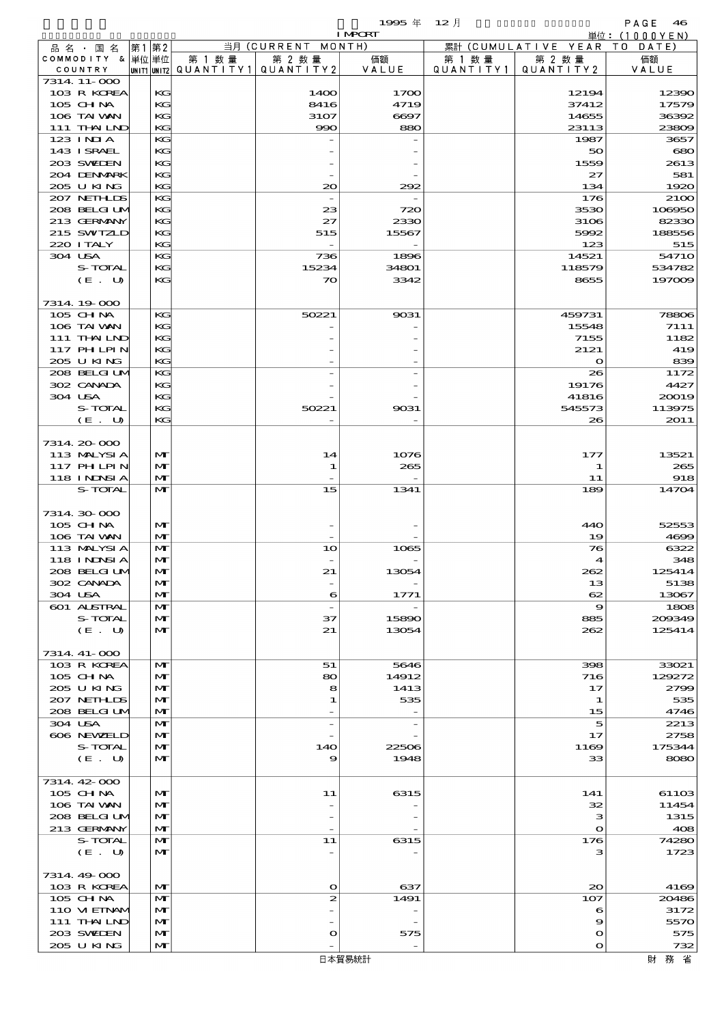$1995 \& 12 \quad \Box$ 

| 当月 (CURRENT MONTH)<br>累計 (CUMULATIVE YEAR TO DATE)<br>第1第2<br>品 名 ・ 国 名<br>COMMODITY & 単位単位<br>第 1 数量<br>第 2 数量<br>第 2 数量<br>価額<br>第 1 数量<br>価額<br> UNIT1 UNIT2  QUANT   TY1  QUANT   TY2<br>VALUE<br>Q U A N T I T Y 1<br>QUANTITY 2<br>VALUE<br>COUNTRY<br>7314 11-000<br>103 R KOREA<br>KG<br>14OO<br>1700<br>12194<br>12390<br>105 CHNA<br>KG<br>8416<br>4719<br>37412<br>106 TAI VAN<br>KG<br>3107<br>6697<br>14655<br>36392<br>111 THAILND<br>KG<br>990<br>880<br>23113<br>23809<br>123 INIA<br>KG<br>1987<br>3657<br>143 I SRAEL<br>KG<br>680<br>50<br>203 SWIEN<br>KG<br>1559<br>204 DENMARK<br>KG<br>27<br>581<br>205 U KING<br>KG<br>20<br>292<br>134<br>1920<br>207 NETHLIS<br>KG<br>176<br>2100<br>$\overline{\phantom{a}}$<br>208 BELGILM<br>KG<br>3530<br>106950<br>23<br>720<br>213 GERMANY<br>KG<br>27<br>2330<br>3106<br>215 SWIZLD<br>KG<br>15567<br>5992<br>188556<br>515<br>220 I TALY<br>KG<br>123<br>515<br>304 USA<br>KG<br>736<br>1896<br>14521<br>S-TOTAL<br>KG<br>15234<br>34801<br>118579<br>534782<br>KG<br>3342<br>(E. U)<br>70<br>8655<br>197009<br>7314 19 000<br>105 CH NA<br>KG<br>50221<br>9031<br>459731<br>78806<br>106 TAI VAN<br>KG<br>15548<br>7111<br>KG<br>7155<br>111 THAILND<br>117 PHLPIN<br>KG<br>2121<br>419<br>205 U KING<br>KG<br>839<br>$\mathbf o$<br>208 BELGI UM<br>KG<br>26<br>1172<br>302 CANADA<br>KG<br>19176<br>4427<br>304 USA<br>KG<br>41816<br>20019<br>S-TOTAL<br>KG<br>50221<br>9031<br>545573<br>113975<br>(E. U)<br>KG<br>2011<br>26<br>7314 20 000<br>113 MALYSIA<br>M<br>14<br>1076<br>177<br>13521<br><b>117 PHLPIN</b><br>M<br>265<br>265<br>1<br>1<br><b>118 INNSIA</b><br>$\mathbf{M}$<br>11<br>S-TOTAL<br>$\mathbf{M}$<br>15<br>1341<br>189<br>14704<br>7314 30 000<br>105 CHNA<br>M<br>440<br>52553<br>106 TAI VAN<br>M<br>19<br>4699<br>113 MALYSIA<br>M<br>10<br>1065<br>76<br>6322<br><b>118 INNSI A</b><br>M<br>348<br>$\blacktriangleleft$<br>$\mathbf{M}$<br>208 BELGI UN<br>125414<br>21<br>13054<br>262<br>302 CANADA<br>$\mathbf{M}$<br>5138<br>13<br>$\overline{\phantom{m}}$<br>304 USA<br>M<br>6<br>1771<br>62<br>13067<br><b>601 ALSTRAL</b><br>M<br>9<br>$\overline{\phantom{a}}$<br>S-TOTAL<br>$\mathbf{M}$<br>37<br>15890<br>885<br>$(E_U U)$<br>$\mathbf{M}$<br>21<br>13054<br>262<br>125414<br>7314 41-000<br>103 R KOREA<br>M<br>51<br>5646<br>398<br>33021<br>105 CH NA<br>M<br>80<br>14912<br>716<br>129272<br>205 U KING<br>$\mathbf{M}$<br>1413<br>17<br>2799<br>8<br>207 NETHLIS<br>M<br>535<br>535<br>1<br>1<br>208 BELGI UM<br>M<br>15<br>304 USA<br>M<br>5<br>2213<br>$\overline{a}$<br>606 NEWELD<br>M<br>17<br>S-TOTAL<br>$\mathbf{M}$<br>140<br>22506<br>1169<br>175344<br>(E. U)<br>$\mathbf{M}$<br>9<br>33<br>8080<br>1948<br>7314 42 000<br>105 CH NA<br>M<br>11<br>6315<br>141<br>106 TAI VAN<br>$\mathbf{M}$<br>32<br>11454<br>208 BELGI UM<br>M<br>з<br>1315<br>213 GERMANY<br>M<br>408<br>$\mathbf o$<br>S-TOTAL<br>M<br>11<br>6315<br>176<br>74280<br>(E. U)<br>$\mathbf{M}$<br>з<br>7314 49 000<br>103 R KOREA<br>M<br>$\bullet$<br>637<br>20<br>4169<br>105 CH NA<br>M<br>$\vert z \vert$<br>1491<br>107<br>20486<br>110 VIEINAM<br>M<br>3172<br>6<br>111 THAILND<br>$\mathbf{M}$<br>9<br>5570<br>203 SWIDEN<br>M<br>575<br>o<br>575<br>$\mathbf o$<br>205 U KING<br>M<br>$\mathbf o$<br>732<br>日本貿易統計<br>財務省 |  |  |  | <b>I MPORT</b> |  | 単位: (1000YEN) |
|-------------------------------------------------------------------------------------------------------------------------------------------------------------------------------------------------------------------------------------------------------------------------------------------------------------------------------------------------------------------------------------------------------------------------------------------------------------------------------------------------------------------------------------------------------------------------------------------------------------------------------------------------------------------------------------------------------------------------------------------------------------------------------------------------------------------------------------------------------------------------------------------------------------------------------------------------------------------------------------------------------------------------------------------------------------------------------------------------------------------------------------------------------------------------------------------------------------------------------------------------------------------------------------------------------------------------------------------------------------------------------------------------------------------------------------------------------------------------------------------------------------------------------------------------------------------------------------------------------------------------------------------------------------------------------------------------------------------------------------------------------------------------------------------------------------------------------------------------------------------------------------------------------------------------------------------------------------------------------------------------------------------------------------------------------------------------------------------------------------------------------------------------------------------------------------------------------------------------------------------------------------------------------------------------------------------------------------------------------------------------------------------------------------------------------------------------------------------------------------------------------------------------------------------------------------------------------------------------------------------------------------------------------------------------------------------------------------------------------------------------------------------------------------------------------------------------------------------------------------------------------------------------------------------------------------------------------------------------------------------------------------------------------------------------------------------------------------------------------------------------------------------------------------------------------------------------------------------------------------------------------------------------------------------------------------------------------|--|--|--|----------------|--|---------------|
|                                                                                                                                                                                                                                                                                                                                                                                                                                                                                                                                                                                                                                                                                                                                                                                                                                                                                                                                                                                                                                                                                                                                                                                                                                                                                                                                                                                                                                                                                                                                                                                                                                                                                                                                                                                                                                                                                                                                                                                                                                                                                                                                                                                                                                                                                                                                                                                                                                                                                                                                                                                                                                                                                                                                                                                                                                                                                                                                                                                                                                                                                                                                                                                                                                                                                                                               |  |  |  |                |  |               |
| 17579<br>2613<br>82330<br>54710<br>1182<br>918<br>1808<br>200349<br>4746<br>2758<br>61103<br>1723                                                                                                                                                                                                                                                                                                                                                                                                                                                                                                                                                                                                                                                                                                                                                                                                                                                                                                                                                                                                                                                                                                                                                                                                                                                                                                                                                                                                                                                                                                                                                                                                                                                                                                                                                                                                                                                                                                                                                                                                                                                                                                                                                                                                                                                                                                                                                                                                                                                                                                                                                                                                                                                                                                                                                                                                                                                                                                                                                                                                                                                                                                                                                                                                                             |  |  |  |                |  |               |
|                                                                                                                                                                                                                                                                                                                                                                                                                                                                                                                                                                                                                                                                                                                                                                                                                                                                                                                                                                                                                                                                                                                                                                                                                                                                                                                                                                                                                                                                                                                                                                                                                                                                                                                                                                                                                                                                                                                                                                                                                                                                                                                                                                                                                                                                                                                                                                                                                                                                                                                                                                                                                                                                                                                                                                                                                                                                                                                                                                                                                                                                                                                                                                                                                                                                                                                               |  |  |  |                |  |               |
|                                                                                                                                                                                                                                                                                                                                                                                                                                                                                                                                                                                                                                                                                                                                                                                                                                                                                                                                                                                                                                                                                                                                                                                                                                                                                                                                                                                                                                                                                                                                                                                                                                                                                                                                                                                                                                                                                                                                                                                                                                                                                                                                                                                                                                                                                                                                                                                                                                                                                                                                                                                                                                                                                                                                                                                                                                                                                                                                                                                                                                                                                                                                                                                                                                                                                                                               |  |  |  |                |  |               |
|                                                                                                                                                                                                                                                                                                                                                                                                                                                                                                                                                                                                                                                                                                                                                                                                                                                                                                                                                                                                                                                                                                                                                                                                                                                                                                                                                                                                                                                                                                                                                                                                                                                                                                                                                                                                                                                                                                                                                                                                                                                                                                                                                                                                                                                                                                                                                                                                                                                                                                                                                                                                                                                                                                                                                                                                                                                                                                                                                                                                                                                                                                                                                                                                                                                                                                                               |  |  |  |                |  |               |
|                                                                                                                                                                                                                                                                                                                                                                                                                                                                                                                                                                                                                                                                                                                                                                                                                                                                                                                                                                                                                                                                                                                                                                                                                                                                                                                                                                                                                                                                                                                                                                                                                                                                                                                                                                                                                                                                                                                                                                                                                                                                                                                                                                                                                                                                                                                                                                                                                                                                                                                                                                                                                                                                                                                                                                                                                                                                                                                                                                                                                                                                                                                                                                                                                                                                                                                               |  |  |  |                |  |               |
|                                                                                                                                                                                                                                                                                                                                                                                                                                                                                                                                                                                                                                                                                                                                                                                                                                                                                                                                                                                                                                                                                                                                                                                                                                                                                                                                                                                                                                                                                                                                                                                                                                                                                                                                                                                                                                                                                                                                                                                                                                                                                                                                                                                                                                                                                                                                                                                                                                                                                                                                                                                                                                                                                                                                                                                                                                                                                                                                                                                                                                                                                                                                                                                                                                                                                                                               |  |  |  |                |  |               |
|                                                                                                                                                                                                                                                                                                                                                                                                                                                                                                                                                                                                                                                                                                                                                                                                                                                                                                                                                                                                                                                                                                                                                                                                                                                                                                                                                                                                                                                                                                                                                                                                                                                                                                                                                                                                                                                                                                                                                                                                                                                                                                                                                                                                                                                                                                                                                                                                                                                                                                                                                                                                                                                                                                                                                                                                                                                                                                                                                                                                                                                                                                                                                                                                                                                                                                                               |  |  |  |                |  |               |
|                                                                                                                                                                                                                                                                                                                                                                                                                                                                                                                                                                                                                                                                                                                                                                                                                                                                                                                                                                                                                                                                                                                                                                                                                                                                                                                                                                                                                                                                                                                                                                                                                                                                                                                                                                                                                                                                                                                                                                                                                                                                                                                                                                                                                                                                                                                                                                                                                                                                                                                                                                                                                                                                                                                                                                                                                                                                                                                                                                                                                                                                                                                                                                                                                                                                                                                               |  |  |  |                |  |               |
|                                                                                                                                                                                                                                                                                                                                                                                                                                                                                                                                                                                                                                                                                                                                                                                                                                                                                                                                                                                                                                                                                                                                                                                                                                                                                                                                                                                                                                                                                                                                                                                                                                                                                                                                                                                                                                                                                                                                                                                                                                                                                                                                                                                                                                                                                                                                                                                                                                                                                                                                                                                                                                                                                                                                                                                                                                                                                                                                                                                                                                                                                                                                                                                                                                                                                                                               |  |  |  |                |  |               |
|                                                                                                                                                                                                                                                                                                                                                                                                                                                                                                                                                                                                                                                                                                                                                                                                                                                                                                                                                                                                                                                                                                                                                                                                                                                                                                                                                                                                                                                                                                                                                                                                                                                                                                                                                                                                                                                                                                                                                                                                                                                                                                                                                                                                                                                                                                                                                                                                                                                                                                                                                                                                                                                                                                                                                                                                                                                                                                                                                                                                                                                                                                                                                                                                                                                                                                                               |  |  |  |                |  |               |
|                                                                                                                                                                                                                                                                                                                                                                                                                                                                                                                                                                                                                                                                                                                                                                                                                                                                                                                                                                                                                                                                                                                                                                                                                                                                                                                                                                                                                                                                                                                                                                                                                                                                                                                                                                                                                                                                                                                                                                                                                                                                                                                                                                                                                                                                                                                                                                                                                                                                                                                                                                                                                                                                                                                                                                                                                                                                                                                                                                                                                                                                                                                                                                                                                                                                                                                               |  |  |  |                |  |               |
|                                                                                                                                                                                                                                                                                                                                                                                                                                                                                                                                                                                                                                                                                                                                                                                                                                                                                                                                                                                                                                                                                                                                                                                                                                                                                                                                                                                                                                                                                                                                                                                                                                                                                                                                                                                                                                                                                                                                                                                                                                                                                                                                                                                                                                                                                                                                                                                                                                                                                                                                                                                                                                                                                                                                                                                                                                                                                                                                                                                                                                                                                                                                                                                                                                                                                                                               |  |  |  |                |  |               |
|                                                                                                                                                                                                                                                                                                                                                                                                                                                                                                                                                                                                                                                                                                                                                                                                                                                                                                                                                                                                                                                                                                                                                                                                                                                                                                                                                                                                                                                                                                                                                                                                                                                                                                                                                                                                                                                                                                                                                                                                                                                                                                                                                                                                                                                                                                                                                                                                                                                                                                                                                                                                                                                                                                                                                                                                                                                                                                                                                                                                                                                                                                                                                                                                                                                                                                                               |  |  |  |                |  |               |
|                                                                                                                                                                                                                                                                                                                                                                                                                                                                                                                                                                                                                                                                                                                                                                                                                                                                                                                                                                                                                                                                                                                                                                                                                                                                                                                                                                                                                                                                                                                                                                                                                                                                                                                                                                                                                                                                                                                                                                                                                                                                                                                                                                                                                                                                                                                                                                                                                                                                                                                                                                                                                                                                                                                                                                                                                                                                                                                                                                                                                                                                                                                                                                                                                                                                                                                               |  |  |  |                |  |               |
|                                                                                                                                                                                                                                                                                                                                                                                                                                                                                                                                                                                                                                                                                                                                                                                                                                                                                                                                                                                                                                                                                                                                                                                                                                                                                                                                                                                                                                                                                                                                                                                                                                                                                                                                                                                                                                                                                                                                                                                                                                                                                                                                                                                                                                                                                                                                                                                                                                                                                                                                                                                                                                                                                                                                                                                                                                                                                                                                                                                                                                                                                                                                                                                                                                                                                                                               |  |  |  |                |  |               |
|                                                                                                                                                                                                                                                                                                                                                                                                                                                                                                                                                                                                                                                                                                                                                                                                                                                                                                                                                                                                                                                                                                                                                                                                                                                                                                                                                                                                                                                                                                                                                                                                                                                                                                                                                                                                                                                                                                                                                                                                                                                                                                                                                                                                                                                                                                                                                                                                                                                                                                                                                                                                                                                                                                                                                                                                                                                                                                                                                                                                                                                                                                                                                                                                                                                                                                                               |  |  |  |                |  |               |
|                                                                                                                                                                                                                                                                                                                                                                                                                                                                                                                                                                                                                                                                                                                                                                                                                                                                                                                                                                                                                                                                                                                                                                                                                                                                                                                                                                                                                                                                                                                                                                                                                                                                                                                                                                                                                                                                                                                                                                                                                                                                                                                                                                                                                                                                                                                                                                                                                                                                                                                                                                                                                                                                                                                                                                                                                                                                                                                                                                                                                                                                                                                                                                                                                                                                                                                               |  |  |  |                |  |               |
|                                                                                                                                                                                                                                                                                                                                                                                                                                                                                                                                                                                                                                                                                                                                                                                                                                                                                                                                                                                                                                                                                                                                                                                                                                                                                                                                                                                                                                                                                                                                                                                                                                                                                                                                                                                                                                                                                                                                                                                                                                                                                                                                                                                                                                                                                                                                                                                                                                                                                                                                                                                                                                                                                                                                                                                                                                                                                                                                                                                                                                                                                                                                                                                                                                                                                                                               |  |  |  |                |  |               |
|                                                                                                                                                                                                                                                                                                                                                                                                                                                                                                                                                                                                                                                                                                                                                                                                                                                                                                                                                                                                                                                                                                                                                                                                                                                                                                                                                                                                                                                                                                                                                                                                                                                                                                                                                                                                                                                                                                                                                                                                                                                                                                                                                                                                                                                                                                                                                                                                                                                                                                                                                                                                                                                                                                                                                                                                                                                                                                                                                                                                                                                                                                                                                                                                                                                                                                                               |  |  |  |                |  |               |
|                                                                                                                                                                                                                                                                                                                                                                                                                                                                                                                                                                                                                                                                                                                                                                                                                                                                                                                                                                                                                                                                                                                                                                                                                                                                                                                                                                                                                                                                                                                                                                                                                                                                                                                                                                                                                                                                                                                                                                                                                                                                                                                                                                                                                                                                                                                                                                                                                                                                                                                                                                                                                                                                                                                                                                                                                                                                                                                                                                                                                                                                                                                                                                                                                                                                                                                               |  |  |  |                |  |               |
|                                                                                                                                                                                                                                                                                                                                                                                                                                                                                                                                                                                                                                                                                                                                                                                                                                                                                                                                                                                                                                                                                                                                                                                                                                                                                                                                                                                                                                                                                                                                                                                                                                                                                                                                                                                                                                                                                                                                                                                                                                                                                                                                                                                                                                                                                                                                                                                                                                                                                                                                                                                                                                                                                                                                                                                                                                                                                                                                                                                                                                                                                                                                                                                                                                                                                                                               |  |  |  |                |  |               |
|                                                                                                                                                                                                                                                                                                                                                                                                                                                                                                                                                                                                                                                                                                                                                                                                                                                                                                                                                                                                                                                                                                                                                                                                                                                                                                                                                                                                                                                                                                                                                                                                                                                                                                                                                                                                                                                                                                                                                                                                                                                                                                                                                                                                                                                                                                                                                                                                                                                                                                                                                                                                                                                                                                                                                                                                                                                                                                                                                                                                                                                                                                                                                                                                                                                                                                                               |  |  |  |                |  |               |
|                                                                                                                                                                                                                                                                                                                                                                                                                                                                                                                                                                                                                                                                                                                                                                                                                                                                                                                                                                                                                                                                                                                                                                                                                                                                                                                                                                                                                                                                                                                                                                                                                                                                                                                                                                                                                                                                                                                                                                                                                                                                                                                                                                                                                                                                                                                                                                                                                                                                                                                                                                                                                                                                                                                                                                                                                                                                                                                                                                                                                                                                                                                                                                                                                                                                                                                               |  |  |  |                |  |               |
|                                                                                                                                                                                                                                                                                                                                                                                                                                                                                                                                                                                                                                                                                                                                                                                                                                                                                                                                                                                                                                                                                                                                                                                                                                                                                                                                                                                                                                                                                                                                                                                                                                                                                                                                                                                                                                                                                                                                                                                                                                                                                                                                                                                                                                                                                                                                                                                                                                                                                                                                                                                                                                                                                                                                                                                                                                                                                                                                                                                                                                                                                                                                                                                                                                                                                                                               |  |  |  |                |  |               |
|                                                                                                                                                                                                                                                                                                                                                                                                                                                                                                                                                                                                                                                                                                                                                                                                                                                                                                                                                                                                                                                                                                                                                                                                                                                                                                                                                                                                                                                                                                                                                                                                                                                                                                                                                                                                                                                                                                                                                                                                                                                                                                                                                                                                                                                                                                                                                                                                                                                                                                                                                                                                                                                                                                                                                                                                                                                                                                                                                                                                                                                                                                                                                                                                                                                                                                                               |  |  |  |                |  |               |
|                                                                                                                                                                                                                                                                                                                                                                                                                                                                                                                                                                                                                                                                                                                                                                                                                                                                                                                                                                                                                                                                                                                                                                                                                                                                                                                                                                                                                                                                                                                                                                                                                                                                                                                                                                                                                                                                                                                                                                                                                                                                                                                                                                                                                                                                                                                                                                                                                                                                                                                                                                                                                                                                                                                                                                                                                                                                                                                                                                                                                                                                                                                                                                                                                                                                                                                               |  |  |  |                |  |               |
|                                                                                                                                                                                                                                                                                                                                                                                                                                                                                                                                                                                                                                                                                                                                                                                                                                                                                                                                                                                                                                                                                                                                                                                                                                                                                                                                                                                                                                                                                                                                                                                                                                                                                                                                                                                                                                                                                                                                                                                                                                                                                                                                                                                                                                                                                                                                                                                                                                                                                                                                                                                                                                                                                                                                                                                                                                                                                                                                                                                                                                                                                                                                                                                                                                                                                                                               |  |  |  |                |  |               |
|                                                                                                                                                                                                                                                                                                                                                                                                                                                                                                                                                                                                                                                                                                                                                                                                                                                                                                                                                                                                                                                                                                                                                                                                                                                                                                                                                                                                                                                                                                                                                                                                                                                                                                                                                                                                                                                                                                                                                                                                                                                                                                                                                                                                                                                                                                                                                                                                                                                                                                                                                                                                                                                                                                                                                                                                                                                                                                                                                                                                                                                                                                                                                                                                                                                                                                                               |  |  |  |                |  |               |
|                                                                                                                                                                                                                                                                                                                                                                                                                                                                                                                                                                                                                                                                                                                                                                                                                                                                                                                                                                                                                                                                                                                                                                                                                                                                                                                                                                                                                                                                                                                                                                                                                                                                                                                                                                                                                                                                                                                                                                                                                                                                                                                                                                                                                                                                                                                                                                                                                                                                                                                                                                                                                                                                                                                                                                                                                                                                                                                                                                                                                                                                                                                                                                                                                                                                                                                               |  |  |  |                |  |               |
|                                                                                                                                                                                                                                                                                                                                                                                                                                                                                                                                                                                                                                                                                                                                                                                                                                                                                                                                                                                                                                                                                                                                                                                                                                                                                                                                                                                                                                                                                                                                                                                                                                                                                                                                                                                                                                                                                                                                                                                                                                                                                                                                                                                                                                                                                                                                                                                                                                                                                                                                                                                                                                                                                                                                                                                                                                                                                                                                                                                                                                                                                                                                                                                                                                                                                                                               |  |  |  |                |  |               |
|                                                                                                                                                                                                                                                                                                                                                                                                                                                                                                                                                                                                                                                                                                                                                                                                                                                                                                                                                                                                                                                                                                                                                                                                                                                                                                                                                                                                                                                                                                                                                                                                                                                                                                                                                                                                                                                                                                                                                                                                                                                                                                                                                                                                                                                                                                                                                                                                                                                                                                                                                                                                                                                                                                                                                                                                                                                                                                                                                                                                                                                                                                                                                                                                                                                                                                                               |  |  |  |                |  |               |
|                                                                                                                                                                                                                                                                                                                                                                                                                                                                                                                                                                                                                                                                                                                                                                                                                                                                                                                                                                                                                                                                                                                                                                                                                                                                                                                                                                                                                                                                                                                                                                                                                                                                                                                                                                                                                                                                                                                                                                                                                                                                                                                                                                                                                                                                                                                                                                                                                                                                                                                                                                                                                                                                                                                                                                                                                                                                                                                                                                                                                                                                                                                                                                                                                                                                                                                               |  |  |  |                |  |               |
|                                                                                                                                                                                                                                                                                                                                                                                                                                                                                                                                                                                                                                                                                                                                                                                                                                                                                                                                                                                                                                                                                                                                                                                                                                                                                                                                                                                                                                                                                                                                                                                                                                                                                                                                                                                                                                                                                                                                                                                                                                                                                                                                                                                                                                                                                                                                                                                                                                                                                                                                                                                                                                                                                                                                                                                                                                                                                                                                                                                                                                                                                                                                                                                                                                                                                                                               |  |  |  |                |  |               |
|                                                                                                                                                                                                                                                                                                                                                                                                                                                                                                                                                                                                                                                                                                                                                                                                                                                                                                                                                                                                                                                                                                                                                                                                                                                                                                                                                                                                                                                                                                                                                                                                                                                                                                                                                                                                                                                                                                                                                                                                                                                                                                                                                                                                                                                                                                                                                                                                                                                                                                                                                                                                                                                                                                                                                                                                                                                                                                                                                                                                                                                                                                                                                                                                                                                                                                                               |  |  |  |                |  |               |
|                                                                                                                                                                                                                                                                                                                                                                                                                                                                                                                                                                                                                                                                                                                                                                                                                                                                                                                                                                                                                                                                                                                                                                                                                                                                                                                                                                                                                                                                                                                                                                                                                                                                                                                                                                                                                                                                                                                                                                                                                                                                                                                                                                                                                                                                                                                                                                                                                                                                                                                                                                                                                                                                                                                                                                                                                                                                                                                                                                                                                                                                                                                                                                                                                                                                                                                               |  |  |  |                |  |               |
|                                                                                                                                                                                                                                                                                                                                                                                                                                                                                                                                                                                                                                                                                                                                                                                                                                                                                                                                                                                                                                                                                                                                                                                                                                                                                                                                                                                                                                                                                                                                                                                                                                                                                                                                                                                                                                                                                                                                                                                                                                                                                                                                                                                                                                                                                                                                                                                                                                                                                                                                                                                                                                                                                                                                                                                                                                                                                                                                                                                                                                                                                                                                                                                                                                                                                                                               |  |  |  |                |  |               |
|                                                                                                                                                                                                                                                                                                                                                                                                                                                                                                                                                                                                                                                                                                                                                                                                                                                                                                                                                                                                                                                                                                                                                                                                                                                                                                                                                                                                                                                                                                                                                                                                                                                                                                                                                                                                                                                                                                                                                                                                                                                                                                                                                                                                                                                                                                                                                                                                                                                                                                                                                                                                                                                                                                                                                                                                                                                                                                                                                                                                                                                                                                                                                                                                                                                                                                                               |  |  |  |                |  |               |
|                                                                                                                                                                                                                                                                                                                                                                                                                                                                                                                                                                                                                                                                                                                                                                                                                                                                                                                                                                                                                                                                                                                                                                                                                                                                                                                                                                                                                                                                                                                                                                                                                                                                                                                                                                                                                                                                                                                                                                                                                                                                                                                                                                                                                                                                                                                                                                                                                                                                                                                                                                                                                                                                                                                                                                                                                                                                                                                                                                                                                                                                                                                                                                                                                                                                                                                               |  |  |  |                |  |               |
|                                                                                                                                                                                                                                                                                                                                                                                                                                                                                                                                                                                                                                                                                                                                                                                                                                                                                                                                                                                                                                                                                                                                                                                                                                                                                                                                                                                                                                                                                                                                                                                                                                                                                                                                                                                                                                                                                                                                                                                                                                                                                                                                                                                                                                                                                                                                                                                                                                                                                                                                                                                                                                                                                                                                                                                                                                                                                                                                                                                                                                                                                                                                                                                                                                                                                                                               |  |  |  |                |  |               |
|                                                                                                                                                                                                                                                                                                                                                                                                                                                                                                                                                                                                                                                                                                                                                                                                                                                                                                                                                                                                                                                                                                                                                                                                                                                                                                                                                                                                                                                                                                                                                                                                                                                                                                                                                                                                                                                                                                                                                                                                                                                                                                                                                                                                                                                                                                                                                                                                                                                                                                                                                                                                                                                                                                                                                                                                                                                                                                                                                                                                                                                                                                                                                                                                                                                                                                                               |  |  |  |                |  |               |
|                                                                                                                                                                                                                                                                                                                                                                                                                                                                                                                                                                                                                                                                                                                                                                                                                                                                                                                                                                                                                                                                                                                                                                                                                                                                                                                                                                                                                                                                                                                                                                                                                                                                                                                                                                                                                                                                                                                                                                                                                                                                                                                                                                                                                                                                                                                                                                                                                                                                                                                                                                                                                                                                                                                                                                                                                                                                                                                                                                                                                                                                                                                                                                                                                                                                                                                               |  |  |  |                |  |               |
|                                                                                                                                                                                                                                                                                                                                                                                                                                                                                                                                                                                                                                                                                                                                                                                                                                                                                                                                                                                                                                                                                                                                                                                                                                                                                                                                                                                                                                                                                                                                                                                                                                                                                                                                                                                                                                                                                                                                                                                                                                                                                                                                                                                                                                                                                                                                                                                                                                                                                                                                                                                                                                                                                                                                                                                                                                                                                                                                                                                                                                                                                                                                                                                                                                                                                                                               |  |  |  |                |  |               |
|                                                                                                                                                                                                                                                                                                                                                                                                                                                                                                                                                                                                                                                                                                                                                                                                                                                                                                                                                                                                                                                                                                                                                                                                                                                                                                                                                                                                                                                                                                                                                                                                                                                                                                                                                                                                                                                                                                                                                                                                                                                                                                                                                                                                                                                                                                                                                                                                                                                                                                                                                                                                                                                                                                                                                                                                                                                                                                                                                                                                                                                                                                                                                                                                                                                                                                                               |  |  |  |                |  |               |
|                                                                                                                                                                                                                                                                                                                                                                                                                                                                                                                                                                                                                                                                                                                                                                                                                                                                                                                                                                                                                                                                                                                                                                                                                                                                                                                                                                                                                                                                                                                                                                                                                                                                                                                                                                                                                                                                                                                                                                                                                                                                                                                                                                                                                                                                                                                                                                                                                                                                                                                                                                                                                                                                                                                                                                                                                                                                                                                                                                                                                                                                                                                                                                                                                                                                                                                               |  |  |  |                |  |               |
|                                                                                                                                                                                                                                                                                                                                                                                                                                                                                                                                                                                                                                                                                                                                                                                                                                                                                                                                                                                                                                                                                                                                                                                                                                                                                                                                                                                                                                                                                                                                                                                                                                                                                                                                                                                                                                                                                                                                                                                                                                                                                                                                                                                                                                                                                                                                                                                                                                                                                                                                                                                                                                                                                                                                                                                                                                                                                                                                                                                                                                                                                                                                                                                                                                                                                                                               |  |  |  |                |  |               |
|                                                                                                                                                                                                                                                                                                                                                                                                                                                                                                                                                                                                                                                                                                                                                                                                                                                                                                                                                                                                                                                                                                                                                                                                                                                                                                                                                                                                                                                                                                                                                                                                                                                                                                                                                                                                                                                                                                                                                                                                                                                                                                                                                                                                                                                                                                                                                                                                                                                                                                                                                                                                                                                                                                                                                                                                                                                                                                                                                                                                                                                                                                                                                                                                                                                                                                                               |  |  |  |                |  |               |
|                                                                                                                                                                                                                                                                                                                                                                                                                                                                                                                                                                                                                                                                                                                                                                                                                                                                                                                                                                                                                                                                                                                                                                                                                                                                                                                                                                                                                                                                                                                                                                                                                                                                                                                                                                                                                                                                                                                                                                                                                                                                                                                                                                                                                                                                                                                                                                                                                                                                                                                                                                                                                                                                                                                                                                                                                                                                                                                                                                                                                                                                                                                                                                                                                                                                                                                               |  |  |  |                |  |               |
|                                                                                                                                                                                                                                                                                                                                                                                                                                                                                                                                                                                                                                                                                                                                                                                                                                                                                                                                                                                                                                                                                                                                                                                                                                                                                                                                                                                                                                                                                                                                                                                                                                                                                                                                                                                                                                                                                                                                                                                                                                                                                                                                                                                                                                                                                                                                                                                                                                                                                                                                                                                                                                                                                                                                                                                                                                                                                                                                                                                                                                                                                                                                                                                                                                                                                                                               |  |  |  |                |  |               |
|                                                                                                                                                                                                                                                                                                                                                                                                                                                                                                                                                                                                                                                                                                                                                                                                                                                                                                                                                                                                                                                                                                                                                                                                                                                                                                                                                                                                                                                                                                                                                                                                                                                                                                                                                                                                                                                                                                                                                                                                                                                                                                                                                                                                                                                                                                                                                                                                                                                                                                                                                                                                                                                                                                                                                                                                                                                                                                                                                                                                                                                                                                                                                                                                                                                                                                                               |  |  |  |                |  |               |
|                                                                                                                                                                                                                                                                                                                                                                                                                                                                                                                                                                                                                                                                                                                                                                                                                                                                                                                                                                                                                                                                                                                                                                                                                                                                                                                                                                                                                                                                                                                                                                                                                                                                                                                                                                                                                                                                                                                                                                                                                                                                                                                                                                                                                                                                                                                                                                                                                                                                                                                                                                                                                                                                                                                                                                                                                                                                                                                                                                                                                                                                                                                                                                                                                                                                                                                               |  |  |  |                |  |               |
|                                                                                                                                                                                                                                                                                                                                                                                                                                                                                                                                                                                                                                                                                                                                                                                                                                                                                                                                                                                                                                                                                                                                                                                                                                                                                                                                                                                                                                                                                                                                                                                                                                                                                                                                                                                                                                                                                                                                                                                                                                                                                                                                                                                                                                                                                                                                                                                                                                                                                                                                                                                                                                                                                                                                                                                                                                                                                                                                                                                                                                                                                                                                                                                                                                                                                                                               |  |  |  |                |  |               |
|                                                                                                                                                                                                                                                                                                                                                                                                                                                                                                                                                                                                                                                                                                                                                                                                                                                                                                                                                                                                                                                                                                                                                                                                                                                                                                                                                                                                                                                                                                                                                                                                                                                                                                                                                                                                                                                                                                                                                                                                                                                                                                                                                                                                                                                                                                                                                                                                                                                                                                                                                                                                                                                                                                                                                                                                                                                                                                                                                                                                                                                                                                                                                                                                                                                                                                                               |  |  |  |                |  |               |
|                                                                                                                                                                                                                                                                                                                                                                                                                                                                                                                                                                                                                                                                                                                                                                                                                                                                                                                                                                                                                                                                                                                                                                                                                                                                                                                                                                                                                                                                                                                                                                                                                                                                                                                                                                                                                                                                                                                                                                                                                                                                                                                                                                                                                                                                                                                                                                                                                                                                                                                                                                                                                                                                                                                                                                                                                                                                                                                                                                                                                                                                                                                                                                                                                                                                                                                               |  |  |  |                |  |               |
|                                                                                                                                                                                                                                                                                                                                                                                                                                                                                                                                                                                                                                                                                                                                                                                                                                                                                                                                                                                                                                                                                                                                                                                                                                                                                                                                                                                                                                                                                                                                                                                                                                                                                                                                                                                                                                                                                                                                                                                                                                                                                                                                                                                                                                                                                                                                                                                                                                                                                                                                                                                                                                                                                                                                                                                                                                                                                                                                                                                                                                                                                                                                                                                                                                                                                                                               |  |  |  |                |  |               |
|                                                                                                                                                                                                                                                                                                                                                                                                                                                                                                                                                                                                                                                                                                                                                                                                                                                                                                                                                                                                                                                                                                                                                                                                                                                                                                                                                                                                                                                                                                                                                                                                                                                                                                                                                                                                                                                                                                                                                                                                                                                                                                                                                                                                                                                                                                                                                                                                                                                                                                                                                                                                                                                                                                                                                                                                                                                                                                                                                                                                                                                                                                                                                                                                                                                                                                                               |  |  |  |                |  |               |
|                                                                                                                                                                                                                                                                                                                                                                                                                                                                                                                                                                                                                                                                                                                                                                                                                                                                                                                                                                                                                                                                                                                                                                                                                                                                                                                                                                                                                                                                                                                                                                                                                                                                                                                                                                                                                                                                                                                                                                                                                                                                                                                                                                                                                                                                                                                                                                                                                                                                                                                                                                                                                                                                                                                                                                                                                                                                                                                                                                                                                                                                                                                                                                                                                                                                                                                               |  |  |  |                |  |               |
|                                                                                                                                                                                                                                                                                                                                                                                                                                                                                                                                                                                                                                                                                                                                                                                                                                                                                                                                                                                                                                                                                                                                                                                                                                                                                                                                                                                                                                                                                                                                                                                                                                                                                                                                                                                                                                                                                                                                                                                                                                                                                                                                                                                                                                                                                                                                                                                                                                                                                                                                                                                                                                                                                                                                                                                                                                                                                                                                                                                                                                                                                                                                                                                                                                                                                                                               |  |  |  |                |  |               |
|                                                                                                                                                                                                                                                                                                                                                                                                                                                                                                                                                                                                                                                                                                                                                                                                                                                                                                                                                                                                                                                                                                                                                                                                                                                                                                                                                                                                                                                                                                                                                                                                                                                                                                                                                                                                                                                                                                                                                                                                                                                                                                                                                                                                                                                                                                                                                                                                                                                                                                                                                                                                                                                                                                                                                                                                                                                                                                                                                                                                                                                                                                                                                                                                                                                                                                                               |  |  |  |                |  |               |
|                                                                                                                                                                                                                                                                                                                                                                                                                                                                                                                                                                                                                                                                                                                                                                                                                                                                                                                                                                                                                                                                                                                                                                                                                                                                                                                                                                                                                                                                                                                                                                                                                                                                                                                                                                                                                                                                                                                                                                                                                                                                                                                                                                                                                                                                                                                                                                                                                                                                                                                                                                                                                                                                                                                                                                                                                                                                                                                                                                                                                                                                                                                                                                                                                                                                                                                               |  |  |  |                |  |               |
|                                                                                                                                                                                                                                                                                                                                                                                                                                                                                                                                                                                                                                                                                                                                                                                                                                                                                                                                                                                                                                                                                                                                                                                                                                                                                                                                                                                                                                                                                                                                                                                                                                                                                                                                                                                                                                                                                                                                                                                                                                                                                                                                                                                                                                                                                                                                                                                                                                                                                                                                                                                                                                                                                                                                                                                                                                                                                                                                                                                                                                                                                                                                                                                                                                                                                                                               |  |  |  |                |  |               |
|                                                                                                                                                                                                                                                                                                                                                                                                                                                                                                                                                                                                                                                                                                                                                                                                                                                                                                                                                                                                                                                                                                                                                                                                                                                                                                                                                                                                                                                                                                                                                                                                                                                                                                                                                                                                                                                                                                                                                                                                                                                                                                                                                                                                                                                                                                                                                                                                                                                                                                                                                                                                                                                                                                                                                                                                                                                                                                                                                                                                                                                                                                                                                                                                                                                                                                                               |  |  |  |                |  |               |
|                                                                                                                                                                                                                                                                                                                                                                                                                                                                                                                                                                                                                                                                                                                                                                                                                                                                                                                                                                                                                                                                                                                                                                                                                                                                                                                                                                                                                                                                                                                                                                                                                                                                                                                                                                                                                                                                                                                                                                                                                                                                                                                                                                                                                                                                                                                                                                                                                                                                                                                                                                                                                                                                                                                                                                                                                                                                                                                                                                                                                                                                                                                                                                                                                                                                                                                               |  |  |  |                |  |               |
|                                                                                                                                                                                                                                                                                                                                                                                                                                                                                                                                                                                                                                                                                                                                                                                                                                                                                                                                                                                                                                                                                                                                                                                                                                                                                                                                                                                                                                                                                                                                                                                                                                                                                                                                                                                                                                                                                                                                                                                                                                                                                                                                                                                                                                                                                                                                                                                                                                                                                                                                                                                                                                                                                                                                                                                                                                                                                                                                                                                                                                                                                                                                                                                                                                                                                                                               |  |  |  |                |  |               |
|                                                                                                                                                                                                                                                                                                                                                                                                                                                                                                                                                                                                                                                                                                                                                                                                                                                                                                                                                                                                                                                                                                                                                                                                                                                                                                                                                                                                                                                                                                                                                                                                                                                                                                                                                                                                                                                                                                                                                                                                                                                                                                                                                                                                                                                                                                                                                                                                                                                                                                                                                                                                                                                                                                                                                                                                                                                                                                                                                                                                                                                                                                                                                                                                                                                                                                                               |  |  |  |                |  |               |
|                                                                                                                                                                                                                                                                                                                                                                                                                                                                                                                                                                                                                                                                                                                                                                                                                                                                                                                                                                                                                                                                                                                                                                                                                                                                                                                                                                                                                                                                                                                                                                                                                                                                                                                                                                                                                                                                                                                                                                                                                                                                                                                                                                                                                                                                                                                                                                                                                                                                                                                                                                                                                                                                                                                                                                                                                                                                                                                                                                                                                                                                                                                                                                                                                                                                                                                               |  |  |  |                |  |               |
|                                                                                                                                                                                                                                                                                                                                                                                                                                                                                                                                                                                                                                                                                                                                                                                                                                                                                                                                                                                                                                                                                                                                                                                                                                                                                                                                                                                                                                                                                                                                                                                                                                                                                                                                                                                                                                                                                                                                                                                                                                                                                                                                                                                                                                                                                                                                                                                                                                                                                                                                                                                                                                                                                                                                                                                                                                                                                                                                                                                                                                                                                                                                                                                                                                                                                                                               |  |  |  |                |  |               |
|                                                                                                                                                                                                                                                                                                                                                                                                                                                                                                                                                                                                                                                                                                                                                                                                                                                                                                                                                                                                                                                                                                                                                                                                                                                                                                                                                                                                                                                                                                                                                                                                                                                                                                                                                                                                                                                                                                                                                                                                                                                                                                                                                                                                                                                                                                                                                                                                                                                                                                                                                                                                                                                                                                                                                                                                                                                                                                                                                                                                                                                                                                                                                                                                                                                                                                                               |  |  |  |                |  |               |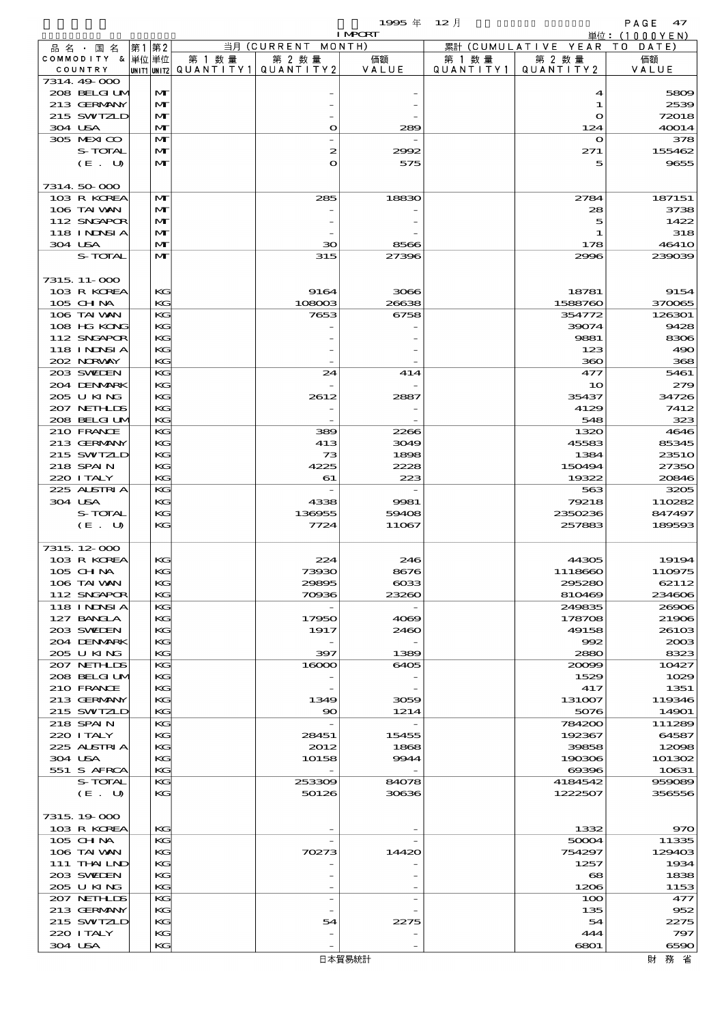$1995 \# 12 \n{}$ 

|                             |         |       |                              |        |                                          | <b>I MPORT</b> |           |                              | 単位:(1000YEN)    |
|-----------------------------|---------|-------|------------------------------|--------|------------------------------------------|----------------|-----------|------------------------------|-----------------|
| 品名・国名                       |         | 第1 第2 |                              |        | 当月 (CURRENT MONTH)                       |                |           | 累計 (CUMULATIVE YEAR TO DATE) |                 |
| COMMODITY & 単位単位            |         |       |                              | 第 1 数量 | 第 2 数量                                   | 価額             | 第 1 数 量   | 第 2 数量                       | 価額              |
| COUNTRY                     |         |       |                              |        | UNIT1  UNIT2   QUANT I TY1   QUANT I TY2 | VALUE          | QUANTITY1 | QUANTITY 2                   | VALUE           |
| 7314.49-000                 |         |       |                              |        |                                          |                |           |                              |                 |
| 208 BELGI UM<br>213 GERMANY |         |       | $\mathbf{M}$<br>$\mathbf{M}$ |        |                                          |                |           | 4<br>1                       | 5809<br>2539    |
| 215 SWIZLD                  |         |       | M                            |        |                                          |                |           | $\mathbf o$                  | 72018           |
| 304 USA                     |         |       | $\mathbf{M}$                 |        | $\mathbf{o}$                             | 289            |           | 124                          | 40014           |
| 305 MEXICO                  |         |       | $\mathbf{M}$                 |        |                                          |                |           | $\mathbf{o}$                 | 378             |
|                             | S-TOTAL |       | M                            |        | 2                                        | 2992           |           | 271                          | 155462          |
|                             | (E. U)  |       | $\mathbf{M}$                 |        | $\mathbf{o}$                             | 575            |           | 5                            | 9655            |
|                             |         |       |                              |        |                                          |                |           |                              |                 |
| 7314 50 000                 |         |       |                              |        |                                          |                |           |                              |                 |
| 103 R KOREA                 |         |       | $\mathbf{M}$                 |        | 285                                      | 18830          |           | 2784                         | 187151          |
| 106 TAI VAN<br>112 SNGAPOR  |         |       | M<br>$\mathbf{M}$            |        |                                          |                |           | 28<br>5                      | 3738<br>1422    |
| <b>118 INDSIA</b>           |         |       | M                            |        |                                          |                |           | 1                            | 318             |
| 304 USA                     |         |       | $\mathbf{M}$                 |        | $\infty$                                 | 8566           |           | 178                          | <b>46410</b>    |
|                             | S-TOTAL |       | $\mathbf{M}$                 |        | 315                                      | 27396          |           | 2996                         | 239039          |
|                             |         |       |                              |        |                                          |                |           |                              |                 |
| 7315, 11-000                |         |       |                              |        |                                          |                |           |                              |                 |
| 103 R KOREA                 |         |       | KC                           |        | 9164                                     | 3066           |           | 18781                        | 9154            |
| 105 CH NA                   |         |       | KG                           |        | 108003                                   | 26638          |           | 1588760                      | 370065          |
| 106 TAI VAN                 |         |       | KG                           |        | 7653                                     | 6758           |           | 354772                       | 126301          |
| 108 HG KONG<br>112 SNGAPOR  |         |       | KG<br>KC                     |        |                                          |                |           | 39074<br>9881                | 9428<br>8306    |
| 118 I NDSI A                |         |       | KG                           |        |                                          |                |           | 123                          | 490             |
| 202 NORWAY                  |         |       | KG                           |        |                                          |                |           | 360                          | 368             |
| 203 SWIEN                   |         |       | KG                           |        | 24                                       | 414            |           | 477                          | 5461            |
| 204 DENMARK                 |         |       | KG                           |        |                                          |                |           | 10                           | 279             |
| 205 U KING                  |         |       | KG                           |        | 2612                                     | 2887           |           | 35437                        | 34726           |
| 207 NETHLIS                 |         |       | KG                           |        |                                          |                |           | 4129                         | 7412            |
| 208 BELGI UM                |         |       | KG                           |        |                                          |                |           | 548                          | 323             |
| 210 FRANCE                  |         |       | KG                           |        | 389                                      | 2266           |           | 1320                         | 4646            |
| 213 GERMANY                 |         |       | KC                           |        | 413                                      | 3049           |           | 45583                        | 85345           |
| 215 SWIZLD<br>218 SPAIN     |         |       | KG<br>KG                     |        | 73<br>4225                               | 1898<br>2228   |           | 1384<br>150494               | 2351O<br>27350  |
| 220 I TALY                  |         |       | KG                           |        | 61                                       | 223            |           | 19322                        | 20846           |
| 225 ALSTRIA                 |         |       | KG                           |        |                                          |                |           | 563                          | 3205            |
| 304 USA                     |         |       | KC                           |        | 4338                                     | 9981           |           | 79218                        | 110282          |
|                             | S-TOTAL |       | KG                           |        | 136955                                   | 59408          |           | 2350236                      | 847497          |
|                             | (E. U)  |       | KG                           |        | 7724                                     | 11067          |           | 257883                       | 189593          |
|                             |         |       |                              |        |                                          |                |           |                              |                 |
| 7315, 12-000                |         |       |                              |        |                                          |                |           |                              |                 |
| 103 R KOREA                 |         |       | KG                           |        | 224                                      | 246            |           | 44305                        | 19194           |
| 105 CHNA<br>106 TAI WAN     |         |       | KС<br>KG                     |        | 73930<br>29895                           | 8676<br>$\cos$ |           | 1118660<br>295280            | 110975<br>62112 |
| 112 SNGAPOR                 |         |       | KC                           |        | 70936                                    | 23260          |           | 810469                       | 234606          |
| <b>118 INNSIA</b>           |         |       | KC                           |        |                                          |                |           | 249835                       | 26906           |
| 127 BANCLA                  |         |       | KC                           |        | 17950                                    | 4069           |           | 178708                       | 21906           |
| 203 SWIDEN                  |         |       | KG                           |        | 1917                                     | 2460           |           | 49158                        | 26103           |
| 204 DENMARK                 |         |       | KG                           |        |                                          |                |           | 992                          | 2003            |
| 205 U KING                  |         |       | KG                           |        | 397                                      | 1389           |           | 2880                         | 8323            |
| 207 NETHLIS                 |         |       | KG                           |        | 16000                                    | 6405           |           | 20099                        | 10427           |
| 208 BELGI UM<br>210 FRANCE  |         |       | KG                           |        |                                          |                |           | 1529<br>417                  | 1029<br>1351    |
| 213 GERMANY                 |         |       | KG<br>KG                     |        | 1349                                     | 3059           |           | 131007                       | 119346          |
| 215 SWIZLD                  |         |       | KG                           |        | $\infty$                                 | 1214           |           | 5076                         | 14901           |
| 218 SPAIN                   |         |       | KG                           |        |                                          |                |           | 784200                       | 111289          |
| 220 I TALY                  |         |       | KG                           |        | 28451                                    | 15455          |           | 192367                       | 64587           |
| 225 ALSTRIA                 |         |       | KC                           |        | 2012                                     | 1868           |           | 39858                        | 12098           |
| 304 USA                     |         |       | KG                           |        | 10158                                    | 9944           |           | 190306                       | 101302          |
| 551 S AFRCA                 |         |       | KG                           |        |                                          |                |           | 69396                        | 10631           |
|                             | S-TOTAL |       | KC                           |        | 253309                                   | 84078          |           | 4184542                      | 959089          |
|                             | (E. U)  |       | KG                           |        | 50126                                    | 30636          |           | 1222507                      | 356556          |
| 7315, 19000                 |         |       |                              |        |                                          |                |           |                              |                 |
| 103 R KOREA                 |         |       | KG                           |        |                                          |                |           | 1332                         | 970             |
| 105 CH NA                   |         |       | KG                           |        |                                          |                |           | 50004                        | 11335           |
| 106 TAI VAN                 |         |       | KC                           |        | 70273                                    | 14420          |           | 754297                       | 129403          |
| 111 THAILND                 |         |       | KC                           |        |                                          |                |           | 1257                         | 1934            |
| 203 SWIDEN                  |         |       | KG                           |        |                                          |                |           | 68                           | 1838            |
| 205 U KING                  |         |       | KG                           |        |                                          |                |           | 1206                         | 1153            |
| 207 NETHLIS                 |         |       | KC                           |        |                                          |                |           | 100                          | 477             |
| 213 GERMANY                 |         |       | KC                           |        |                                          |                |           | 135                          | 952             |
| 215 SWIZLD<br>220 I TALY    |         |       | KG<br>KG                     |        | 54                                       | 2275           |           | 54<br>444                    | 2275<br>797     |
|                             |         |       |                              |        |                                          |                |           |                              |                 |

304 USA KG - - 6801 6590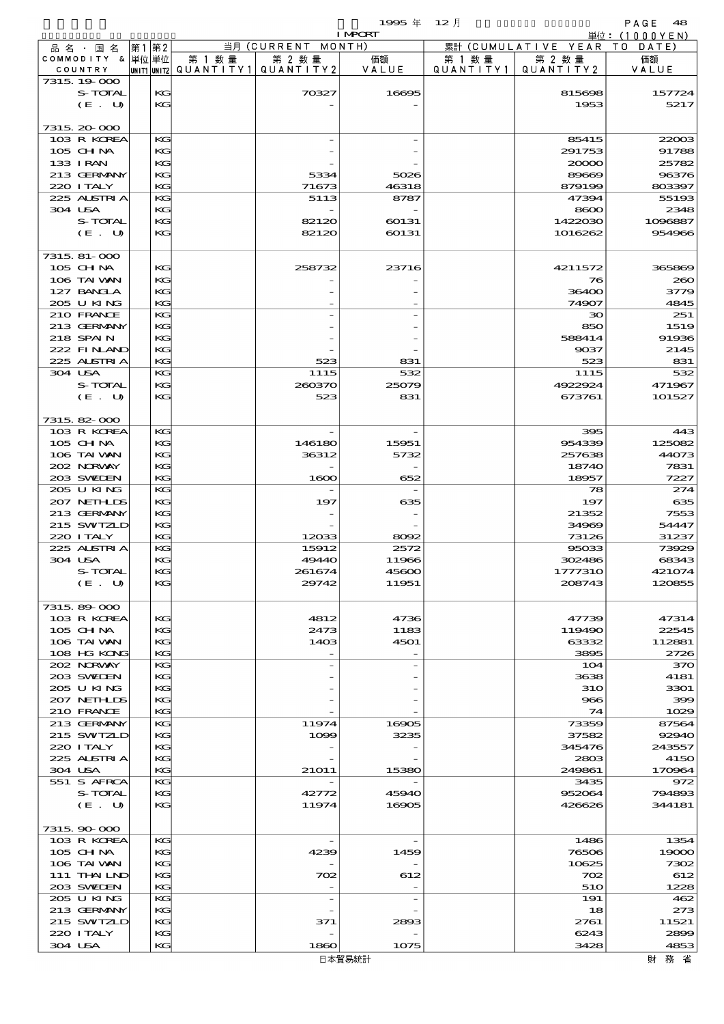$1995 \nleftrightarrow 12 \nparallel$  PAGE 48

|                           | <b>I MPCRT</b> |          |                                                 |                    |                          |                   | 単位: (1000YEN)                |                 |  |
|---------------------------|----------------|----------|-------------------------------------------------|--------------------|--------------------------|-------------------|------------------------------|-----------------|--|
| 品名・国名                     | 第1 第2          |          |                                                 | 当月 (CURRENT MONTH) |                          |                   | 累計 (CUMULATIVE YEAR TO DATE) |                 |  |
| COMMODITY & 単位単位          |                |          | 第 1 数量                                          | 第 2 数量             | 価額                       | 第 1 数量            | 第 2 数量                       | 価額              |  |
| COUNTRY                   |                |          | $ $ UNIT1 $ $ UNIT2 $ $ QUANTITY1 $ $ QUANTITY2 |                    | VALUE                    | Q U A N T I T Y 1 | QUANTITY 2                   | VALUE           |  |
| 7315 19 000               |                |          |                                                 |                    |                          |                   |                              |                 |  |
| S-TOTAL                   |                | КG       |                                                 | 70327              | 16695                    |                   | 815698                       | 157724          |  |
| (E. U)                    |                | KG       |                                                 |                    |                          |                   | 1953                         | 5217            |  |
|                           |                |          |                                                 |                    |                          |                   |                              |                 |  |
| 7315 20 000               |                |          |                                                 |                    |                          |                   |                              |                 |  |
| 103 R KOREA               |                | KG       |                                                 |                    |                          |                   | 85415                        | 22003           |  |
| $105$ CHNA                |                | KG       |                                                 |                    |                          |                   | 291753                       | 91788           |  |
| 133 I RAN                 |                | KC       |                                                 |                    |                          |                   | 20000                        | 25782           |  |
| 213 GERMANY               |                | KG<br>KG |                                                 | 5334               | 5026<br>46318            |                   | 89669                        | 96376<br>803397 |  |
| 220 I TALY<br>225 ALSTRIA |                | KG       |                                                 | 71673<br>5113      | 8787                     |                   | 879199<br>47394              | 55193           |  |
| 304 USA                   |                | KG       |                                                 |                    |                          |                   | 8600                         | 2348            |  |
| S-TOTAL                   |                | KC       |                                                 | 82120              | 60131                    |                   | 1422030                      | 1096887         |  |
| (E. U)                    |                | KG       |                                                 | 82120              | 60131                    |                   | 1016262                      | 954966          |  |
|                           |                |          |                                                 |                    |                          |                   |                              |                 |  |
| 7315, 81-000              |                |          |                                                 |                    |                          |                   |                              |                 |  |
| 105 CHNA                  |                | КG       |                                                 | 258732             | 23716                    |                   | 4211572                      | 365869          |  |
| 106 TAI VAN               |                | KC       |                                                 |                    |                          |                   | 76                           | 260             |  |
| 127 BANCLA                |                | KG       |                                                 |                    |                          |                   | 36400                        | 3779            |  |
| 205 U KING                |                | KG       |                                                 |                    |                          |                   | 74907                        | 4845            |  |
| 210 FRANCE                |                | KG       |                                                 |                    |                          |                   | 30                           | 251             |  |
| 213 GERMANY               |                | KG       |                                                 |                    |                          |                   | 850                          | 1519            |  |
| 218 SPAIN                 |                | KG       |                                                 |                    |                          |                   | 588414                       | 91936           |  |
| 222 FINAND                |                | KG       |                                                 |                    |                          |                   | 9037                         | 2145            |  |
| 225 ALSTRIA               |                | KG       |                                                 | 523                | 831                      |                   | 523                          | 831             |  |
| 304 USA                   |                | KG       |                                                 | 1115               | 532                      |                   | 1115                         | 532             |  |
| S-TOTAL                   |                | KG       |                                                 | 260370             | 25079                    |                   | 4922924                      | 471967          |  |
| (E. U)                    |                | KG       |                                                 | 523                | 831                      |                   | 673761                       | 101527          |  |
|                           |                |          |                                                 |                    |                          |                   |                              |                 |  |
| 7315 82 000               |                |          |                                                 |                    |                          |                   |                              |                 |  |
| 103 R KOREA               |                | KG       |                                                 |                    | $\overline{\phantom{a}}$ |                   | 395                          | 443             |  |
| 105 CHNA                  |                | KG       |                                                 | 146180             | 15951                    |                   | 954339                       | 125082          |  |
| 106 TAI VAN               |                | KC       |                                                 | 36312              | 5732                     |                   | 257638                       | 44073           |  |
| 202 NORWAY                |                | KG       |                                                 |                    |                          |                   | 18740                        | 7831            |  |
| 203 SWIDEN                |                | KG       |                                                 | 1600               | 652                      |                   | 18957                        | 7227            |  |
| 205 U KING                |                | KG       |                                                 |                    | $\overline{\phantom{a}}$ |                   | 78                           | 274             |  |
| 207 NETHLIS               |                | KG       |                                                 | 197                | 635                      |                   | 197                          | 635             |  |
| 213 GERMANY               |                | KC       |                                                 |                    |                          |                   | 21352                        | 7553            |  |
| 215 SWIZLD                |                | KG       |                                                 |                    |                          |                   | 34969                        | 54447           |  |
| 220 I TALY                |                | KG       |                                                 | 12033              | 8092                     |                   | 73126                        | 31237           |  |
| 225 ALSTRIA               |                | KG       |                                                 | 15912              | 2572                     |                   | 95033                        | 73929           |  |
| 304 USA                   |                | KG       |                                                 | 49440              | 11966                    |                   | 302486                       | 68343           |  |
| S-TOTAL                   |                | KG       |                                                 | 261674             | 45600                    |                   | 1777310                      | 421074          |  |
| $(E_U U)$                 |                | KG       |                                                 | 29742              | 11951                    |                   | 208743                       | 120855          |  |
|                           |                |          |                                                 |                    |                          |                   |                              |                 |  |
| 7315, 89-000              |                |          |                                                 |                    |                          |                   |                              |                 |  |
| 103 R KOREA               |                | KG       |                                                 | 4812               | 4736                     |                   | 47739                        | 47314           |  |
| 105 CHNA                  |                | KC       |                                                 | 2473               | 1183                     |                   | 119490                       | 22545           |  |
| 106 TAI WAN               |                | КG       |                                                 | 1403               | 4501                     |                   | 63332                        | 112881          |  |
| 108 HG KONG               |                | KG       |                                                 |                    |                          |                   | 3895                         | 2726            |  |
| 202 NORWAY                |                | KG       |                                                 |                    |                          |                   | 104                          | 370             |  |
| 203 SWIDEN                |                | KG       |                                                 |                    |                          |                   | 3638                         | 4181            |  |
| 205 U KING                |                | KG       |                                                 |                    |                          |                   | <b>310</b>                   | 3301            |  |
| 207 NETHLIS               |                | КG       |                                                 |                    |                          |                   | 966                          | 399             |  |
| 210 FRANCE                |                | KG       |                                                 |                    |                          |                   | 74                           | 1029            |  |
| 213 GERMANY               |                | KG       |                                                 | 11974              | 16905                    |                   | 73359                        | 87564           |  |
| 215 SWIZLD                |                | КG       |                                                 | 1099               | 3235                     |                   | 37582                        | 92940           |  |
| 220 I TALY                |                | KC       |                                                 |                    |                          |                   | 345476                       | 243557          |  |
| 225 ALSTRIA               |                | КG       |                                                 |                    |                          |                   | 2803                         | 4150            |  |
| 304 USA                   |                | KG       |                                                 | 21011              | 15380                    |                   | 249861                       | 170964          |  |
| 551 S AFRCA               |                | KG       |                                                 |                    |                          |                   | 3435                         | 972             |  |
| S-TOTAL                   |                | КG       |                                                 | 42772              | 45940                    |                   | 952064                       | 794893          |  |
| (E. U)                    |                | KC       |                                                 | 11974              | 16905                    |                   | 426626                       | 344181          |  |
| 7315, 90-000              |                |          |                                                 |                    |                          |                   |                              |                 |  |
| 103 R KOREA               |                | KG       |                                                 |                    |                          |                   | 1486                         | 1354            |  |
| $105$ CHNA                |                | КG       |                                                 | 4239               | 1459                     |                   | 76506                        | 19000           |  |
| 106 TAI VAN               |                | KG       |                                                 |                    |                          |                   | 10625                        | 7302            |  |
| 111 THAILND               |                | КG       |                                                 | 702                | 612                      |                   | 702                          | 612             |  |
| 203 SWIEN                 |                | KG       |                                                 |                    |                          |                   | 510                          | 1228            |  |
| 205 U KING                |                | KG       |                                                 |                    | $\overline{a}$           |                   | 191                          | 462             |  |
| 213 GERMANY               |                | KG       |                                                 |                    |                          |                   | 18                           | 273             |  |
| 215 SWIZLD                |                | KC       |                                                 | 371                | 2893                     |                   | 2761                         | 11521           |  |
| 220 ITALY                 |                | KC       |                                                 |                    |                          |                   | 6243                         | 2899            |  |
|                           |                |          |                                                 |                    |                          |                   |                              |                 |  |

 220 ITALY KG - - 6243 2899 304 USA  $|$  KG 1860 1075 3428 3428 4853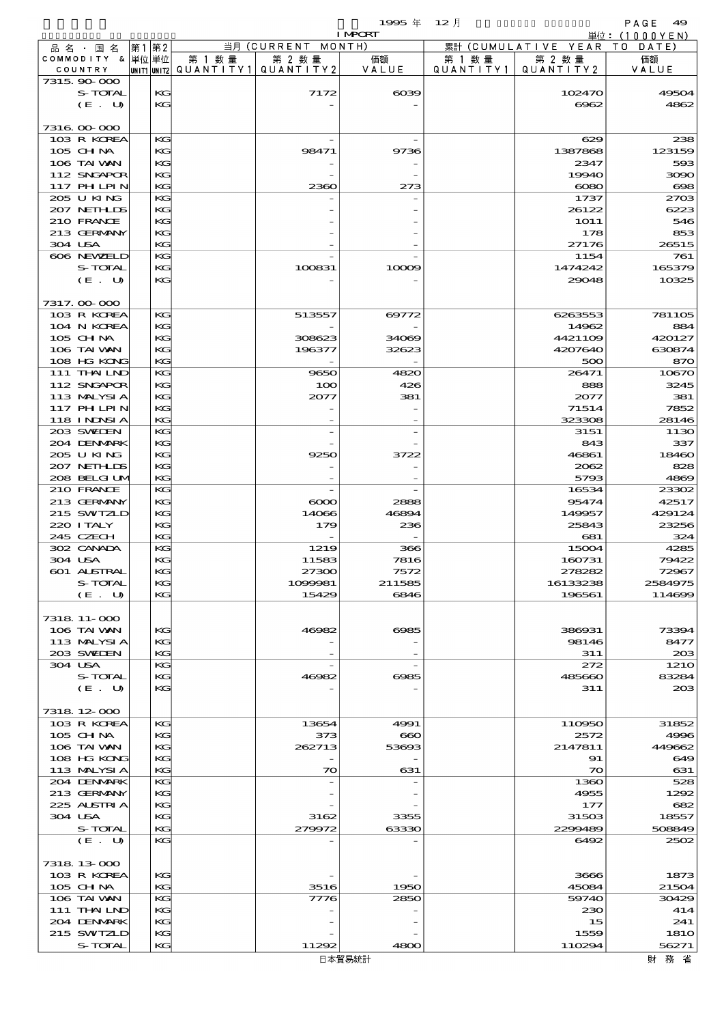|                           |                            |    |          |                          |                    | 1995 $#$       | $12$ 月    |                     | PAGE<br>49                   |
|---------------------------|----------------------------|----|----------|--------------------------|--------------------|----------------|-----------|---------------------|------------------------------|
|                           |                            |    |          |                          | 当月 (CURRENT MONTH) | <b>I MPCRT</b> |           | 累計 (CUMULATIVE YEAR | 単位: (1000YEN)<br>T O<br>DATE |
| 品名・国名<br>COMMODITY & 単位単位 |                            | 第1 | 第2       | 第 1 数 量                  | 第 2 数量             | 価額             | 第 1 数 量   | 第 2 数量              | 価額                           |
| COUNTRY                   |                            |    |          | unit1 unit2  Q∪ANT   TY1 | QUANTITY2          | VALUE          | QUANTITY1 | QUANTITY 2          | VALUE                        |
| 7315, 90-000              |                            |    |          |                          |                    |                |           |                     |                              |
|                           | S-TOTAL                    |    | KG       |                          | 7172               | $\alpha$       |           | 102470              | 49504                        |
|                           | (E. U)                     |    | $K$ $G$  |                          |                    |                |           | 6962                | 4862                         |
| 7316 00 000               |                            |    |          |                          |                    |                |           |                     |                              |
|                           | 103 R KOREA                |    | KG       |                          |                    |                |           | 629                 | 238                          |
| 105 CH NA                 |                            |    | KG       |                          | 98471              | 9736           |           | 1387868             | 123159                       |
| 106 TAI WAN               |                            |    | KG       |                          |                    |                |           | 2347                | 593                          |
|                           | 112 SNGAPOR<br>117 PH LPIN |    | KG<br>KG |                          | 2360               | 273            |           | 19940<br>$\infty$   | 3090<br>$\bf{608}$           |
| 205 U KING                |                            |    | KG       |                          |                    |                |           | 1737                | 2703                         |
|                           | 207 NETHLIS                |    | KG       |                          |                    |                |           | 26122               | 6223                         |
| 210 FRANCE                |                            |    | KG       |                          |                    |                |           | <b>1O11</b>         | 546                          |
|                           | 213 GERMANY                |    | KG       |                          |                    |                |           | 178                 | 853                          |
| 304 USA                   |                            |    | KG       |                          |                    |                |           | 27176               | 26515                        |
|                           | 606 NEWELD<br>S-TOTAL      |    | KG<br>KG |                          | 100831             | 10009          |           | 1154<br>1474242     | 761<br>165379                |
|                           | (E. U)                     |    | KG       |                          |                    |                |           | 29048               | 10325                        |
|                           |                            |    |          |                          |                    |                |           |                     |                              |
| 7317.00-000               |                            |    |          |                          |                    |                |           |                     |                              |
|                           | 103 R KOREA                |    | KG       |                          | 513557             | 69772          |           | 6263553             | 781105                       |
|                           | 104 N KOREA                |    | KG       |                          |                    |                |           | 14962               | 884                          |
| $105$ CHNA                |                            |    | KG       |                          | 308623             | 34069          |           | 4421109             | 420127                       |
|                           | 106 TAI VAN<br>108 HG KONG |    | KG<br>КC |                          | 196377             | 32623          |           | 4207640<br>500      | 630874<br>870                |
|                           | 111 THAILND                |    | KG       |                          | 9650               | 4820           |           | 26471               | 10670                        |
|                           | 112 SNGAPOR                |    | KG       |                          | 100                | 426            |           | 888                 | 3245                         |
|                           | 113 MALYSIA                |    | KG       |                          | 2077               | 381            |           | 2077                | 381                          |
|                           | <b>117 PHLPIN</b>          |    | KG       |                          |                    |                |           | 71514               | 7852                         |
|                           | 118 I NDSI A               |    | KG       |                          |                    |                |           | 323308              | 28146                        |
| 203 SWIEN                 | 204 DENMARK                |    | KG<br>КC |                          |                    |                |           | 3151<br>843         | 1130<br>337                  |
| 205 U KING                |                            |    | KG       |                          | 9250               | 3722           |           | 46861               | 18460                        |
|                           | 207 NETHLIS                |    | KG       |                          |                    |                |           | 2062                | 828                          |
|                           | 208 BELGI UM               |    | KG       |                          |                    |                |           | 5793                | 4869                         |
| 210 FRANCE                |                            |    | KG       |                          |                    |                |           | 16534               | 23302                        |
|                           | 213 GERMANY                |    | КC       |                          | $\infty$           | 2888           |           | 95474               | 42517                        |
| 220 I TALY                | 215 SWIZLD                 |    | KG<br>KG |                          | 14066<br>179       | 46894          |           | 149957<br>25843     | 429124<br>23256              |
| 245 CZECH                 |                            |    | KG       |                          |                    | 236            |           | 681                 | 324                          |
| 302 CANADA                |                            |    | KG       |                          | 1219               | 366            |           | 15004               | 4285                         |
| 304 USA                   |                            |    | KG       |                          | 11583              | 7816           |           | 160731              | 79422                        |
|                           | <b>601 ALSTRAL</b>         |    | KG       |                          | 27300              | 7572           |           | 278282              | 72967                        |
|                           | S-TOTAL                    |    | KG       |                          | 1099981            | 211585         |           | 16133238            | 2584975                      |
|                           | (E. U)                     |    | KG       |                          | 15429              | 6846           |           | 196561              | 114699                       |
| 7318 11-000               |                            |    |          |                          |                    |                |           |                     |                              |
| 106 TAI VAN               |                            |    | KG       |                          | 46982              | 6985           |           | 386931              | 73394                        |
|                           | 113 MALYSIA                |    | KG       |                          |                    |                |           | 98146               | 8477                         |
| 203 SWIEN                 |                            |    | KG       |                          |                    |                |           | 311                 | 203                          |
| 304 USA                   |                            |    | KG       |                          |                    |                |           | 272                 | <b>1210</b>                  |
|                           | S-TOTAL<br>(E. U)          |    | КC<br>KG |                          | 46982              | 6985           |           | 485660<br>311       | 83284<br>203                 |
|                           |                            |    |          |                          |                    |                |           |                     |                              |
| 7318 12 000               |                            |    |          |                          |                    |                |           |                     |                              |
|                           | 103 R KOREA                |    | KG       |                          | 13654              | 4991           |           | 110950              | 31852                        |
| $105$ CHNA                |                            |    | KG       |                          | 373                | $\bf{60}$      |           | 2572                | 4996                         |
| 106 TAI VAN               |                            |    | KG       |                          | 262713             | 53693          |           | 2147811             | 449662                       |
|                           | 108 HG KONG                |    | KG       |                          |                    |                |           | 91                  | 649                          |
|                           | 113 MALYSIA<br>204 DENMARK |    | KG<br>KG |                          | $\infty$           | 631            |           | $\infty$<br>1360    | 631<br>528                   |
|                           | 213 GERMANY                |    | KG       |                          |                    |                |           | 4955                | 1292                         |
|                           | 225 ALSTRIA                |    | KG       |                          |                    |                |           | 177                 | 682                          |
| 304 USA                   |                            |    | KG       |                          | 3162               | 3355           |           | 31503               | 18557                        |
|                           | S-TOTAL                    |    | KG       |                          | 279972             | 63330          |           | 2299489             | 508849                       |
|                           | (E. U)                     |    | KG       |                          |                    |                |           | 6492                | 2502                         |
| 7318 13 000               |                            |    |          |                          |                    |                |           |                     |                              |
|                           | 103 R KOREA                |    | KG       |                          |                    |                |           | 3666                | 1873                         |
| 105 CH NA                 |                            |    | KG       |                          | 3516               | 1950           |           | 45084               | 21504                        |
| 106 TAI VAN               |                            |    | KG       |                          | 7776               | 2850           |           | 59740               | 30429                        |
|                           | 111 THAILND                |    | KG       |                          |                    |                |           | 230                 | 414                          |
|                           | 204 DENMRK                 |    | KG       |                          |                    |                |           | 15                  | 241                          |
|                           | 215 SWIZLD<br>S-TOTAL      |    | KG<br>KG |                          | 11292              | 4800           |           | 1559<br>110294      | 181O<br>56271                |
|                           |                            |    |          |                          |                    | 日本貿易統計         |           |                     | 財務省                          |
|                           |                            |    |          |                          |                    |                |           |                     |                              |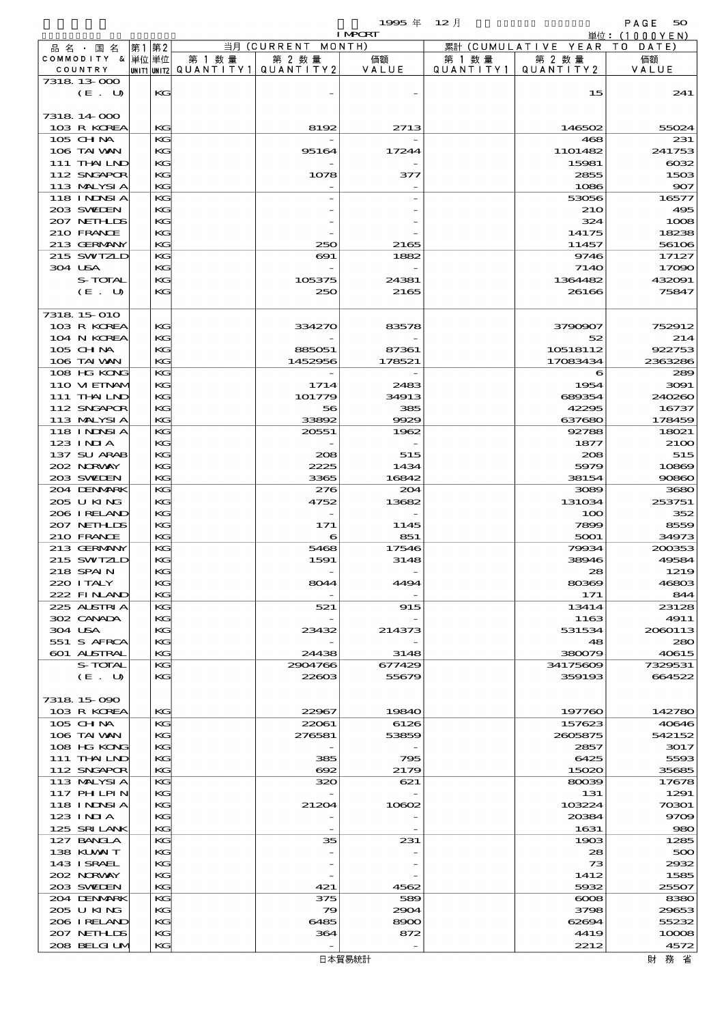|                               |      |          |                                       |                       | 1995 $#$       | $12$ 月               |                                | PAGE<br>50       |
|-------------------------------|------|----------|---------------------------------------|-----------------------|----------------|----------------------|--------------------------------|------------------|
|                               |      |          |                                       |                       | <b>I MPCRT</b> |                      |                                | 単位: (1000YEN)    |
| 品名・国名<br>COMMODITY & 単位単位     | 第1第2 |          | 第 1 数 量                               | 当月 (CURRENT<br>第 2 数量 | MONTH)<br>価額   |                      | 累計 (CUMULATIVE YEAR)<br>第 2 数量 | DATE<br>TO<br>価額 |
| COUNTRY                       |      |          | unit1 unit2  QUANT   TY1  QUANT   TY2 |                       | VALUE          | 第 1 数 量<br>QUANTITY1 | QUANTITY2                      | VALUE            |
| 7318 13 000                   |      |          |                                       |                       |                |                      |                                |                  |
| (E. U)                        |      | KG       |                                       |                       |                |                      | 15                             | 241              |
|                               |      |          |                                       |                       |                |                      |                                |                  |
| 7318 14 000                   |      |          |                                       |                       |                |                      |                                |                  |
| 103 R KOREA                   |      | KG       |                                       | 8192                  | 2713           |                      | 146502                         | 55024            |
| 105 CHNA<br>106 TAI VAN       |      | KG<br>KG |                                       | 95164                 | 17244          |                      | 468<br>1101482                 | 231<br>241753    |
| 111 THAILND                   |      | KG       |                                       |                       |                |                      | 15981                          | $\cos z$         |
| 112 SNGAPOR                   |      | KG       |                                       | 1078                  | 377            |                      | 2855                           | 1503             |
| 113 MALYSIA                   |      | KG       |                                       |                       |                |                      | 1086                           | 907              |
| 118 INNSI A                   |      | KG       |                                       |                       |                |                      | 53056                          | 16577            |
| 203 SWIDEN                    |      | KG       |                                       |                       |                |                      | <b>210</b>                     | 495              |
| 207 NETHLIS                   |      | KG       |                                       |                       |                |                      | 324                            | 1008             |
| 210 FRANCE                    |      | KG       |                                       |                       |                |                      | 14175                          | 18238            |
| 213 GERMANY                   |      | KG       |                                       | 250                   | 2165           |                      | 11457                          | 56106            |
| 215 SWIZLD                    |      | KG       |                                       | 691                   | 1882           |                      | 9746                           | 17127            |
| 304 USA                       |      | KG       |                                       |                       |                |                      | <b>7140</b>                    | 17090            |
| S-TOTAL                       |      | KG       |                                       | 105375                | 24381          |                      | 1364482                        | 432091           |
| (E. U)                        |      | KG       |                                       | 250                   | 2165           |                      | 26166                          | 75847            |
| 7318 15 010                   |      |          |                                       |                       |                |                      |                                |                  |
| 103 R KOREA                   |      | KG       |                                       | 334270                | 83578          |                      | 3790907                        | 752912           |
| 104 N KOREA                   |      | KG       |                                       |                       |                |                      | 52                             | 214              |
| $105$ CHNA                    |      | KG       |                                       | 885051                | 87361          |                      | 10518112                       | 922753           |
| 106 TAI VAN                   |      | KG       |                                       | 1452956               | 178521         |                      | 17083434                       | 2363286          |
| 108 HG KONG                   |      | KG       |                                       |                       |                |                      | 6                              | 289              |
| 110 VI EINAV                  |      | KG       |                                       | 1714                  | 2483           |                      | 1954                           | 3091             |
| 111 THAILND                   |      | KG       |                                       | 101779                | 34913          |                      | 689354                         | 240260           |
| 112 SNGAPOR                   |      | KG       |                                       | 56                    | 385            |                      | 42295                          | 16737            |
| 113 MALYSIA                   |      | KG       |                                       | 33892                 | 9929           |                      | 637680                         | 178459           |
| <b>118 INDSIA</b><br>123 INIA |      | KG<br>KG |                                       | 20551                 | 1962           |                      | 92788<br>1877                  | 18021            |
| 137 SU ARAB                   |      | KG       |                                       | 208                   | 515            |                      | 208                            | 2100<br>515      |
| 202 NRWAY                     |      | KG       |                                       | 2225                  | 1434           |                      | 5979                           | 10869            |
| 203 SWIEN                     |      | KG       |                                       | 3365                  | 16842          |                      | 38154                          | 90860            |
| 204 DENMARK                   |      | KG       |                                       | 276                   | 204            |                      | 3089                           | 3680             |
| 205 U KING                    |      | KG       |                                       | 4752                  | 13682          |                      | 131034                         | 253751           |
| 206 IRELAND                   |      | KG       |                                       |                       |                |                      | 100                            | 352              |
| 207 NETHLIS                   |      | KG       |                                       | 171                   | 1145           |                      | 7899                           | 8559             |
| 210 FRANCE                    |      | KG       |                                       | 6                     | 851            |                      | 5001                           | 34973            |
| 213 GERMANY                   |      | KG       |                                       | 5468                  | 17546          |                      | 79934                          | 200353           |
| 215 SWIZL                     |      | KG<br>KG |                                       | 1591                  | 3148           |                      | 38946<br>28                    | 49584<br>1219    |
| 218 SPAIN<br>220 I TALY       |      | KG       |                                       | 8044                  | 4494           |                      | 80369                          | 46803            |
| 222 FINAND                    |      | KG       |                                       |                       |                |                      | 171                            | 844              |
| 225 ALSTRIA                   |      | KG       |                                       | 521                   | 915            |                      | 13414                          | 23128            |
| 302 CANADA                    |      | KG       |                                       |                       |                |                      | 1163                           | 4911             |
| 304 USA                       |      | KG       |                                       | 23432                 | 214373         |                      | 531534                         | 2060113          |
| 551 S AFRCA                   |      | KG       |                                       |                       |                |                      | 48                             | 280              |
| 601 ALSTRAL                   |      | KG       |                                       | 24438                 | 3148           |                      | 380079                         | 40615            |
| S-TOTAL                       |      | KG       |                                       | 2904766               | 677429         |                      | 34175609                       | 7329531          |
| (E. U)                        |      | KG       |                                       | 22603                 | 55679          |                      | 359193                         | 664522           |
|                               |      |          |                                       |                       |                |                      |                                |                  |
| 7318 15 090<br>103 R KOREA    |      | KG       |                                       | 22967                 | 19840          |                      | 197760                         | 142780           |
| 105 CH NA                     |      | KG       |                                       | 22061                 | 6126           |                      | 157623                         | 40646            |
| 106 TAI VAN                   |      | KG       |                                       | 276581                | 53859          |                      | 2605875                        | 542152           |
| 108 HG KONG                   |      | KG       |                                       |                       |                |                      | 2857                           | 3017             |
| 111 THAILND                   |      | KG       |                                       | 385                   | 795            |                      | 6425                           | 5593             |
| 112 SNGAPOR                   |      | KG       |                                       | $\infty$              | 2179           |                      | 15020                          | 35685            |
| 113 MALYSIA                   |      | KG       |                                       | 320                   | 621            |                      | 80039                          | 17678            |
| 117 PHLPIN                    |      | KG       |                                       |                       |                |                      | 131                            | 1291             |
| 118 I NDSI A                  |      | KG       |                                       | 21204                 | 10602          |                      | 103224                         | 70301            |
| 123 INIA                      |      | KG       |                                       |                       |                |                      | 20384                          | 9709             |
| 125 SRILANK                   |      | KG       |                                       |                       |                |                      | 1631                           | 980              |
| 127 BANCLA<br>138 KUWAIT      |      | KG<br>KG |                                       | 35                    | 231            |                      | 1903<br>28                     | 1285<br>500      |
| 143 ISRAEL                    |      | KG       |                                       |                       |                |                      | 73                             | 2932             |
| 202 NORWAY                    |      | KG       |                                       |                       |                |                      | 1412                           | 1585             |
| 203 SWIDEN                    |      | KG       |                                       | 421                   | 4562           |                      | 5932                           | 25507            |
| 204 DENMARK                   |      | KG       |                                       | 375                   | 589            |                      | $\infty$                       | 8380             |
| 205 U KING                    |      | KG       |                                       | 79                    | 2904           |                      | 3798                           | 29653            |
| 206 IRELAND                   |      | KG       |                                       | 6485                  | 8900           |                      | 62694                          | 55232            |
| 207 NETHLIS                   |      | KG       |                                       | 364                   | 872            |                      | 4419                           | 10008            |
| 208 BELGIUM                   |      | KG       |                                       |                       |                |                      | 2212                           | 4572             |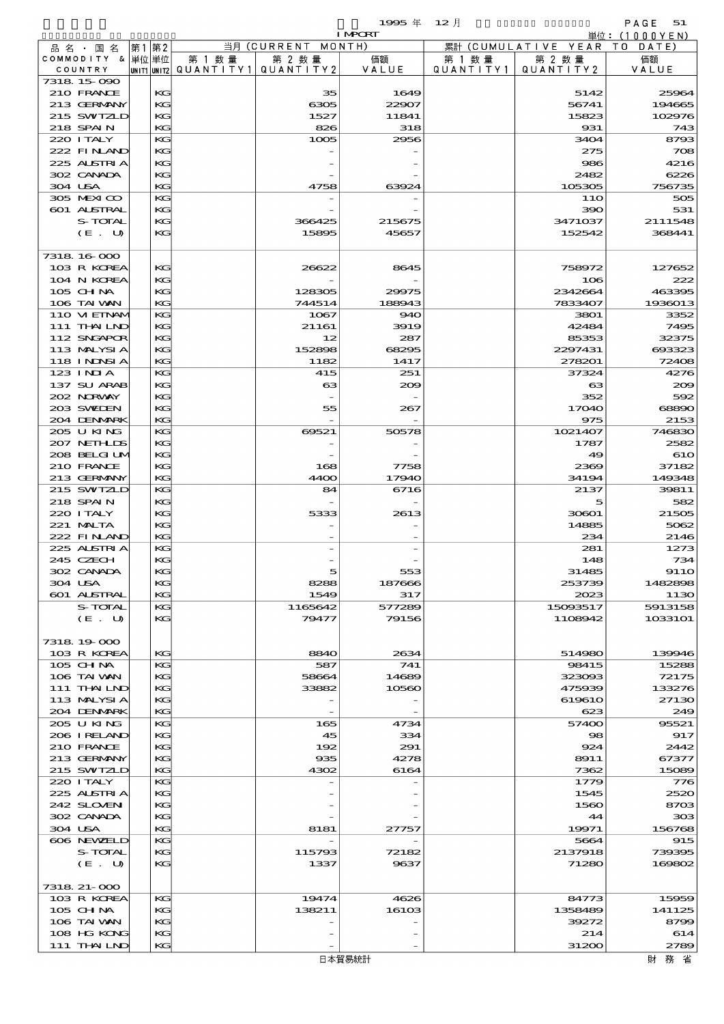|                                 |          |                          |                     | 1995年           | $12$ 月    |                       | PAGE<br>51                     |
|---------------------------------|----------|--------------------------|---------------------|-----------------|-----------|-----------------------|--------------------------------|
|                                 |          |                          | 当月 (CURRENT MONTH)  | <b>I MPORT</b>  |           | 累計 (CUMULATIVE YEAR)  | 単位: $(1000YEN)$<br>T O<br>DATE |
| 品 名 ・ 国 名<br>COMMODITY & 単位単位   | 第1 第2    | 第 1 数量                   | 第 2 数量              | 価額              | 第 1 数 量   | 第 2 数量                | 価額                             |
| COUNTRY                         |          | unit1 unit2  Q∪ANT   TY1 | QUANTITY 2          | VALUE           | QUANTITY1 | QUANTITY 2            | VALUE                          |
| 7318 15 090                     |          |                          |                     |                 |           |                       |                                |
| 210 FRANCE                      | KG       |                          | 35                  | 1649            |           | 5142                  | 25964                          |
| 213 GERMANY                     | KG       |                          | 6305                | 22907           |           | 56741                 | 194665                         |
| 215 SWIZLD<br>218 SPAIN         | KG       |                          | 1527                | 11841           |           | 15823                 | 102976<br>743                  |
| 220 I TALY                      | KG<br>KG |                          | 826<br>1005         | 318<br>2956     |           | 931<br>3404           | 8793                           |
| 222 FINAND                      | KG       |                          |                     |                 |           | 275                   | 708                            |
| 225 ALSTRIA                     | KG       |                          |                     |                 |           | 986                   | 4216                           |
| 302 CANADA                      | KG       |                          |                     |                 |           | 2482                  | 6226                           |
| 304 USA                         | KG       |                          | 4758                | 63924           |           | 105305                | 756735                         |
| 305 MEXICO                      | KG       |                          |                     |                 |           | 11O                   | 505                            |
| 601 ALSTRAL                     | KG       |                          |                     |                 |           | 390                   | 531                            |
| S-TOTAL                         | KG       |                          | 366425              | 215675          |           | 3471037               | 2111548                        |
| (E. U)                          | KG       |                          | 15895               | 45657           |           | 152542                | 368441                         |
| 7318 16 000                     |          |                          |                     |                 |           |                       |                                |
| 103 R KOREA                     | KG       |                          | 26622               | 8645            |           | 758972                | 127652                         |
| 104 N KOREA                     | KG       |                          |                     |                 |           | 106                   | 222                            |
| $105$ CHNA                      | KG       |                          | 128305              | 29975           |           | 2342664               | 463395                         |
| 106 TAI VAN                     | KG       |                          | 744514              | 188943          |           | 7833407               | 1936013                        |
| 110 VI EINAM                    | KG       |                          | 1067                | 940             |           | 3801                  | 3352                           |
| 111 THAILND                     | KG       |                          | 21161               | 3919            |           | 42484                 | 7495                           |
| 112 SNGAPOR                     | KG       |                          | 12                  | 287             |           | 85353                 | 32375                          |
| 113 MALYSIA                     | KG       |                          | 152898              | 68295           |           | 2297431               | 693323                         |
| <b>118 INNSIA</b><br>$123$ INJA | KG<br>KG |                          | 1182                | 1417            |           | 278201<br>37324       | 72408<br>4276                  |
| 137 SU ARAB                     | KG       |                          | 415<br>$\mathbf{G}$ | 251<br>200      |           | $\boldsymbol{\alpha}$ | 200                            |
| 202 NORWAY                      | KG       |                          |                     |                 |           | 352                   | 592                            |
| 203 SWIEN                       | KG       |                          | 55                  | 267             |           | 17040                 | 68890                          |
| 204 DENMARK                     | KG       |                          |                     |                 |           | 975                   | 2153                           |
| 205 U KING                      | KG       |                          | 69521               | 50578           |           | 1021407               | 746830                         |
| 207 NETHLIS                     | KG       |                          |                     |                 |           | 1787                  | 2582                           |
| 208 BELGI UM                    | KG       |                          |                     |                 |           | 49                    | 610                            |
| 210 FRANCE                      | KG       |                          | 168                 | 7758            |           | 2369                  | 37182                          |
| 213 GERMANY                     | KG       |                          | 4400                | 17940           |           | 34194                 | 149348                         |
| 215 SWIZLD<br>218 SPAIN         | KG       |                          | 84                  | 6716            |           | 2137<br>5             | 39811                          |
| 220 I TALY                      | KG<br>KG |                          | 5333                | 2613            |           | 30601                 | 582<br>21505                   |
| 221 MALTA                       | KG       |                          |                     |                 |           | 14885                 | 5062                           |
| 222 FINAND                      | KG       |                          |                     |                 |           | 234                   | 2146                           |
| 225 ALSTRIA                     | KG       |                          |                     |                 |           | 281                   | 1273                           |
| 245 CZECH                       | KG       |                          |                     |                 |           | 148                   | 734                            |
| 302 CANADA                      | KG       |                          | 5                   | 553             |           | 31485                 | <b>9110</b>                    |
| 304 USA                         | KG       |                          | 8288                | 187666          |           | 253739                | 1482898                        |
| 601 ALSTRAL                     | KG       |                          | 1549                | 317             |           | 2023                  | 1130                           |
| S-TOTAL                         | KG       |                          | 1165642             | 577289<br>79156 |           | 15093517              | 5913158                        |
| (E. U)                          | KG       |                          | 79477               |                 |           | 1108942               | 1033101                        |
| 7318 19 000                     |          |                          |                     |                 |           |                       |                                |
| 103 R KOREA                     | KG       |                          | <b>8840</b>         | 2634            |           | 514980                | 139946                         |
| 105 CH NA                       | KG       |                          | 587                 | 741             |           | 98415                 | 15288                          |
| 106 TAI VAN                     | KG       |                          | 58664               | 14689           |           | 323093                | 72175                          |
| 111 THAILND                     | KG       |                          | 33882               | 10560           |           | 475939                | 133276                         |
| 113 MALYSIA                     | KG       |                          |                     |                 |           | 619610                | 27130                          |
| 204 DENMARK                     | KG       |                          |                     |                 |           | 623                   | 249                            |
| 205 U KING                      | KG       |                          | 165                 | 4734            |           | 57400                 | 95521                          |
| 206 I RELAND<br>210 FRANCE      | KG<br>KG |                          | 45<br>192           | 334<br>291      |           | 98<br>924             | 917<br>2442                    |
| 213 GERMANY                     | KG       |                          | 935                 | 4278            |           | 8911                  | 67377                          |
| 215 SWIZLD                      | KG       |                          | 4302                | 6164            |           | 7362                  | 15089                          |
| 220 I TALY                      | KG       |                          |                     |                 |           | 1779                  | 776                            |
| 225 ALSTRIA                     | KG       |                          |                     |                 |           | 1545                  | 2520                           |
| 242 SLOVEN                      | KG       |                          |                     |                 |           | 1560                  | 8703                           |
| 302 CANADA                      | KG       |                          |                     |                 |           | 44                    | 303                            |
| 304 USA                         | KG       |                          | 8181                | 27757           |           | 19971                 | 156768                         |
| 606 NEWELD                      | KG       |                          |                     |                 |           | 5664                  | 915                            |
| S-TOTAL                         | KG       |                          | 115793              | 72182           |           | 2137918               | 739395                         |
| (E. U)                          | KG       |                          | 1337                | 9637            |           | 71280                 | 169802                         |
| 7318 21-000                     |          |                          |                     |                 |           |                       |                                |
| 103 R KOREA                     | KG       |                          | 19474               | 4626            |           | 84773                 | 15959                          |
| 105 CHNA                        | KG       |                          | 138211              | 16103           |           | 1358489               | 141125                         |
| 106 TAI VAN                     | KG       |                          |                     |                 |           | 39272                 | 8799                           |
| 108 HG KONG                     | KG       |                          |                     |                 |           | 214                   | 614                            |
| 111 THAILND                     | KG       |                          |                     |                 |           | 31200                 | 2789                           |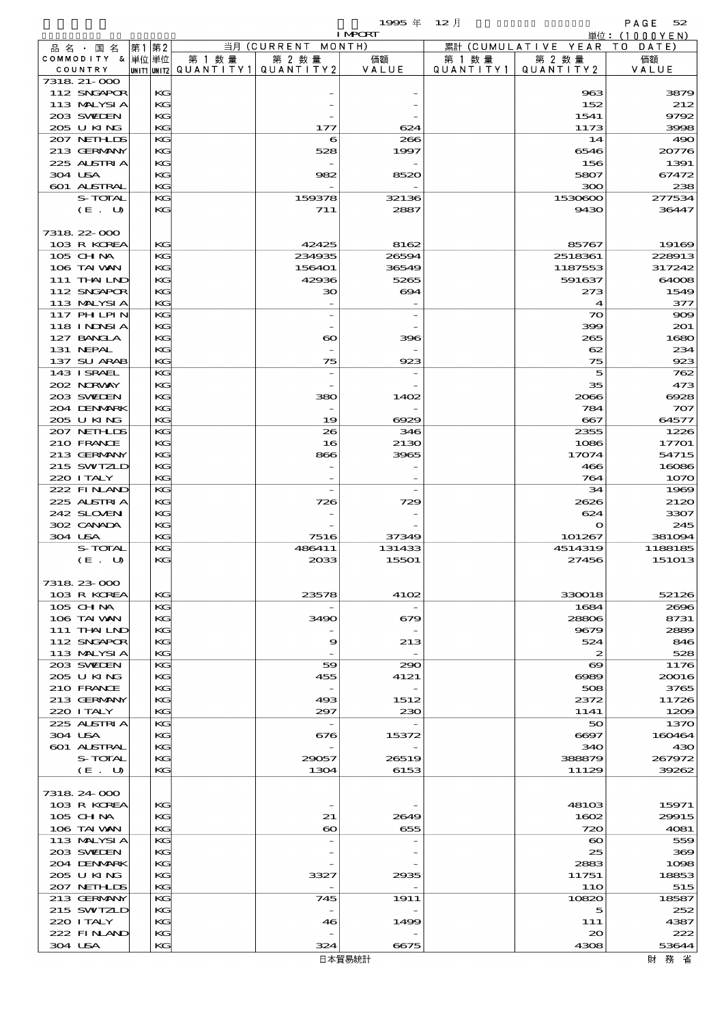$1995 \frac{4}{7}$   $12 \frac{1}{7}$   $1995 \frac{4}{7}$   $12 \frac{1}{7}$   $1000 \frac{1}{7}$   $1000 \frac{1}{7}$ 

|                             |    |          |                                                  |                                 | <b>I MPCRT</b> |                      |                              | 単位:(1000YEN)    |
|-----------------------------|----|----------|--------------------------------------------------|---------------------------------|----------------|----------------------|------------------------------|-----------------|
| 品名・国名                       | 第1 | 第2       |                                                  | 当月(CURRENT                      | MONTH)         |                      | 累計 (CUMULATIVE YEAR TO DATE) |                 |
| COMMODITY & 単位単位<br>COUNTRY |    |          | 第 1 数量<br> UNIT1 UNIT2  QUANT   TY1  QUANT   TY2 | 第 2 数量                          | 価額<br>VALUE    | 第 1 数 量<br>QUANTITY1 | 第 2 数量<br>QUANTITY 2         | 価額<br>VALUE     |
| 7318 21-000                 |    |          |                                                  |                                 |                |                      |                              |                 |
| 112 SNGAPOR                 |    | KG       |                                                  |                                 |                |                      | 963                          | 3879            |
| 113 MALYSIA                 |    | KG       |                                                  |                                 |                |                      | 152                          | 212             |
| 203 SWIEN                   |    | KG<br>KG |                                                  |                                 |                |                      | 1541                         | 9792            |
| 205 U KING<br>207 NETHLIS   |    | KG       |                                                  | 177<br>6                        | 624<br>266     |                      | 1173<br>14                   | 3998<br>490     |
| 213 GERMANY                 |    | KG       |                                                  | 528                             | 1997           |                      | 6546                         | 20776           |
| 225 ALSTRIA                 |    | KG       |                                                  |                                 |                |                      | 156                          | 1391            |
| 304 USA                     |    | KG       |                                                  | 982                             | 8520           |                      | 5807                         | 67472           |
| 601 ALSTRAL                 |    | KG       |                                                  |                                 |                |                      | 300                          | 238             |
| S-TOTAL<br>(E. U)           |    | KG<br>KG |                                                  | 159378<br>711                   | 32136<br>2887  |                      | 1530600<br>9430              | 277534<br>36447 |
|                             |    |          |                                                  |                                 |                |                      |                              |                 |
| 7318 22 000                 |    |          |                                                  |                                 |                |                      |                              |                 |
| 103 R KOREA                 |    | KG       |                                                  | 42425                           | 8162           |                      | 85767                        | 19169           |
| 105 CH NA                   |    | KG       |                                                  | 234935                          | 26594          |                      | 2518361                      | 228913          |
| 106 TAI VAN                 |    | KG       |                                                  | 156401                          | 36549          |                      | 1187553                      | 317242          |
| 111 THAILND<br>112 SNGAPOR  |    | KG<br>KG |                                                  | 42936<br>зо                     | 5265<br>694    |                      | 591637<br>273                | 64008<br>1549   |
| 113 MALYSIA                 |    | KG       |                                                  |                                 |                |                      | 4                            | 377             |
| <b>117 PHLPIN</b>           |    | KG       |                                                  |                                 |                |                      | $\infty$                     | 900             |
| <b>118 INNSIA</b>           |    | KG       |                                                  |                                 |                |                      | 399                          | 201             |
| 127 BANCLA                  |    | KG       |                                                  | $\boldsymbol{\infty}$           | 396            |                      | 265                          | 1680            |
| 131 NEPAL                   |    | KG       |                                                  |                                 |                |                      | 62                           | 234             |
| 137 SU ARAB<br>143 I SRAEL  |    | KG<br>KG |                                                  | 75                              | 923            |                      | 75<br>5                      | 923<br>762      |
| 202 NORWAY                  |    | KG       |                                                  |                                 |                |                      | 35                           | 473             |
| 203 SWIEN                   |    | KG       |                                                  | 380                             | 1402           |                      | 2066                         | 6928            |
| 204 DENMARK                 |    | KG       |                                                  |                                 |                |                      | 784                          | 707             |
| 205 U KING                  |    | KG       |                                                  | 19                              | 6929           |                      | 667                          | 64577           |
| 207 NETHLIS                 |    | KG       |                                                  | 26                              | 346            |                      | 2355                         | 1226            |
| 210 FRANCE<br>213 GERMANY   |    | KG<br>KG |                                                  | 16<br>866                       | 2130<br>3965   |                      | 1086<br>17074                | 17701<br>54715  |
| 215 SWIZLD                  |    | KG       |                                                  |                                 |                |                      | 466                          | 16086           |
| 220 I TALY                  |    | KG       |                                                  |                                 |                |                      | 764                          | 1070            |
| 222 FINAND                  |    | KG       |                                                  | $\overline{a}$                  |                |                      | 34                           | 1969            |
| 225 ALSTRIA                 |    | KG       |                                                  | 726                             | 729            |                      | 2626                         | 2120            |
| 242 SLOVEN                  |    | KG       |                                                  |                                 |                |                      | 624                          | 3307            |
| 302 CANADA<br>304 USA       |    | KG<br>KG |                                                  | 7516                            | 37349          |                      | $\mathbf o$<br>101267        | 245<br>381094   |
| S-TOTAL                     |    | KG       |                                                  | 486411                          | 131433         |                      | 4514319                      | 1188185         |
| (E. U)                      |    | KG       |                                                  | 2033                            | 15501          |                      | 27456                        | 151013          |
|                             |    |          |                                                  |                                 |                |                      |                              |                 |
| 7318 23 000                 |    |          |                                                  |                                 |                |                      |                              |                 |
| 103 R KOREA                 |    | KG       |                                                  | 23578                           | 4102           |                      | 330018                       | 52126           |
| 105 CH NA<br>106 TAI VAN    |    | KG<br>KG |                                                  | 3490                            | 679            |                      | 1684<br>28806                | 2696<br>8731    |
| 111 THAILND                 |    | KG       |                                                  |                                 |                |                      | 9679                         | 2889            |
| 112 SNGAPOR                 |    | KG       |                                                  | 9                               | 213            |                      | 524                          | 846             |
| 113 MALYSIA                 |    | KG       |                                                  |                                 |                |                      | $\boldsymbol{z}$             | 528             |
| 203 SWIDEN                  |    | KG       |                                                  | 59                              | 290            |                      | $\boldsymbol{\infty}$        | 1176            |
| 205 U KING                  |    | KG       |                                                  | 455                             | 4121           |                      | $\infty$                     | 20016           |
| 210 FRANCE<br>213 GERMANY   |    | KG<br>KG |                                                  | $\overline{\phantom{a}}$<br>493 | 1512           |                      | 508<br>2372                  | 3765<br>11726   |
| 220 I TALY                  |    | KG       |                                                  | 297                             | 230            |                      | 1141                         | 1209            |
| 225 ALSTRIA                 |    | KG       |                                                  | $\hspace{0.1mm}-\hspace{0.1mm}$ |                |                      | 50                           | 1370            |
| 304 USA                     |    | KG       |                                                  | 676                             | 15372          |                      | 6697                         | 160464          |
| 601 ALSTRAL                 |    | KG       |                                                  |                                 |                |                      | 340                          | 430             |
| S-TOTAL                     |    | KG       |                                                  | 29057                           | 26519          |                      | 388879                       | 267972          |
| (E. U)                      |    | KG       |                                                  | 1304                            | 6153           |                      | 11129                        | 39262           |
| 7318 24 000                 |    |          |                                                  |                                 |                |                      |                              |                 |
| 103 R KOREA                 |    | KG       |                                                  |                                 |                |                      | 48103                        | 15971           |
| $105$ CHNA                  |    | KG       |                                                  | 21                              | 2649           |                      | 1602                         | 29915           |
| 106 TAI VAN                 |    | KG       |                                                  | $\boldsymbol{\infty}$           | 655            |                      | 720                          | 4081            |
| 113 MALYSIA                 |    | KG       |                                                  |                                 |                |                      | $\boldsymbol{\infty}$        | 559             |
| 203 SWIDEN<br>204 DENMARK   |    | KG<br>KG |                                                  |                                 |                |                      | 25<br>2883                   | 369<br>1098     |
| 205 U KING                  |    | KG       |                                                  | 3327                            | 2935           |                      | 11751                        | 18853           |
| 207 NETHLIDS                |    | KG       |                                                  |                                 |                |                      | 11O                          | 515             |
| 213 GERMANY                 |    | KG       |                                                  | 745                             | 1911           |                      | 10820                        | 18587           |
| 215 SWIZLD                  |    | KG       |                                                  |                                 |                |                      | 5                            | 252             |
| 220 I TALY<br>222 FINAND    |    | KG<br>KG |                                                  | 46                              | 1499           |                      | 111<br>$\infty$              | 4387<br>222     |
| 304 USA                     |    | KG       |                                                  | 324                             | 6675           |                      | 4308                         | 53644           |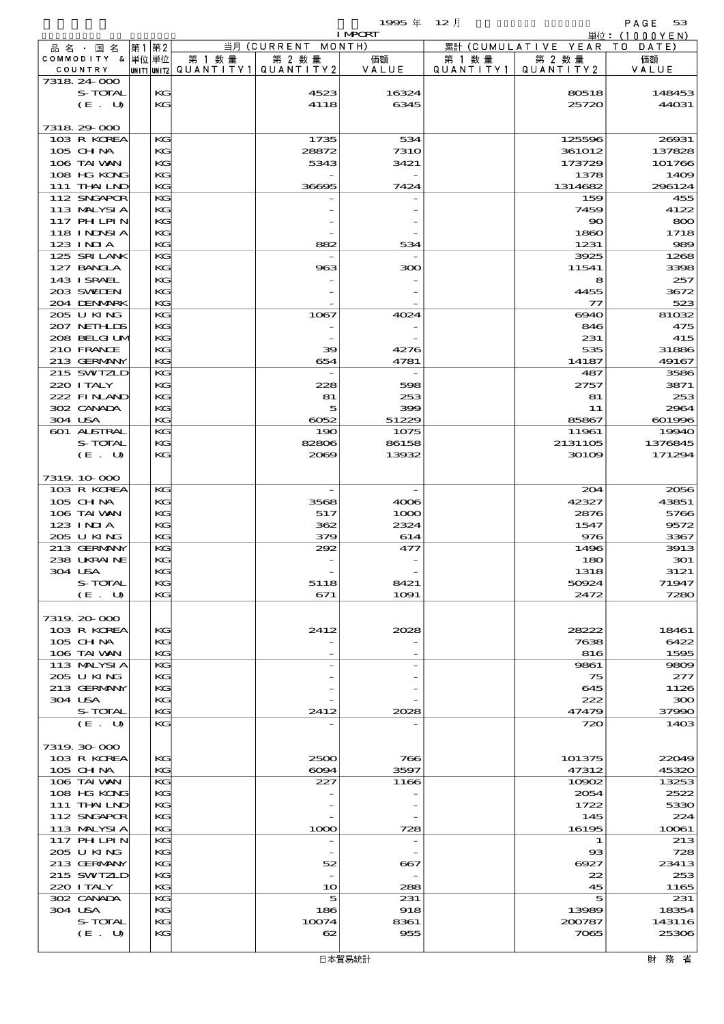$1995 \nsubseteq 12 \nexists$ 

|                            |          |        |                                       | <b>I MPORT</b>           |           |                              | 単位: (1000YEN) |
|----------------------------|----------|--------|---------------------------------------|--------------------------|-----------|------------------------------|---------------|
| 品名・国名                      | 第1 第2    |        | 当月 (CURRENT MONTH)                    |                          |           | 累計 (CUMULATIVE YEAR TO DATE) |               |
| COMMODITY & 単位単位           |          | 第 1 数量 | 第 2 数量                                | 価額                       | 第 1 数 量   | 第 2 数量                       | 価額            |
| COUNTRY<br>7318 24 000     |          |        | UNIT1 UNIT2  QUANT   TY1  QUANT   TY2 | VALUE                    | QUANTITY1 | QUANTITY2                    | VALUE         |
| S-TOTAL                    | KG       |        | 4523                                  | 16324                    |           | 80518                        | 148453        |
| (E. U)                     | KG       |        | 4118                                  | 6345                     |           | 25720                        | 44031         |
|                            |          |        |                                       |                          |           |                              |               |
| 7318 29 000                |          |        |                                       |                          |           |                              |               |
| 103 R KOREA                | KG       |        | 1735                                  | 534                      |           | 125596                       | 26931         |
| 105 CH NA                  | KG       |        | 28872                                 | <b>7310</b>              |           | 361012                       | 137828        |
| 106 TAI VAN                | KG       |        | 5343                                  | 3421                     |           | 173729                       | 101766        |
| 108 HG KONG                | KG       |        |                                       |                          |           | 1378                         | 1409          |
| 111 THAILND                | KG       |        | 36695                                 | 7424                     |           | 1314682                      | 296124<br>455 |
| 112 SNGAPOR<br>113 MALYSIA | KG<br>KG |        |                                       |                          |           | 159<br>7459                  | 4122          |
| 117 PHLPIN                 | KG       |        |                                       |                          |           | $\infty$                     | 800           |
| 118 I NDSI A               | KG       |        |                                       |                          |           | 1860                         | 1718          |
| 123 INIA                   | KG       |        | 882                                   | 534                      |           | 1231                         | 989           |
| 125 SRILANK                | KG       |        |                                       |                          |           | 3925                         | 1268          |
| 127 BANCLA                 | KG       |        | 963                                   | ဆာ                       |           | 11541                        | 3398          |
| 143 I SRAEL                | KG       |        |                                       |                          |           | 8                            | 257           |
| 203 SWIDEN                 | KG       |        |                                       |                          |           | 4455                         | 3672          |
| 204 DENMARK                | KG       |        |                                       |                          |           | $\tau$                       | 523           |
| 205 U KING<br>207 NETHLIS  | KG<br>KG |        | 1067                                  | 4024                     |           | 6940<br>846                  | 81032<br>475  |
| 208 BELGI UM               | KG       |        |                                       |                          |           | 231                          | 415           |
| 210 FRANCE                 | KG       |        | 39                                    | 4276                     |           | 535                          | 31886         |
| 213 GERMANY                | KG       |        | 654                                   | 4781                     |           | 14187                        | 49167         |
| 215 SWIZLD                 | KG       |        |                                       |                          |           | 487                          | 3586          |
| 220 I TALY                 | KG       |        | 228                                   | 598                      |           | 2757                         | 3871          |
| 222 FINAND                 | KG       |        | 81                                    | 253                      |           | 81                           | 253           |
| 302 CANADA                 | KG       |        | 5                                     | 399                      |           | 11                           | 2964          |
| 304 USA                    | KG       |        | 6052                                  | 51229                    |           | 85867                        | 601996        |
| 601 ALSTRAL                | KG       |        | 190                                   | 1075                     |           | 11961                        | 19940         |
| S-TOTAL                    | KG       |        | 82806                                 | 86158                    |           | 2131105                      | 1376845       |
| (E. U)                     | KG       |        | 2069                                  | 13932                    |           | $301$ CO                     | 171294        |
| 7319.10-000                |          |        |                                       |                          |           |                              |               |
| 103 R KOREA                | KG       |        | $\overline{\phantom{a}}$              | $\overline{\phantom{a}}$ |           | 204                          | 2056          |
| 105 CH NA                  | KG       |        | 3568                                  | 4006                     |           | 42327                        | 43851         |
| 106 TAI VAN                | KG       |        | 517                                   | 1000                     |           | 2876                         | 5766          |
| $123$ INIA                 | KG       |        | 362                                   | 2324                     |           | 1547                         | 9572          |
| 205 U KING                 | KG       |        | 379                                   | 614                      |           | 976                          | 3367          |
| 213 GERMANY                | KG       |        | 292                                   | 477                      |           | 1496                         | 3913          |
| 238 UKRAINE                | KG       |        |                                       |                          |           | 180                          | 301           |
| 304 USA                    | KG       |        |                                       |                          |           | 1318                         | 3121          |
| S-TOTAL<br>(E. U)          | KG<br>KG |        | 5118<br>671                           | 8421<br>1091             |           | 50924<br>2472                | 71947<br>7280 |
|                            |          |        |                                       |                          |           |                              |               |
| 7319.20-000                |          |        |                                       |                          |           |                              |               |
| 103 R KOREA                | KG       |        | 2412                                  | 2028                     |           | 28222                        | 18461         |
| 105 CH NA                  | КC       |        |                                       |                          |           | 7638                         | 6422          |
| 106 TAI VAN                | KG       |        |                                       |                          |           | 816                          | 1595          |
| 113 MALYSIA                | KG       |        |                                       |                          |           | 9861                         | 9809          |
| 205 U KING                 | KG       |        |                                       |                          |           | 75                           | 277           |
| 213 GERMANY                | KG       |        |                                       |                          |           | 645                          | 1126          |
| 304 USA                    | КC       |        |                                       |                          |           | 222                          | 300           |
| S-TOTAL<br>(E. U)          | KG<br>KG |        | 2412                                  | 2028                     |           | 47479<br>720                 | 37990<br>1403 |
|                            |          |        |                                       |                          |           |                              |               |
| 7319. 30-000               |          |        |                                       |                          |           |                              |               |
| 103 R KOREA                | KG       |        | 2500                                  | 766                      |           | 101375                       | 22019         |
| 105 CH NA                  | KG       |        | 6094                                  | 3597                     |           | 47312                        | 45320         |
| 106 TAI VAN                | KG       |        | 227                                   | 1166                     |           | 10902                        | 13253         |
| 108 HG KONG                | KG       |        |                                       |                          |           | 2054                         | 2522          |
| 111 THAILND                | KG       |        |                                       |                          |           | 1722                         | 5330          |
| 112 SNGAPOR                | KG       |        |                                       |                          |           | 145                          | 224           |
| 113 MALYSIA<br>117 PHLPIN  | KG<br>KG |        | 1000                                  | 728                      |           | 16195<br>1                   | 10061         |
| 205 U KING                 | KG       |        |                                       |                          |           | $_{\rm ss}$                  | 213<br>728    |
| 213 GERMANY                | KG       |        | 52                                    | 667                      |           | 6927                         | 23413         |
| 215 SWTZLD                 | KG       |        |                                       |                          |           | 22                           | 253           |
| 220 I TALY                 | KG       |        | 10                                    | 288                      |           | 45                           | 1165          |
| 302 CANADA                 | KG       |        | 5                                     | 231                      |           | 5                            | 231           |
| 304 USA                    | KG       |        | 186                                   | 918                      |           | 13989                        | 18354         |
| S-TOTAL                    | KG       |        | 10074                                 | 8361                     |           | 200787                       | 143116        |
| (E. U)                     | KG       |        | 62                                    | 955                      |           | 7065                         | 25306         |
|                            |          |        |                                       |                          |           |                              |               |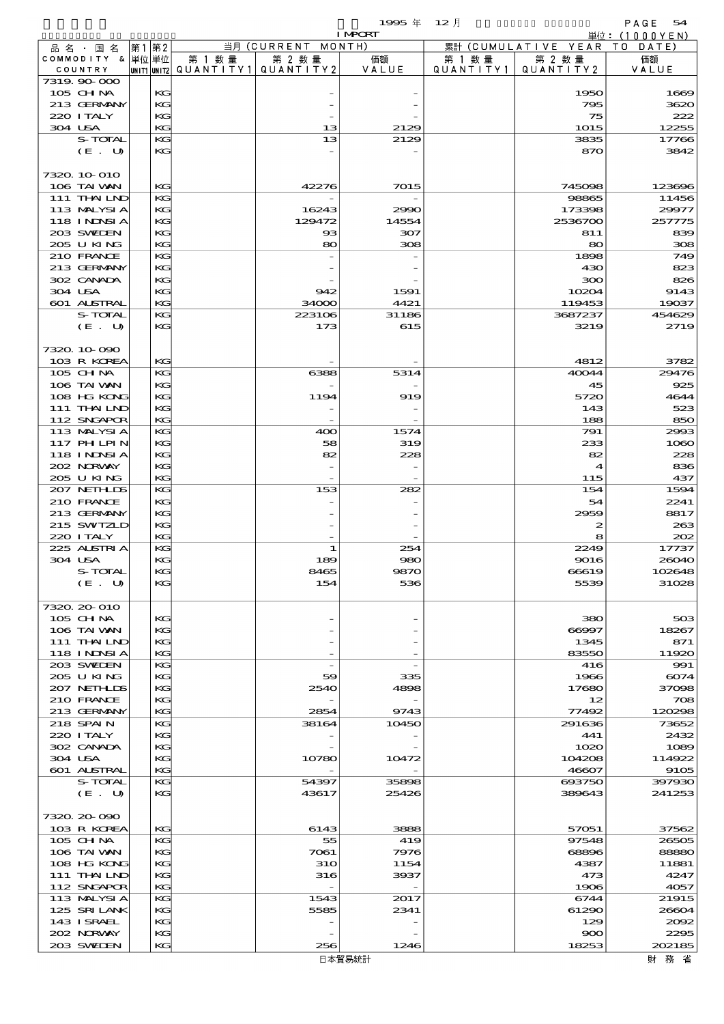$1995 \text{ } \#$   $12 \text{ } \frac{\text{}}{\text{}}$  RAGE 54  $1995 \text{ } \# \text{ } 12 \text{ } \frac{1}{2}$ <br>INPORT 単位: (1000YEN) 第1 第2 当月 (CURRENT MONTH) 累計 (CUMULATIVE YEAR TO DATE) 品名 · 国名 COMMODITY &  $\frac{1}{20}$  $\frac{1}{10}$  $\frac{1}{10}$ 第 2 数量 第 1 数量 価額 第 1 数量 第 2 数量 価額 QUANTITY1 VALUE COUNTRY UNIT1 UNIT2 QUANTITY<sub>2</sub> QUANTITY1 QUANTITY2 VAIUF  $7319.90\text{ }\Omega$  105 CHINA KG - - 1950 1669 213 GERMANY KG - - - - 795 3620 220 ITALY KG - - 75 222 304 USA  $|$  KG 13  $|$  2129 1015 12255 S-TOTAL KG 13 2129 3835 17766  $(E. U)$  KG  $-$  -  $-$  870 3842 7320.10-010 106 TAIWAN KG 42276 7015 745098 123696 111 THAILND KG - - - - 98865 11456 113 MALYSIA KG 16243 2990 173398 29977 118 INDSIA KG 129472 14554 2536700 257775 203 SWEDEN KG 93 307 811 839  $205 \text{ U K} \cdot \text{K}$ 210 FRANCE KG - 1898 749 213 GERMANY KG - - 430 823 302 CANADA KG - - 300 826 304 USA  $|$  KG 942 1591 1591 10204 9143 601 ALSTRAL KG 34000 4421 119453 19037 S-TOTAL KG 223106 31186 3687237 454629  $(E. U)$  KG 173 615 3219 2719 7320.10-090  $103 \text{ R KORFA}$   $| \text{KG} |$ 105 CHNA KG 6388 5314 40044 29476  $106$  TAI WAN KG  $\qquad$   $\qquad$   $\qquad$   $\qquad$   $\qquad$   $\qquad$   $\qquad$   $\qquad$   $\qquad$   $\qquad$   $\qquad$   $\qquad$   $\qquad$   $\qquad$   $\qquad$   $\qquad$   $\qquad$   $\qquad$   $\qquad$   $\qquad$   $\qquad$   $\qquad$   $\qquad$   $\qquad$   $\qquad$   $\qquad$   $\qquad$   $\qquad$   $\qquad$   $\qquad$   $\qquad$   $\qquad$   $\qquad$   $\qquad$  108 HG KONG KG 1194 919 919 5720 4644 111 THAILND  $\begin{vmatrix} \text{kG} \end{vmatrix}$  -  $\begin{vmatrix} 1 & 1 & 1 & 1 \end{vmatrix}$  523 112 SNGAPOR KG - - 188 850 113 MALYSIA KG 400 1574 791 2993 117 PHILPIN KG 58 319 233 1060  $118 \text{ INDSIA}$  KG 82 228 82 82 228 202 NORWAY KG - - 4 836 205 U KING  $\begin{vmatrix} 1 & 0 & 0 \\ 0 & 0 & 0 \\ 0 & 0 & 0 \end{vmatrix}$  -  $\begin{vmatrix} 1 & 0 & 0 \\ 0 & 0 & 0 \\ 0 & 0 & 0 \end{vmatrix}$  437 207 NETHLIS KG 153 282 154 1594 210 FRANCE KG - - 54 2241 213 GERMANY KG - - 2959 8817 215 SWITZLD KG - - 2 263 220 ITALY KG - - 8 202 225 ALSTRIA KG 1 254 2249 17737  $304 \text{ USA}$   $| \text{KG} |$   $189$   $980$   $9016$   $28040$  $S-TOTAL$  KG 8465 9870 66619 102648  $(E. U)$  KG 154 536 5539 31028 7320.20-010 105 CHINA KG - - 380 503 106 TAIWAN KG - - 66997 18267 111 THAILND  $\begin{vmatrix} \kappa G & \kappa \end{vmatrix}$  -  $\begin{vmatrix} 1 & \kappa G \\ \kappa G \end{vmatrix}$  871 118 INDNSIA KG - - 83550 11920 203 SWIEN KG - 416 991 205 U KING  $\begin{array}{|c|c|c|c|c|c|c|c|c|} \hline \text{205 U K1NG} & \text{KG} & & 59 & & 335 & & 1966 \ \hline \end{array}$ 207 NETHLIS KG 2540 4898 17680 37098 210 FRANCE KG - - 12 708 213 GERMANY KG 2854 9743 77492 120298 218 SPAIN KG 38164 10450 291636 73652 220 ITALY KG - - 441 2432 302 CANADA KG - - 1020 1089 304 USA KG 10780 10472 104208 104208 114922 601 AUSTRAL KG - - 46607 9105 S-TOTAL KG 54397 35898 693750 397930 (E. U) KG 43617 25426 389643 241253 7320.20-090  $103 \text{ R KOREA}$   $|\text{KG}|$  6143 3888 57051 57051 37562 105 CHINA KG 55 419 97548 26505 106 TAIWAN KG 7061 7061 7976 68896 88880 108 HG KONG KG 310 310 1154 HG 4387 11881 111 THAILND KG 316 3937 473 4247 112 SNGAPOR KG - - 1906 4057 113 MALYSIA KG 1543 2017 6744 21915 125 SRILANK KG 5585 2341 61290 26604

財務省

 $143$  ISRAEL KG  $129$  2002  $202 \text{ NORMAY}$  KG  $\begin{array}{|l|l|}\n\hline\n-1 & -1 & -1 \\
\hline\n-1 & -1 & -1\n\end{array}$  900 2295 203 SWEEN KG 256 1246 1246 18253 202185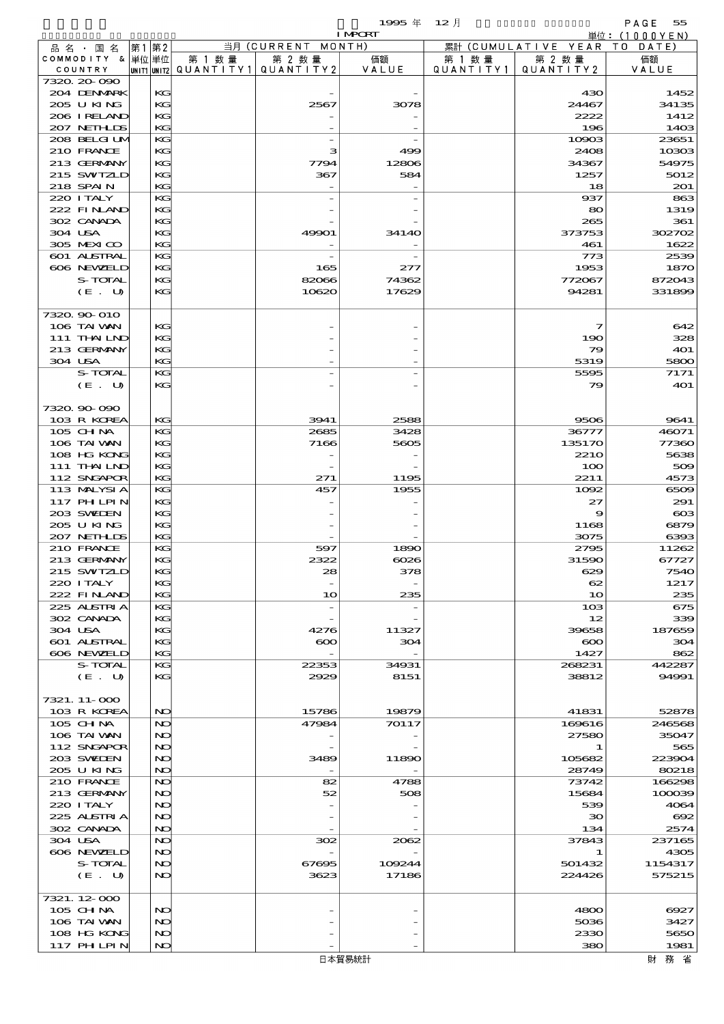|                            |              |           |                  | 1995年                    | $12$ 月    |                     | PAGE<br>55                       |
|----------------------------|--------------|-----------|------------------|--------------------------|-----------|---------------------|----------------------------------|
|                            |              |           | 当月 (CURRENT      | <b>I MPORT</b><br>MONTH) |           | 累計 (CUMULATIVE YEAR | 単位: (1000 Y E N )<br>DATE<br>T O |
| 品名・国名<br>COMMODITY & 単位単位  | 第1 第2        | 第 1 数 量   | 第 2 数量           | 価額                       | 第 1 数 量   | 第 2 数量              | 価額                               |
| COUNTRY                    | UNIT1  UNIT2 | QUANTITY1 | QUANTITY2        | VALUE                    | QUANTITY1 | QUANTITY2           | VALUE                            |
| 7320.20-090                |              |           |                  |                          |           |                     |                                  |
| 204 DENMARK<br>205 U KING  | KG           |           |                  |                          |           | 430                 | 1452                             |
| 206 IRELAND                | KG<br>KС     |           | 2567             | 3078                     |           | 24467<br>2222       | 34135<br>1412                    |
| 207 NETHLIS                | KG           |           |                  |                          |           | 196                 | 1403                             |
| 208 BELGI UM               | KG           |           |                  |                          |           | 10903               | 23651                            |
| 210 FRANCE                 | KG           |           | з                | 499                      |           | 2408                | 10303                            |
| 213 GERMANY                | KG           |           | 7794             | 12806                    |           | 34367               | 54975                            |
| 215 SWIZLD<br>218 SPAIN    | KG<br>KG     |           | 367              | 584                      |           | 1257<br>18          | 5012<br>201                      |
| 220 I TALY                 | KG           |           |                  |                          |           | 937                 | 863                              |
| 222 FINAND                 | KG           |           |                  |                          |           | 80                  | 1319                             |
| 302 CANADA                 | KG           |           |                  |                          |           | 265                 | 361                              |
| 304 USA                    | KС           |           | 49901            | 3414O                    |           | 373753              | 302702                           |
| 305 MEXICO                 | KG           |           |                  |                          |           | 461                 | 1622                             |
| 601 ALSTRAL<br>606 NEWELD  | KG<br>KG     |           |                  |                          |           | 773                 | 2539                             |
| S-TOTAL                    | KG           |           | 165<br>82066     | 277<br>74362             |           | 1953<br>772067      | 1870<br>872043                   |
| (E. U)                     | KG           |           | 10620            | 17629                    |           | 94281               | 331899                           |
|                            |              |           |                  |                          |           |                     |                                  |
| 7320, 90-010               |              |           |                  |                          |           |                     |                                  |
| 106 TAI VAN                | KG           |           |                  |                          |           | 7                   | 642                              |
| 111 THAILND                | KG           |           |                  |                          |           | 190                 | 328                              |
| 213 GERMANY                | KC           |           |                  |                          |           | 79                  | 401                              |
| 304 USA<br>S-TOTAL         | KG<br>KG     |           |                  |                          |           | 5319<br>5595        | 5800<br>7171                     |
| (E. U)                     | KG           |           |                  |                          |           | 79                  | 401                              |
|                            |              |           |                  |                          |           |                     |                                  |
| 7320.90-090                |              |           |                  |                          |           |                     |                                  |
| 103 R KOREA                | KG           |           | 3941             | 2588                     |           | 9506                | 9641                             |
| 105 CH NA                  | KG           |           | 2685             | 3428                     |           | 36777               | 46071                            |
| 106 TAI VAN                | KG           |           | 7166             | 5605                     |           | 135170              | 77360                            |
| 108 HG KONG<br>111 THAILND | KG<br>KG     |           |                  |                          |           | <b>2210</b><br>100  | 5638<br>509                      |
| 112 SNGAPOR                | KG           |           | 271              | 1195                     |           | 2211                | 4573                             |
| 113 MALYSIA                | KG           |           | 457              | 1955                     |           | 1002                | 6509                             |
| 117 PH LPIN                | KG           |           |                  |                          |           | 27                  | 291                              |
| 203 SWIEN                  | KG           |           |                  |                          |           | 9                   | $\bf{cos}$                       |
| 205 U KING                 | KС           |           |                  |                          |           | 1168                | 6879                             |
| 207 NEIHLIS                | KG           |           |                  |                          |           | 3075                | 6393                             |
| 210 FRANCE<br>213 GERMANY  | KС<br>KG     |           | 597<br>2322      | 1890<br>$\cos$           |           | 2795<br>31590       | 11262<br>67727                   |
| 215 SWIZLD                 | KG           |           | 28               | 378                      |           | 629                 | 7540                             |
| 220 I TALY                 | KC           |           |                  |                          |           | 62                  | 1217                             |
| 222 FINAND                 | KG           |           | 10               | 235                      |           | 10                  | 235                              |
| 225 ALSTRIA                | KG           |           |                  |                          |           | 103                 | 675                              |
| 302 CANADA                 | KC           |           |                  |                          |           | 12                  | 339                              |
| 304 USA<br>601 ALSTRAL     | KG<br>KC     |           | 4276<br>$\infty$ | 11327<br>304             |           | 39658<br>$\infty$   | 187659<br>304                    |
| 606 NEWELD                 | KG           |           |                  |                          |           | 1427                | 862                              |
| S-TOTAL                    | KG           |           | 22353            | 34931                    |           | 268231              | 442287                           |
| $(E_U U)$                  | КC           |           | 2929             | 8151                     |           | 38812               | 94991                            |
|                            |              |           |                  |                          |           |                     |                                  |
| 7321. 11-000               |              |           |                  |                          |           |                     |                                  |
| 103 R KOREA<br>105 CHNA    | NO<br>NO     |           | 15786<br>47984   | 19879<br>70117           |           | 41831<br>169616     | 52878<br>246568                  |
| 106 TAI VAN                | NO           |           |                  |                          |           | 27580               | 35047                            |
| 112 SNGAPOR                | NO           |           |                  |                          |           | 1                   | 565                              |
| 203 SWIEN                  | NO           |           | 3489             | 11890                    |           | 105682              | 223904                           |
| 205 U KING                 | NO           |           |                  |                          |           | 28749               | 80218                            |
| 210 FRANCE                 | NO           |           | 82               | 4788                     |           | 73742               | 166298                           |
| 213 GERMANY<br>220 I TALY  | NO<br>NO     |           | 52               | 508                      |           | 15684<br>539        | 100039<br>4064                   |
| 225 ALSTRIA                | NO           |           |                  |                          |           | 30                  | $\infty$                         |
| 302 CANADA                 | NO           |           |                  |                          |           | 134                 | 2574                             |
| 304 USA                    | NO           |           | 302              | 2062                     |           | 37843               | 237165                           |
| 606 NEWELD                 | NO           |           |                  |                          |           | 1                   | 4305                             |
| S-TOTAL                    | NO           |           | 67695            | 109244                   |           | 501432              | 1154317                          |
| (E. U)                     | NO           |           | 3623             | 17186                    |           | 224426              | 575215                           |
| 7321.12.000                |              |           |                  |                          |           |                     |                                  |
| 105 CHNA                   | NO           |           |                  |                          |           | 4800                | 6927                             |
| 106 TAI VAN                | NO           |           |                  |                          |           | 5036                | 3427                             |
| 108 HG KONG                | NO           |           |                  |                          |           | 2330                | 5650                             |
| 117 PHLPIN                 | NO           |           |                  |                          |           | 380                 | 1981                             |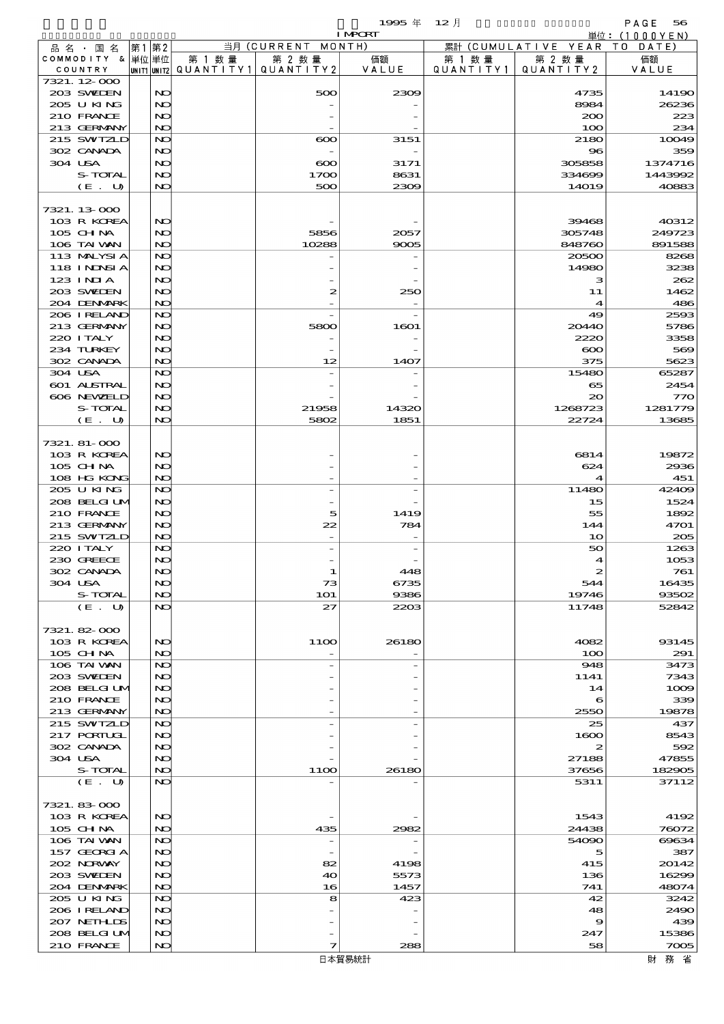|                             |      |          |                          |                    | 1995 $#$       | $12$ 月    |                      | PAGE<br>56                |
|-----------------------------|------|----------|--------------------------|--------------------|----------------|-----------|----------------------|---------------------------|
|                             | 第1第2 |          |                          | 当月 (CURRENT MONTH) | <b>I MPORT</b> |           | 累計 (CUMULATIVE YEAR) | 単位: (1000YEN)<br>TO DATE) |
| 品名 国名<br>COMMODITY & 単位単位   |      |          | 第 1 数 量                  | 第 2 数量             | 価額             | 第 1 数 量   | 第 2 数量               | 価額                        |
| COUNTRY                     |      |          | unit1 unit2  Q∪ANT   TY1 | QUANTITY 2         | VALUE          | QUANTITY1 | QUANTITY 2           | VALUE                     |
| 7321. 12-000                |      |          |                          |                    |                |           |                      |                           |
| 203 SWIEN                   |      | NO       |                          | 500                | 2309           |           | 4735                 | 14190                     |
| 205 U KING<br>210 FRANCE    |      | NO<br>NO |                          |                    |                |           | 8984<br>200          | 26236<br>223              |
| 213 GERMANY                 |      | NO       |                          |                    |                |           | 100                  | 234                       |
| 215 SWIZLD                  |      | NO       |                          | $\infty$           | 3151           |           | 2180                 | 10049                     |
| 302 CANADA                  |      | NO       |                          |                    |                |           | $\bf{8}$             | 359                       |
| 304 USA                     |      | NO       |                          | $\infty$           | 3171           |           | 305858               | 1374716                   |
| S-TOTAL                     |      | NO       |                          | 1700               | 8631           |           | 334699               | 1443992                   |
| (E. U)                      |      | NO       |                          | 500                | 2309           |           | <b>14019</b>         | 40883                     |
| 7321.13-000                 |      |          |                          |                    |                |           |                      |                           |
| 103 R KOREA                 |      | NO       |                          |                    |                |           | 39468                | 40312                     |
| 105 CH NA                   |      | NO       |                          | 5856               | 2057           |           | 305748               | 249723                    |
| 106 TAI VAN                 |      | NO       |                          | 10288              | 9005           |           | 848760               | 891588                    |
| 113 MALYSIA                 |      | NO       |                          |                    |                |           | 20500                | 8268                      |
| 118 INNSI A                 |      | NO       |                          |                    |                |           | 14980                | 3238                      |
| $123$ INIA                  |      | NO       |                          |                    |                |           | з                    | 262                       |
| 203 SWIDEN<br>204 DENMARK   |      | NO<br>NO |                          | 2                  | 250            |           | 11                   | 1462<br>486               |
| 206 IRELAND                 |      | NO       |                          |                    |                |           | 4<br>49              | 2593                      |
| 213 GERMANY                 |      | NO       |                          | 5800               | 1601           |           | 20440                | 5786                      |
| 220 I TALY                  |      | NO       |                          |                    |                |           | 2220                 | 3358                      |
| 234 TURKEY                  |      | NO       |                          |                    |                |           | $\infty$             | 569                       |
| 302 CANADA                  |      | NO       |                          | 12                 | 1407           |           | 375                  | 5623                      |
| 304 USA                     |      | NO       |                          |                    |                |           | 15480                | 65287                     |
| 601 ALSTRAL                 |      | NO       |                          |                    |                |           | 65                   | 2454                      |
| 606 NEWELD                  |      | NO       |                          |                    |                |           | 20                   | 770                       |
| S-TOTAL<br>(E. U)           |      | NO<br>NO |                          | 21958<br>5802      | 14320<br>1851  |           | 1268723<br>22724     | 1281779<br>13685          |
|                             |      |          |                          |                    |                |           |                      |                           |
| 7321. 81-000                |      |          |                          |                    |                |           |                      |                           |
| 103 R KOREA                 |      | NO       |                          |                    |                |           | 6814                 | 19872                     |
| 105 CH NA                   |      | NO       |                          |                    |                |           | 624                  | 2936                      |
| 108 HG KONG                 |      | NO       |                          |                    |                |           | 4                    | 451                       |
| 205 U KING                  |      | NO       |                          |                    |                |           | 11480                | 42409                     |
| 208 BELGI UM<br>210 FRANCE  |      | NO<br>NO |                          | 5                  | 1419           |           | 15<br>55             | 1524<br>1892              |
| 213 GERMANY                 |      | NO       |                          | 22                 | 784            |           | 144                  | 4701                      |
| 215 SWIZLD                  |      | NO       |                          |                    |                |           | 10                   | 205                       |
| 220 I TALY                  |      | NO       |                          |                    |                |           | 50                   | 1263                      |
| 230 GREECE                  |      | NO       |                          |                    |                |           |                      | 1053                      |
| 302 CANADA                  |      | NO       |                          | 1                  | 448            |           | 2                    | 761                       |
| 304 USA                     |      | NO       |                          | 73                 | 6735           |           | 544                  | 16435                     |
| S-TOTAL                     |      | NO       |                          | <b>1O1</b>         | 9386           |           | 19746                | 93502                     |
| (E. U)                      |      | NO       |                          | 27                 | 2203           |           | 11748                | 52842                     |
| 7321.82-000                 |      |          |                          |                    |                |           |                      |                           |
| 103 R KOREA                 |      | NO       |                          | 11OO               | 26180          |           | 4082                 | 93145                     |
| 105 CH NA                   |      | NO       |                          |                    |                |           | 100                  | 291                       |
| 106 TAI VAN                 |      | NO       |                          |                    |                |           | 948                  | 3473                      |
| 203 SVEDEN                  |      | NO       |                          |                    |                |           | 1141                 | 7343                      |
| 208 BELGI UM                |      | NO       |                          |                    |                |           | 14                   | 1009                      |
| 210 FRANCE                  |      | NO       |                          |                    |                |           | 6                    | 339                       |
| 213 GERMANY<br>215 SWIZLD   |      | NO<br>NO |                          |                    |                |           | 2550<br>25           | 19878<br>437              |
| 217 PORTUGL                 |      | NO       |                          |                    |                |           | 1600                 | 8543                      |
| 302 CANADA                  |      | NO       |                          |                    |                |           | 2                    | 592                       |
| 304 USA                     |      | NO       |                          |                    |                |           | 27188                | 47855                     |
| S-TOTAL                     |      | NO       |                          | 11OO               | 26180          |           | 37656                | 182905                    |
| (E. U)                      |      | NO       |                          |                    |                |           | 5311                 | 37112                     |
|                             |      |          |                          |                    |                |           |                      |                           |
| 7321.83-000<br>103 R KOREA  |      | NO       |                          |                    |                |           | 1543                 | 4192                      |
| 105 CH NA                   |      | NO       |                          | 435                | 2982           |           | 24438                | 76072                     |
| 106 TAI VAN                 |      | NO       |                          |                    |                |           | 54090                | 69634                     |
| 157 GEORGIA                 |      | NO       |                          |                    |                |           | 5                    | 387                       |
| 202 NORVAY                  |      | NO       |                          | 82                 | 4198           |           | 415                  | 20142                     |
| 203 SWIDEN                  |      | NO       |                          | 40                 | 5573           |           | 136                  | 16299                     |
| 204 DENMARK                 |      | NO       |                          | 16                 | 1457           |           | 741                  | 48074                     |
| 205 U KING                  |      | NO       |                          | 8                  | 423            |           | 42                   | 3242                      |
| 206 I RELAND                |      | NO       |                          |                    |                |           | 48                   | 2490                      |
| 207 NETHLIS<br>208 BELGI UM |      | NO<br>NO |                          |                    |                |           | 9<br>247             | 439<br>15386              |
| 210 FRANCE                  |      | NO       |                          | 7                  | 288            |           | 58                   | 7005                      |
|                             |      |          |                          |                    | 日本貿易統計         |           |                      | 財務省                       |
|                             |      |          |                          |                    |                |           |                      |                           |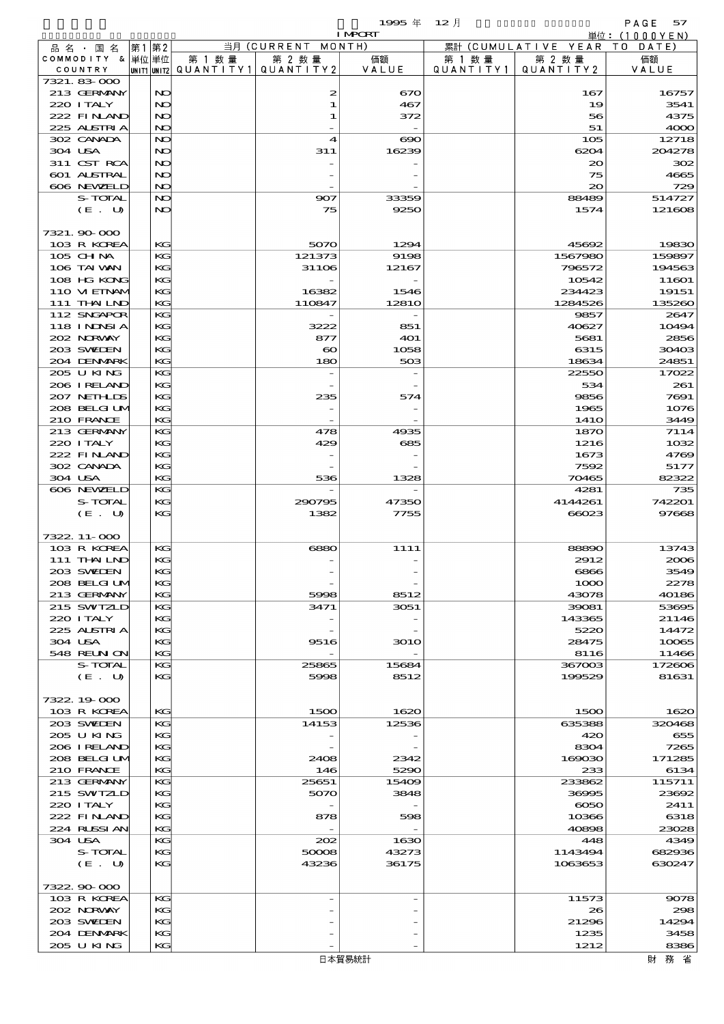- 19995年 12月 - PAGE 57<br>F - 単位:(1000YEN)

|                             |          |        |                                       | <b>I MPORT</b> |           |                     | 単位:(1000YEN)   |
|-----------------------------|----------|--------|---------------------------------------|----------------|-----------|---------------------|----------------|
| 品 名 ・ 国 名                   | 第1第2     |        | 当月(CURRENT                            | MONTH)         |           | 累計 (CUMULATIVE YEAR | T O<br>DATE    |
| COMMODITY & 単位単位            |          | 第 1 数量 | 第 2 数量                                | 価額             | 第 1 数 量   | 第 2 数量              | 価額             |
| COUNTRY                     |          |        | UNIT1 UNIT2  QUANT   TY1  QUANT   TY2 | VALUE          | QUANTITY1 | QUANTITY2           | VALUE          |
| 7321.83 000                 |          |        |                                       |                |           |                     |                |
| 213 GERMANY<br>220 I TALY   | NO<br>NO |        | 2<br>1                                | 670<br>467     |           | 167<br>19           | 16757<br>3541  |
| 222 FINAND                  | NO       |        | 1                                     | 372            |           | 56                  | 4375           |
| 225 ALSTRIA                 | NO       |        |                                       |                |           | 51                  | 4000           |
| 302 CANADA                  | NO       |        | 4                                     | $\infty$       |           | 105                 | 12718          |
| 304 USA                     | NO       |        | 311                                   | 16239          |           | 6204                | 204278         |
| 311 CST RCA                 | NO       |        |                                       |                |           | $\infty$            | 302            |
| 601 ALSTRAL                 | NO       |        |                                       |                |           | 75                  | 4665           |
| 606 NEWELD                  | NO       |        |                                       |                |           | 20                  | 729            |
| S-TOTAL                     | NO       |        | 907                                   | 33359          |           | 88489               | 514727         |
| (E. U)                      | NO       |        | 75                                    | 9250           |           | 1574                | 121608         |
|                             |          |        |                                       |                |           |                     |                |
| 7321.90 000                 |          |        |                                       |                |           |                     |                |
| 103 R KOREA                 | KG       |        | 5070                                  | 1294           |           | 45692               | 19830          |
| 105 CHNA                    | KG       |        | 121373                                | 9198           |           | 1567980             | 159897         |
| 106 TAI VAN                 | KG       |        | 31106                                 | 12167          |           | 796572              | 194563         |
| 108 HG KONG                 | KG       |        |                                       |                |           | 10542               | 11601          |
| 110 VIEINAM                 | KG       |        | 16382                                 | 1546           |           | 234423              | 19151          |
| 111 THAILND                 | KG       |        | 110847                                | 1281O          |           | 1284526             | 135260         |
| 112 SNGAPOR                 | KG       |        |                                       |                |           | 9857                | 2647           |
| 118 I NJNSI A               | KG       |        | 3222                                  | 851            |           | 40627               | 10494          |
| 202 NRWAY<br>203 SWIEN      | KG<br>KG |        | 877                                   | 401            |           | 5681                | 2856           |
| 204 DENMARK                 | KG       |        | $\boldsymbol{\infty}$<br>180          | 1058<br>503    |           | 6315<br>18634       | 30403<br>24851 |
| 205 U KING                  | KG       |        |                                       |                |           | 22550               | 17022          |
| 206 IRELAND                 | KG       |        |                                       |                |           | 534                 | 261            |
| 207 NETHLIS                 | KG       |        | 235                                   | 574            |           | 9856                | 7691           |
| 208 BELGI UM                | KG       |        |                                       |                |           | 1965                | 1076           |
| 210 FRANCE                  | KG       |        |                                       |                |           | 141O                | 3449           |
| 213 GERMANY                 | KG       |        | 478                                   | 4935           |           | 1870                | 7114           |
| 220 I TALY                  | KG       |        | 429                                   | 685            |           | 1216                | 1032           |
| 222 FINAND                  | KG       |        |                                       |                |           | 1673                | 4769           |
| 302 CANADA                  | KG       |        |                                       |                |           | 7592                | 5177           |
| 304 USA                     | KG       |        | 536                                   | 1328           |           | 70465               | 82322          |
| 606 NEWELD                  | KG       |        |                                       |                |           | 4281                | 735            |
| S-TOTAL                     | KG       |        | 290795                                | 47350          |           | 4144261             | 742201         |
| (E. U)                      | KG       |        | 1382                                  | 7755           |           | 66023               | 97668          |
|                             |          |        |                                       |                |           |                     |                |
| 7322. 11-000<br>103 R KOREA |          |        |                                       |                |           | 88890               |                |
| 111 THAILND                 | KG<br>KG |        | 6880                                  | 1111           |           | 2912                | 13743<br>2006  |
| 203 SVELEN                  | КG       |        |                                       |                |           | 6866                | 3549           |
| 208 BELGI UM                | KG       |        |                                       |                |           | 1000                | 2278           |
| 213 GERMANY                 | KG       |        | 5998                                  | 8512           |           | 43078               | 40186          |
| 215 SWIZLD                  | KG       |        | 3471                                  | 3051           |           | 39081               | 53695          |
| 220 I TALY                  | KG       |        |                                       |                |           | 143365              | 21146          |
| 225 ALSTRIA                 | KG       |        |                                       |                |           | 5220                | 14472          |
| 304 USA                     | KG       |        | 9516                                  | <b>3010</b>    |           | 28475               | 10065          |
| <b>548 REUN ON</b>          | KG       |        |                                       |                |           | 8116                | 11466          |
| S-TOTAL                     | KG       |        | 25865                                 | 15684          |           | 367003              | 172606         |
| (E. U)                      | KG       |        | 5998                                  | 8512           |           | 199529              | 81631          |
|                             |          |        |                                       |                |           |                     |                |
| 7322.19.000                 |          |        |                                       |                |           |                     |                |
| 103 R KOREA                 | KG       |        | 1500                                  | 1620           |           | 1500                | 1620           |
| 203 SWIDEN                  | KG       |        | 14153                                 | 12536          |           | 635388              | 320468         |
| 205 U KING                  | KG       |        |                                       |                |           | 420                 | 655            |
| 206 IRELAND<br>208 BELGI UM | KG<br>KG |        |                                       |                |           | 8304                | 7265<br>171285 |
| 210 FRANCE                  | KG       |        | 2408<br>146                           | 2342<br>5290   |           | 169030<br>233       | 6134           |
| 213 GERMANY                 | KG       |        | 25651                                 | 15409          |           | 233862              | 115711         |
| 215 SWIZLD                  | КG       |        | 5070                                  | 3848           |           | 36995               | 23692          |
| 220 I TALY                  | KG       |        |                                       |                |           | $\infty$            | 2411           |
| 222 FINAND                  | KG       |        | 878                                   | 598            |           | 10366               | 6318           |
| 224 RUSSI AN                | KG       |        |                                       |                |           | 40898               | 23028          |
| 304 USA                     | KG       |        | 202                                   | 1630           |           | 448                 | 4349           |
| S-TOTAL                     | KG       |        | 50008                                 | 43273          |           | 1143494             | 682936         |
| (E. U)                      | KG       |        | 43236                                 | 36175          |           | 1063653             | 630247         |
|                             |          |        |                                       |                |           |                     |                |
| 7322.90.000                 |          |        |                                       |                |           |                     |                |
| 103 R KOREA                 | KG       |        |                                       |                |           | 11573               | 9078           |
| 202 NORWAY                  | KG       |        |                                       |                |           | 26                  | 298            |
| 203 SWIEN                   | KG       |        |                                       |                |           | 21296               | 14294          |
| 204 DENMARK                 | KG       |        |                                       |                |           | 1235                | 3458           |
| 205 U KING                  | KG       |        |                                       |                |           | 1212                | 8386           |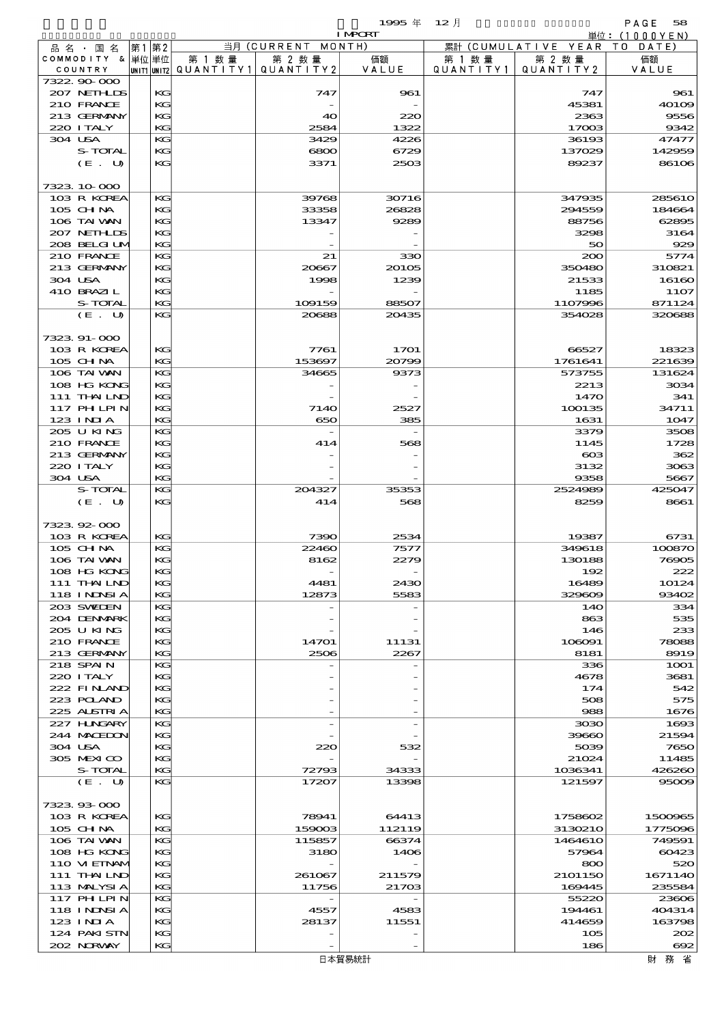$1995 \nsubseteq 12 \nexists$ 

|                             |       |           |        |                                                  | <b>I MPORT</b>  |                   |                              | 単位: (1000YEN)      |
|-----------------------------|-------|-----------|--------|--------------------------------------------------|-----------------|-------------------|------------------------------|--------------------|
| 品名・国名                       | 第1 第2 |           |        | 当月 (CURRENT MONTH)                               |                 |                   | 累計 (CUMULATIVE YEAR TO DATE) |                    |
| COMMODITY & 単位単位<br>COUNTRY |       |           | 第 1 数量 | 第 2 数量<br> unit1 unit2  QUANT   TY1  QUANT   TY2 | 価額<br>VALUE     | 第 1 数量            | 第 2 数量<br>QUANTITY 2         | 価額                 |
| 7322 90 000                 |       |           |        |                                                  |                 | Q U A N T I T Y 1 |                              | VALUE              |
| 207 NETHLIDS                |       | KG        |        | 747                                              | 961             |                   | 747                          | 961                |
| 210 FRANCE                  |       | KG        |        |                                                  |                 |                   | 45381                        | 40109              |
| 213 GERMANY                 |       | KG        |        | 40                                               | 220             |                   | 2363                         | 9556               |
| 220 I TALY                  |       | KG.       |        | 2584                                             | 1322            |                   | 17003                        | 9342               |
| 304 USA<br>S-TOTAL          |       | KG<br>KG  |        | 3429<br>6800                                     | 4226<br>6729    |                   | 36193<br>137029              | 47477<br>142959    |
| (E. U)                      |       | KG        |        | 3371                                             | 2503            |                   | 89237                        | 86106              |
|                             |       |           |        |                                                  |                 |                   |                              |                    |
| 7323 10 000                 |       |           |        |                                                  |                 |                   |                              |                    |
| 103 R KOREA                 |       | KG        |        | 39768                                            | 30716           |                   | 347935                       | 285610             |
| $105$ CHNA                  |       | KG        |        | 33358                                            | 26828           |                   | 294559                       | 184664             |
| 106 TAI VAN                 |       | KG        |        | 13347                                            | 9289            |                   | 88756                        | 62895              |
| 207 NETHLIS<br>208 BELGI UM |       | KG<br>KG. |        |                                                  |                 |                   | 3298<br>50                   | 3164<br>929        |
| 210 FRANCE                  |       | KG        |        | 21                                               | 330             |                   | 200                          | 5774               |
| 213 GERMANY                 |       | КG        |        | 20667                                            | 20105           |                   | 350480                       | 310821             |
| 304 USA                     |       | KG        |        | 1998                                             | 1239            |                   | 21533                        | 16160              |
| 410 BRAZIL                  |       | KG        |        |                                                  |                 |                   | 1185                         | 11O7               |
| S-TOTAL                     |       | KG        |        | 109159                                           | 88507           |                   | 1107996                      | 871124             |
| (E. U)                      |       | KG        |        | 20688                                            | 20435           |                   | 354028                       | 320688             |
| 7323.91-000                 |       |           |        |                                                  |                 |                   |                              |                    |
| 103 R KOREA                 |       | KG        |        | 7761                                             | 1701            |                   | 66527                        | 18323              |
| 105 CH NA                   |       | KG.       |        | 153697                                           | 20799           |                   | 1761641                      | 221639             |
| 106 TAI VAN                 |       | KG        |        | 34665                                            | 9373            |                   | 573755                       | 131624             |
| 108 HG KONG                 |       | $K$ $G$   |        |                                                  |                 |                   | 2213                         | 3034               |
| 111 THAILND                 |       | KG        |        |                                                  |                 |                   | 1470                         | 341                |
| 117 PH LPIN<br>$123$ INIA   |       | KG<br>KG. |        | <b>7140</b><br>650                               | 2527<br>385     |                   | 100135<br>1631               | 34711<br>1047      |
| 205 U KING                  |       | KG        |        |                                                  |                 |                   | 3379                         | 3508               |
| 210 FRANCE                  |       | KG        |        | 414                                              | 568             |                   | 1145                         | 1728               |
| 213 GERMANY                 |       | KG        |        |                                                  |                 |                   | $\cos$                       | 362                |
| 220 I TALY                  |       | KG        |        |                                                  |                 |                   | 3132                         | 3063               |
| 304 USA                     |       | KG        |        |                                                  |                 |                   | 9358                         | 5667               |
| S-TOTAL<br>(E. U)           |       | KG<br>KG  |        | 204327<br>414                                    | 35353<br>568    |                   | 2524989<br>8259              | 425047<br>8661     |
|                             |       |           |        |                                                  |                 |                   |                              |                    |
| 7323 92 000                 |       |           |        |                                                  |                 |                   |                              |                    |
| 103 R KOREA                 |       | $K$ $G$   |        | 7390                                             | 2534            |                   | 19387                        | 6731               |
| 105 CHNA                    |       | KG        |        | 22460                                            | 7577            |                   | 349618                       | 100870             |
| 106 TAI VAN                 |       | KG        |        | 8162                                             | 2279            |                   | 130188                       | 76905              |
| 108 HG KONG<br>111 THAILND  |       | KG<br>KG  |        |                                                  | 2430            |                   | 192                          | 222<br>10124       |
| <b>118 INNSI A</b>          |       | KG        |        | 4481<br>12873                                    | 5583            |                   | 16489<br>329609              | 93402              |
| 203 SWELEN                  |       | KG        |        |                                                  |                 |                   | 14O                          | 334                |
| 204 DENMARK                 |       | KG        |        |                                                  |                 |                   | 863                          | 535                |
| 205 U KING                  |       | KG        |        |                                                  |                 |                   | 146                          | 233                |
| 210 FRANCE                  |       | KG        |        | 14701                                            | 11131           |                   | 106091                       | 78088              |
| 213 GERMANY                 |       | $K$ $G$   |        | 2506                                             | 2267            |                   | 8181                         | 8919               |
| 218 SPAIN<br>220 I TALY     |       | KG<br>KG  |        |                                                  |                 |                   | 336<br>4678                  | 1OO1<br>3681       |
| 222 FINAND                  |       | KG        |        |                                                  |                 |                   | 174                          | 542                |
| 223 POLAND                  |       | KG        |        |                                                  |                 |                   | 508                          | 575                |
| 225 ALSTRIA                 |       | $K$ $G$   |        |                                                  |                 |                   | 988                          | 1676               |
| 227 H.NGARY                 |       | KG        |        |                                                  |                 |                   | 3030                         | 1693               |
| 244 MACEDON                 |       | KG        |        |                                                  |                 |                   | 39660                        | 21594              |
| 304 USA<br>305 MEXICO       |       | KG<br>KG  |        | 220                                              | 532             |                   | 5039<br>21024                | 7650<br>11485      |
| S-TOTAL                     |       | KG        |        | 72793                                            | 34333           |                   | 1036341                      | 426260             |
| (E. U)                      |       | KG        |        | 17207                                            | 13398           |                   | 121597                       | 95009              |
|                             |       |           |        |                                                  |                 |                   |                              |                    |
| 732393000                   |       |           |        |                                                  |                 |                   |                              |                    |
| 103 R KOREA<br>105 CH NA    |       | KG<br>KG  |        | 78941<br>159003                                  | 64413<br>112119 |                   | 1758602<br>3130210           | 1500965<br>1775096 |
| 106 TAI VAN                 |       | KG        |        | 115857                                           | 66374           |                   | 1464610                      | 749591             |
| 108 HG KONG                 |       | KG        |        | 3180                                             | 1406            |                   | 57964                        | 60423              |
| 110 VIEINAM                 |       | KG        |        |                                                  |                 |                   | 800                          | 520                |
| 111 THAILND                 |       | KG        |        | 261067                                           | 211579          |                   | 2101150                      | 1671140            |
| 113 MALYSIA                 |       | KG        |        | 11756                                            | 21703           |                   | 169445                       | 235584             |
| 117 PHLPIN                  |       | KG<br>KG  |        |                                                  |                 |                   | 55220                        | 23606<br>404314    |
| 118 I NDSI A<br>123 INIA    |       | KG        |        | 4557<br>28137                                    | 4583<br>11551   |                   | 194461<br>414659             | 163798             |
| 124 PAKISTN                 |       | KG        |        |                                                  |                 |                   | 105                          | 202                |
| 202 NORWAY                  |       | KG        |        |                                                  |                 |                   | 186                          | $\infty$           |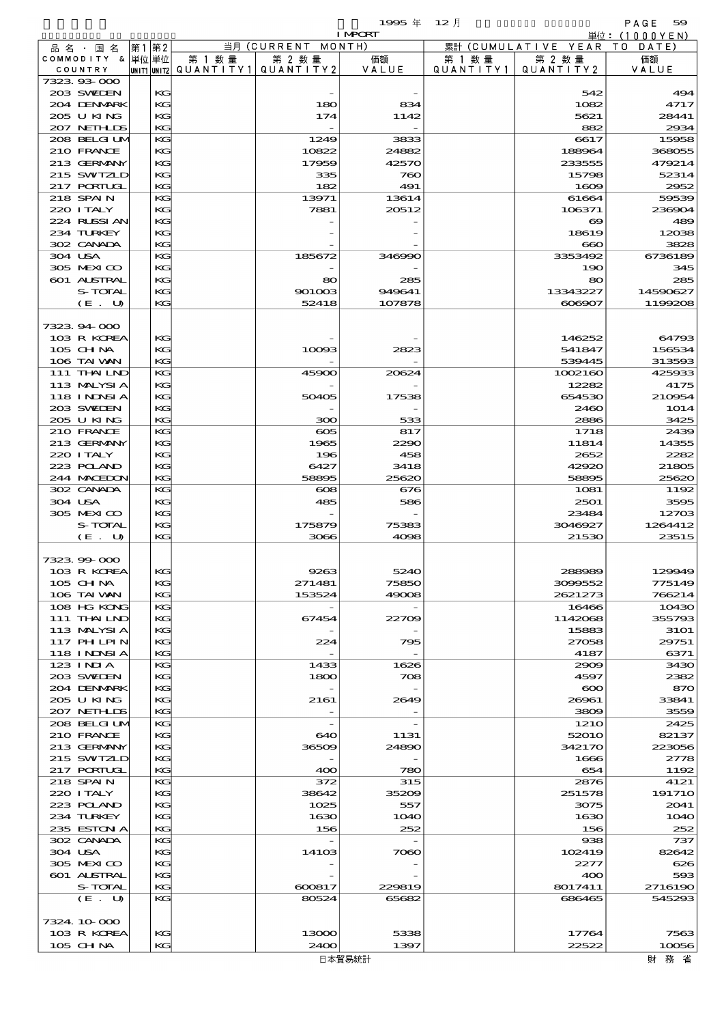$1995 \nsubseteq 12 \nexists$ 

|         |                             |    |          |        |                                                  | <b>I MPORT</b> |                      |                              | 単位:(1000YEN)        |
|---------|-----------------------------|----|----------|--------|--------------------------------------------------|----------------|----------------------|------------------------------|---------------------|
|         | 品 名 ・ 国 名                   | 第1 | 第2       |        | 当月 (CURRENT MONTH)                               |                |                      | 累計 (CUMULATIVE YEAR TO DATE) |                     |
|         | COMMODITY & 単位単位<br>COUNTRY |    |          | 第 1 数量 | 第 2 数量<br> UNIT1 UNIT2  QUANT   TY1  QUANT   TY2 | 価額<br>VALUE    | 第 1 数 量<br>QUANTITY1 | 第 2 数量<br>QUANTITY 2         | 価額<br>VALUE         |
|         | 732393000                   |    |          |        |                                                  |                |                      |                              |                     |
|         | 203 SWIDEN                  |    | KG       |        |                                                  |                |                      | 542                          | 494                 |
|         | 204 DENMARK                 |    | KG       |        | 180                                              | 834            |                      | 1082                         | 4717                |
|         | 205 U KING                  |    | KG       |        | 174                                              | 1142           |                      | 5621                         | 28441               |
|         | 207 NETHLIS<br>208 BELGILM  |    | KG<br>KG |        | 1249                                             | 3833           |                      | 882<br>6617                  | 2934<br>15958       |
|         | 210 FRANCE                  |    | KG       |        | 10822                                            | 24882          |                      | 188964                       | 368055              |
|         | 213 GERMANY                 |    | KG       |        | 17959                                            | 42570          |                      | 233555                       | 479214              |
|         | 215 SWIZLD                  |    | KG       |        | 335                                              | 760            |                      | 15798                        | 52314               |
|         | 217 PORTUGL                 |    | KG       |        | 182                                              | 491            |                      | 1609                         | 2952                |
|         | 218 SPAIN<br>220 I TALY     |    | KG<br>KG |        | 13971<br>7881                                    | 13614<br>20512 |                      | 61664<br>106371              | 59539<br>236904     |
|         | 224 RUSSI AN                |    | KG       |        |                                                  |                |                      | $\infty$                     | 489                 |
|         | 234 TURKEY                  |    | KG       |        |                                                  |                |                      | 18619                        | 12038               |
|         | 302 CANADA                  |    | KG       |        |                                                  |                |                      | $\bf{60}$                    | 3828                |
| 304 USA |                             |    | KG       |        | 185672                                           | 346990         |                      | 3353492                      | 6736189             |
|         | 305 MEXICO                  |    | KG       |        |                                                  |                |                      | 190                          | 345                 |
|         | 601 ALSTRAL<br>S-TOTAL      |    | KG<br>KG |        | 80<br>901003                                     | 285<br>949641  |                      | 80<br>13343227               | 285<br>14590627     |
|         | (E. U)                      |    | KG       |        | 52418                                            | 107878         |                      | 606907                       | 1199208             |
|         |                             |    |          |        |                                                  |                |                      |                              |                     |
|         | 7323 94 000                 |    |          |        |                                                  |                |                      |                              |                     |
|         | 103 R KOREA                 |    | KG       |        |                                                  |                |                      | 146252                       | 64793               |
|         | $105$ CHNA<br>106 TAI VAN   |    | KG<br>KG |        | 10093                                            | 2823           |                      | 541847<br>539445             | 156534<br>313593    |
|         | 111 THAILND                 |    | KG       |        | 45900                                            | 20624          |                      | 1002160                      | 425933              |
|         | 113 MALYSIA                 |    | KG       |        |                                                  |                |                      | 12282                        | 4175                |
|         | <b>118 INNSIA</b>           |    | KG       |        | 50405                                            | 17538          |                      | 654530                       | 210954              |
|         | 203 SWIEN                   |    | KG       |        |                                                  |                |                      | 2460                         | 1O14                |
|         | 205 U KING                  |    | KG       |        | 300                                              | 533            |                      | 2886                         | 3425                |
|         | 210 FRANCE<br>213 GERMANY   |    | KG<br>KG |        | $\infty$<br>1965                                 | 817<br>2290    |                      | 1718<br>11814                | 2439<br>14355       |
|         | 220 I TALY                  |    | KG       |        | 196                                              | 458            |                      | 2652                         | 2282                |
|         | 223 POLAND                  |    | KG       |        | 6427                                             | 3418           |                      | 42920                        | 21805               |
|         | 244 MACEDON                 |    | KG       |        | 58895                                            | 25620          |                      | 58895                        | 25620               |
|         | 302 CANADA                  |    | KG       |        | $\infty$                                         | 676            |                      | 1081                         | 1192                |
| 304 USA | 305 MEXICO                  |    | KG<br>KG |        | 485                                              | 586            |                      | 2501<br>23484                | 3595<br>12703       |
|         | S-TOTAL                     |    | KG       |        | 175879                                           | 75383          |                      | 3046927                      | 1264412             |
|         | (E. U)                      |    | KG       |        | 3066                                             | 4098           |                      | 21530                        | 23515               |
|         |                             |    |          |        |                                                  |                |                      |                              |                     |
|         | 732399000                   |    |          |        |                                                  |                |                      |                              |                     |
|         | 103 R KOREA                 |    | KG<br>KG |        | 9263<br>271481                                   | 5240<br>75850  |                      | 288989                       | 129949<br>775149    |
|         | 105 CH NA<br>106 TAI VAN    |    | KG       |        | 153524                                           | 49008          |                      | 3099552<br>2621273           | 766214              |
|         | 108 HG KONG                 |    | KG       |        |                                                  |                |                      | 16466                        | 10430               |
|         | 111 THAILND                 |    | KG       |        | 67454                                            | 22709          |                      | 1142068                      | 355793              |
|         | 113 MALYSIA                 |    | KG       |        |                                                  |                |                      | 15883                        | <b>31O1</b>         |
|         | <b>117 PHLPIN</b>           |    | KG<br>KG |        | 224                                              | 795            |                      | 27058                        | 29751               |
|         | 118 INNSI A<br>$123$ INIA   |    | KG       |        | 1433                                             | 1626           |                      | 4187<br>2909                 | 6371<br>3430        |
|         | 203 SWIDEN                  |    | KG       |        | 1800                                             | 708            |                      | 4597                         | 2382                |
|         | 204 DENMARK                 |    | KG       |        |                                                  |                |                      | $\infty$                     | 870                 |
|         | 205 U KING                  |    | KG       |        | 2161                                             | 2649           |                      | 26961                        | 33841               |
|         | 207 NETHLIS                 |    | KG       |        |                                                  |                |                      | 3809                         | 3559                |
|         | 208 BELGI UM<br>210 FRANCE  |    | KG<br>KG |        | $\overline{\phantom{a}}$<br>640                  | 1131           |                      | <b>1210</b><br>52010         | 2425<br>82137       |
|         | 213 GERMANY                 |    | KG       |        | 36509                                            | 24890          |                      | 342170                       | 223056              |
|         | 215 SWIZLD                  |    | KG       |        |                                                  |                |                      | 1666                         | 2778                |
|         | 217 PORTUGL                 |    | KG       |        | 400                                              | 780            |                      | 654                          | 1192                |
|         | 218 SPAIN                   |    | KG       |        | 372                                              | 315            |                      | 2876                         | 4121                |
|         | 220 I TALY                  |    | KG<br>KG |        | 38642                                            | 35209          |                      | 251578                       | 191710              |
|         | 223 POLAND<br>234 TURKEY    |    | KG       |        | 1025<br>1630                                     | 557<br>1O4O    |                      | 3075<br>1630                 | 2041<br><b>1O4O</b> |
|         | 235 ESTON A                 |    | KG       |        | 156                                              | 252            |                      | 156                          | 252                 |
|         | 302 CANADA                  |    | KG       |        |                                                  |                |                      | 938                          | 737                 |
| 304 USA |                             |    | KG       |        | 14103                                            | 7060           |                      | 102419                       | 82642               |
|         | 305 MEXICO                  |    | KG<br>KG |        |                                                  |                |                      | 2277                         | 626<br>593          |
|         | 601 ALSTRAL<br>S-TOTAL      |    | KG       |        | 600817                                           | 229819         |                      | 400<br>8017411               | 2716190             |
|         | (E. U)                      |    | KG       |        | 80524                                            | 65682          |                      | 686465                       | 545293              |
|         |                             |    |          |        |                                                  |                |                      |                              |                     |
|         | 7324.10.000                 |    |          |        |                                                  |                |                      |                              |                     |
|         | 103 R KOREA                 |    | KG       |        | 13000                                            | 5338           |                      | 17764                        | 7563                |
|         | 105 CH NA                   |    | KG       |        | 2400                                             | 1397           |                      | 22522                        | 10056               |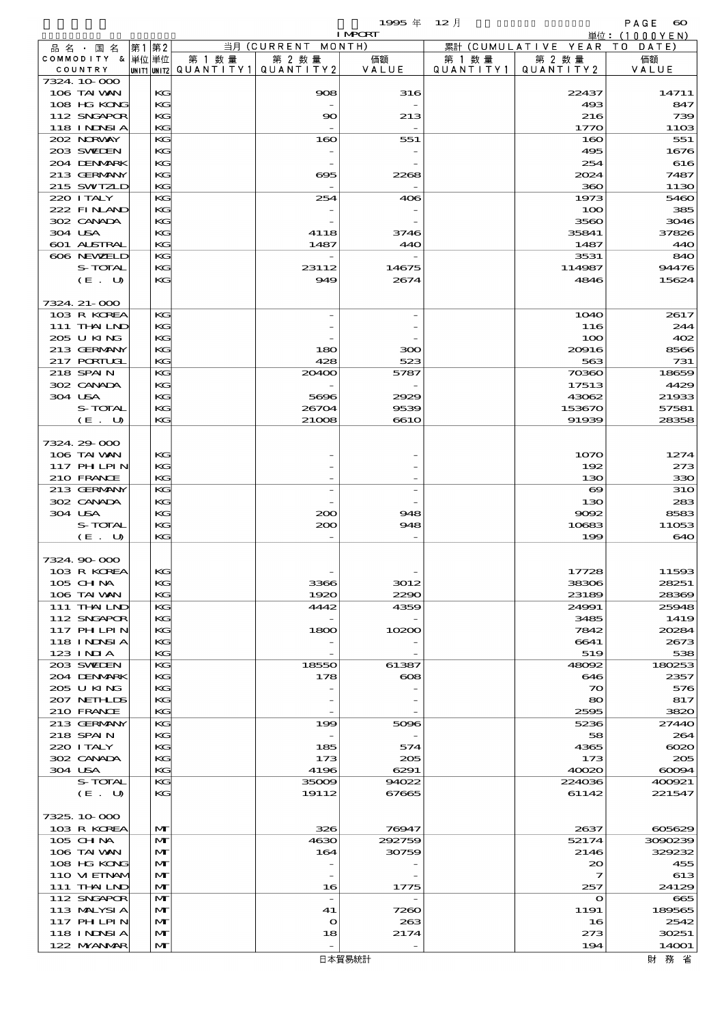- 1999年 12月 - PAGE 60<br>Training - Hotel Maria (Financial) 600<br>単位:(1000YEN)

|                   |              |                                       |                          | <b>I MPORT</b>        |           |                       | 単位: (1000 Y E N) |
|-------------------|--------------|---------------------------------------|--------------------------|-----------------------|-----------|-----------------------|------------------|
| 品名・国名             | 第1第2         |                                       | 当月 (CURRENT              | MONTH)                |           | 累計 (CUMULATIVE YEAR   | T O<br>DATE      |
| COMMODITY & 単位単位  |              | 第 1 数量                                | 第 2 数量                   | 価額                    | 第 1 数 量   | 第 2 数量                | 価額               |
| COUNTRY           |              | unit1 unit2  QUANT   TY1  QUANT   TY2 |                          | VALUE                 | QUANTITY1 | QUANTITY2             | VALUE            |
| 7324 10 000       |              |                                       |                          |                       |           |                       |                  |
| 106 TAI VAN       | KG           |                                       | 908                      | 316                   |           | 22437                 | 14711            |
| 108 HG KONG       | KG           |                                       |                          |                       |           | 493                   | 847              |
| 112 SNGAPOR       | KG           |                                       | $\infty$                 | 213                   |           | 216                   | 739              |
| <b>118 INNSIA</b> | KG           |                                       |                          |                       |           | 1770                  | 11O <sub>3</sub> |
| 202 NORWAY        | KG           |                                       | 160                      | 551                   |           | 160                   | 551              |
| 203 SWIEN         | KG           |                                       |                          |                       |           | 495                   | 1676             |
| 204 DENMARK       | KG           |                                       |                          |                       |           | 254                   | 616              |
| 213 GERMANY       | KG           |                                       | ഒട                       | 2268                  |           | 2024                  | 7487             |
| 215 SWIZLD        | KG           |                                       |                          |                       |           | 360                   | 1130             |
| 220 I TALY        | KG           |                                       | 254                      | 406                   |           | 1973                  | 5460             |
| 222 FINAND        | KG           |                                       |                          |                       |           | 100                   | 385              |
| 302 CANADA        | KG           |                                       |                          |                       |           | 3560                  | 3046             |
| 304 USA           | KG           |                                       | 4118                     | 3746                  |           | 35841                 | 37826            |
| 601 ALSTRAL       | KG           |                                       | 1487                     | 440                   |           | 1487                  | 440              |
| 606 NEWELD        | KG           |                                       |                          |                       |           | 3531                  | 840              |
| S-TOTAL           | KG           |                                       | 23112                    | 14675                 |           | 114987                | 94476            |
| (E. U)            | KG           |                                       | 949                      | 2674                  |           | 4846                  | 15624            |
|                   |              |                                       |                          |                       |           |                       |                  |
| 7324. 21-000      |              |                                       |                          |                       |           |                       |                  |
| 103 R KOREA       |              |                                       |                          |                       |           |                       |                  |
|                   | KG           |                                       |                          |                       |           | <b>1O4O</b>           | 2617             |
| 111 THAILND       | KG           |                                       |                          |                       |           | 116                   | 244              |
| 205 U KING        | KG           |                                       |                          |                       |           | 100                   | 402              |
| 213 GERMANY       | KG           |                                       | 180                      | 300                   |           | 20916                 | 8566             |
| 217 PORTUGL       | KG           |                                       | 428                      | 523                   |           | 563                   | 731              |
| 218 SPAIN         | KG           |                                       | 20400                    | 5787                  |           | 70360                 | 18659            |
| 302 CANADA        | KG           |                                       |                          |                       |           | 17513                 | 4429             |
| 304 USA           | KG           |                                       | 5696                     | 2929                  |           | 43062                 | 21933            |
| S-TOTAL           | KG           |                                       | 26704                    | 9539                  |           | 153670                | 57581            |
| (E. U)            | KG           |                                       | 21008                    | 6610                  |           | 91939                 | 28358            |
|                   |              |                                       |                          |                       |           |                       |                  |
| 7324.29-000       |              |                                       |                          |                       |           |                       |                  |
| 106 TAI VAN       | KG           |                                       |                          |                       |           | 1070                  | 1274             |
| <b>117 PHLPIN</b> | KG           |                                       |                          |                       |           | 192                   | 273              |
| 210 FRANCE        | KG           |                                       |                          |                       |           | 130                   | 330              |
| 213 GERMANY       | KG           |                                       |                          |                       |           | $\boldsymbol{\infty}$ | <b>31O</b>       |
| 302 CANADA        | KG           |                                       |                          |                       |           | 130                   | 283              |
| 304 USA           | KG           |                                       | 200                      | 948                   |           | 9092                  | 8583             |
| S-TOTAL           | KG           |                                       | 200                      | 948                   |           | 10683                 | 11053            |
| (E. U)            | KG           |                                       |                          |                       |           | 199                   | 640              |
|                   |              |                                       |                          |                       |           |                       |                  |
| 7324.90.000       |              |                                       |                          |                       |           |                       |                  |
| 103 R KOREA       | KG.          |                                       |                          |                       |           | 17728                 | 11593            |
| 105 CH NA         | KG           |                                       | 3366                     | 3012                  |           | 38306                 | 28251            |
| 106 TAI VAN       | KG           |                                       | 1920                     | 2290                  |           | 23189                 | 28369            |
| 111 THAILND       | KG           |                                       | 4442                     | 4359                  |           | 24991                 | 25948            |
| 112 SNGAPOR       | КG           |                                       |                          |                       |           | 3485                  | 1419             |
| 117 PH LPIN       | KG           |                                       | 1800                     | 10200                 |           | 7842                  | 20284            |
| <b>118 INNSIA</b> | KG           |                                       |                          |                       |           | 6641                  | 2673             |
| $123$ INIA        | KG           |                                       |                          |                       |           | 519                   | 538              |
| 203 SWIDEN        | KG           |                                       | 18550                    | 61387                 |           | 48092                 | 180253           |
| 204 DENMARK       | КG           |                                       | 178                      | $\boldsymbol{\alpha}$ |           | 646                   | 2357             |
| 205 U KING        | KG           |                                       |                          |                       |           | $\infty$              | 576              |
| 207 NETHLIS       | KG           |                                       |                          |                       |           | 80                    | 817              |
| 210 FRANCE        | KG           |                                       |                          |                       |           | 2595                  | 3820             |
|                   |              |                                       |                          |                       |           |                       |                  |
| 213 GERMANY       | KG           |                                       | 199                      | 5096                  |           | 5236                  | 27440            |
| 218 SPAIN         | КG           |                                       |                          |                       |           | 58                    | 264              |
| 220 I TALY        | KG           |                                       | 185                      | 574                   |           | 4365                  | $\infty$         |
| 302 CANADA        | KG           |                                       | 173                      | 205                   |           | 173                   | 205              |
| 304 USA           | KG           |                                       | 4196                     | 6291                  |           | 40020                 | 60094            |
| S-TOTAL           | KG           |                                       | 35009                    | 94022                 |           | 224036                | 400921           |
| (E. U)            | KG           |                                       | 19112                    | 67665                 |           | 61142                 | 221547           |
|                   |              |                                       |                          |                       |           |                       |                  |
| 7325, 10,000      |              |                                       |                          |                       |           |                       |                  |
| 103 R KOREA       | $\mathbf{M}$ |                                       | 326                      | 76947                 |           | 2637                  | 605629           |
| 105 CH NA         | $\mathbf{M}$ |                                       | 4630                     | 292759                |           | 52174                 | 3090239          |
| 106 TAI VAN       | $\mathbf{M}$ |                                       | 164                      | 30759                 |           | 2146                  | 329232           |
| 108 HG KONG       | $\mathbf{M}$ |                                       |                          |                       |           | $\infty$              | 455              |
| 110 VIEINAM       | $\mathbf{M}$ |                                       | $\qquad \qquad -$        |                       |           | 7                     | 613              |
| 111 THAILND       | $\mathbf{M}$ |                                       | 16                       | 1775                  |           | 257                   | 24129            |
| 112 SNGAPOR       | M            |                                       | $\overline{\phantom{a}}$ |                       |           | $\mathbf o$           | 665              |
| 113 MALYSIA       | M            |                                       | 41                       | 7260                  |           | 1191                  | 189565           |
| 117 PH LPIN       | $\mathbf{M}$ |                                       | $\bullet$                | 263                   |           | 16                    | 2542             |
| 118 I NINSI A     | $\mathbf{M}$ |                                       | 18                       | 2174                  |           | 273                   | 30251            |
| 122 NYANAR        | $\mathbf{M}$ |                                       |                          |                       |           | 194                   | 14001            |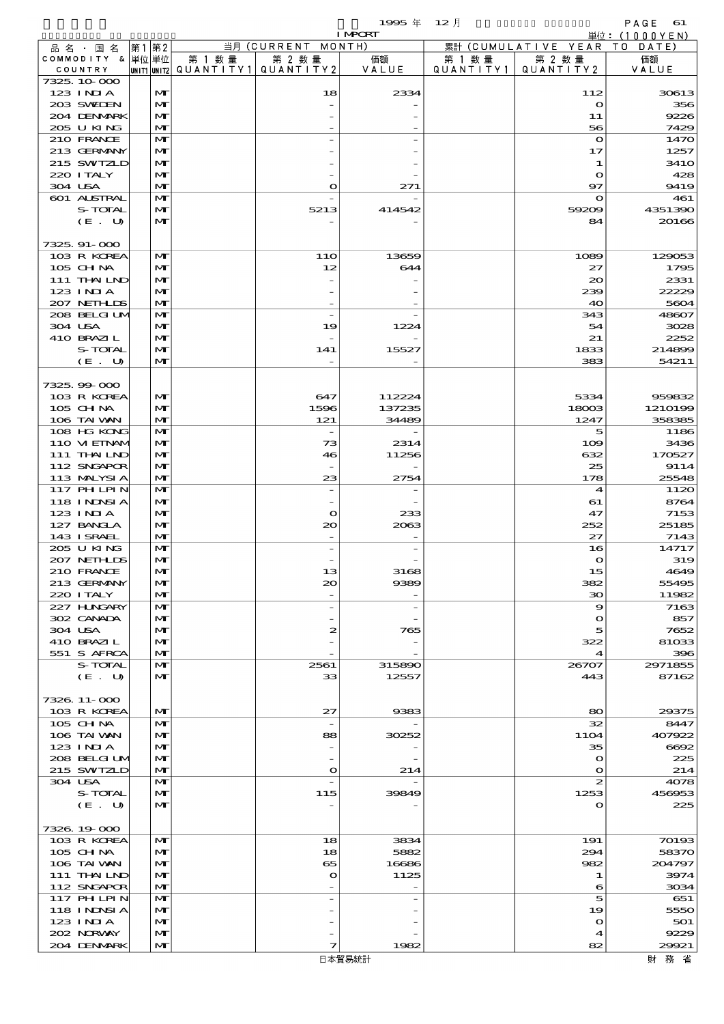$1995 \nsubseteq 12 \nexists$ 

|                             |                              |        |                                                  | <b>I MPCRT</b>   |         |                                 | 単位: (1000YEN)     |
|-----------------------------|------------------------------|--------|--------------------------------------------------|------------------|---------|---------------------------------|-------------------|
| 品名・国名                       | 第1 第2                        |        | 当月 (CURRENT MONTH)                               |                  |         | 累計 (CUMULATIVE YEAR TO DATE)    |                   |
| COMMODITY & 単位単位<br>COUNTRY |                              | 第 1 数量 | 第 2 数量<br> UNIT1 UNIT2  QUANT   TY1  QUANT   TY2 | 価額<br>VALUE      | 第 1 数 量 | 第 2 数量<br>QUANTITY1   QUANTITY2 | 価額<br>VALUE       |
| 7325, 10,000                |                              |        |                                                  |                  |         |                                 |                   |
| $123$ INIA                  | $\mathbf{M}$                 |        | 18                                               | 2334             |         | 112                             | 30613             |
| 203 SWIEN                   | $\mathbf{M}$                 |        |                                                  |                  |         | $\mathbf{o}$                    | 356               |
| 204 DENMARK<br>205 U KING   | M<br>$\mathbf{M}$            |        |                                                  |                  |         | 11<br>56                        | 9226<br>7429      |
| 210 FRANCE                  | M                            |        |                                                  |                  |         | $\mathbf{\Omega}$               | 1470              |
| 213 GERMANY                 | M                            |        |                                                  |                  |         | 17                              | 1257              |
| 215 SWIZLD                  | $\mathbf{M}$                 |        |                                                  |                  |         | 1                               | 341O              |
| 220 I TALY                  | $\mathbf{M}$                 |        |                                                  |                  |         | $\mathbf{\Omega}$               | 428               |
| 304 USA<br>601 ALSTRAL      | M<br>M                       |        | $\bullet$                                        | 271              |         | 97<br>$\mathbf{\Omega}$         | 9419<br>461       |
| S-TOTAL                     | M                            |        | 5213                                             | 414542           |         | 59209                           | 4351390           |
| (E. U)                      | $\mathbf{M}$                 |        |                                                  |                  |         | 84                              | 20166             |
|                             |                              |        |                                                  |                  |         |                                 |                   |
| 7325.91-000                 |                              |        |                                                  |                  |         |                                 |                   |
| 103 R KOREA<br>105 CH NA    | M<br>$\mathbf{M}$            |        | 11O<br>12                                        | 13659<br>644     |         | 1089<br>27                      | 129053<br>1795    |
| 111 THAILND                 | $\mathbf{M}$                 |        |                                                  |                  |         | $\infty$                        | 2331              |
| $123$ INJA                  | $\mathbf{M}$                 |        |                                                  |                  |         | 239                             | 22229             |
| 207 NETHLIS                 | $\mathbf{M}$                 |        |                                                  |                  |         | 40                              | 5604              |
| 208 BELGI UM                | $\mathbf{M}$                 |        | $\overline{a}$                                   |                  |         | 343                             | 48607             |
| 304 USA<br>410 BRAZIL       | M<br>$\mathbf{M}$            |        | 19                                               | 1224             |         | 54<br>21                        | 3028<br>2252      |
| S-TOTAL                     | M                            |        | 141                                              | 15527            |         | 1833                            | 214899            |
| (E. U)                      | $\mathbf{M}$                 |        |                                                  |                  |         | 383                             | 54211             |
|                             |                              |        |                                                  |                  |         |                                 |                   |
| 7325.99-000                 |                              |        |                                                  |                  |         |                                 |                   |
| 103 R KOREA<br>105 CH NA    | $\mathbf{M}$<br>M            |        | 647<br>1596                                      | 112224<br>137235 |         | 5334<br>18003                   | 959832<br>1210199 |
| 106 TAI VAN                 | M                            |        | 121                                              | 34489            |         | 1247                            | 358385            |
| 108 HG KONG                 | $\mathbf{M}$                 |        | $\overline{\phantom{a}}$                         |                  |         | 5                               | 1186              |
| 110 VI EINAM                | $\mathbf{M}$                 |        | 73                                               | 2314             |         | 109                             | 3436              |
| 111 THAILND                 | $\mathbf{M}$                 |        | 46                                               | 11256            |         | 632                             | 170527            |
| 112 SNGAPOR<br>113 MALYSIA  | M<br>$\mathbf{M}$            |        | 23                                               | 2754             |         | 25<br>178                       | 9114<br>25548     |
| 117 PHLPIN                  | $\mathbf{M}$                 |        |                                                  |                  |         | 4                               | 1120              |
| 118 INNSI A                 | $\mathbf{M}$                 |        |                                                  |                  |         | 61                              | 8764              |
| 123 INIA                    | $\mathbf{M}$                 |        | $\bullet$                                        | 233              |         | 47                              | 7153              |
| 127 BANCLA                  | M                            |        | 20                                               | 2063             |         | 252                             | 25185             |
| 143 I SRAEL<br>205 U KING   | M<br>$\mathbf{M}$            |        |                                                  |                  |         | 27<br>16                        | 7143<br>14717     |
| 207 NETHLIS                 | M                            |        |                                                  |                  |         | $\mathbf{o}$                    | 319               |
| 210 FRANCE                  | $\mathbf{M}$                 |        | 13                                               | 3168             |         | 15                              | 4649              |
| 213 GERMANY                 | M                            |        | $\infty$                                         | 9389             |         | 382                             | 55495             |
| 220 I TALY<br>227 HNGARY    | M<br>$\mathbf{M}$            |        | $\overline{\phantom{a}}$                         |                  |         | 30<br>9                         | 11982<br>7163     |
| 302 CANADA                  | $\mathbf{M}$                 |        |                                                  |                  |         | $\Omega$                        | 857               |
| 304 USA                     | $\mathbf{M}$                 |        | 2                                                | 765              |         | 5                               | 7652              |
| 410 BRAZIL                  | M                            |        |                                                  |                  |         | 322                             | 81033             |
| 551 S AFRCA                 | M                            |        |                                                  |                  |         | 4                               | 396               |
| S-TOTAL<br>(E. U)           | M<br>$\mathbf{M}$            |        | 2561<br>33                                       | 315890<br>12557  |         | 26707<br>443                    | 2971855<br>87162  |
|                             |                              |        |                                                  |                  |         |                                 |                   |
| 7326, 11-000                |                              |        |                                                  |                  |         |                                 |                   |
| 103 R KOREA                 | $\mathbf{M}$                 |        | 27                                               | 9383             |         | 80                              | 29375             |
| 105 CH NA                   | $\mathbf{M}$                 |        | $\overline{\phantom{a}}$                         |                  |         | 32                              | 8447              |
| 106 TAI VAN<br>123 INIA     | M<br>$\mathbf{M}$            |        | 88                                               | 30252            |         | <b>11O4</b><br>35               | 407922<br>6692    |
| 208 BELGI UM                | $\mathbf{M}$                 |        |                                                  |                  |         | $\mathbf o$                     | 225               |
| 215 SWIZLD                  | $\mathbf{M}$                 |        | $\bullet$                                        | 214              |         | $\Omega$                        | 214               |
| 304 USA                     | $\mathbf{M}$                 |        |                                                  |                  |         | 2                               | 4078              |
| S-TOTAL<br>(E. U)           | $\mathbf{M}$<br>$\mathbf{M}$ |        | 115                                              | 39849            |         | 1253<br>$\mathbf{o}$            | 456953<br>225     |
|                             |                              |        |                                                  |                  |         |                                 |                   |
| 7326, 19-000                |                              |        |                                                  |                  |         |                                 |                   |
| 103 R KOREA                 | $\mathbf{M}$                 |        | 18                                               | 3834             |         | 191                             | 70193             |
| $105$ CHNA                  | M                            |        | 18                                               | 5882             |         | 294                             | 58370             |
| 106 TAI VAN<br>111 THAILND  | M<br>M                       |        | 65<br>$\mathbf o$                                | 16686<br>1125    |         | 982<br>1                        | 204797<br>3974    |
| 112 SNGAPOR                 | $\mathbf{M}$                 |        |                                                  |                  |         | 6                               | 3034              |
| 117 PHLPIN                  | $\mathbf{M}$                 |        |                                                  |                  |         | 5                               | 651               |
| 118 I NDSI A                | $\mathbf{M}$                 |        |                                                  |                  |         | 19                              | 5550              |
| 123 INIA<br>202 NORVAY      | $\mathbf{M}$<br>$\mathbf{M}$ |        |                                                  |                  |         | $\mathbf o$                     | 501<br>9229       |
| 204 DENMARK                 | $\mathbf{M}$                 |        | 7                                                | 1982             |         | 4<br>82                         | 29921             |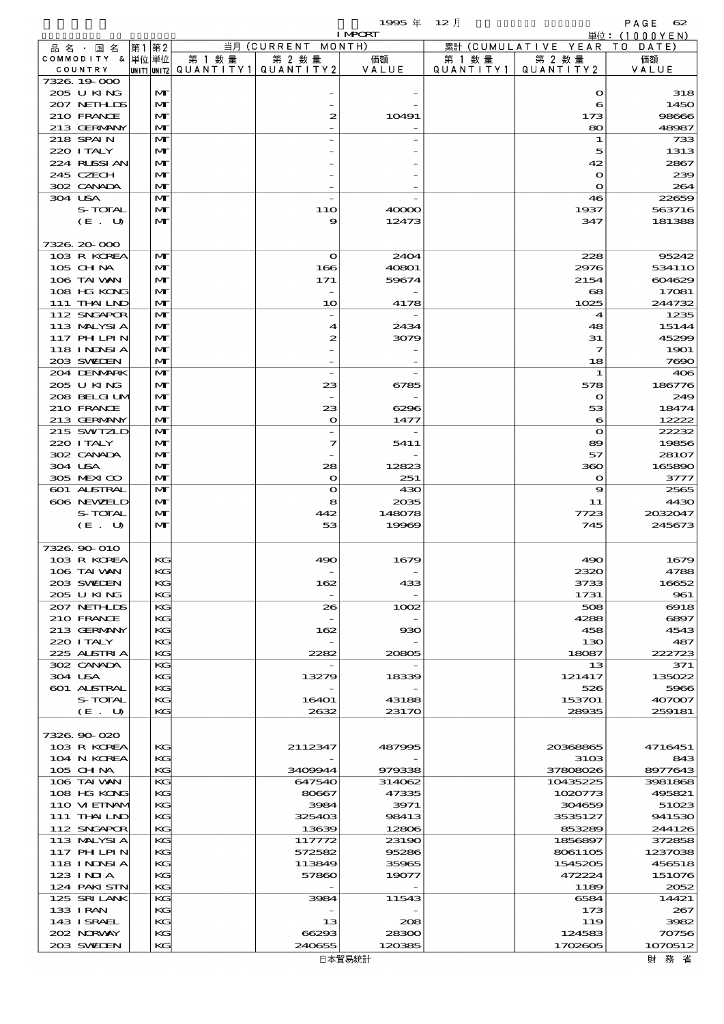$1995 \nleftrightarrow 12 \nparallel$  PAGE 62

|                            |                              |        |                                       | <b>I MPCRT</b> |           |                              | 単位: (1000YEN)     |
|----------------------------|------------------------------|--------|---------------------------------------|----------------|-----------|------------------------------|-------------------|
| 品名・国名                      | 第1 第2                        |        | 当月 (CURRENT MONTH)                    |                |           | 累計 (CUMULATIVE YEAR TO DATE) |                   |
| COMMODITY & 単位単位           |                              | 第 1 数量 | 第 2 数量                                | 価額<br>VALUE    | 第 1 数 量   | 第 2 数量<br>QUANTITY 2         | 価額                |
| COUNTRY<br>7326, 19000     |                              |        | UNIT1 UNIT2  QUANT I TY1  QUANT I TY2 |                | QUANTITY1 |                              | VALUE             |
| 205 U KING                 | M                            |        |                                       |                |           | $\mathbf o$                  | 318               |
| 207 NETHLIS                | $\mathbf{M}$                 |        |                                       |                |           | 6                            | 1450              |
| 210 FRANCE                 | M                            |        | 2                                     | 10491          |           | 173                          | 98666             |
| 213 GERMANY                | $\mathbf{M}$                 |        |                                       |                |           | 80                           | 48987             |
| 218 SPAIN<br>220 I TALY    | M<br>M                       |        |                                       |                |           | 1<br>5                       | 733<br>1313       |
| 224 RUSSIAN                | $\mathbf{M}$                 |        |                                       |                |           | 42                           | 2867              |
| 245 CZECH                  | M                            |        |                                       |                |           | $\mathbf o$                  | 239               |
| 302 CANADA                 | $\mathbf{M}$                 |        |                                       |                |           | $\mathbf o$                  | 264               |
| 304 USA                    | M                            |        |                                       |                |           | 46                           | 22659             |
| S-TOTAL                    | M                            |        | 11O                                   | 40000          |           | 1937                         | 563716            |
| (E. U)                     | $\mathbf{M}$                 |        | 9                                     | 12473          |           | 347                          | 181388            |
| 7326.20-000                |                              |        |                                       |                |           |                              |                   |
| 103 R KOREA                | M                            |        | $\mathbf{o}$                          | 2404           |           | 228                          | 95242             |
| 105 CH NA                  | M                            |        | 166                                   | 40801          |           | 2976                         | 53411O            |
| 106 TAI VAN                | $\mathbf{M}$                 |        | 171                                   | 59674          |           | 2154                         | 604629            |
| 108 HG KONG                | M                            |        | $\overline{\phantom{a}}$              |                |           | 68                           | 17081             |
| 111 THAILND<br>112 SNGAPOR | $\mathbf{M}$<br>$\mathbf{M}$ |        | 10                                    | 4178           |           | 1025                         | 244732<br>1235    |
| 113 MALYSIA                | M                            |        | 4                                     | 2434           |           | 4<br>48                      | 15144             |
| 117 PHLPIN                 | $\mathbf{M}$                 |        | 2                                     | 3079           |           | 31                           | 45299             |
| <b>118 INNSIA</b>          | M                            |        |                                       |                |           | 7                            | 1901              |
| 203 SWIEN                  | $\mathbf{M}$                 |        |                                       |                |           | 18                           | 7690              |
| 204 DENMARK                | M                            |        | $\overline{\phantom{a}}$              |                |           | 1                            | 406               |
| 205 U KING<br>208 BELGI UM | $\mathbf{M}$                 |        | 23                                    | 6785           |           | 578<br>$\mathbf{o}$          | 186776            |
| 210 FRANCE                 | $\mathbf{M}$<br>M            |        | 23                                    | 6296           |           | 53                           | 249<br>18474      |
| 213 GERMANY                | $\mathbf{M}$                 |        | $\Omega$                              | 1477           |           | 6                            | 12222             |
| 215 SWIZLD                 | $\mathbf{M}$                 |        |                                       |                |           | $\bullet$                    | 22232             |
| 220 I TALY                 | $\mathbf{M}$                 |        | 7                                     | 5411           |           | 89                           | 19856             |
| 302 CANADA                 | $\mathbf{M}$                 |        |                                       |                |           | 57                           | 28107             |
| 304 USA                    | M                            |        | 28                                    | 12823          |           | 360                          | 165890            |
| 305 MEXICO                 | $\mathbf{M}$                 |        | $\Omega$                              | 251            |           | $\mathbf o$                  | 3777              |
| 601 ALSTRAL<br>606 NEWELD  | M<br>$\mathbf{M}$            |        | $\Omega$<br>8                         | 430<br>2035    |           | 9<br>11                      | 2565<br>4430      |
| S-TOTAL                    | M                            |        | 442                                   | 148078         |           | 7723                         | 2032047           |
| (E. U)                     | $\mathbf{M}$                 |        | 53                                    | 19969          |           | 745                          | 245673            |
|                            |                              |        |                                       |                |           |                              |                   |
| 7326.90-010                |                              |        |                                       |                |           |                              |                   |
| 103 R KOREA                | KG                           |        | 490                                   | 1679           |           | 490                          | 1679              |
| 106 TAI VAN<br>203 SWIDEN  | KG<br>KG                     |        | 162                                   | 433            |           | 2320<br>3733                 | 4788<br>16652     |
| 205 U KING                 | KG                           |        |                                       |                |           | 1731                         | 961               |
| 207 NETHLIS                | KG                           |        | 26                                    | 1002           |           | 508                          | 6918              |
| 210 FRANCE                 | KG                           |        |                                       |                |           | 4288                         | 6897              |
| 213 GERMANY                | KG                           |        | 162                                   | 930            |           | 458                          | 4543              |
| 220 I TALY                 | KG                           |        |                                       |                |           | 130                          | 487               |
| 225 ALSTRIA                | KG                           |        | 2282                                  | 20805          |           | 18087                        | 222723            |
| 302 CANADA<br>304 USA      | KG<br>KG                     |        | 13279                                 | 18339          |           | 13<br>121417                 | 371<br>135022     |
| 601 ALSTRAL                | KC                           |        |                                       |                |           | 526                          | 5966              |
| S-TOTAL                    | KG                           |        | 16401                                 | 43188          |           | 153701                       | 407007            |
| (E. U)                     | KG                           |        | 2632                                  | 23170          |           | 28935                        | 259181            |
|                            |                              |        |                                       |                |           |                              |                   |
| 7326.90-020                |                              |        |                                       |                |           |                              |                   |
| 103 R KOREA<br>104 N KOREA | KG<br>KG                     |        | 2112347                               | 487995         |           | 20368865<br>3103             | 4716451<br>843    |
| $105$ CHNA                 | KG                           |        | 3409944                               | 979338         |           | 37808026                     | 8977643           |
| 106 TAI VAN                | KG                           |        | 647540                                | 314062         |           | 10435225                     | 3981868           |
| 108 HG KONG                | KG                           |        | 80667                                 | 47335          |           | 1020773                      | 495821            |
| 110 VIEINAM                | KG                           |        | 3984                                  | 3971           |           | 304659                       | 51023             |
| 111 THAILND                | KG                           |        | 325403                                | 98413          |           | 3535127                      | 941530            |
| 112 SNGAPOR                | KG                           |        | 13639                                 | 12806          |           | 853289                       | 244126            |
| 113 MALYSIA<br>117 PHLPIN  | KG<br>KG                     |        | 117772<br>572582                      | 23190<br>95286 |           | 1856897<br>8061105           | 372858<br>1237038 |
| 118 INNSI A                | KG                           |        | 113849                                | 35965          |           | 1545205                      | 456518            |
| 123 INIA                   | KG                           |        | 57860                                 | 19077          |           | 472224                       | 151076            |
| 124 PAKISTN                | KG                           |        |                                       |                |           | 1189                         | 2052              |
| 125 SRILANK                | KG                           |        | 3984                                  | 11543          |           | 6584                         | 14421             |
| 133 I RAN                  | KG                           |        |                                       |                |           | 173                          | 267               |
| 143 ISRAEL                 | KG                           |        | 13                                    | 208            |           | 119                          | 3982              |
| 202 NORWAY                 | KG                           |        | 66293                                 | 28300          |           | 124583                       | 70756             |
| 203 SWIDEN                 | KG                           |        | 240655                                | 120385         |           | 1702605                      | 1070512           |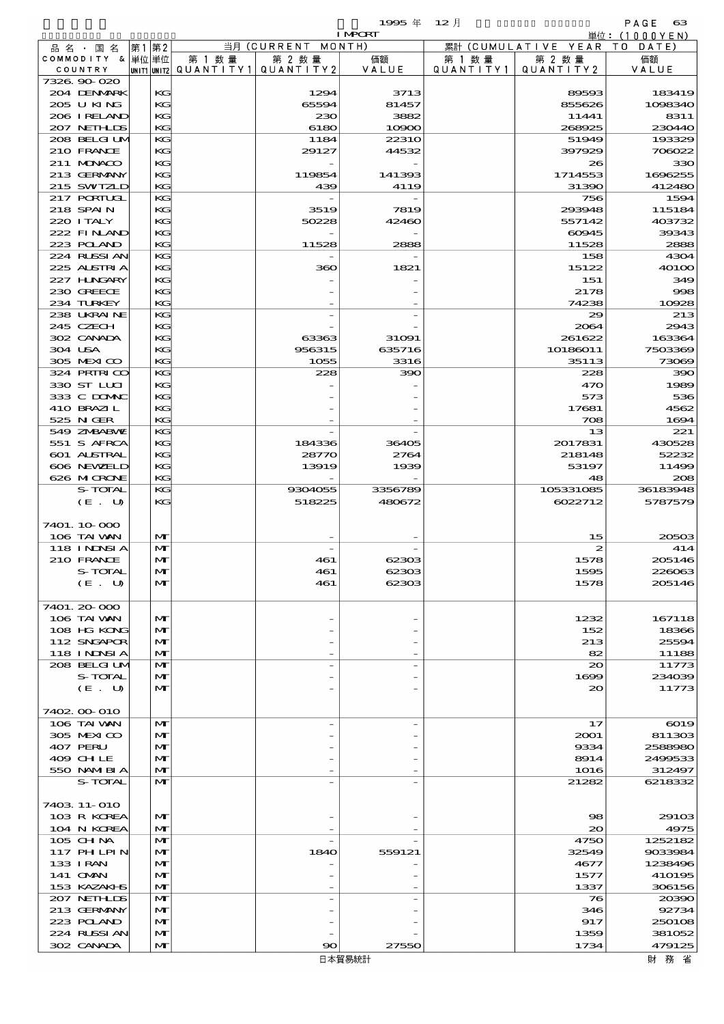## $1995 \nsubseteq 12 \nexists$

|                             |    |                   |                                       |               | <b>I MPCRT</b>    |                   |                              | 単位: (1000 Y E N)  |
|-----------------------------|----|-------------------|---------------------------------------|---------------|-------------------|-------------------|------------------------------|-------------------|
| 品 名 ・ 国 名                   | 第1 | 第2                |                                       | 当月 (CURRENT   | MONTH)            |                   | 累計 (CUMULATIVE YEAR TO DATE) |                   |
| COMMODITY & 単位単位            |    |                   | 第 1 数量                                | 第 2 数量        | 価額                | 第 1 数 量           | 第 2 数量<br>QUANTITY2          | 価額                |
| COUNTRY<br>7326.90-020      |    |                   | UNIT1 UNIT2  Q∪ANT   TY1  Q∪ANT   TY2 |               | VALUE             | Q U A N T I T Y 1 |                              | VALUE             |
| 204 DENMARK                 |    | KG                |                                       | 1294          | 3713              |                   | 89593                        | 183419            |
| 205 U KING                  |    | KG                |                                       | 65594         | 81457             |                   | 855626                       | 1098340           |
| 206 IRELAND                 |    | KG                |                                       | 230           | 3882              |                   | 11441                        | 8311              |
| 207 NETHLIS                 |    | KG                |                                       | 6180          | 10900             |                   | 268925                       | 230440            |
| 208 BELGI UM                |    | KG                |                                       | 1184          | 22310             |                   | 51949                        | 193329            |
| 210 FRANCE                  |    | KG                |                                       | 29127         | 44532             |                   | 397929                       | 706022            |
| 211 MONACO<br>213 GERMANY   |    | KG<br>KG          |                                       |               |                   |                   | 26<br>1714553                | 330<br>1696255    |
| 215 SWIZLD                  |    | KG                |                                       | 119854<br>439 | 141393<br>4119    |                   | 31390                        | 412480            |
| 217 PORTUGL                 |    | KG                |                                       |               |                   |                   | 756                          | 1594              |
| 218 SPAIN                   |    | KG                |                                       | 3519          | 7819              |                   | 293948                       | 115184            |
| 220 I TALY                  |    | KG                |                                       | 50228         | 42460             |                   | 557142                       | 403732            |
| 222 FINAND                  |    | KG                |                                       |               |                   |                   | 60945                        | 39343             |
| 223 POLAND                  |    | KG                |                                       | 11528         | 2888              |                   | 11528                        | 2888              |
| 224 RUSSI AN                |    | KG                |                                       |               |                   |                   | 158                          | 4304              |
| 225 ALSTRIA                 |    | KG                |                                       | 360           | 1821              |                   | 15122                        | 40100             |
| 227 H.NGARY<br>230 GREECE   |    | KG<br>KG          |                                       |               |                   |                   | 151<br>2178                  | 349<br>998        |
| 234 TURKEY                  |    | KG                |                                       |               |                   |                   | 74238                        | 10928             |
| 238 UKRAINE                 |    | KG                |                                       |               |                   |                   | 29                           | 213               |
| 245 CZECH                   |    | KG                |                                       |               |                   |                   | 2064                         | 2943              |
| 302 CANADA                  |    | KG                |                                       | 63363         | 31091             |                   | 261622                       | 163364            |
| 304 USA                     |    | KG                |                                       | 956315        | 635716            |                   | 10186011                     | 7503369           |
| 305 MEXICO                  |    | KG                |                                       | 1055          | 3316              |                   | 35113                        | 73069             |
| 324 PRIRICO                 |    | KG                |                                       | 228           | 390               |                   | 228                          | 390               |
| 330 ST LLCI                 |    | KG                |                                       |               |                   |                   | 470                          | 1989              |
| 333 C DOMAC<br>410 BRAZIL   |    | KG<br>KG          |                                       |               |                   |                   | 573<br>17681                 | 536<br>4562       |
| 525 N GER                   |    | KG                |                                       |               |                   |                   | 708                          | 1694              |
| 549 ZNBABVE                 |    | KG                |                                       |               |                   |                   | 13                           | 221               |
| 551 S AFRCA                 |    | KG                |                                       | 184336        | 36405             |                   | 2017831                      | 430528            |
| 601 ALSTRAL                 |    | KG                |                                       | 28770         | 2764              |                   | 218148                       | 52232             |
| 606 NEWELD                  |    | KG                |                                       | 13919         | 1939              |                   | 53197                        | 11499             |
| 626 MICRONE                 |    | KG                |                                       |               |                   |                   | 48                           | 208               |
| S-TOTAL                     |    | KG                |                                       | 9304055       | 3356789<br>480672 |                   | 105331085                    | 36183948          |
| (E. U)                      |    | KG                |                                       | 518225        |                   |                   | 6022712                      | 5787579           |
| 7401.10.000                 |    |                   |                                       |               |                   |                   |                              |                   |
| 106 TAI VAN                 |    | $\mathbf{M}$      |                                       |               |                   |                   | 15                           | 20503             |
| 118 I NJNSI A               |    | $\mathbf{M}$      |                                       |               |                   |                   | 2                            | 414               |
| 210 FRANCE                  |    | $\mathbf{M}$      |                                       | 461           | 62303             |                   | 1578                         | 205146            |
| S-TOTAL                     |    | $\mathbf{M}$      |                                       | 461           | 62303             |                   | 1595                         | 226063            |
| (E U)                       |    | $\mathbf{M}$      |                                       | 461           | 62303             |                   | 1578                         | 205146            |
|                             |    |                   |                                       |               |                   |                   |                              |                   |
| 7401. 20-000<br>106 TAI VAN |    | M                 |                                       |               |                   |                   | 1232                         | 167118            |
| 108 HG KONG                 |    | M                 |                                       |               |                   |                   | 152                          | 18366             |
| 112 SNGAPOR                 |    | $\mathbf{M}$      |                                       |               |                   |                   | 213                          | 25594             |
| 118 I NDSI A                |    | $\mathbf{M}$      |                                       |               |                   |                   | 82                           | 11188             |
| 208 BELGI UM                |    | M                 |                                       |               |                   |                   | $\infty$                     | 11773             |
| S-TOTAL                     |    | $\mathbf{M}$      |                                       |               |                   |                   | 1600                         | 234039            |
| (E. U)                      |    | M                 |                                       |               |                   |                   | 20                           | 11773             |
| 7402.00 010                 |    |                   |                                       |               |                   |                   |                              |                   |
| 106 TAI VAN                 |    | $\mathbf{M}$      |                                       |               |                   |                   | 17                           | 6019              |
| 305 MEXICO                  |    | $\mathbf{M}$      |                                       |               |                   |                   | 2001                         | 811303            |
| 407 PERU                    |    | M                 |                                       |               |                   |                   | 9334                         | 2588980           |
| 409 CH LE                   |    | $\mathbf{M}$      |                                       |               |                   |                   | 8914                         | 2499533           |
| 550 NAMIBIA                 |    | $\mathbf{M}$      |                                       |               |                   |                   | 1016                         | 312497            |
| S-TOTAL                     |    | $\mathbf{M}$      |                                       |               |                   |                   | 21282                        | 6218332           |
|                             |    |                   |                                       |               |                   |                   |                              |                   |
| 7403 11-010<br>103 R KOREA  |    | $\mathbf{M}$      |                                       |               |                   |                   | 98                           | 2910 <sub>3</sub> |
| 104 N KOREA                 |    | M                 |                                       |               |                   |                   | $\infty$                     | 4975              |
| 105 CH NA                   |    | $\mathbf{M}$      |                                       |               |                   |                   | 4750                         | 1252182           |
| 117 PH LPIN                 |    | $\mathbf{M}$      |                                       | 1840          | 559121            |                   | 32549                        | 9033984           |
| 133 I RAN                   |    | M                 |                                       |               |                   |                   | 4677                         | 1238496           |
| 141 OMN                     |    | $\mathbf{M}$      |                                       |               |                   |                   | 1577                         | 410195            |
| 153 KAZAKI S                |    | $\mathbf{M}$      |                                       |               |                   |                   | 1337                         | 306156            |
| 207 NETHLIS<br>213 GERMANY  |    | M<br>$\mathbf{M}$ |                                       |               |                   |                   | 76<br>346                    | 20390<br>92734    |
| 223 POLAND                  |    | $\mathbf{M}$      |                                       |               |                   |                   | 917                          | 250108            |
| 224 RUSSI AN                |    | $\mathbf{M}$      |                                       |               |                   |                   | 1359                         | 381052            |
| 302 CANADA                  |    | $\mathbf{M}$      |                                       | 90            | 27550             |                   | 1734                         | 479125            |
|                             |    |                   |                                       |               | $ +57 = 6 + 51$   |                   |                              | 미 하는 사진           |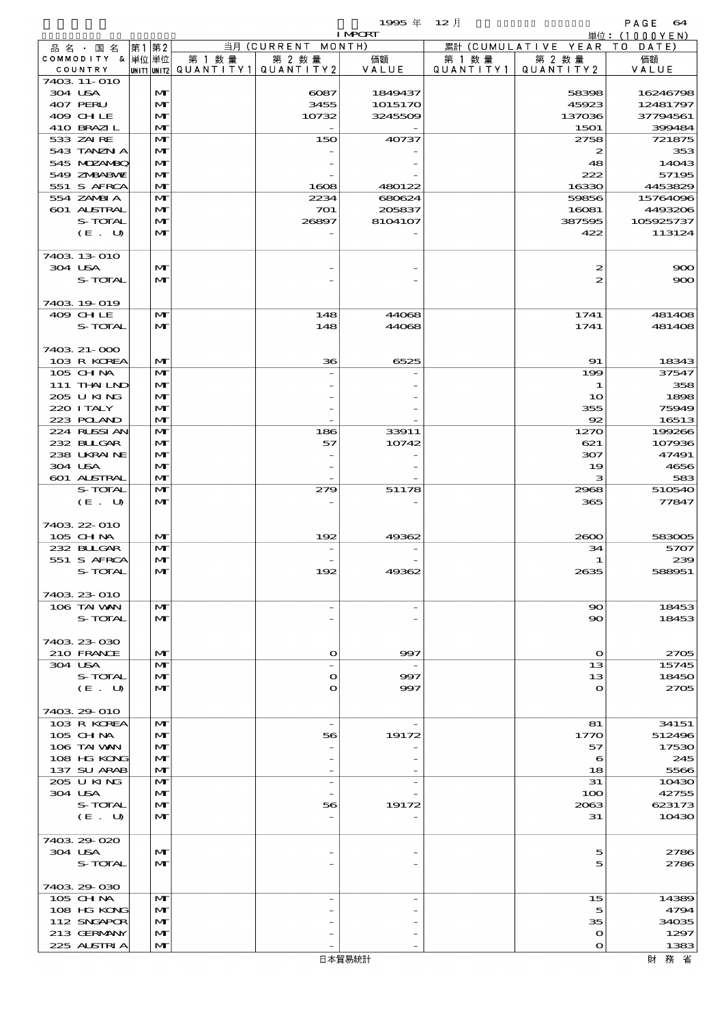$1995 \text{ } \# \quad 12 \text{ } \frac{1}{2}$  and  $\text{ } \frac{1}{2}$  and  $\text{ } \frac{1}{2}$  and  $\text{ } \frac{1}{2}$  and  $\text{ } \frac{1}{2}$  and  $\text{ } \frac{1}{2}$  and  $\text{ } \frac{1}{2}$  and  $\text{ } \frac{1}{2}$  and  $\text{ } \frac{1}{2}$  and  $\text{ } \frac{1}{2}$  and  $\text{ } \frac{1}{2}$  and  $\text{ } \frac{$ 

| ------<br>--- | $   -$ |  |
|---------------|--------|--|
|               |        |  |
|               |        |  |

|                           |                   |        |                                       | <b>I MPCRT</b>           |           |                              | 単位: (1000YEN)        |
|---------------------------|-------------------|--------|---------------------------------------|--------------------------|-----------|------------------------------|----------------------|
| 品名・国名                     | 第1第2              |        | 当月 (CURRENT MONTH)                    |                          |           | 累計 (CUMULATIVE YEAR TO DATE) |                      |
| COMMODITY & 単位単位          |                   | 第 1 数量 | 第 2 数量                                | 価額                       | 第 1 数 量   | 第 2 数量                       | 価額                   |
| COUNTRY                   |                   |        | UNIT1 UNIT2  QUANT   TY1  QUANT   TY2 | VALUE                    | QUANTITY1 | QUANTITY 2                   | VALUE                |
| 7403 11-010               |                   |        |                                       |                          |           |                              |                      |
| 304 USA                   | M                 |        | 6087                                  | 1849437                  |           | 58398                        | 16246798             |
| 407 PERU<br>409 CHLE      | $\mathbf{M}$<br>M |        | 3455<br>10732                         | 1015170<br>3245509       |           | 45923<br>137036              | 12481797<br>37794561 |
|                           |                   |        |                                       |                          |           |                              |                      |
| 410 BRAZIL<br>533 ZAI RE  | M                 |        |                                       |                          |           | 1501                         | 399484               |
| 543 TANZN A               | M<br>M            |        | 150                                   | 40737                    |           | 2758<br>2                    | 721875<br>353        |
| 545 MDZANBQ               | M                 |        |                                       |                          |           | 48                           | 14043                |
| 549 ZMBABWE               | M                 |        |                                       |                          |           | 222                          | 57195                |
| 551 S AFRCA               | M                 |        | 1608                                  | 480122                   |           | 16330                        | 4453829              |
| 554 ZAMBIA                | $\mathbf{M}$      |        | 2234                                  | 680624                   |           | 59856                        | 15764096             |
| 601 ALSTRAL               | M                 |        | 701                                   | 205837                   |           | 16081                        | 4493206              |
| S-TOTAL                   | M                 |        | 26897                                 | 8104107                  |           | 387595                       | 105925737            |
| (E. U)                    | $\mathbf{M}$      |        |                                       |                          |           | 422                          | 113124               |
|                           |                   |        |                                       |                          |           |                              |                      |
| 7403 13 010               |                   |        |                                       |                          |           |                              |                      |
| 304 USA                   | $\mathbf{M}$      |        |                                       |                          |           | 2                            | 900                  |
| S-TOTAL                   | M                 |        |                                       |                          |           | 2                            | 900                  |
|                           |                   |        |                                       |                          |           |                              |                      |
| 7403 19 019               |                   |        |                                       |                          |           |                              |                      |
| 409 CHLE                  | $\mathbf{M}$      |        | 148                                   | 44068                    |           | 1741                         | 481408               |
| S-TOTAL                   | $\mathbf{M}$      |        | 148                                   | 44068                    |           | 1741                         | 481408               |
|                           |                   |        |                                       |                          |           |                              |                      |
| 7403 21-000               |                   |        |                                       |                          |           |                              |                      |
| 103 R KOREA               | M                 |        | 36                                    | 6525                     |           | 91                           | 18343                |
| 105 CHNA                  | $\mathbf{M}$      |        |                                       |                          |           | 199                          | 37547                |
| 111 THAILND               | M                 |        |                                       |                          |           | 1                            | 358                  |
| 205 U KING                | M                 |        |                                       |                          |           | 10                           | 1898                 |
| 220 I TALY                | M                 |        |                                       |                          |           | 355                          | 75949                |
| 223 POLAND                | M                 |        |                                       |                          |           | 92                           | 16513                |
| 224 RUSSI AN              | M                 |        | 186                                   | 33911                    |           | 1270                         | 199266               |
| 232 BLLGAR                | M                 |        | 57                                    | 10742                    |           | 621                          | 107936               |
| 238 UKRAINE               | M                 |        |                                       |                          |           | 307                          | 47491                |
| 304 USA                   | M                 |        |                                       |                          |           | 19                           | 4656                 |
| 601 ALSTRAL               | M                 |        |                                       |                          |           | з                            | 583                  |
| S-TOTAL                   | M                 |        | 279                                   | 51178                    |           | 2968                         | 510540               |
| (E. U)                    | $\mathbf{M}$      |        |                                       |                          |           | 365                          | 77847                |
|                           |                   |        |                                       |                          |           |                              |                      |
| 7403 22 010               |                   |        |                                       |                          |           |                              |                      |
| 105 CHNA                  | M                 |        | 192                                   | 49362                    |           | 2000                         | 583005               |
| 232 BLLGAR                | M                 |        |                                       |                          |           | 34                           | 5707                 |
| 551 S AFRCA               | M                 |        |                                       |                          |           | 1                            | 239                  |
| S-TOTAL                   | $\mathbf{M}$      |        |                                       | 4936                     |           | 2635                         | 588951               |
|                           |                   |        |                                       |                          |           |                              |                      |
| 7403 23 010               |                   |        |                                       |                          |           |                              |                      |
| 106 TAI WAN               | $\mathbf{M}$      |        | $\overline{\phantom{a}}$              |                          |           | $\mathbf{S}$                 | 18453                |
| S-TOTAL                   | M                 |        |                                       |                          |           | $\infty$                     | 18453                |
|                           |                   |        |                                       |                          |           |                              |                      |
| 7403 23 030               |                   |        |                                       |                          |           |                              |                      |
| 210 FRANCE                | M                 |        | $\mathbf{o}$                          | 997                      |           | $\Omega$                     | 2705                 |
| 304 USA                   | M                 |        | $\overline{a}$                        | $\overline{\phantom{a}}$ |           | 13                           | 15745                |
| S-TOTAL                   | $\mathbf{M}$      |        | $\mathbf{o}$                          | 997                      |           | 13                           | 18450                |
| (E. U)                    | M                 |        | $\mathbf{o}$                          | 997                      |           | $\Omega$                     | 2705                 |
|                           |                   |        |                                       |                          |           |                              |                      |
| 7403 29 010               |                   |        |                                       |                          |           |                              |                      |
| 103 R KOREA               | M                 |        | $\overline{\phantom{a}}$              |                          |           | 81                           | 34151                |
| $105$ CHNA<br>106 TAI VAN | $\mathbf{M}$<br>M |        | 56                                    | 19172                    |           | 1770<br>57                   | 512496<br>17530      |
| 108 HG KONG               | M                 |        |                                       |                          |           | 6                            | 245                  |
| 137 SU ARAB               | M                 |        |                                       |                          |           | 18                           | 5566                 |
| 205 U KING                | M                 |        | $\overline{\phantom{a}}$              |                          |           | 31                           | 10430                |
| 304 USA                   | $\mathbf{M}$      |        |                                       |                          |           | 100                          | 42755                |
| S-TOTAL                   | M                 |        | 56                                    | 19172                    |           | 2063                         | 623173               |
| (E. U)                    | $\mathbf{M}$      |        |                                       |                          |           | 31                           | 10430                |
|                           |                   |        |                                       |                          |           |                              |                      |
| 7403.29-020               |                   |        |                                       |                          |           |                              |                      |
| 304 USA                   | M                 |        |                                       |                          |           | 5                            | 2786                 |
| S-TOTAL                   | $\mathbf{M}$      |        |                                       |                          |           | 5                            | 2786                 |
|                           |                   |        |                                       |                          |           |                              |                      |
| 7403 29 030               |                   |        |                                       |                          |           |                              |                      |
| 105 CH NA                 | M                 |        | $\overline{a}$                        |                          |           | 15                           | 14389                |
| 108 HG KONG               | $\mathbf{M}$      |        |                                       |                          |           | 5                            | 4794                 |
| 112 SNGAPOR               | M                 |        |                                       |                          |           | 35                           | 34035                |
| 213 GERMANY               | M                 |        |                                       |                          |           | $\mathbf o$                  | 1297                 |
| 225 ALSTRIA               | M                 |        |                                       |                          |           | $\mathbf O$                  | 1383                 |
|                           |                   |        |                                       | 口卡契目结扎                   |           |                              | 日本 マケーシン             |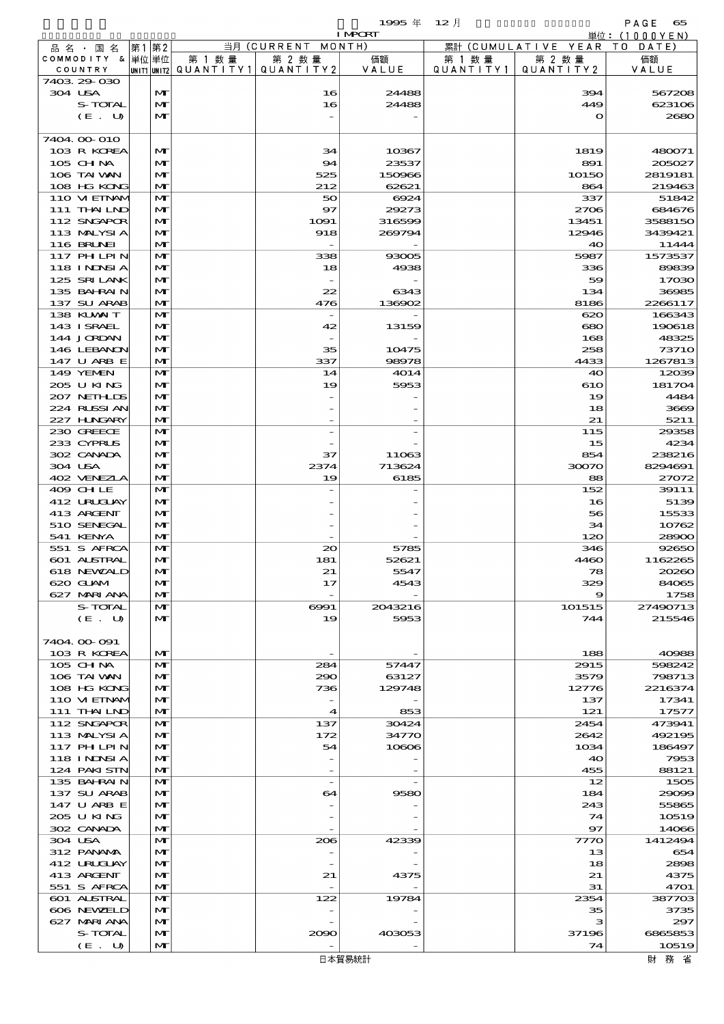$1$ 995  $\overline{4}$  12  $\overline{f}$  12  $\overline{f}$  PAGE 65

|                              |                              |                                                  |                          | <b>I MPORT</b>  |                             |                              | 単位: (1000YEN)      |
|------------------------------|------------------------------|--------------------------------------------------|--------------------------|-----------------|-----------------------------|------------------------------|--------------------|
| 品名・国名                        | 第1 第2                        |                                                  | 当月 (CURRENT MONTH)       |                 |                             | 累計 (CUMULATIVE YEAR TO DATE) |                    |
| COMMODITY & 単位単位<br>COUNTRY  |                              | 第 1 数量<br> UNIT1 UNIT2  QUANT   TY1  QUANT   TY2 | 第 2 数量                   | 価額<br>VALUE     | 第 1 数量<br>Q U A N T I T Y 1 | 第 2 数量<br>QUANTITY 2         | 価額<br>VALUE        |
| 7403 29 030                  |                              |                                                  |                          |                 |                             |                              |                    |
| 304 USA                      | $\mathbf{M}$                 |                                                  | 16                       | 24488           |                             | 394                          | 567208             |
| S-TOTAL                      | M                            |                                                  | 16                       | 24488           |                             | 449                          | 623106             |
| (E. U)                       | $\mathbf{M}$                 |                                                  |                          |                 |                             | $\mathbf{o}$                 | 2680               |
|                              |                              |                                                  |                          |                 |                             |                              |                    |
| 7404 00 010<br>103 R KOREA   | $\mathbf{M}$                 |                                                  | 34                       | 10367           |                             | 1819                         | 480071             |
| 105 CHNA                     | $\mathbf{M}$                 |                                                  | 94                       | 23537           |                             | 891                          | 205027             |
| 106 TAI VAN                  | M                            |                                                  | 525                      | 150966          |                             | 10150                        | 2819181            |
| 108 HG KONG                  | $\mathbf{M}$                 |                                                  | 212                      | 62621           |                             | 864                          | 219463             |
| 110 VIEINAM                  | $\mathbf{M}$                 |                                                  | 50                       | 6924            |                             | 337                          | 51842              |
| 111 THAILND                  | M                            |                                                  | $\mathbf{S}$             | 29273           |                             | 2706                         | 684676             |
| 112 SNGAPOR<br>113 MALYSIA   | $\mathbf{M}$                 |                                                  | 1091                     | 316599          |                             | 13451                        | 3588150<br>3439421 |
| <b>116 BRUNEI</b>            | M<br>$\mathbf{M}$            |                                                  | 918                      | 269794          |                             | 12946<br>40                  | 11444              |
| 117 PHLPIN                   | $\mathbf{M}$                 |                                                  | 338                      | 93005           |                             | 5987                         | 1573537            |
| 118 I NDSI A                 | M                            |                                                  | 18                       | 4938            |                             | 336                          | 89839              |
| 125 SRILANK                  | $\mathbf{M}$                 |                                                  |                          |                 |                             | 59                           | 17030              |
| 135 BAHRAIN                  | M                            |                                                  | 22                       | 6343            |                             | 134                          | 36985              |
| 137 SU ARAB                  | $\mathbf{M}$                 |                                                  | 476                      | 136902          |                             | 8186                         | 2266117            |
| 138 KUWAIT<br>143 I SRAEL    | $\mathbf{M}$<br>M            |                                                  | 42                       | 13159           |                             | 620<br>680                   | 166343<br>190618   |
| 144 JORDAN                   | $\mathbf{M}$                 |                                                  |                          |                 |                             | 168                          | 48325              |
| 146 LEBANON                  | $\mathbf{M}$                 |                                                  | 35                       | 10475           |                             | 258                          | <b>73710</b>       |
| 147 U ARB E                  | $\mathbf{M}$                 |                                                  | 337                      | 98978           |                             | 4433                         | 1267813            |
| 149 YEMEN                    | $\mathbf{M}$                 |                                                  | 14                       | 4014            |                             | 40                           | 12039              |
| 205 U KING                   | $\mathbf{M}$                 |                                                  | 19                       | 5953            |                             | 610                          | 181704             |
| 207 NETHLIS                  | $\mathbf{M}$                 |                                                  |                          |                 |                             | 19                           | 4484               |
| 224 RUSSIAN<br>227 H.NGARY   | $\mathbf{M}$<br>$\mathbf{M}$ |                                                  |                          |                 |                             | 18<br>21                     | 3669<br>5211       |
| 230 GREECE                   | $\mathbf{M}$                 |                                                  |                          |                 |                             | 115                          | 29358              |
| 233 CYPRUS                   | $\mathbf{M}$                 |                                                  |                          |                 |                             | 15                           | 4234               |
| 302 CANADA                   | $\mathbf{M}$                 |                                                  | 37                       | 11063           |                             | 854                          | 238216             |
| 304 USA                      | $\mathbf{M}$                 |                                                  | 2374                     | 713624          |                             | 30070                        | 8294691            |
| 402 VENEZLA                  | $\mathbf{M}$                 |                                                  | 19                       | 6185            |                             | 88                           | 27072              |
| 409 CHLE                     | $\mathbf{M}$                 |                                                  |                          |                 |                             | 152                          | 39111              |
| 412 URUCLAY<br>413 ARCENT    | $\mathbf{M}$<br>$\mathbf{M}$ |                                                  |                          |                 |                             | 16                           | 5139               |
| 510 SENEGAL                  | M                            |                                                  |                          |                 |                             | 56<br>34                     | 15533<br>10762     |
| 541 KENYA                    | $\mathbf{M}$                 |                                                  |                          |                 |                             | 120                          | 28900              |
| 551 S AFRCA                  | $\mathbf{M}$                 |                                                  | 20                       | 5785            |                             | 346                          | 92650              |
| 601 ALSTRAL                  | $\mathbf{M}$                 |                                                  | 181                      | 52621           |                             | 4460                         | 1162265            |
| 618 NEWALD                   | $\mathbf{M}$                 |                                                  | 21                       | 5547            |                             | 78                           | 20260              |
| 620 GLAM                     | M                            |                                                  | 17                       | 4543            |                             | 329                          | 84065              |
| 627 MARIANA<br>S-TOTAL       | $\mathbf{M}$<br>$\mathbf{M}$ |                                                  | 6991                     | 2043216         |                             | 9<br>101515                  | 1758<br>27490713   |
| (E. U)                       | $\mathbf{M}$                 |                                                  | 19                       | 5953            |                             | 744                          | 215546             |
|                              |                              |                                                  |                          |                 |                             |                              |                    |
| 7404.00-091                  |                              |                                                  |                          |                 |                             |                              |                    |
| 103 R KOREA                  | $\mathbf{M}$                 |                                                  |                          |                 |                             | 188                          | 40988              |
| 105 CH NA                    | $\mathbf{M}$                 |                                                  | 284                      | 57447           |                             | 2915                         | 598242             |
| 106 TAI VAN<br>108 HG KONG   | $\mathbf{M}$<br>$\mathbf{M}$ |                                                  | 290<br>736               | 63127<br>129748 |                             | 3579<br>12776                | 798713<br>2216374  |
| 110 VI EINAM                 | $\mathbf{M}$                 |                                                  | $\overline{\phantom{a}}$ |                 |                             | 137                          | 17341              |
| 111 THAILND                  | $\mathbf{M}$                 |                                                  | $\boldsymbol{4}$         | 853             |                             | 121                          | 17577              |
| 112 SNGAPOR                  | $\mathbf{M}$                 |                                                  | 137                      | 30424           |                             | 2454                         | 473941             |
| 113 MALYSIA                  | $\mathbf{M}$                 |                                                  | 172                      | 34770           |                             | 2642                         | 492195             |
| 117 PHLPIN                   | $\mathbf{M}$                 |                                                  | 54                       | 10606           |                             | 1034                         | 186497             |
| 118 I NDSI A<br>124 PAKI STN | $\mathbf{M}$<br>$\mathbf{M}$ |                                                  |                          |                 |                             | 40<br>455                    | 7953<br>88121      |
| 135 BAHRAIN                  | $\mathbf{M}$                 |                                                  | $\overline{\phantom{a}}$ |                 |                             | 12                           | 1505               |
| 137 SU ARAB                  | $\mathbf{M}$                 |                                                  | 64                       | 9580            |                             | 184                          | 29099              |
| 147 U ARB E                  | $\mathbf{M}$                 |                                                  |                          |                 |                             | 243                          | 55865              |
| 205 U KING                   | $\mathbf{M}$                 |                                                  |                          |                 |                             | 74                           | 10519              |
| 302 CANADA                   | $\mathbf{M}$                 |                                                  |                          |                 |                             | $\mathbf{97}$                | 14066              |
| 304 USA<br>312 PANAMA        | $\mathbf{M}$<br>$\mathbf{M}$ |                                                  | 206                      | 42339           |                             | 7770<br>13                   | 1412494<br>654     |
| 412 URUJAY                   | $\mathbf{M}$                 |                                                  |                          |                 |                             | 18                           | 2898               |
| 413 ARGENT                   | M                            |                                                  | 21                       | 4375            |                             | 21                           | 4375               |
| 551 S AFRCA                  | $\mathbf{M}$                 |                                                  |                          |                 |                             | 31                           | 4701               |
| 601 ALSTRAL                  | $\mathbf{M}$                 |                                                  | 122                      | 19784           |                             | 2354                         | 387703             |
| 606 NEWELD                   | $\mathbf{M}$                 |                                                  |                          |                 |                             | 35                           | 3735               |
| 627 MARIANA                  | $\mathbf{M}$                 |                                                  |                          |                 |                             | з                            | 297                |
| S-TOTAL<br>(E. U)            | M<br>$\mathbf{M}$            |                                                  | 2090                     | 403053          |                             | 37196<br>74                  | 6865853<br>10519   |
|                              |                              |                                                  |                          |                 |                             |                              |                    |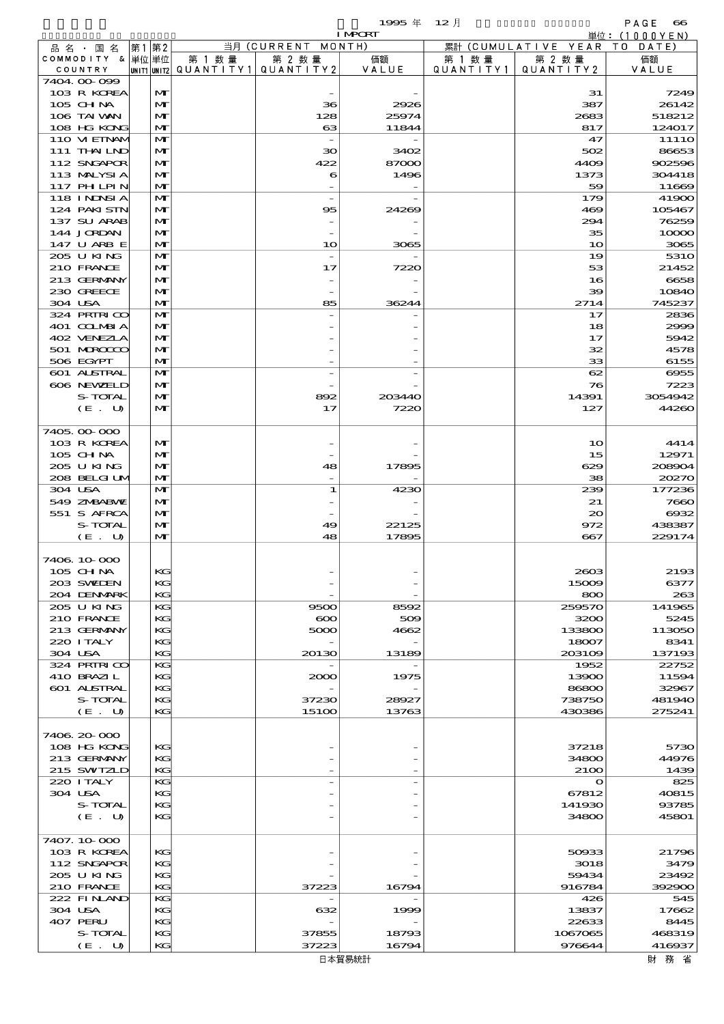$1995 \nless 12 \nless 12$ 

|                  |              |        |                                          | <b>I MPORT</b> |           |                              | 単位: (1000YEN) |
|------------------|--------------|--------|------------------------------------------|----------------|-----------|------------------------------|---------------|
| 品名・国名            | 第1 第2        |        | 当月 (CURRENT MONTH)                       |                |           | 累計 (CUMULATIVE YEAR TO DATE) |               |
| COMMODITY & 単位単位 |              | 第 1 数量 | 第 2 数量                                   | 価額             | 第 1 数量    | 第 2 数量                       | 価額            |
| COUNTRY          |              |        | UNIT1  UNIT2   QUANT   TY1   QUANT   TY2 | VALUE          | QUANTITY1 | QUANTITY 2                   | VALUE         |
| 7404.00-099      |              |        |                                          |                |           |                              |               |
| 103 R KOREA      | M            |        |                                          |                |           | 31                           | 7249          |
| 105 CHNA         | $\mathbf{M}$ |        | 36                                       | 2926           |           | 387                          | 26142         |
| 106 TAI VAN      | M            |        | 128                                      | 25974          |           | 2683                         | 518212        |
| 108 HG KONG      | M            |        | $\mathbf{G}$                             | 11844          |           | 817                          | 124017        |
| 110 VIEINAM      | M            |        | $\overline{\phantom{a}}$                 |                |           | 47                           | 1111O         |
| 111 THAILND      | M            |        | 30                                       | 3402           |           | 502                          | 86653         |
| 112 SNGAPOR      | M            |        | 422                                      | 87000          |           | 4409                         | 902596        |
| 113 MALYSIA      | M            |        | 6                                        | 1496           |           | 1373                         | 304418        |
| 117 PHLPIN       | M            |        |                                          |                |           | 59                           | 11669         |
| 118 I NJNSI A    | M            |        | $\overline{a}$                           |                |           | 179                          | 41900         |
| 124 PAKI STN     | $\mathbf{M}$ |        | 95                                       | 24269          |           | 469                          | 105467        |
| 137 SU ARAB      | M            |        |                                          |                |           | 294                          | 76259         |
| 144 JORDAN       | M            |        |                                          |                |           | 35                           | 10000         |
| 147 U ARB E      | $\mathbf{M}$ |        | 10                                       | 3065           |           | 10                           | 3065          |
| 205 U KING       | $\mathbf{M}$ |        |                                          |                |           | 19                           | <b>5310</b>   |
| 210 FRANCE       | M            |        |                                          |                |           | 53                           |               |
|                  |              |        | 17                                       | 7220           |           |                              | 21452         |
| 213 GERMANY      | $\mathbf{M}$ |        |                                          |                |           | 16                           | 6658          |
| 230 GREECE       | M            |        |                                          |                |           | 39                           | 10840         |
| 304 USA          | M            |        | 85                                       | 36244          |           | 2714                         | 745237        |
| 324 PRIRICO      | $\mathbf{M}$ |        |                                          |                |           | 17                           | 2836          |
| 401 COLMBIA      | $\mathbf{M}$ |        |                                          |                |           | 18                           | 2999          |
| 402 VENEZLA      | M            |        |                                          |                |           | 17                           | 5942          |
| 501 MROCCO       | M            |        |                                          |                |           | 32                           | 4578          |
| 506 EGYPT        | M            |        |                                          |                |           | 33                           | 6155          |
| 601 ALSTRAL      | $\mathbf{M}$ |        |                                          |                |           | 62                           | 6955          |
| 606 NEWELD       | M            |        |                                          |                |           | 76                           | 7223          |
| S-TOTAL          | M            |        | 892                                      | 203440         |           | 14391                        | 3054942       |
| (E. U)           | $\mathbf{M}$ |        | 17                                       | 7220           |           | 127                          | 44260         |
|                  |              |        |                                          |                |           |                              |               |
| 7405.00-000      |              |        |                                          |                |           |                              |               |
| 103 R KOREA      | M            |        |                                          |                |           | 10                           | 4414          |
| 105 CHNA         | M            |        |                                          |                |           | 15                           | 12971         |
| 205 U KING       | M            |        | 48                                       | 17895          |           | 629                          | 208904        |
| 208 BELGI UM     | M            |        |                                          |                |           | 38                           | 20270         |
| 304 USA          | $\mathbf{M}$ |        | 1                                        | 4230           |           | 239                          | 177236        |
| 549 ZNBABVE      | M            |        |                                          |                |           | 21                           | 7660          |
|                  |              |        |                                          |                |           |                              |               |
| 551 S AFRCA      | M            |        |                                          |                |           | 20                           | 6932          |
| S-TOTAL          | M            |        | 49                                       | 22125          |           | 972                          | 438387        |
| (E. U)           | M            |        | 48                                       | 17895          |           | 667                          | 229174        |
|                  |              |        |                                          |                |           |                              |               |
| 7406 10 000      |              |        |                                          |                |           |                              |               |
| 105 CH NA        | КG           |        |                                          |                |           | 2603                         | 2193          |
| 203 SWIDEN       | KG           |        |                                          |                |           | 15009                        | 6377          |
| 204 DENMARK      | KG           |        |                                          |                |           | 800                          | 263           |
| 205 U KING       | KG           |        | 9500                                     | 8592           |           | 259570                       | 141965        |
| 210 FRANCE       | KG           |        | $\infty$                                 | 509            |           | 3200                         | 5245          |
| 213 GERMANY      | KG           |        | 5000                                     | 4662           |           | 133800                       | 113050        |
| 220 I TALY       | KG           |        |                                          |                |           | 18007                        | 8341          |
| 304 USA          | KG           |        | 20130                                    | 13189          |           | 203109                       | 137193        |
| 324 PRIRICO      | KG           |        |                                          |                |           | 1952                         | 22752         |
| 410 BRAZIL       | KG           |        | 2000                                     | 1975           |           | 13900                        | 11594         |
| 601 ALSTRAL      | KG           |        |                                          |                |           | 86800                        | 32967         |
| S-TOTAL          | KG           |        | 37230                                    | 28927          |           | 738750                       | 481940        |
| (E. U)           | KG           |        | 15100                                    | 13763          |           | 430386                       | 275241        |
|                  |              |        |                                          |                |           |                              |               |
| 7406 20 000      |              |        |                                          |                |           |                              |               |
| 108 HG KONG      | KG           |        |                                          |                |           | 37218                        | 5730          |
| 213 GERMANY      | KG           |        |                                          |                |           | 34800                        | 44976         |
| 215 SWIZLD       | KG           |        |                                          |                |           | 2100                         | 1439          |
| 220 I TALY       |              |        |                                          |                |           | $\mathbf o$                  | 825           |
|                  | KG           |        |                                          |                |           |                              |               |
| 304 USA          | KG           |        |                                          |                |           | 67812                        | 40815         |
| S-TOTAL          | KC           |        |                                          |                |           | 141930                       | 93785         |
| (E. U)           | KG           |        |                                          |                |           | 34800                        | 45801         |
|                  |              |        |                                          |                |           |                              |               |
| 7407.10.000      |              |        |                                          |                |           |                              |               |
| 103 R KOREA      | KG           |        |                                          |                |           | 50933                        | 21796         |
| 112 SNGAPOR      | KC           |        |                                          |                |           | 3018                         | 3479          |
| 205 U KING       | KG           |        |                                          |                |           | 59434                        | 23492         |
| 210 FRANCE       | KG           |        | 37223                                    | 16794          |           | 916784                       | 392900        |
| 222 FINAND       | KG           |        |                                          |                |           | 426                          | 545           |
| 304 USA          | KG           |        | 632                                      | 1999           |           | 13837                        | 17662         |
| 407 PERU         | KC           |        |                                          |                |           | 22633                        | 8445          |
| S-TOTAL          | KC           |        | 37855                                    | 18793          |           | 1067065                      | 468319        |
| (E. U)           | KG           |        | 37223                                    | 16794          |           | 976644                       | 416937        |
|                  |              |        |                                          |                |           |                              |               |

日本貿易統計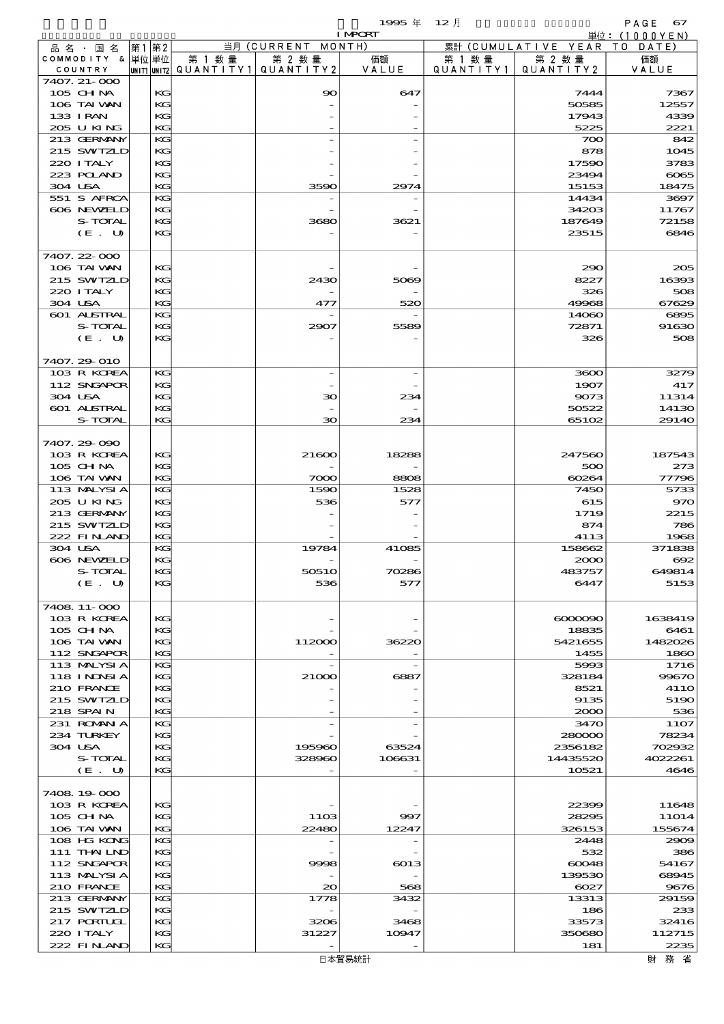$1995 \nless 12 \nless 12$ 

|                  |      |        |                                       | <b>I MPORT</b> |           |                              | 単位: (1000YEN) |
|------------------|------|--------|---------------------------------------|----------------|-----------|------------------------------|---------------|
| 品名・国名            | 第1第2 |        | 当月 (CURRENT MONTH)                    |                |           | 累計 (CUMULATIVE YEAR TO DATE) |               |
| COMMODITY & 単位単位 |      | 第 1 数量 | 第 2 数量                                | 価額             | 第 1 数量    | 第 2 数量                       | 価額            |
| COUNTRY          |      |        | UNIT1 UNIT2  Q∪ANT   TY1  Q∪ANT   TY2 | VALUE          | QUANTITY1 | QUANTITY 2                   | VALUE         |
| 7407. 21-000     |      |        |                                       |                |           |                              |               |
| 105 CHNA         | KG   |        | 90                                    | 647            |           | 7444                         | 7367          |
| 106 TAI VAN      | KG   |        |                                       |                |           | 50585                        | 12557         |
| 133 I RAN        | KG   |        |                                       |                |           | 17943                        | 4339          |
| 205 U KING       | KG   |        |                                       |                |           | 5225                         | 2221          |
| 213 GERMANY      | KG   |        |                                       |                |           | 700                          | 842           |
| 215 SWIZLD       | KG   |        |                                       |                |           | 878                          | 1045          |
| 220 I TALY       | KG   |        |                                       |                |           | 17590                        | 3783          |
| 223 POLAND       | KG   |        |                                       |                |           | 23494                        | 6065          |
| 304 USA          | KG   |        | 3590                                  | 2974           |           | 15153                        | 18475         |
| 551 S AFRCA      | KG   |        |                                       |                |           | 14434                        | 3697          |
| 606 NEWELD       | KG   |        |                                       |                |           | 34203                        | 11767         |
| S-TOTAL          | KG   |        | 3680                                  | 3621           |           | 187649                       | 72158         |
| (E. U)           | KG   |        |                                       |                |           | 23515                        | 6846          |
|                  |      |        |                                       |                |           |                              |               |
| 7407.22-000      |      |        |                                       |                |           |                              |               |
| 106 TAI VAN      | KG   |        |                                       |                |           | 290                          | 205           |
| 215 SWIZLD       | KG   |        | 2430                                  | 5069           |           | 8227                         | 16393         |
| 220 I TALY       | KG   |        |                                       |                |           | 326                          | 508           |
| 304 USA          | KG   |        | 477                                   | 520            |           | 49968                        | 67629         |
| 601 ALSTRAL      | KG   |        |                                       |                |           | 14060                        | 6895          |
| S-TOTAL          | KG   |        | 2907                                  | 5589           |           | 72871                        | 91630         |
| (E. U)           | KG   |        |                                       |                |           | 326                          | 508           |
|                  |      |        |                                       |                |           |                              |               |
| 7407.29 010      |      |        |                                       |                |           |                              |               |
| 103 R KOREA      | KG   |        |                                       |                |           | 3600                         | 3279          |
| 112 SNGAPOR      | KG   |        |                                       |                |           | 1907                         | 417           |
| 304 USA          | KG   |        | 30                                    | 234            |           | 9073                         | 11314         |
| 601 ALSTRAL      | KG   |        |                                       |                |           | 50522                        | 14130         |
| S-TOTAL          | KG   |        | $\infty$                              | 234            |           | 65102                        | 29140         |
|                  |      |        |                                       |                |           |                              |               |
| 7407.29-090      |      |        |                                       |                |           |                              |               |
| 103 R KOREA      | KG   |        | 21600                                 | 18288          |           | 247560                       | 187543        |
| 105 CH NA        | KG   |        |                                       |                |           | 500                          | 273           |
| 106 TAI WAN      | KG   |        | 7000                                  | 8808           |           | 60264                        | 77796         |
| 113 MALYSIA      | KG   |        | 1590                                  | 1528           |           | 7450                         | 5733          |
| 205 U KING       | KG   |        | 536                                   | 577            |           | 615                          | 970           |
| 213 GERMANY      | KG   |        |                                       |                |           | 1719                         | 2215          |
| 215 SWIZLD       | KG   |        |                                       |                |           | 874                          | 786           |
| 222 FINAND       | KG   |        |                                       |                |           | 4113                         | 1968          |
| 304 USA          | KG   |        | 19784                                 | 41085          |           | 158662                       | 371838        |
| 606 NEWELD       | KG   |        |                                       |                |           | 2000                         | $\infty$      |
| S-TOTAL          | KG   |        | 50510                                 | 70286          |           | 483757                       | 649814        |
| $(E_U U)$        | KG   |        | 536                                   | 577            |           | 6447                         | 5153          |
|                  |      |        |                                       |                |           |                              |               |
| 7408 11-000      |      |        |                                       |                |           |                              |               |
| 103 R KOREA      | KG   |        |                                       |                |           | $\alpha$ 0000000             | 1638419       |
| 105 CH NA        | KG   |        |                                       |                |           | 18835                        | 6461          |
| 106 TAI VAN      | KG   |        | 112000                                | 36220          |           | 5421655                      | 1482026       |
| 112 SNGAPOR      | KG   |        |                                       |                |           | 1455                         | 1860          |
| 113 MALYSIA      | KG   |        |                                       |                |           | 5993                         | 1716          |
| 118 I NDSI A     | KG   |        | 21000                                 | 6887           |           | 328184                       | 99670         |
| 210 FRANCE       | KG   |        |                                       |                |           | 8521                         | <b>4110</b>   |
| 215 SWIZLD       | KG   |        |                                       |                |           | 9135                         | 5190          |
| 218 SPAIN        | KG   |        |                                       |                |           | 2000                         | 536           |
| 231 ROMAN A      | KG   |        |                                       |                |           | 3470                         | <b>11O7</b>   |
| 234 TURKEY       | KG   |        |                                       |                |           | 280000                       | 78234         |
| 304 USA          | KG   |        | 195960                                | 63524          |           | 2356182                      | 702932        |
| S-TOTAL          | KG   |        | 328960                                | 106631         |           | 14435520                     | 4022261       |
| (E. U)           | KG   |        |                                       |                |           | 10521                        | 4646          |
|                  |      |        |                                       |                |           |                              |               |
| 7408 19 000      |      |        |                                       |                |           |                              |               |
| 103 R KOREA      | KG   |        |                                       |                |           | 22399                        | 11648         |
| 105 CH NA        | KG   |        | 11O <sub>3</sub>                      | 997            |           | 28295                        | 11014         |
| 106 TAI VAN      | KG   |        | 22480                                 | 12247          |           | 326153                       | 155674        |
| 108 HG KONG      | KG   |        |                                       |                |           | 2448                         | 2909          |
| 111 THAILND      | KG   |        |                                       |                |           | 532                          | 386           |
| 112 SNGAPOR      | KC   |        | 9998                                  | 6013           |           | 60048                        | 54167         |
| 113 MALYSIA      | KG   |        |                                       |                |           | 139530                       | 68945         |
| 210 FRANCE       | KG   |        | 20                                    | 568            |           | 6027                         | 9676          |
| 213 GERMANY      | KG   |        | 1778                                  | 3432           |           | 13313                        | 29159         |
| 215 SWIZLD       | KG   |        |                                       |                |           | 186                          | 233           |
| 217 PORTUGL      | KG   |        | 3206                                  | 3468           |           | 33573                        | 32416         |
| 220 I TALY       | KC   |        | 31227                                 | 10947          |           | 350680                       | 112715        |
| 222 FINAND       | KG   |        |                                       |                |           | 181                          | 2235          |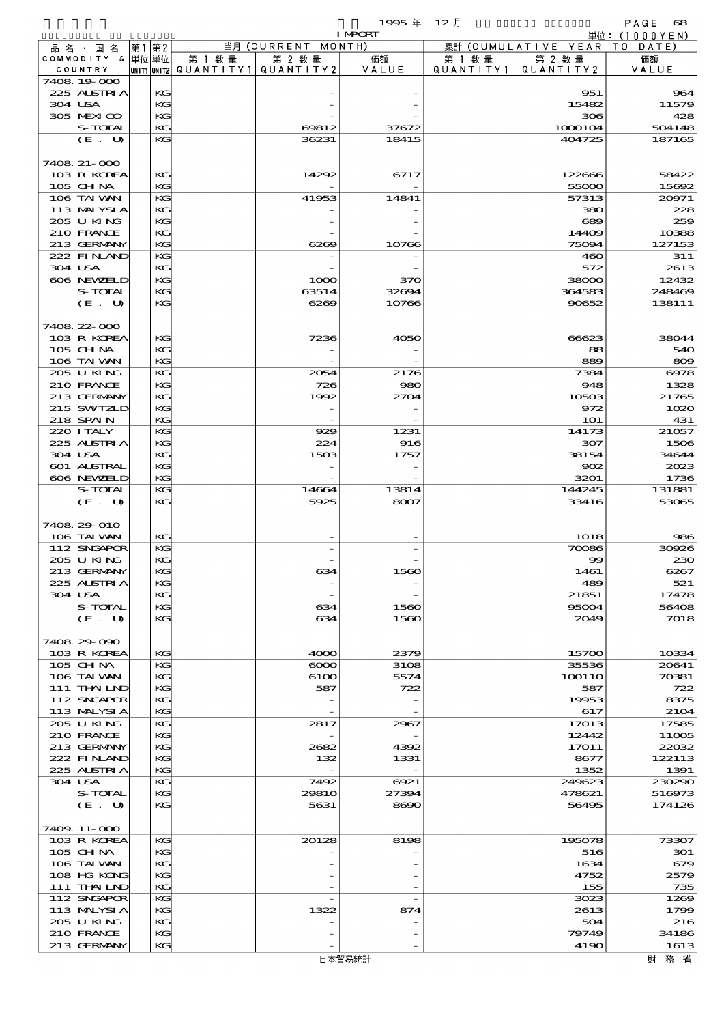$1995 \text{ } \text{\textsterling} \text{ } 12 \text{ } \text{\textsterling}$ 

|                               |    |          |                          |                              | 1995 $#$       | $12$ 月    |                               | PAGE<br>68       |
|-------------------------------|----|----------|--------------------------|------------------------------|----------------|-----------|-------------------------------|------------------|
|                               |    |          |                          |                              | <b>I MPORT</b> |           |                               | 単位: $(1000YEN)$  |
| 品 名 ・ 国 名<br>COMMODITY & 単位単位 | 第1 | 第2       | 第 1 数量                   | 当月 (CURRENT MONTH)<br>第 2 数量 | 価額             | 第 1 数 量   | 累計 (CUMULATIVE YEAR<br>第 2 数量 | TO DATE)<br>価額   |
| COUNTRY                       |    |          | unit1 unit2  Q∪ANT   TY1 | QUANTITY2                    | VALUE          | QUANTITY1 | QUANTITY 2                    | VALUE            |
| 7408 19000                    |    |          |                          |                              |                |           |                               |                  |
| 225 ALSTRIA                   |    | KG       |                          |                              |                |           | 951                           | 964              |
| 304 USA                       |    | KG       |                          |                              |                |           | 15482                         | 11579            |
| 305 MEXICO<br>S-TOTAL         |    | KG<br>KG |                          | 69812                        | 37672          |           | 306<br>1000104                | 428<br>504148    |
| (E. U)                        |    | KG       |                          | 36231                        | 18415          |           | 404725                        | 187165           |
|                               |    |          |                          |                              |                |           |                               |                  |
| 7408 21-000                   |    |          |                          |                              |                |           |                               |                  |
| 103 R KOREA                   |    | KG       |                          | 14292                        | 6717           |           | 122666                        | 58422            |
| 105 CHNA                      |    | KG       |                          |                              |                |           | 55000                         | 15692            |
| 106 TAI WAN                   |    | KG       |                          | 41953                        | 14841          |           | 57313                         | 20971            |
| 113 MALYSIA<br>205 U KING     |    | KG<br>KG |                          |                              |                |           | 380<br>689                    | 228<br>259       |
| 210 FRANCE                    |    | KG       |                          |                              |                |           | 14409                         | 10388            |
| 213 GERMANY                   |    | KG       |                          | 6269                         | 10766          |           | 75094                         | 127153           |
| 222 FINAND                    |    | KG       |                          |                              |                |           | 460                           | 311              |
| 304 USA                       |    | KG       |                          |                              |                |           | 572                           | 2613             |
| 606 NEWELD                    |    | KG       |                          | 1000                         | 370            |           | 38000                         | 12432            |
| S-TOTAL<br>(E. U)             |    | KG<br>KG |                          | 63514<br>6269                | 32694<br>10766 |           | 364583<br>90652               | 248469<br>138111 |
|                               |    |          |                          |                              |                |           |                               |                  |
| 7408 22 000                   |    |          |                          |                              |                |           |                               |                  |
| 103 R KOREA                   |    | KG       |                          | 7236                         | 4050           |           | 66623                         | 38044            |
| $105$ CHNA                    |    | KG       |                          |                              |                |           | 88                            | 540              |
| 106 TAI VAN                   |    | KG       |                          |                              |                |           | 889                           | 809              |
| 205 U KING                    |    | KG       |                          | 2054                         | 2176           |           | 7384                          | 6978             |
| 210 FRANCE                    |    | KG       |                          | 726                          | 980            |           | 948                           | 1328             |
| 213 GERMANY<br>215 SWIZLD     |    | KG<br>KG |                          | 1992                         | 2704           |           | 10503<br>972                  | 21765<br>1020    |
| 218 SPAIN                     |    | KG       |                          |                              |                |           | <b>1O1</b>                    | 431              |
| 220 I TALY                    |    | KG       |                          | 929                          | 1231           |           | 14173                         | 21057            |
| 225 ALSTRIA                   |    | KG       |                          | 224                          | 916            |           | 307                           | 1506             |
| 304 USA                       |    | KG       |                          | 1503                         | 1757           |           | 38154                         | 34644            |
| 601 ALSTRAL                   |    | KG       |                          |                              |                |           | 902                           | 2023             |
| 606 NEWELD                    |    | KG       |                          |                              |                |           | 3201                          | 1736             |
| S-TOTAL<br>(E. U)             |    | KG<br>KG |                          | 14664<br>5925                | 13814<br>8007  |           | 144245<br>33416               | 131881<br>53065  |
|                               |    |          |                          |                              |                |           |                               |                  |
| 7408 29 010                   |    |          |                          |                              |                |           |                               |                  |
| 106 TAI VAN                   |    | KG       |                          |                              |                |           | 1018                          | 986              |
| 112 SNGAPOR                   |    | KG       |                          |                              |                |           | 70086                         | 30926            |
| 205 U KING                    |    | KG       |                          |                              |                |           | $\infty$                      | 230              |
| 213 GERMANY<br>225 ALSTRIA    |    | KG<br>KG |                          | 634                          | 1560           |           | 1461<br>489                   | 6267<br>521      |
| 304 USA                       |    | KG       |                          |                              |                |           | 21851                         | 17478            |
| S-TOTAL                       |    | KG       |                          | 634                          | 1560           |           | 95004                         | 56408            |
| (E. U)                        |    | KG       |                          | 634                          | 1560           |           | 2049                          | 7018             |
|                               |    |          |                          |                              |                |           |                               |                  |
| 7408 29 090                   |    |          |                          |                              |                |           |                               |                  |
| 103 R KOREA                   |    | KG       |                          | 4000                         | 2379           |           | 15700                         | 10334            |
| 105 CHNA<br>106 TAI VAN       |    | KG<br>KG |                          | $\infty$<br>6100             | 3108<br>5574   |           | 35536<br>100110               | 20641<br>70381   |
| 111 THAILND                   |    | KG       |                          | 587                          | 722            |           | 587                           | 722              |
| 112 SNGAPOR                   |    | KG       |                          |                              |                |           | 19953                         | 8375             |
| 113 MALYSIA                   |    | KG       |                          |                              |                |           | 617                           | 2104             |
| 205 U KING                    |    | KG       |                          | 2817                         | 2967           |           | 17013                         | 17585            |
| 210 FRANCE                    |    | KG       |                          |                              |                |           | 12442                         | 11005            |
| 213 GERMANY<br>222 FINAND     |    | KC<br>KG |                          | 2682<br>132                  | 4392<br>1331   |           | 17011<br>8677                 | 22032<br>122113  |
| 225 ALSTRIA                   |    | KG       |                          | $\overline{\phantom{a}}$     |                |           | 1352                          | 1391             |
| 304 USA                       |    | KG       |                          | 7492                         | 6921           |           | 249623                        | 230290           |
| S-TOTAL                       |    | KG       |                          | 2981O                        | 27394          |           | 478621                        | 516973           |
| (E. U)                        |    | KG       |                          | 5631                         | 8690           |           | 56495                         | 174126           |
|                               |    |          |                          |                              |                |           |                               |                  |
| 7409. 11-000<br>103 R KOREA   |    | КG       |                          | 20128                        | 8198           |           |                               |                  |
| 105 CH NA                     |    | KG       |                          |                              |                |           | 195078<br>516                 | 73307<br>301     |
| 106 TAI VAN                   |    | KG       |                          |                              |                |           | 1634                          | 679              |
| 108 HG KONG                   |    | KG       |                          |                              |                |           | 4752                          | 2579             |
| 111 THAILND                   |    | KG       |                          |                              |                |           | 155                           | 735              |
| 112 SNGAPOR                   |    | KG       |                          |                              |                |           | 3023                          | 1269             |
| 113 MALYSIA                   |    | KG       |                          | 1322                         | 874            |           | 2613                          | 1799             |
| 205 U KING<br>210 FRANCE      |    | KG<br>KG |                          |                              |                |           | 504<br>79749                  | 216<br>34186     |
| 213 GERMANY                   |    | KG       |                          |                              |                |           | 4190                          | 1613             |
|                               |    |          |                          |                              |                |           |                               |                  |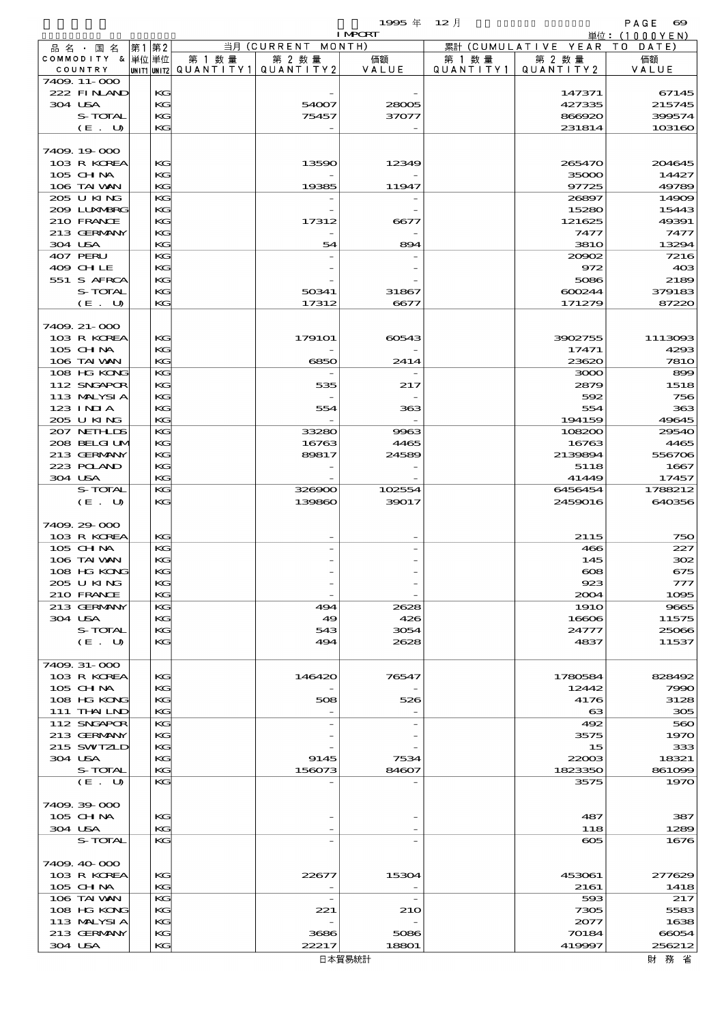|                           |         |      |          |                                       |                    | 1995年 12月      |           |                              | PAGE 699        |
|---------------------------|---------|------|----------|---------------------------------------|--------------------|----------------|-----------|------------------------------|-----------------|
|                           |         |      |          |                                       |                    | <b>I MPORT</b> |           |                              | 単位: (1000YEN)   |
| 品名・国名                     |         | 第1第2 |          |                                       | 当月 (CURRENT MONTH) |                |           | 累計 (CUMULATIVE YEAR TO DATE) |                 |
| COMMODITY & 単位単位          |         |      |          | 第 1 数量                                | 第 2 数量             | 価額             | 第 1 数 量   | 第 2 数量                       | 価額              |
| COUNTRY<br>7409. 11-000   |         |      |          | unit1 unit2  QUANT   TY1  QUANT   TY2 |                    | VALUE          | QUANTITY1 | QUANTITY2                    | VALUE           |
| 222 FINAND                |         |      | KG       |                                       |                    |                |           | 147371                       | 67145           |
| 304 USA                   |         |      | KG       |                                       | 54007              | 28005          |           | 427335                       | 215745          |
|                           | S-TOTAL |      | KG       |                                       | 75457              | 37077          |           | 866920                       | 399574          |
|                           | (E. U)  |      | KG       |                                       |                    |                |           | 231814                       | 103160          |
|                           |         |      |          |                                       |                    |                |           |                              |                 |
| 7409.19000                |         |      |          |                                       |                    |                |           |                              |                 |
| 103 R KOREA               |         |      | KG       |                                       | 13590              | 12349          |           | 265470                       | 204645          |
| $105$ CHNA                |         |      | KG       |                                       |                    |                |           | 35000                        | 14427           |
| 106 TAI VAN               |         |      | KG       |                                       | 19385              | 11947          |           | 97725                        | 49789           |
| 205 U KING                |         |      | KG       |                                       |                    |                |           | 26897                        | 14909           |
| 209 LUXMBRG               |         |      | KG       |                                       |                    |                |           | 15280                        | 15443           |
| 210 FRANCE                |         |      | KG       |                                       | 17312              | 6677           |           | 121625                       | 49391           |
| 213 GERMANY               |         |      | KG       |                                       |                    |                |           | 7477                         | 7477            |
| 304 USA                   |         |      | KG       |                                       | 54                 | 894            |           | <b>3810</b>                  | 13294           |
| 407 PERU<br>409 CHLE      |         |      | KG       |                                       |                    |                |           | 20902<br>972                 | 7216            |
| 551 S AFRCA               |         |      | KG<br>KG |                                       |                    |                |           | 5086                         | 403<br>2189     |
|                           | S-TOTAL |      | KG       |                                       | 50341              | 31867          |           | 600244                       | 379183          |
|                           | (E. U)  |      | KG       |                                       | 17312              | 6677           |           | 171279                       | 87220           |
|                           |         |      |          |                                       |                    |                |           |                              |                 |
| 7409. 21-000              |         |      |          |                                       |                    |                |           |                              |                 |
| 103 R KOREA               |         |      | KG       |                                       | 179101             | 60543          |           | 3902755                      | 1113093         |
| $105$ CHNA                |         |      | KG       |                                       |                    |                |           | 17471                        | 4293            |
| 106 TAI VAN               |         |      | KG       |                                       | 6850               | 2414           |           | 23620                        | <b>7810</b>     |
| 108 HG KONG               |         |      | KG       |                                       |                    |                |           | 3000                         | 899             |
| 112 SNGAPOR               |         |      | KG       |                                       | 535                | 217            |           | 2879                         | 1518            |
| 113 MALYSIA               |         |      | KG       |                                       |                    |                |           | 592                          | 756             |
| $123$ INIA                |         |      | KG       |                                       | 554                | 363            |           | 554                          | 363             |
| 205 U KING                |         |      | KG       |                                       |                    |                |           | 194159                       | 49645           |
| 207 NETHLIS               |         |      | KG       |                                       | 33280              | 9963           |           | 108200                       | 29540           |
| 208 BELGI UM              |         |      | KG       |                                       | 16763              | 4465           |           | 16763                        | 4465            |
| 213 GERMANY               |         |      | KG       |                                       | 89817              | 24589          |           | 2139894                      | 556706          |
| 223 POLAND                |         |      | KG       |                                       |                    |                |           | 5118                         | 1667            |
| 304 USA                   |         |      | KG       |                                       |                    |                |           | 41449                        | 17457           |
|                           | S-TOTAL |      | КC       |                                       | 326900             | 102554         |           | 6456454                      | 1788212         |
|                           | (E. U)  |      | KG       |                                       | 139860             | 39017          |           | 2459016                      | 640356          |
|                           |         |      |          |                                       |                    |                |           |                              |                 |
| 7409 29 000               |         |      |          |                                       |                    |                |           |                              |                 |
| 103 R KOREA<br>$105$ CHNA |         |      | KG<br>КC |                                       |                    |                |           | 2115<br>466                  | 750<br>227      |
| 106 TAI VAN               |         |      | KG       |                                       |                    |                |           | 145                          | 302             |
| 108 HG KONG               |         |      | KG       |                                       |                    |                |           | $\infty$                     | 675             |
| 205 U KING                |         |      | KG       |                                       |                    |                |           | 923                          | 777             |
| 210 FRANCE                |         |      | КC       |                                       |                    |                |           | 2004                         | 1095            |
| 213 GERMANY               |         |      | КC       |                                       | 494                | 2628           |           | <b>1910</b>                  | 9665            |
| 304 USA                   |         |      | KG       |                                       | 49                 | 426            |           | 16606                        | 11575           |
|                           | S-TOTAL |      | KG       |                                       | 543                | 3054           |           | 24777                        | 25066           |
|                           | (E. U)  |      | KG       |                                       | 494                | 2628           |           | 4837                         | 11537           |
|                           |         |      |          |                                       |                    |                |           |                              |                 |
| 7409. 31-000              |         |      |          |                                       |                    |                |           |                              |                 |
| 103 R KOREA               |         |      | KG       |                                       | 146420             | 76547          |           | 1780584                      | 828492          |
| $105$ CHNA                |         |      | KG       |                                       |                    |                |           | 12442                        | 7990            |
| 108 HG KONG               |         |      | KG       |                                       | 508                | 526            |           | 4176                         | 3128            |
| 111 THAILND               |         |      | KG       |                                       |                    |                |           | $\boldsymbol{\alpha}$        | 305             |
| 112 SNGAPOR               |         |      | КC       |                                       |                    |                |           | 492                          | 560             |
| 213 GERMANY               |         |      | KG       |                                       |                    |                |           | 3575                         | 1970            |
| 215 SWIZLD                |         |      | KС       |                                       |                    |                |           | 15                           | 333             |
| 304 USA                   | S-TOTAL |      | KG<br>KG |                                       | 9145<br>156073     | 7534<br>84607  |           | 22003<br>1823350             | 18321<br>861099 |
|                           | (E. U)  |      | KG       |                                       |                    |                |           | 3575                         | 1970            |
|                           |         |      |          |                                       |                    |                |           |                              |                 |
| 7409.39-000               |         |      |          |                                       |                    |                |           |                              |                 |
| $105$ CHNA                |         |      | KG       |                                       |                    |                |           | 487                          | 387             |
| 304 USA                   |         |      | KG       |                                       |                    |                |           | 118                          | 1289            |
|                           | S-TOTAL |      | KG       |                                       |                    |                |           | $\infty$                     | 1676            |
|                           |         |      |          |                                       |                    |                |           |                              |                 |
| 7409.40-000               |         |      |          |                                       |                    |                |           |                              |                 |
| 103 R KOREA               |         |      | KG       |                                       | 22677              | 15304          |           | 453061                       | 277629          |
| 105 CHNA                  |         |      | KG       |                                       |                    |                |           | 2161                         | 1418            |
| 106 TAI VAN               |         |      | КC       |                                       |                    |                |           | 593                          | 217             |
| 108 HG KONG               |         |      | KG       |                                       | 221                | 210            |           | 7305                         | 5583            |
| 113 MALYSIA               |         |      | KG       |                                       |                    |                |           | 2077                         | 1638            |
| 213 GERMANY               |         |      | KG       |                                       | 3686               | 5086           |           | 70184                        | 66054           |
| 304 USA                   |         |      | KG       |                                       | 22217              | 18801          |           | 419997                       | 256212          |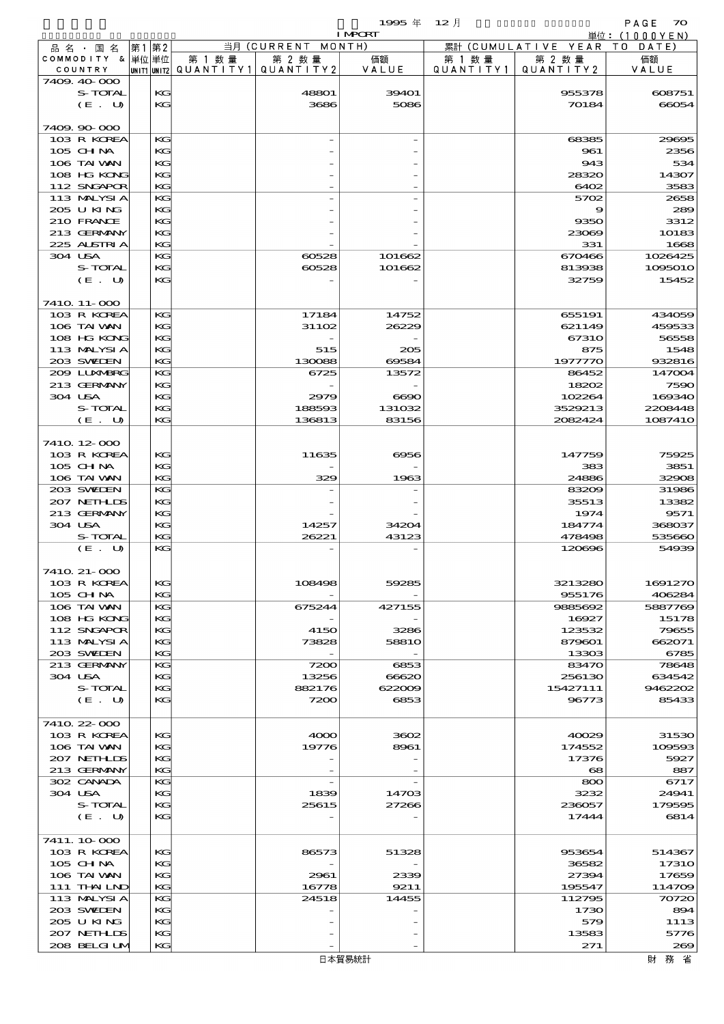$1995 \pm 12 \pm 70$ 

|                            |  |          |                                       |                    | <b>I MPORT</b> |           |                              | 単位: (1000YEN)   |
|----------------------------|--|----------|---------------------------------------|--------------------|----------------|-----------|------------------------------|-----------------|
| 品名·国名                      |  | 第1 第2    |                                       | 当月 (CURRENT MONTH) |                |           | 累計 (CUMULATIVE YEAR TO DATE) |                 |
| COMMODITY & 単位単位           |  |          | 第 1 数量                                | 第 2 数量             | 価額             | 第 1 数 量   | 第 2 数量                       | 価額              |
| COUNTRY                    |  |          | unit1 unit2  QUANT   TY1  QUANT   TY2 |                    | VALUE          | QUANTITY1 | QUANTITY2                    | VALUE           |
| 7409 40 000                |  |          |                                       |                    |                |           |                              |                 |
| S-TOTAL                    |  | KG       |                                       | 48801              | 39401          |           | 955378                       | 608751          |
| (E. U)                     |  | KG       |                                       | 3686               | 5086           |           | 70184                        | 66054           |
|                            |  |          |                                       |                    |                |           |                              |                 |
| 7409.90-000                |  |          |                                       |                    |                |           |                              |                 |
| 103 R KOREA                |  | KG       |                                       |                    |                |           | 68385                        | 29695           |
| 105 CHNA                   |  | KG       |                                       |                    |                |           | 961                          | 2356            |
| 106 TAI VAN                |  | KG       |                                       |                    |                |           | 943                          | 534             |
| 108 HG KONG                |  | KG       |                                       |                    |                |           | 28320                        | 14307           |
| 112 SNGAPOR                |  | KG       |                                       |                    |                |           | 6402                         | 3583            |
| 113 MALYSIA                |  | KG       |                                       |                    |                |           | 5702                         | 2658            |
| 205 U KING                 |  | KG       |                                       |                    |                |           | 9                            | 289             |
| 210 FRANCE                 |  | KG       |                                       |                    |                |           | 9350                         | 3312            |
| 213 GERMANY                |  | KG       |                                       |                    |                |           | 23069                        | 10183           |
| 225 ALSTRIA                |  | KG       |                                       |                    |                |           | 331                          | 1668            |
| 304 USA                    |  | KG<br>KG |                                       | 60528              | 101662         |           | 670466                       | 1026425         |
| S-TOTAL                    |  |          |                                       | 60528              | 101662         |           | 813938<br>32759              | 1095010         |
| (E. U)                     |  | KG       |                                       |                    |                |           |                              | 15452           |
|                            |  |          |                                       |                    |                |           |                              |                 |
| 7410 11-000                |  |          |                                       |                    |                |           |                              |                 |
| 103 R KOREA<br>106 TAI VAN |  | KG<br>KG |                                       | 17184<br>31102     | 14752          |           | 655191                       | 434059          |
| 108 HG KONG                |  | KG       |                                       |                    | 26229          |           | 621149<br>67310              | 459533<br>56558 |
| 113 MALYSIA                |  | KG       |                                       |                    |                |           |                              | 1548            |
| 203 SWIEN                  |  | KG       |                                       | 515<br>130088      | 205<br>69584   |           | 875<br>1977770               | 932816          |
| 2009 LUNABRG               |  | KG       |                                       | 6725               | 13572          |           | 86452                        | 147004          |
| 213 GERMANY                |  | KG       |                                       |                    |                |           | 18202                        | 7590            |
| 304 USA                    |  | KG       |                                       | 2979               | $\bf 6690$     |           | 102264                       | 169340          |
| S-TOTAL                    |  | KG       |                                       | 188593             | 131032         |           | 3529213                      | 2208448         |
| (E. U)                     |  | KG       |                                       | 136813             | 83156          |           | 2082424                      | 1087410         |
|                            |  |          |                                       |                    |                |           |                              |                 |
| 7410 12 000                |  |          |                                       |                    |                |           |                              |                 |
| 103 R KOREA                |  | KG       |                                       | 11635              | 6956           |           | 147759                       | 75925           |
| 105 CHNA                   |  | KG       |                                       |                    |                |           | 383                          | 3851            |
| 106 TAI VAN                |  | KG       |                                       | 329                | 1963           |           | 24886                        | 32908           |
| 203 SWIDEN                 |  | KG       |                                       |                    |                |           | 83209                        | 31986           |
| 207 NETHLIS                |  | KG       |                                       |                    |                |           | 35513                        | 13382           |
| 213 GERMANY                |  | KG       |                                       |                    |                |           | 1974                         | 9571            |
| 304 USA                    |  | KG       |                                       | 14257              | 34204          |           | 184774                       | 368037          |
| S-TOTAL                    |  | KС       |                                       | 26221              | 43123          |           | 478498                       | 535660          |
| (E. U)                     |  | KG       |                                       |                    |                |           | 120696                       | 54939           |
|                            |  |          |                                       |                    |                |           |                              |                 |
| 7410 21-000                |  |          |                                       |                    |                |           |                              |                 |
| 103 R KOREA                |  | KG       |                                       | 108498             | 59285          |           | 3213280                      | 1691270         |
| 105 CH NA                  |  | KG       |                                       |                    |                |           | 955176                       | 406284          |
| 106 TAI VAN                |  | KG       |                                       | 675244             | 427155         |           | 9885692                      | 5887769         |
| 108 HG KONG                |  | KG       |                                       |                    |                |           | 16927                        | 15178           |
| 112 SNGAPOR                |  | KG       |                                       | 4150               | 3286           |           | 123532                       | 79655           |
| 113 MALYSIA                |  | KG       |                                       | 73828              | 5881O          |           | 879601                       | 662071          |
| 203 SWIEN                  |  | KG       |                                       |                    |                |           | 13303                        | 6785            |
| 213 GERMANY                |  | KG       |                                       | 7200               | 6853           |           | 83470                        | 78648           |
| 304 USA                    |  | KG       |                                       | 13256              | 66620          |           | 256130                       | 634542          |
| S-TOTAL                    |  | KG       |                                       | 882176             | 622009         |           | 15427111                     | 9462202         |
| (E. U)                     |  | KG       |                                       | 7200               | 6853           |           | 96773                        | 85433           |
|                            |  |          |                                       |                    |                |           |                              |                 |
| 7410 22 000                |  |          |                                       |                    |                |           |                              |                 |
| 103 R KOREA                |  | KG       |                                       | 4000               | 3602           |           | 40029                        | 31530           |
| 106 TAI VAN                |  | KG       |                                       | 19776              | 8961           |           | 174552                       | 109593          |
| 207 NETHLIS                |  | KG       |                                       |                    |                |           | 17376                        | 5927            |
| 213 GERMANY                |  | KG       |                                       |                    |                |           | 68                           | 887             |
| 302 CANADA                 |  | KG       |                                       |                    |                |           | 800                          | 6717            |
| 304 USA                    |  | KG       |                                       | 1839               | 14703          |           | 3232                         | 24941           |
| S-TOTAL                    |  | KG       |                                       | 25615              | 27266          |           | 236057                       | 179595          |
| (E. U)                     |  | KG       |                                       |                    |                |           | 17444                        | 6814            |
|                            |  |          |                                       |                    |                |           |                              |                 |
| 7411.10.000                |  |          |                                       |                    |                |           |                              |                 |
| 103 R KOREA                |  | KG       |                                       | 86573              | 51328          |           | 953654                       | 514367          |
| $105$ CHNA                 |  | KG       |                                       |                    |                |           | 36582                        | <b>17310</b>    |
| 106 TAI VAN                |  | KG       |                                       | 2961               | 2339           |           | 27394                        | 17659           |
| 111 THAILND                |  | КG       |                                       | 16778              | 9211           |           | 195547                       | 114709          |
| 113 MALYSIA                |  | KG       |                                       | 24518              | 14455          |           | 112795                       | 70720           |
| 203 SWIEN                  |  | KG       |                                       |                    |                |           | 1730                         | 894             |
| 205 U KING                 |  | KG       |                                       |                    |                |           | 579                          | 1113            |
| 207 NETHLIS                |  | KG       |                                       |                    |                |           | 13583                        | 5776            |
| 208 BELGI UM               |  | KG       |                                       |                    |                |           | 271                          | 269             |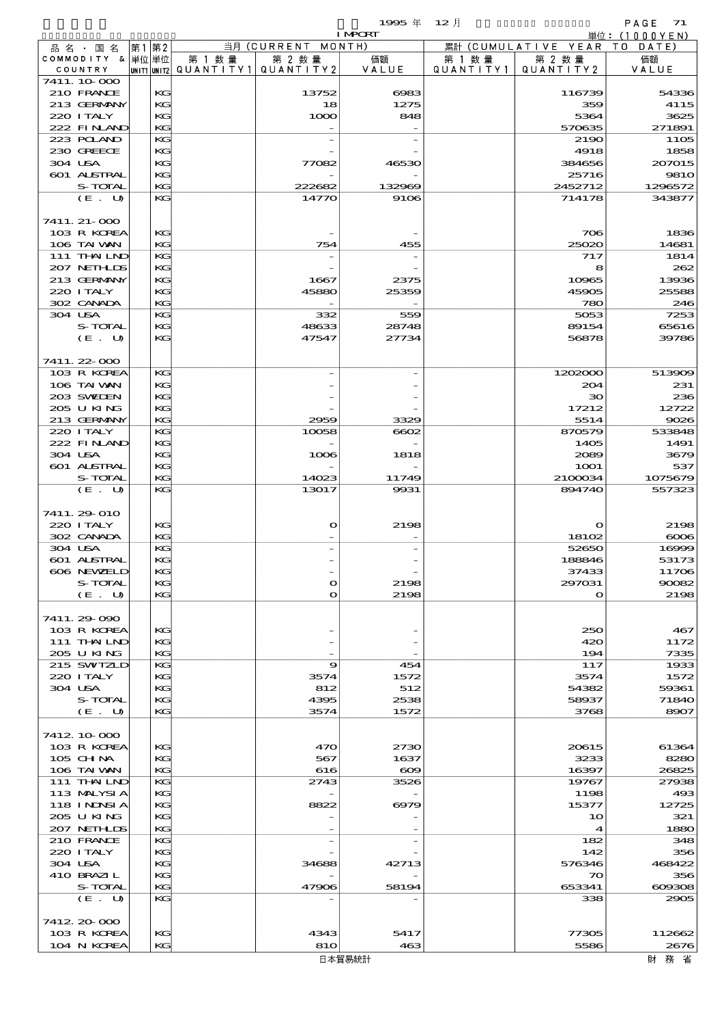|                             |      |          |                                     |                      | 1995 $#$       | 12月                  |                              | PAGE 71        |
|-----------------------------|------|----------|-------------------------------------|----------------------|----------------|----------------------|------------------------------|----------------|
|                             |      |          |                                     |                      | <b>I MPORT</b> |                      |                              | 単位: (1000YEN)  |
| 品 名 ・ 国 名                   | 第1第2 |          |                                     | 当月 (CURRENT MONTH)   |                |                      | 累計 (CUMULATIVE YEAR TO DATE) |                |
| COMMODITY & 単位単位<br>COUNTRY |      |          | 第 1 数量<br> unit1 unit2  Q∪ANT   TY1 | 第 2 数量<br>QUANTITY 2 | 価額<br>VALUE    | 第 1 数 量<br>QUANTITY1 | 第 2 数量<br>QUANTITY2          | 価額<br>VALUE    |
| 7411.10.000                 |      |          |                                     |                      |                |                      |                              |                |
| 210 FRANCE                  |      | KG       |                                     | 13752                | 6083           |                      | 116739                       | 54336          |
| 213 GERMANY                 |      | KG       |                                     | 18                   | 1275           |                      | 359                          | 4115           |
| 220 I TALY                  |      | KG       |                                     | 1000                 | 848            |                      | 5364                         | 3625           |
| 222 FINAND                  |      | KG       |                                     |                      |                |                      | 570635                       | 271891         |
| 223 POLAND                  |      | KG       |                                     |                      |                |                      | 2190                         | 1105           |
| 230 GREECE                  |      | KG       |                                     |                      |                |                      | 4918                         | 1858           |
| 304 USA                     |      | KG       |                                     | 77082                | 46530          |                      | 384656                       | 207015         |
| 601 ALSTRAL                 |      | KG       |                                     |                      |                |                      | 25716                        | 9810           |
| S-TOTAL                     |      | KG       |                                     | 222682               | 132969         |                      | 2452712                      | 1296572        |
| (E. U)                      |      | KG       |                                     | 14770                | 9106           |                      | 714178                       | 343877         |
|                             |      |          |                                     |                      |                |                      |                              |                |
| 7411. 21-000                |      |          |                                     |                      |                |                      |                              |                |
| 103 R KOREA                 |      | KG       |                                     |                      |                |                      | 706                          | 1836           |
| 106 TAI VAN                 |      | KG       |                                     | 754                  | 455            |                      | 25020                        | 14681          |
| 111 THAILND                 |      | KG       |                                     |                      |                |                      | 717                          | 1814           |
| 207 NETHLIS                 |      | KG       |                                     |                      |                |                      | 8                            | 262            |
| 213 GERMANY                 |      | KG       |                                     | 1667                 | 2375           |                      | 10965                        | 13936          |
| 220 ITALY                   |      | KG       |                                     | 45880                | 25359          |                      | 45905                        | 25588          |
| 302 CANADA                  |      | KG       |                                     |                      |                |                      | 780                          | 246            |
| 304 USA                     |      | KG       |                                     | 332                  | 559            |                      | 5053                         | 7253           |
| S-TOTAL                     |      | KG       |                                     | 48633                | 28748          |                      | 89154                        | 65616          |
| (E. U)                      |      | KG       |                                     | 47547                | 27734          |                      | 56878                        | 39786          |
|                             |      |          |                                     |                      |                |                      |                              |                |
| 7411.22-000                 |      |          |                                     |                      |                |                      |                              |                |
| 103 R KOREA                 |      | KG       |                                     |                      |                |                      | 1202000                      | 513909         |
| 106 TAI VAN                 |      | KG       |                                     |                      |                |                      | 204                          | 231            |
| 203 SWIEN                   |      | KG       |                                     |                      |                |                      | $30^{\circ}$                 | 236            |
| 205 U KING                  |      | KG       |                                     |                      |                |                      | 17212                        | 12722          |
| 213 GERMANY<br>220 I TALY   |      | KG<br>KG |                                     | 2959                 | 3329           |                      | 5514<br>870579               | 9026<br>533848 |
| 222 FINAND                  |      | KG       |                                     | 10058                | $\cos$         |                      | 1405                         | 1491           |
| 304 USA                     |      | KG       |                                     | 1006                 | 1818           |                      | 2089                         | 3679           |
| 601 ALSTRAL                 |      | KG       |                                     |                      |                |                      | <b>1001</b>                  | 537            |
| S-TOTAL                     |      | KG       |                                     | 14023                | 11749          |                      | 2100034                      | 1075679        |
| (E. U)                      |      | KG       |                                     | 13017                | 9931           |                      | 894740                       | 557323         |
|                             |      |          |                                     |                      |                |                      |                              |                |
| 7411.29-010                 |      |          |                                     |                      |                |                      |                              |                |
| 220 I TALY                  |      | KG       |                                     | $\mathbf o$          | 2198           |                      | $\mathbf o$                  | 2198           |
| 302 CANADA                  |      | KG       |                                     |                      |                |                      | 18102                        | $\infty$       |
| 304 USA                     |      | KG       |                                     |                      |                |                      | 52650                        | 16999          |
| 601 ALSTRAI                 |      | КG       |                                     |                      |                |                      | 188846                       | 53173          |
| 606 NEWELD                  |      | KG       |                                     |                      |                |                      | 37433                        | 11706          |
| S-TOTAL                     |      | KG       |                                     | $\mathbf o$          | 2198           |                      | 297031                       | 90082          |
| (E. U)                      |      | KG       |                                     | $\mathbf{o}$         | 2198           |                      | $\mathbf o$                  | 2198           |
|                             |      |          |                                     |                      |                |                      |                              |                |
| 7411.29-090                 |      |          |                                     |                      |                |                      |                              |                |
| 103 R KOREA                 |      | KG       |                                     |                      |                |                      | 250                          | 467            |
| 111 THAILND                 |      | KG       |                                     |                      |                |                      | 420                          | 1172           |
| 205 U KING                  |      | KG       |                                     |                      |                |                      | 194                          | 7335           |
| 215 SWIZLD                  |      | KG       |                                     | 9                    | 454            |                      | 117                          | 1933           |
| 220 I TALY                  |      | KG       |                                     | 3574                 | 1572           |                      | 3574                         | 1572           |
| 304 USA                     |      | KG       |                                     | 812                  | 512            |                      | 54382                        | 59361          |
| S-TOTAL                     |      | KG       |                                     | 4395                 | 2538           |                      | 58937                        | 71840          |
| (E. U)                      |      | KG       |                                     | 3574                 | 1572           |                      | 3768                         | 8907           |
|                             |      |          |                                     |                      |                |                      |                              |                |
| 7412 10 000                 |      |          |                                     |                      |                |                      |                              |                |
| 103 R KOREA                 |      | KG       |                                     | 470                  | 2730           |                      | 20615                        | 61364          |
| 105 CH NA                   |      | KG       |                                     | 567                  | 1637           |                      | 3233                         | 8280           |
| 106 TAI VAN                 |      | KG       |                                     | 616                  | $\infty$       |                      | 16397                        | 26825          |
| 111 THAILND                 |      | KG       |                                     | 2743                 | 3526           |                      | 19767                        | 27938          |
| 113 MALYSIA                 |      | KG       |                                     |                      |                |                      | 1198                         | 493            |
| 118 INNSI A                 |      | KG       |                                     | 8822                 | 6979           |                      | 15377                        | 12725          |
| 205 U KING                  |      | KG       |                                     |                      |                |                      | 10                           | 321            |
| 207 NETHLIS                 |      | KG       |                                     |                      |                |                      | $\blacktriangleleft$         | 1880           |
| 210 FRANCE                  |      | KG       |                                     |                      |                |                      | 182                          | 348            |
| 220 I TALY                  |      | KG       |                                     |                      |                |                      | 142                          | 356            |
| 304 USA                     |      | KG       |                                     | 34688                | 42713          |                      | 576346                       | 468422         |
| 410 BRAZIL<br>S-TOTAL       |      | KG<br>KG |                                     |                      |                |                      | $\infty$                     | 356            |
| (E. U)                      |      | KG       |                                     | 47906                | 58194          |                      | 653341<br>338                | 609308<br>2905 |
|                             |      |          |                                     |                      |                |                      |                              |                |
| 7412.20-000                 |      |          |                                     |                      |                |                      |                              |                |
| 103 R KOREA                 |      | KG       |                                     | 4343                 | 5417           |                      | 77305                        | 112662         |
| 104 N KOREA                 |      | KG       |                                     | 810                  | 463            |                      | 5586                         | 2676           |
|                             |      |          |                                     |                      |                |                      |                              |                |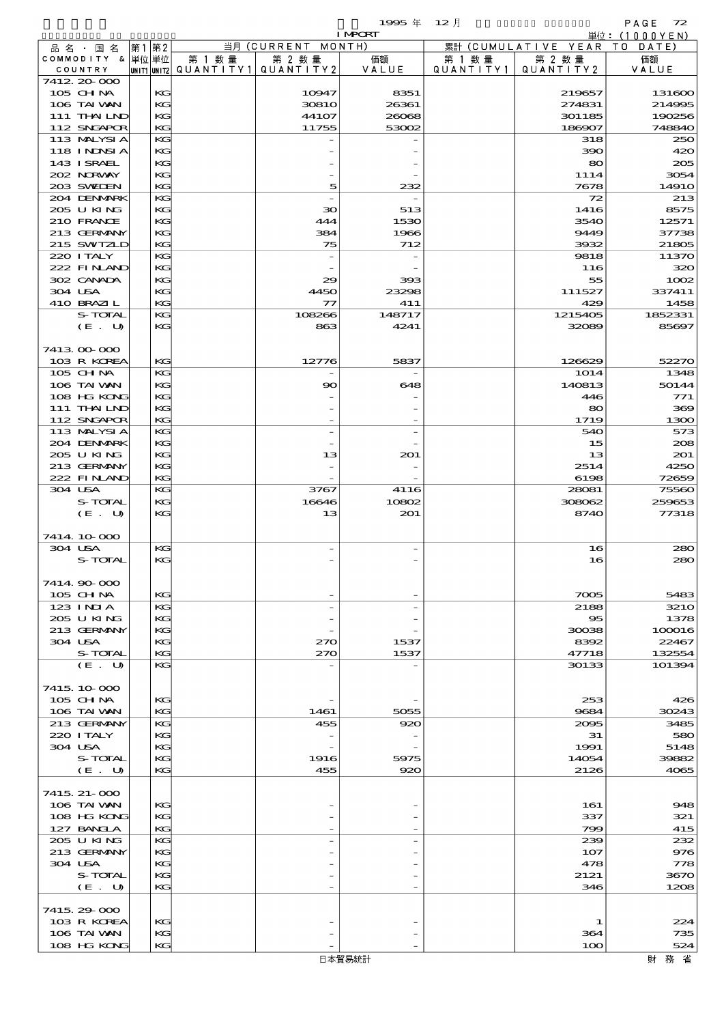|                                           |   |               | 1995 年<br>12H |                    |        |           |                     | PAGE<br>72  |  |
|-------------------------------------------|---|---------------|---------------|--------------------|--------|-----------|---------------------|-------------|--|
| <b>I MPORT</b>                            |   |               |               |                    |        |           | 単位: $(1000YEN)$     |             |  |
| 品 名<br>国名                                 | 第 | 第2            |               | 当月 (CURRENT MONTH) |        |           | 累計 (CUMULATIVE YEAR | DATE<br>т о |  |
| СОММОDІТҮ                                 |   | &   単位   単位   | 第 1 数量        | 第 2 数量             | 価額     | 第 1       | 第 2 数量              | 価額          |  |
| COUNTRY                                   |   | UNIT1 UNIT2   | 'QUANTITY.    | QUANTITY2          | VALUE  | QUANTITY1 | QUANTITY 2          | VALUE       |  |
| 7412.20.000                               |   |               |               |                    |        |           |                     |             |  |
| $\sim$ $\sim$ $\sim$ $\sim$ $\sim$ $\sim$ |   | <b>TERMIN</b> |               | $\sim$             | $\sim$ |           | $\sim$ $\sim$       | $\sim$      |  |

| COMMODITY & 单位 单位<br>COUNTRY |    | 第 1 数 量<br> UNIT1 UNIT2  Q∪ANT   TY1 | 第 2 数量<br>QUANTITY 2 | 価額<br>VALUE | 第 1 数量<br>QUANTITY1 | 第 2 数量<br>QUANTITY2 | 価額<br>VALUE |
|------------------------------|----|--------------------------------------|----------------------|-------------|---------------------|---------------------|-------------|
| 7412.20-000                  |    |                                      |                      |             |                     |                     |             |
| 105 CH NA                    | KG |                                      | 10947                | 8351        |                     | 219657              | 131600      |
| 106 TAI VAN                  | KG |                                      | <b>30810</b>         | 26361       |                     | 274831              | 214995      |
| 111 THAILND                  | KC |                                      | 44107                | 26068       |                     | 301185              | 190256      |
| 112 SNGAPOR                  | KG |                                      | 11755                | 53002       |                     | 186907              | 74884C      |
| 113 MALYSIA                  | KG |                                      |                      |             |                     | 318                 | 25C         |
| 118 INNSI A                  | KG |                                      |                      |             |                     | 390                 | 42C         |
| 143 I SRAEL                  | KG |                                      |                      |             |                     | 80                  | 200         |
| 202 NORWAY                   | KG |                                      |                      |             |                     | 1114                | 3054        |
| 203 SWIEN                    | KG |                                      | 5                    | 232         |                     | 7678                | 1491C       |
| 204 DENMARK                  | KG |                                      |                      |             |                     | 72                  | 213         |
| 205 U KING                   | KG |                                      | 30                   | 513         |                     | 1416                | 8575        |
| 210 FRANCE                   | KC |                                      | 444                  | 1530        |                     | 3540                | 12571       |
| 213 GERMANY                  | KG |                                      | 384                  | 1966        |                     | 9449                | 37738       |
| 215 SWIZLD                   | KG |                                      | 75                   | 712         |                     | 3932                | 21805       |
| 220 I TALY                   | KG |                                      |                      |             |                     | 9818                | 11370       |
| 222 FINAND                   | KG |                                      |                      |             |                     | 116                 | 32C         |
| 302 CANADA                   | KG |                                      | 29                   | 393         |                     | 55                  | 1002        |
| 304 USA                      | KG |                                      | 4450                 | 23298       |                     | 111527              | 337411      |
| 410 BRAZIL                   | KG |                                      | $\tau$               | 411         |                     | 429                 | 1458        |
| S-TOTAL                      | KG |                                      | 108266               | 148717      |                     | 1215405             | 1852331     |
| (E. U)                       | KG |                                      | 863                  | 4241        |                     | 32089               | 85697       |
|                              |    |                                      |                      |             |                     |                     |             |
| 7413 00 000                  |    |                                      |                      |             |                     |                     |             |
| 103 R KOREA                  | КG |                                      | 12776                | 5837        |                     | 126629              | 52270       |
| 105 CHNA                     | KG |                                      |                      |             |                     | 1014                | 1348        |
| 106 TAI VAN                  | KG |                                      | 90                   | 648         |                     | 140813              | 50144       |
| 108 HG KONG                  | KG |                                      |                      |             |                     | 446                 | 771         |
| 111 THAILND                  | KG |                                      |                      |             |                     | 80                  | 360         |
| 112 SNGAPOR                  | KG |                                      |                      |             |                     | 1719                | 1300        |
| 113 MALYSIA                  | KG |                                      |                      |             |                     | 540                 | 573         |
| 204 DENMARK                  | KG |                                      |                      |             |                     | 15                  | 206         |
| 205 U KING                   | KC |                                      | 13                   | 201         |                     | 13                  | 201         |
| 213 GERMANY                  | KG |                                      |                      |             |                     | 2514                | 4250        |
| 222 FINAND                   | KG |                                      |                      |             |                     | 6198                | 7265E       |
| 304 USA                      | KG |                                      | 3767                 | 4116        |                     | 28081               | 75560       |
| S-TOTAL                      | KG |                                      | 16646                | 10802       |                     | 308062              | 259653      |
| (E. U)                       | KG |                                      | 13                   | 201         |                     | 8740                | 77318       |
|                              |    |                                      |                      |             |                     |                     |             |
| 7414 10 000                  |    |                                      |                      |             |                     |                     |             |
| 304 USA                      | KG |                                      |                      |             |                     | 16                  | 280         |
| <b>S-TOTAL</b>               | KG |                                      |                      |             |                     | 16                  | 280         |
|                              |    |                                      |                      |             |                     |                     |             |
| 7414 90 000                  |    |                                      |                      |             |                     |                     |             |
| 105 CHNA                     | KG |                                      |                      |             |                     | 7005                | 5483        |
| 123 INIA                     | KG |                                      |                      |             |                     | 2188                | 321C        |
| 205 U KING                   | KG |                                      |                      |             |                     | $\bf{85}$           | 1378        |
| 213 GERMANY                  | KC |                                      |                      |             |                     | 30038               | 100016      |
| 304 USA                      | KC |                                      | 270                  | 1537        |                     | 8392                | 22467       |
| S-TOTAL                      | KG |                                      | 270                  | 1537        |                     | 47718               | 132554      |
| (E. U)                       | KG |                                      |                      |             |                     | 30133               | 101394      |
|                              |    |                                      |                      |             |                     |                     |             |
| 7415, 10,000                 |    |                                      |                      |             |                     |                     |             |
|                              |    |                                      |                      |             |                     |                     |             |
| 105 CH NA                    | KC |                                      |                      |             |                     | 253                 | 426         |
| 106 TAI VAN                  | KG |                                      | 1461                 | 5055        |                     | 9684                | 30243       |
| 213 GERMANY                  | KG |                                      | 455                  | 920         |                     | 2095                | 3485        |
| 220 I TALY                   | KG |                                      |                      |             |                     | 31                  | 58C         |
| 304 USA                      | KC |                                      |                      |             |                     | 1991                | 5148        |
| S-TOTAL                      | KC |                                      | 1916                 | 5975        |                     | 14054               | 39882       |
| (E. U)                       | KG |                                      | 455                  | 920         |                     | 2126                | 4065        |
|                              |    |                                      |                      |             |                     |                     |             |
| 7415, 21-000                 |    |                                      |                      |             |                     |                     |             |
| 106 TAI VAN                  | KC |                                      |                      |             |                     | 161                 | 948         |
| 108 HG KONG                  | KC |                                      |                      |             |                     | 337                 | 321         |
| 127 BANCLA                   | KG |                                      |                      |             |                     | 799                 | 415         |
| 205 U KING                   | KG |                                      |                      |             |                     | 239                 | 232         |
| 213 GERMANY                  | KG |                                      |                      |             |                     | 107                 | 976         |
| 304 USA                      | KC |                                      |                      |             |                     | 478                 | 778         |
| S-TOTAL                      | KC |                                      |                      |             |                     | 2121                | 367C        |
| (E. U)                       | KG |                                      |                      |             |                     | 346                 | 1208        |
|                              |    |                                      |                      |             |                     |                     |             |
| 7415 29 000                  |    |                                      |                      |             |                     |                     |             |
| 103 R KOREA                  | KG |                                      |                      |             |                     | 1                   | 224         |
| 106 TAI VAN                  | KG |                                      |                      |             |                     | 364                 | 735         |
| 108 HG KONG                  | KG |                                      |                      |             |                     | 100                 | 524         |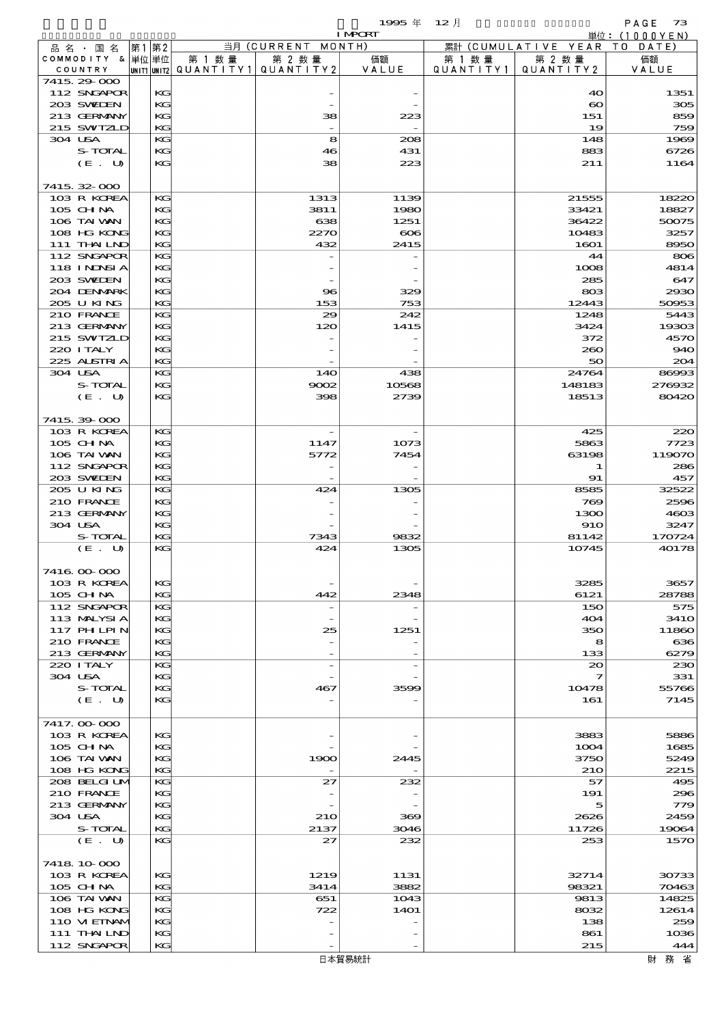$1995 \nsubseteq 12 \nexists$ 

|                            |          |        |                                       | <b>I MPORT</b> |           |                              | 単位: (1000YEN) |
|----------------------------|----------|--------|---------------------------------------|----------------|-----------|------------------------------|---------------|
| 品 名 ・ 国 名                  | 第1 第2    |        | 当月 (CURRENT MONTH)                    |                |           | 累計 (CUMULATIVE YEAR TO DATE) |               |
| COMMODITY & 単位単位           |          | 第 1 数量 | 第 2 数量                                | 価額             | 第 1 数 量   | 第 2 数量                       | 価額            |
| COUNTRY                    |          |        | UNIT1 UNIT2  QUANT I TY1  QUANT I TY2 | VALUE          | QUANTITY1 | QUANTITY 2                   | VALUE         |
| 7415 29 000<br>112 SNGAPOR | KG       |        |                                       |                |           | 40                           | 1351          |
| 203 SWIEN                  | KG       |        |                                       |                |           | $\boldsymbol{\infty}$        | 305           |
| 213 GERMANY                | KG       |        | 38                                    | 223            |           | 151                          | 859           |
| 215 SWIZLD                 | KG       |        |                                       |                |           | 19                           | 759           |
| 304 USA                    | KG       |        | 8                                     | 208            |           | 148                          | 1969          |
| S-TOTAL                    | KG       |        | 46                                    | 431            |           | 883                          | 6726          |
| (E. U)                     | KG       |        | 38                                    | 223            |           | 211                          | 1164          |
|                            |          |        |                                       |                |           |                              |               |
| 7415 32 000                |          |        |                                       |                |           |                              |               |
| 103 R KOREA                | KG       |        | 1313                                  | 1139           |           | 21555                        | 18220         |
| 105 CH NA                  | KG       |        | 3811                                  | 1980           |           | 33421                        | 18827         |
| 106 TAI VAN                | KG       |        | 638                                   | 1251           |           | 36422                        | 50075         |
| 108 HG KONG                | KG       |        | 2270                                  | $\infty$       |           | 10483                        | 3257          |
| 111 THAILND<br>112 SNGAPOR | KG<br>KG |        | 432                                   | 2415           |           | 1601<br>44                   | 8950<br>806   |
| 118 INNSI A                | KG       |        |                                       |                |           | 1008                         | 4814          |
| 203 SWIEN                  | KG       |        |                                       |                |           | 285                          | 647           |
| 204 DENMARK                | KG       |        | 96                                    | 329            |           | 803                          | 2930          |
| 205 U KING                 | KG       |        | 153                                   | 753            |           | 12443                        | 50953         |
| 210 FRANCE                 | KG       |        | 29                                    | 242            |           | 1248                         | 5443          |
| 213 GERMANY                | KG       |        | 120                                   | 1415           |           | 3424                         | 19303         |
| 215 SWIZLD                 | KG       |        |                                       |                |           | 372                          | 4570          |
| 220 I TALY                 | KG       |        |                                       |                |           | 260                          | 940           |
| 225 ALSTRIA                | KG       |        |                                       |                |           | 50                           | 204           |
| 304 USA                    | KG       |        | 140                                   | 438            |           | 24764                        | 86993         |
| S-TOTAL                    | KG       |        | 9002                                  | 10568          |           | 148183                       | 276932        |
| (E. U)                     | KG       |        | 398                                   | 2739           |           | 18513                        | 80420         |
|                            |          |        |                                       |                |           |                              |               |
| 7415 39 000                |          |        |                                       |                |           |                              |               |
| 103 R KOREA                | KG       |        |                                       |                |           | 425                          | 220           |
| 105 CH NA                  | KG       |        | 1147                                  | 1073           |           | 5863                         | 7723          |
| 106 TAI VAN<br>112 SNGAPOR | KG<br>KG |        | 5772                                  | 7454           |           | 63198<br>1                   | 119070<br>286 |
| 203 SWIEN                  | KG       |        |                                       |                |           | 91                           | 457           |
| 205 U KING                 | KG       |        | 424                                   | 1305           |           | 8585                         | 32522         |
| 210 FRANCE                 | KG       |        |                                       |                |           | 769                          | 2596          |
| 213 GERMANY                | KG       |        |                                       |                |           | 1300                         | 4603          |
| 304 USA                    | КC       |        |                                       |                |           | <b>910</b>                   | 3247          |
| S-TOTAL                    | KG       |        | 7343                                  | 9832           |           | 81142                        | 170724        |
| (E. U)                     | KG       |        | 424                                   | 1305           |           | 10745                        | 40178         |
|                            |          |        |                                       |                |           |                              |               |
| 7416 00 000                |          |        |                                       |                |           |                              |               |
| 103 R KOREA                | KG       |        |                                       |                |           | 3285                         | 3657          |
| $105$ CHNA                 | KG       |        | 442                                   | 2348           |           | 6121                         | 28788         |
| 112 SNGAPOR                | KG       |        |                                       |                |           | 150                          | 575           |
| 113 MALYSIA                | KG       |        |                                       |                |           | 404                          | 341O          |
| 117 PHLPIN                 | KG       |        | 25                                    | 1251           |           | 350                          | 11860         |
| 210 FRANCE<br>213 GERMANY  | КC       |        |                                       |                |           | 8                            | 636           |
| 220 I TALY                 | KG<br>KG |        |                                       |                |           | 133<br>$_{\infty}$           | 6279<br>230   |
| 304 USA                    | KG       |        |                                       |                |           | 7                            | 331           |
| S-TOTAL                    | KG       |        | 467                                   | 3599           |           | 10478                        | 55766         |
| (E. U)                     | KG       |        |                                       |                |           | 161                          | 7145          |
|                            |          |        |                                       |                |           |                              |               |
| 7417.000000                |          |        |                                       |                |           |                              |               |
| 103 R KOREA                | KG       |        |                                       |                |           | 3883                         | 5886          |
| 105 CH NA                  | KG       |        |                                       |                |           | 1004                         | 1685          |
| 106 TAI VAN                | КG       |        | 1900                                  | 2445           |           | 3750                         | 5249          |
| 108 HG KONG                | KG       |        |                                       |                |           | 210                          | 2215          |
| 208 BELGI UM               | KG       |        | 27                                    | 232            |           | 57                           | 495           |
| 210 FRANCE                 | KG       |        |                                       |                |           | 191                          | 296           |
| 213 GERMANY<br>304 USA     | KG<br>КC |        | 210                                   | 369            |           | 5<br>2626                    | 779<br>2459   |
| S-TOTAL                    | KG       |        | 2137                                  | 3046           |           | 11726                        | 19064         |
| (E. U)                     | KG       |        | 27                                    | 232            |           | 253                          | 1570          |
|                            |          |        |                                       |                |           |                              |               |
| 7418 10 000                |          |        |                                       |                |           |                              |               |
| 103 R KOREA                | KG       |        | 1219                                  | 1131           |           | 32714                        | 30733         |
| 105 CH NA                  | KG       |        | 3414                                  | 3882           |           | 98321                        | 70463         |
| 106 TAI VAN                | KG       |        | 651                                   | 1043           |           | 9813                         | 14825         |
| 108 HG KONG                | KG       |        | 722                                   | <b>14O1</b>    |           | 8032                         | 12614         |
| 110 VIEINAM                | KG       |        |                                       |                |           | 138                          | 259           |
| 111 THAILND                | KG       |        |                                       |                |           | 861                          | 1036          |
| 112 SNGAPOR                | KG       |        |                                       |                |           | 215                          | 444           |

日本貿易統計

財務省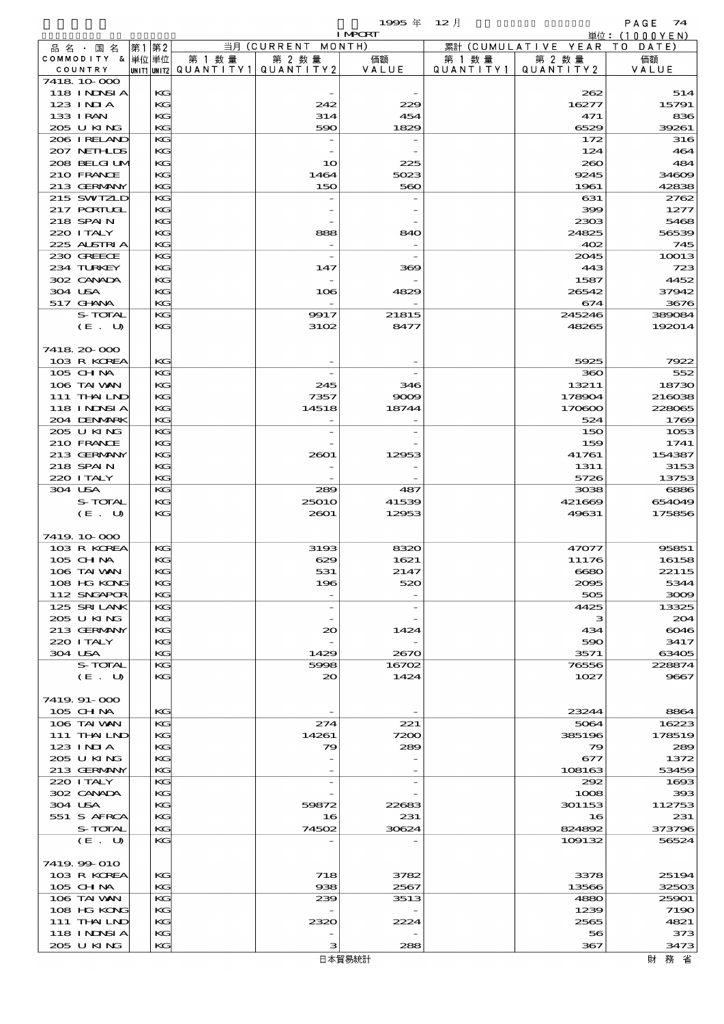|                                  |       |    |                          |                          | 1995 $#$       | $12$ 月    |                      | PAGE<br>74    |
|----------------------------------|-------|----|--------------------------|--------------------------|----------------|-----------|----------------------|---------------|
|                                  |       |    |                          |                          | <b>I MPORT</b> |           |                      | 単位: (1000YEN) |
| 品名・国名                            | 第1 第2 |    |                          | 当月 (CURRENT MONTH)       |                |           | 累計 (CUMULATIVE YEAR) | TO<br>DATE)   |
| COMMODITY & 単位単位                 |       |    | 第 1 数量                   | 第 2 数量                   | 価額             | 第 1 数 量   | 第 2 数量               | 価額            |
| COUNTRY                          |       |    | unit1 unit2  Q∪ANT   TY1 | QUANTITY 2               | VALUE          | QUANTITY1 | QUANTITY2            | VALUE         |
| 7418 10 000<br><b>118 INNSIA</b> |       | KG |                          |                          |                |           | 262                  | 514           |
| $123$ INIA                       |       | KG |                          | 242                      | 229            |           | 16277                | 15791         |
| 133 IRAN                         |       | KG |                          | 314                      | 454            |           | 471                  | 836           |
| 205 U KING                       |       | KG |                          | 590                      | 1829           |           | 6529                 | 39261         |
| 206 I RELAND                     |       | KG |                          |                          |                |           | 172                  | 316           |
| 207 NETHLIS                      |       | KG |                          |                          |                |           | 124                  | 464           |
| 208 BELGI UM                     |       | KG |                          | 10                       | 225            |           | 260                  | 484           |
| 210 FRANCE                       |       | KG |                          | 1464                     | 5023           |           | 9245                 | 3460E         |
| 213 GERMANY                      |       | KG |                          | 150                      | 560            |           | 1961                 | 42838         |
| 215 SWIZLD                       |       | KG |                          |                          |                |           | 631                  | 2762          |
| 217 PORTUGL                      |       | KG |                          |                          |                |           | 399                  | 1277          |
| 218 SPAIN                        |       | KG |                          |                          |                |           | 2303                 | 5468          |
| 220 I TALY                       |       | KG |                          | 888                      | 840            |           | 24825                | 56539         |
| 225 ALSTRIA                      |       | KG |                          | $\overline{\phantom{a}}$ |                |           | 402                  | 745           |
| 230 GREECE                       |       | KG |                          | $\overline{\phantom{a}}$ |                |           | 2045                 | 10013         |
| 234 TURKEY                       |       | KG |                          | 147                      | 369            |           | 443                  | 723           |
| 302 CANADA                       |       | KG |                          |                          |                |           | 1587                 | 4452          |
| 304 USA                          |       | KG |                          | 106                      | 4829           |           | 26542                | 37942         |
| 517 GHANA                        |       | KG |                          |                          |                |           | 674                  | 3676          |
| S-TOTAL                          |       | KG |                          | 9917                     | 21815          |           | 245246               | 389084        |
| (E. U)                           |       | KG |                          | 3102                     | 8477           |           | 48265                | 192014        |
|                                  |       |    |                          |                          |                |           |                      |               |
| 7418 20 000                      |       |    |                          |                          |                |           |                      |               |
| 103 R KOREA                      |       | KG |                          |                          |                |           | 5925                 | 7922          |
| 105 CH NA                        |       | KG |                          |                          |                |           | 360                  | 552           |
| 106 TAI VAN                      |       | KG |                          | 245                      | 346            |           | 13211                | 18730         |
| 111 THAILND                      |       | KG |                          | 7357                     | 9009           |           | 178904               | 216038        |
| <b>118 INNSIA</b>                |       | KG |                          | 14518                    | 18744          |           | 170600               | 228065        |
| 204 DENMARK                      |       | KG |                          |                          |                |           | 524                  | 1769          |
| 205 U KING                       |       | KG |                          |                          |                |           | 150                  | 1053          |
| 210 FRANCE                       |       | KG |                          |                          |                |           | 159                  | 1741          |
| 213 GERMANY                      |       | KG |                          | 2601                     | 12953          |           | 41761                | 154387        |
| 218 SPAIN                        |       | KG |                          |                          |                |           | 1311                 | 3153          |
| 220 I TALY                       |       | KG |                          |                          |                |           | 5726                 | 13753         |
| 304 USA                          |       | KG |                          | 289                      | 487            |           | 3038                 | 6886          |
| S-TOTAL                          |       | KG |                          | <b>25010</b>             | 41539          |           | 421669               | 654049        |
| (E. U)                           |       | KG |                          | 2601                     | 12953          |           | 49631                | 175856        |
|                                  |       |    |                          |                          |                |           |                      |               |
| 7419.10.000                      |       |    |                          |                          |                |           |                      |               |
| 103 R KOREA                      |       | KС |                          | 3193                     | 8320           |           | 47077                | 95851         |
| 105 CHNA                         |       | KG |                          | 629                      | 1621           |           | 11176                | 16158         |
| 106 TAI VAN                      |       | KG |                          | 531                      | 2147           |           | 6680                 | 22115         |
| 108 HG KONG                      |       | KG |                          | 196                      | 520            |           | 2095                 | 5344          |
| 112 SNGAPOR                      |       | KG |                          | $\overline{\phantom{a}}$ |                |           | 505                  | 3008          |
| 125 SRILANK                      |       | KG |                          | $\overline{\phantom{a}}$ |                |           | 4425                 | 13325         |
| 205 U KING                       |       | KG |                          |                          |                |           | з                    | 204           |
| 213 GERMANY                      |       | KG |                          | $_{\infty}$              | 1424           |           | 434                  | 6046          |
| 220 I TALY                       |       | KG |                          |                          |                |           | 590                  | 3417          |
| 304 USA                          |       | KG |                          | 1429                     | 2670           |           | 3571                 | 63405         |
| S-TOTAL                          |       | KG |                          | 5998                     | 16702          |           | 76556                | 228874        |
| (E. U)                           |       | KG |                          | $\infty$                 | 1424           |           | 1027                 | 9667          |
|                                  |       |    |                          |                          |                |           |                      |               |
| 7419.91-000                      |       |    |                          |                          |                |           |                      |               |
| 105 CHNA                         |       | KG |                          | $\overline{\phantom{a}}$ |                |           | 23244                | 8864          |
| 106 TAI VAN                      |       | KG |                          | 274                      | 221            |           | 5064                 | 16223         |
| 111 THAILND                      |       | KG |                          | 14261                    | 7200           |           | 385196               | 178519        |
| 123 INIA                         |       | KG |                          | 79                       | 289            |           | 79                   | 289           |
| 205 U KING                       |       | KG |                          |                          |                |           | 677                  | 1372          |
| 213 GERMANY                      |       | KG |                          |                          |                |           | 108163               | 53459         |
| 220 I TALY                       |       | KG |                          |                          |                |           | 292                  | 1693          |
| 302 CANADA                       |       | KG |                          |                          |                |           | 1008                 | 393           |
| 304 USA                          |       | KG |                          | 59872                    | 22683          |           | 301153               | 112753        |
| 551 S AFRCA                      |       | KG |                          | 16                       | 231            |           | 16                   | 231           |
| S-TOTAL                          |       | KG |                          | 74502                    | 30624          |           | 824892               | 373796        |
| (E. U)                           |       | KG |                          |                          |                |           | 109132               | 56524         |
|                                  |       |    |                          |                          |                |           |                      |               |
| 7419.99-010                      |       |    |                          |                          |                |           |                      |               |
| 103 R KOREA                      |       | KG |                          | 718                      | 3782           |           | 3378                 | 25194         |
| 105 CH NA                        |       | KG |                          | 938                      | 2567           |           | 13566                | 32503         |
| 106 TAI VAN                      |       | KG |                          | 239                      | 3513           |           | 4880                 | 25901         |
| 108 HG KONG                      |       | KG |                          |                          |                |           | 1239                 | 719C          |
| 111 THAILND                      |       | KG |                          | 2320                     | 2224           |           | 2565                 | 4821          |
| 118 I NDSI A                     |       | KG |                          |                          |                |           | 56                   | 373           |
| 205 U KING                       |       | KG |                          | з                        | 288            |           | 367                  | 3473          |
|                                  |       |    |                          |                          |                |           |                      |               |